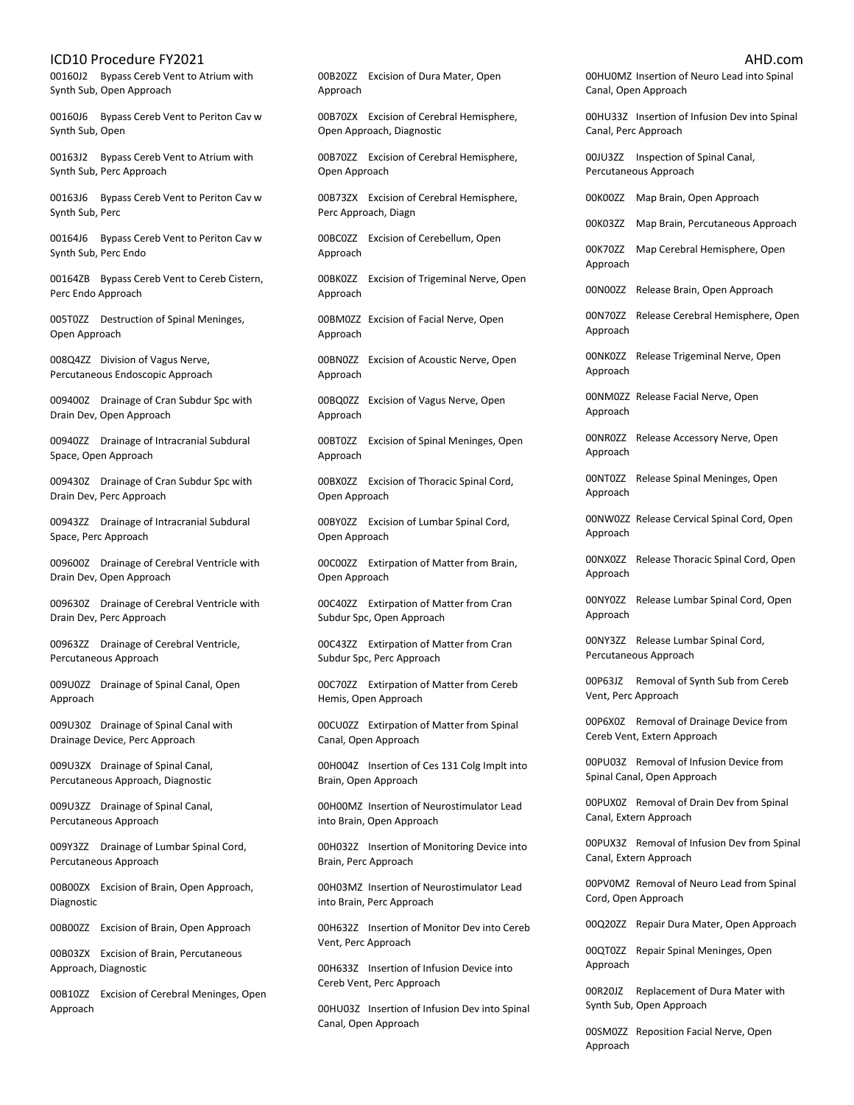00160J2 Bypass Cereb Vent to Atrium with Synth Sub, Open Approach

00160J6 Bypass Cereb Vent to Periton Cav w Synth Sub, Open

00163J2 Bypass Cereb Vent to Atrium with Synth Sub, Perc Approach

00163J6 Bypass Cereb Vent to Periton Cav w Synth Sub, Perc

00164J6 Bypass Cereb Vent to Periton Cav w Synth Sub, Perc Endo

00164ZB Bypass Cereb Vent to Cereb Cistern, Perc Endo Approach

005T0ZZ Destruction of Spinal Meninges, Open Approach

008Q4ZZ Division of Vagus Nerve, Percutaneous Endoscopic Approach

009400Z Drainage of Cran Subdur Spc with Drain Dev, Open Approach

00940ZZ Drainage of Intracranial Subdural Space, Open Approach

009430Z Drainage of Cran Subdur Spc with Drain Dev, Perc Approach

00943ZZ Drainage of Intracranial Subdural Space, Perc Approach

009600Z Drainage of Cerebral Ventricle with Drain Dev, Open Approach

009630Z Drainage of Cerebral Ventricle with Drain Dev, Perc Approach

00963ZZ Drainage of Cerebral Ventricle, Percutaneous Approach

009U0ZZ Drainage of Spinal Canal, Open Approach

009U30Z Drainage of Spinal Canal with Drainage Device, Perc Approach

009U3ZX Drainage of Spinal Canal, Percutaneous Approach, Diagnostic

009U3ZZ Drainage of Spinal Canal, Percutaneous Approach

009Y3ZZ Drainage of Lumbar Spinal Cord, Percutaneous Approach

00B00ZX Excision of Brain, Open Approach, Diagnostic

00B00ZZ Excision of Brain, Open Approach

00B03ZX Excision of Brain, Percutaneous Approach, Diagnostic

00B10ZZ Excision of Cerebral Meninges, Open Approach

00B20ZZ Excision of Dura Mater, Open Approach

00B70ZX Excision of Cerebral Hemisphere, Open Approach, Diagnostic

00B70ZZ Excision of Cerebral Hemisphere, Open Approach

00B73ZX Excision of Cerebral Hemisphere, Perc Approach, Diagn

00BC0ZZ Excision of Cerebellum, Open Approach

00BK0ZZ Excision of Trigeminal Nerve, Open Approach

00BM0ZZ Excision of Facial Nerve, Open Approach

00BN0ZZ Excision of Acoustic Nerve, Open Approach

00BQ0ZZ Excision of Vagus Nerve, Open Approach

00BT0ZZ Excision of Spinal Meninges, Open Approach

00BX0ZZ Excision of Thoracic Spinal Cord, Open Approach

00BY0ZZ Excision of Lumbar Spinal Cord, Open Approach

00C00ZZ Extirpation of Matter from Brain, Open Approach

00C40ZZ Extirpation of Matter from Cran Subdur Spc, Open Approach

00C43ZZ Extirpation of Matter from Cran Subdur Spc, Perc Approach

00C70ZZ Extirpation of Matter from Cereb Hemis, Open Approach

00CU0ZZ Extirpation of Matter from Spinal Canal, Open Approach

00H004Z Insertion of Ces 131 Colg Implt into Brain, Open Approach

00H00MZ Insertion of Neurostimulator Lead into Brain, Open Approach

00H032Z Insertion of Monitoring Device into Brain, Perc Approach

00H03MZ Insertion of Neurostimulator Lead into Brain, Perc Approach

00H632Z Insertion of Monitor Dev into Cereb Vent, Perc Approach

00H633Z Insertion of Infusion Device into Cereb Vent, Perc Approach

00HU03Z Insertion of Infusion Dev into Spinal Canal, Open Approach

00HU0MZ Insertion of Neuro Lead into Spinal Canal, Open Approach

00HU33Z Insertion of Infusion Dev into Spinal Canal, Perc Approach

00JU3ZZ Inspection of Spinal Canal, Percutaneous Approach

00K00ZZ Map Brain, Open Approach

00K03ZZ Map Brain, Percutaneous Approach

00K70ZZ Map Cerebral Hemisphere, Open Approach

00N00ZZ Release Brain, Open Approach

00N70ZZ Release Cerebral Hemisphere, Open Approach

00NK0ZZ Release Trigeminal Nerve, Open Approach

00NM0ZZ Release Facial Nerve, Open Approach

00NR0ZZ Release Accessory Nerve, Open Approach

00NT0ZZ Release Spinal Meninges, Open Approach

00NW0ZZ Release Cervical Spinal Cord, Open Approach

00NX0ZZ Release Thoracic Spinal Cord, Open Approach

00NY0ZZ Release Lumbar Spinal Cord, Open Approach

00NY3ZZ Release Lumbar Spinal Cord, Percutaneous Approach

00P63JZ Removal of Synth Sub from Cereb Vent, Perc Approach

00P6X0Z Removal of Drainage Device from Cereb Vent, Extern Approach

00PU03Z Removal of Infusion Device from Spinal Canal, Open Approach

00PUX0Z Removal of Drain Dev from Spinal Canal, Extern Approach

00PUX3Z Removal of Infusion Dev from Spinal Canal, Extern Approach

00PV0MZ Removal of Neuro Lead from Spinal Cord, Open Approach

00Q20ZZ Repair Dura Mater, Open Approach

00QT0ZZ Repair Spinal Meninges, Open Approach

00R20JZ Replacement of Dura Mater with Synth Sub, Open Approach

00SM0ZZ Reposition Facial Nerve, Open Approach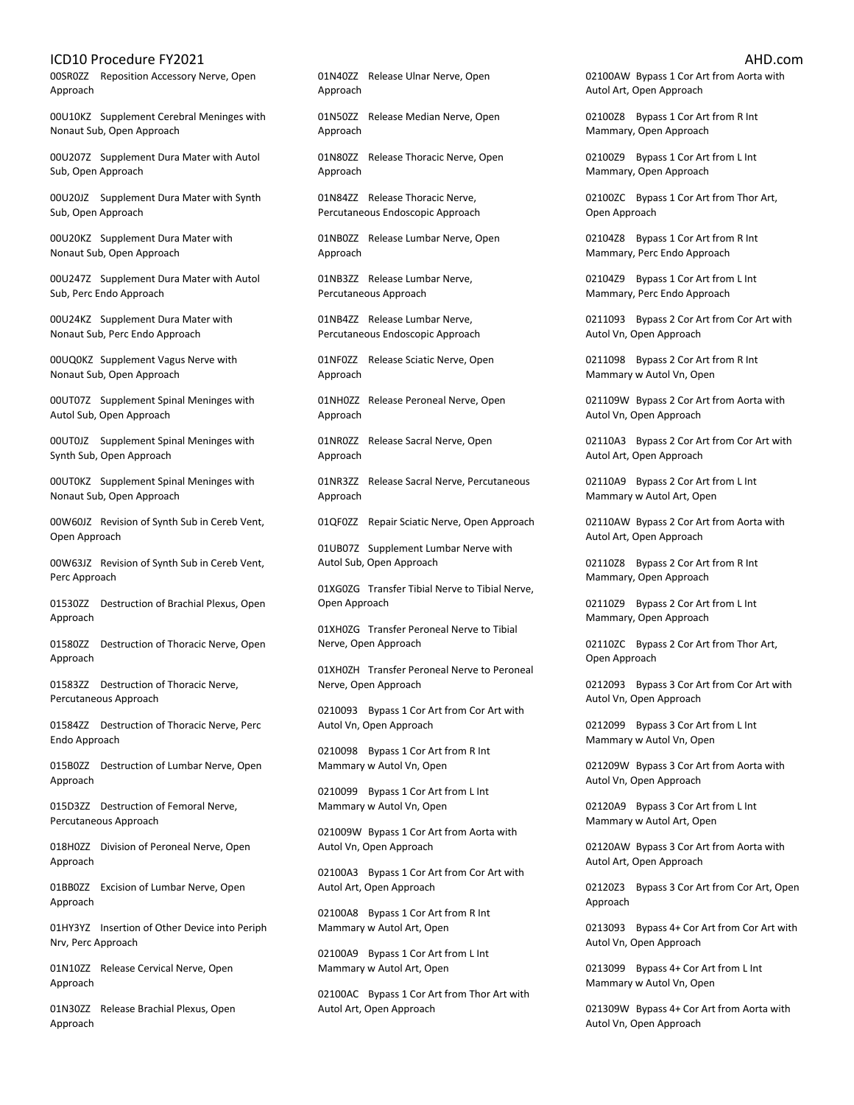00SR0ZZ Reposition Accessory Nerve, Open Approach

00U10KZ Supplement Cerebral Meninges with Nonaut Sub, Open Approach

00U207Z Supplement Dura Mater with Autol Sub, Open Approach

00U20JZ Supplement Dura Mater with Synth Sub, Open Approach

00U20KZ Supplement Dura Mater with Nonaut Sub, Open Approach

00U247Z Supplement Dura Mater with Autol Sub, Perc Endo Approach

00U24KZ Supplement Dura Mater with Nonaut Sub, Perc Endo Approach

00UQ0KZ Supplement Vagus Nerve with Nonaut Sub, Open Approach

00UT07Z Supplement Spinal Meninges with Autol Sub, Open Approach

00UT0JZ Supplement Spinal Meninges with Synth Sub, Open Approach

00UT0KZ Supplement Spinal Meninges with Nonaut Sub, Open Approach

00W60JZ Revision of Synth Sub in Cereb Vent, Open Approach

00W63JZ Revision of Synth Sub in Cereb Vent, Perc Approach

01530ZZ Destruction of Brachial Plexus, Open Approach

01580ZZ Destruction of Thoracic Nerve, Open Approach

01583ZZ Destruction of Thoracic Nerve, Percutaneous Approach

01584ZZ Destruction of Thoracic Nerve, Perc Endo Approach

015B0ZZ Destruction of Lumbar Nerve, Open Approach

015D3ZZ Destruction of Femoral Nerve, Percutaneous Approach

018H0ZZ Division of Peroneal Nerve, Open Approach

01BB0ZZ Excision of Lumbar Nerve, Open Approach

01HY3YZ Insertion of Other Device into Periph Nrv, Perc Approach

01N10ZZ Release Cervical Nerve, Open Approach

01N30ZZ Release Brachial Plexus, Open Approach

01N40ZZ Release Ulnar Nerve, Open Approach

01N50ZZ Release Median Nerve, Open Approach

01N80ZZ Release Thoracic Nerve, Open Approach

01N84ZZ Release Thoracic Nerve, Percutaneous Endoscopic Approach

01NB0ZZ Release Lumbar Nerve, Open Approach

01NB3ZZ Release Lumbar Nerve, Percutaneous Approach

01NB4ZZ Release Lumbar Nerve, Percutaneous Endoscopic Approach

01NF0ZZ Release Sciatic Nerve, Open Approach

01NH0ZZ Release Peroneal Nerve, Open Approach

01NR0ZZ Release Sacral Nerve, Open Approach

01NR3ZZ Release Sacral Nerve, Percutaneous Approach

01QF0ZZ Repair Sciatic Nerve, Open Approach

01UB07Z Supplement Lumbar Nerve with Autol Sub, Open Approach

01XG0ZG Transfer Tibial Nerve to Tibial Nerve, Open Approach

01XH0ZG Transfer Peroneal Nerve to Tibial Nerve, Open Approach

01XH0ZH Transfer Peroneal Nerve to Peroneal Nerve, Open Approach

0210093 Bypass 1 Cor Art from Cor Art with Autol Vn, Open Approach

0210098 Bypass 1 Cor Art from R Int Mammary w Autol Vn, Open

0210099 Bypass 1 Cor Art from L Int Mammary w Autol Vn, Open

021009W Bypass 1 Cor Art from Aorta with Autol Vn, Open Approach

02100A3 Bypass 1 Cor Art from Cor Art with Autol Art, Open Approach

02100A8 Bypass 1 Cor Art from R Int Mammary w Autol Art, Open

02100A9 Bypass 1 Cor Art from L Int Mammary w Autol Art, Open

02100AC Bypass 1 Cor Art from Thor Art with Autol Art, Open Approach

02100AW Bypass 1 Cor Art from Aorta with Autol Art, Open Approach

02100Z8 Bypass 1 Cor Art from R Int Mammary, Open Approach

02100Z9 Bypass 1 Cor Art from L Int Mammary, Open Approach

02100ZC Bypass 1 Cor Art from Thor Art, Open Approach

02104Z8 Bypass 1 Cor Art from R Int Mammary, Perc Endo Approach

02104Z9 Bypass 1 Cor Art from L Int Mammary, Perc Endo Approach

0211093 Bypass 2 Cor Art from Cor Art with Autol Vn, Open Approach

0211098 Bypass 2 Cor Art from R Int Mammary w Autol Vn, Open

021109W Bypass 2 Cor Art from Aorta with Autol Vn, Open Approach

02110A3 Bypass 2 Cor Art from Cor Art with Autol Art, Open Approach

02110A9 Bypass 2 Cor Art from L Int Mammary w Autol Art, Open

02110AW Bypass 2 Cor Art from Aorta with Autol Art, Open Approach

02110Z8 Bypass 2 Cor Art from R Int Mammary, Open Approach

02110Z9 Bypass 2 Cor Art from L Int Mammary, Open Approach

02110ZC Bypass 2 Cor Art from Thor Art, Open Approach

0212093 Bypass 3 Cor Art from Cor Art with Autol Vn, Open Approach

0212099 Bypass 3 Cor Art from L Int Mammary w Autol Vn, Open

021209W Bypass 3 Cor Art from Aorta with Autol Vn, Open Approach

02120A9 Bypass 3 Cor Art from L Int Mammary w Autol Art, Open

02120AW Bypass 3 Cor Art from Aorta with Autol Art, Open Approach

02120Z3 Bypass 3 Cor Art from Cor Art, Open Approach

0213093 Bypass 4+ Cor Art from Cor Art with Autol Vn, Open Approach

0213099 Bypass 4+ Cor Art from L Int Mammary w Autol Vn, Open

021309W Bypass 4+ Cor Art from Aorta with Autol Vn, Open Approach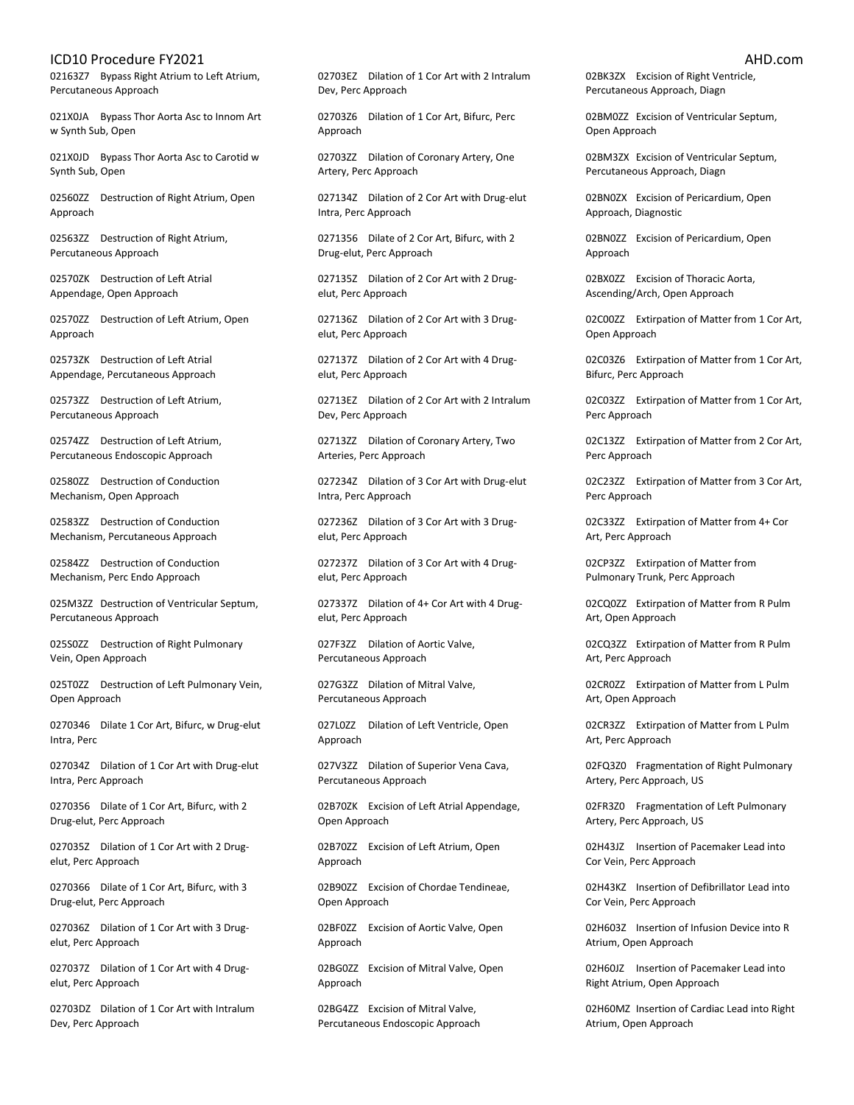02163Z7 Bypass Right Atrium to Left Atrium, Percutaneous Approach

021X0JA Bypass Thor Aorta Asc to Innom Art w Synth Sub, Open

021X0JD Bypass Thor Aorta Asc to Carotid w Synth Sub, Open

02560ZZ Destruction of Right Atrium, Open Approach

02563ZZ Destruction of Right Atrium, Percutaneous Approach

02570ZK Destruction of Left Atrial Appendage, Open Approach

02570ZZ Destruction of Left Atrium, Open Approach

02573ZK Destruction of Left Atrial Appendage, Percutaneous Approach

02573ZZ Destruction of Left Atrium, Percutaneous Approach

02574ZZ Destruction of Left Atrium, Percutaneous Endoscopic Approach

02580ZZ Destruction of Conduction Mechanism, Open Approach

02583ZZ Destruction of Conduction Mechanism, Percutaneous Approach

02584ZZ Destruction of Conduction Mechanism, Perc Endo Approach

025M3ZZ Destruction of Ventricular Septum, Percutaneous Approach

025S0ZZ Destruction of Right Pulmonary Vein, Open Approach

025T0ZZ Destruction of Left Pulmonary Vein, Open Approach

0270346 Dilate 1 Cor Art, Bifurc, w Drug-elut Intra, Perc

027034Z Dilation of 1 Cor Art with Drug-elut Intra, Perc Approach

0270356 Dilate of 1 Cor Art, Bifurc, with 2 Drug-elut, Perc Approach

027035Z Dilation of 1 Cor Art with 2 Drugelut, Perc Approach

0270366 Dilate of 1 Cor Art, Bifurc, with 3 Drug-elut, Perc Approach

027036Z Dilation of 1 Cor Art with 3 Drugelut, Perc Approach

027037Z Dilation of 1 Cor Art with 4 Drugelut, Perc Approach

02703DZ Dilation of 1 Cor Art with Intralum Dev, Perc Approach

02703EZ Dilation of 1 Cor Art with 2 Intralum Dev, Perc Approach

02703Z6 Dilation of 1 Cor Art, Bifurc, Perc Approach

02703ZZ Dilation of Coronary Artery, One Artery, Perc Approach

027134Z Dilation of 2 Cor Art with Drug-elut Intra, Perc Approach

0271356 Dilate of 2 Cor Art, Bifurc, with 2 Drug-elut, Perc Approach

027135Z Dilation of 2 Cor Art with 2 Drugelut, Perc Approach

027136Z Dilation of 2 Cor Art with 3 Drugelut, Perc Approach

027137Z Dilation of 2 Cor Art with 4 Drugelut, Perc Approach

02713EZ Dilation of 2 Cor Art with 2 Intralum Dev, Perc Approach

02713ZZ Dilation of Coronary Artery, Two Arteries, Perc Approach

027234Z Dilation of 3 Cor Art with Drug-elut Intra, Perc Approach

027236Z Dilation of 3 Cor Art with 3 Drugelut, Perc Approach

027237Z Dilation of 3 Cor Art with 4 Drugelut, Perc Approach

027337Z Dilation of 4+ Cor Art with 4 Drugelut, Perc Approach

027F3ZZ Dilation of Aortic Valve, Percutaneous Approach

027G3ZZ Dilation of Mitral Valve, Percutaneous Approach

027L0ZZ Dilation of Left Ventricle, Open Approach

027V3ZZ Dilation of Superior Vena Cava, Percutaneous Approach

02B70ZK Excision of Left Atrial Appendage, Open Approach

02B70ZZ Excision of Left Atrium, Open Approach

02B90ZZ Excision of Chordae Tendineae, Open Approach

02BF0ZZ Excision of Aortic Valve, Open Approach

02BG0ZZ Excision of Mitral Valve, Open Approach

02BG4ZZ Excision of Mitral Valve, Percutaneous Endoscopic Approach 02BK3ZX Excision of Right Ventricle, Percutaneous Approach, Diagn

02BM0ZZ Excision of Ventricular Septum, Open Approach

02BM3ZX Excision of Ventricular Septum, Percutaneous Approach, Diagn

02BN0ZX Excision of Pericardium, Open Approach, Diagnostic

02BN0ZZ Excision of Pericardium, Open Approach

02BX0ZZ Excision of Thoracic Aorta, Ascending/Arch, Open Approach

02C00ZZ Extirpation of Matter from 1 Cor Art, Open Approach

02C03Z6 Extirpation of Matter from 1 Cor Art, Bifurc, Perc Approach

02C03ZZ Extirpation of Matter from 1 Cor Art, Perc Approach

02C13ZZ Extirpation of Matter from 2 Cor Art, Perc Approach

02C23ZZ Extirpation of Matter from 3 Cor Art, Perc Approach

02C33ZZ Extirpation of Matter from 4+ Cor Art, Perc Approach

02CP3ZZ Extirpation of Matter from Pulmonary Trunk, Perc Approach

02CQ0ZZ Extirpation of Matter from R Pulm Art, Open Approach

02CQ3ZZ Extirpation of Matter from R Pulm Art, Perc Approach

02CR0ZZ Extirpation of Matter from L Pulm Art, Open Approach

02CR3ZZ Extirpation of Matter from L Pulm Art, Perc Approach

02FQ3Z0 Fragmentation of Right Pulmonary Artery, Perc Approach, US

02FR3Z0 Fragmentation of Left Pulmonary Artery, Perc Approach, US

02H43JZ Insertion of Pacemaker Lead into Cor Vein, Perc Approach

02H43KZ Insertion of Defibrillator Lead into Cor Vein, Perc Approach

02H603Z Insertion of Infusion Device into R Atrium, Open Approach

02H60JZ Insertion of Pacemaker Lead into Right Atrium, Open Approach

02H60MZ Insertion of Cardiac Lead into Right Atrium, Open Approach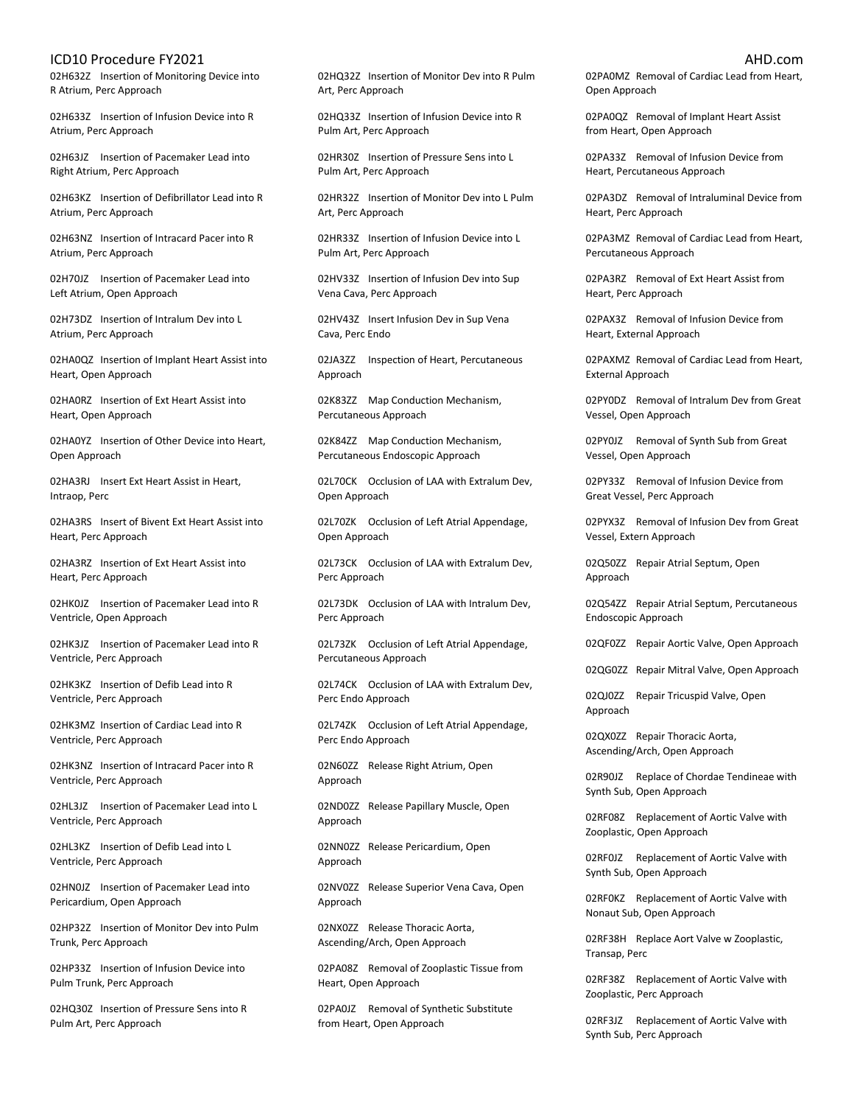02H632Z Insertion of Monitoring Device into R Atrium, Perc Approach

02H633Z Insertion of Infusion Device into R Atrium, Perc Approach

02H63JZ Insertion of Pacemaker Lead into Right Atrium, Perc Approach

02H63KZ Insertion of Defibrillator Lead into R Atrium, Perc Approach

02H63NZ Insertion of Intracard Pacer into R Atrium, Perc Approach

02H70JZ Insertion of Pacemaker Lead into Left Atrium, Open Approach

02H73DZ Insertion of Intralum Dev into L Atrium, Perc Approach

02HA0QZ Insertion of Implant Heart Assist into Heart, Open Approach

02HA0RZ Insertion of Ext Heart Assist into Heart, Open Approach

02HA0YZ Insertion of Other Device into Heart, Open Approach

02HA3RJ Insert Ext Heart Assist in Heart, Intraop, Perc

02HA3RS Insert of Bivent Ext Heart Assist into Heart, Perc Approach

02HA3RZ Insertion of Ext Heart Assist into Heart, Perc Approach

02HK0JZ Insertion of Pacemaker Lead into R Ventricle, Open Approach

02HK3JZ Insertion of Pacemaker Lead into R Ventricle, Perc Approach

02HK3KZ Insertion of Defib Lead into R Ventricle, Perc Approach

02HK3MZ Insertion of Cardiac Lead into R Ventricle, Perc Approach

02HK3NZ Insertion of Intracard Pacer into R Ventricle, Perc Approach

02HL3JZ Insertion of Pacemaker Lead into L Ventricle, Perc Approach

02HL3KZ Insertion of Defib Lead into L Ventricle, Perc Approach

02HN0JZ Insertion of Pacemaker Lead into Pericardium, Open Approach

02HP32Z Insertion of Monitor Dev into Pulm Trunk, Perc Approach

02HP33Z Insertion of Infusion Device into Pulm Trunk, Perc Approach

02HQ30Z Insertion of Pressure Sens into R Pulm Art, Perc Approach

02HQ32Z Insertion of Monitor Dev into R Pulm Art, Perc Approach

02HQ33Z Insertion of Infusion Device into R Pulm Art, Perc Approach

02HR30Z Insertion of Pressure Sens into L Pulm Art, Perc Approach

02HR32Z Insertion of Monitor Dev into L Pulm Art, Perc Approach

02HR33Z Insertion of Infusion Device into L Pulm Art, Perc Approach

02HV33Z Insertion of Infusion Dev into Sup Vena Cava, Perc Approach

02HV43Z Insert Infusion Dev in Sup Vena Cava, Perc Endo

02JA3ZZ Inspection of Heart, Percutaneous Approach

02K83ZZ Map Conduction Mechanism, Percutaneous Approach

02K84ZZ Map Conduction Mechanism, Percutaneous Endoscopic Approach

02L70CK Occlusion of LAA with Extralum Dev, Open Approach

02L70ZK Occlusion of Left Atrial Appendage, Open Approach

02L73CK Occlusion of LAA with Extralum Dev, Perc Approach

02L73DK Occlusion of LAA with Intralum Dev, Perc Approach

02L73ZK Occlusion of Left Atrial Appendage, Percutaneous Approach

02L74CK Occlusion of LAA with Extralum Dev, Perc Endo Approach

02L74ZK Occlusion of Left Atrial Appendage, Perc Endo Approach

02N60ZZ Release Right Atrium, Open Approach

02ND0ZZ Release Papillary Muscle, Open Approach

02NN0ZZ Release Pericardium, Open Approach

02NV0ZZ Release Superior Vena Cava, Open Approach

02NX0ZZ Release Thoracic Aorta, Ascending/Arch, Open Approach

02PA08Z Removal of Zooplastic Tissue from Heart, Open Approach

02PA0JZ Removal of Synthetic Substitute from Heart, Open Approach

02PA0MZ Removal of Cardiac Lead from Heart, Open Approach

02PA0QZ Removal of Implant Heart Assist from Heart, Open Approach

02PA33Z Removal of Infusion Device from Heart, Percutaneous Approach

02PA3DZ Removal of Intraluminal Device from Heart, Perc Approach

02PA3MZ Removal of Cardiac Lead from Heart, Percutaneous Approach

02PA3RZ Removal of Ext Heart Assist from Heart, Perc Approach

02PAX3Z Removal of Infusion Device from Heart, External Approach

02PAXMZ Removal of Cardiac Lead from Heart, External Approach

02PY0DZ Removal of Intralum Dev from Great Vessel, Open Approach

02PY0JZ Removal of Synth Sub from Great Vessel, Open Approach

02PY33Z Removal of Infusion Device from Great Vessel, Perc Approach

02PYX3Z Removal of Infusion Dev from Great Vessel, Extern Approach

02Q50ZZ Repair Atrial Septum, Open Approach

02Q54ZZ Repair Atrial Septum, Percutaneous Endoscopic Approach

02QF0ZZ Repair Aortic Valve, Open Approach

02QG0ZZ Repair Mitral Valve, Open Approach

02QJ0ZZ Repair Tricuspid Valve, Open Approach

02QX0ZZ Repair Thoracic Aorta, Ascending/Arch, Open Approach

02R90JZ Replace of Chordae Tendineae with Synth Sub, Open Approach

02RF08Z Replacement of Aortic Valve with Zooplastic, Open Approach

02RF0JZ Replacement of Aortic Valve with Synth Sub, Open Approach

02RF0KZ Replacement of Aortic Valve with Nonaut Sub, Open Approach

02RF38H Replace Aort Valve w Zooplastic, Transap, Perc

02RF38Z Replacement of Aortic Valve with Zooplastic, Perc Approach

02RF3JZ Replacement of Aortic Valve with Synth Sub, Perc Approach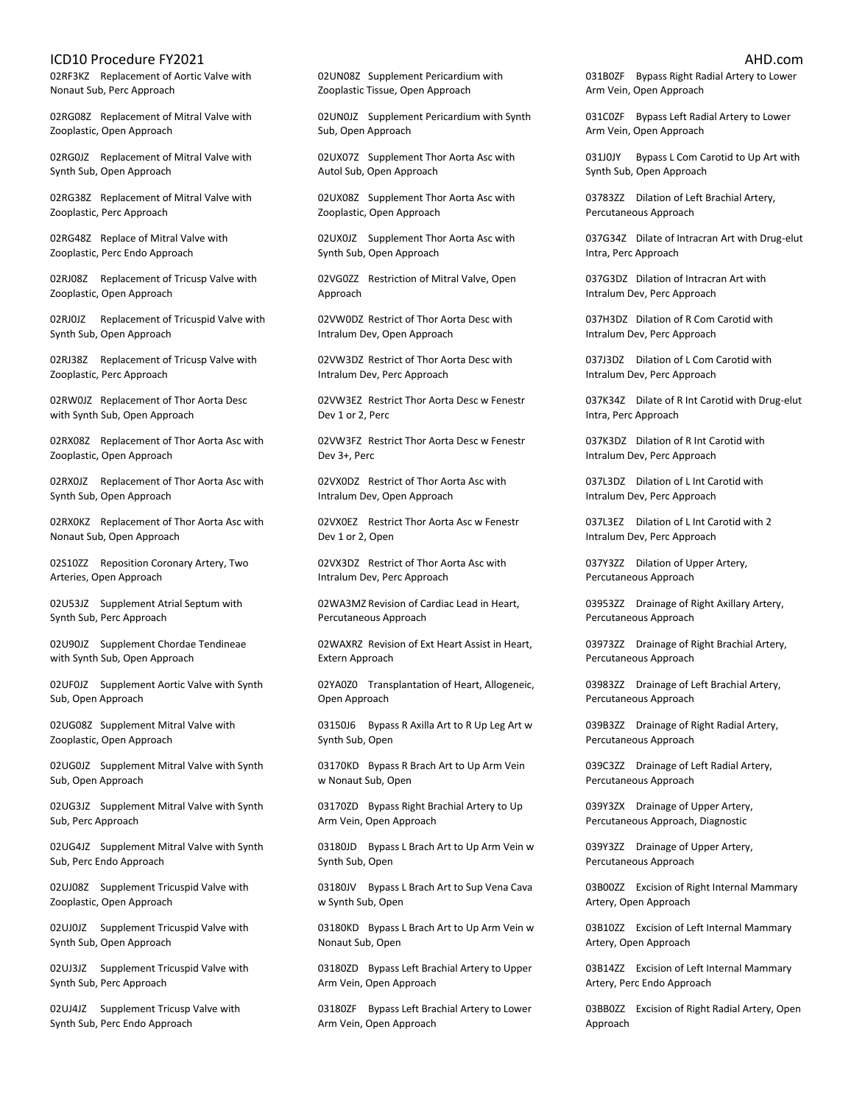02RF3KZ Replacement of Aortic Valve with Nonaut Sub, Perc Approach

02RG08Z Replacement of Mitral Valve with Zooplastic, Open Approach

02RG0JZ Replacement of Mitral Valve with Synth Sub, Open Approach

02RG38Z Replacement of Mitral Valve with Zooplastic, Perc Approach

02RG48Z Replace of Mitral Valve with Zooplastic, Perc Endo Approach

02RJ08Z Replacement of Tricusp Valve with Zooplastic, Open Approach

02RJ0JZ Replacement of Tricuspid Valve with Synth Sub, Open Approach

02RJ38Z Replacement of Tricusp Valve with Zooplastic, Perc Approach

02RW0JZ Replacement of Thor Aorta Desc with Synth Sub, Open Approach

02RX08Z Replacement of Thor Aorta Asc with Zooplastic, Open Approach

02RX0JZ Replacement of Thor Aorta Asc with Synth Sub, Open Approach

02RX0KZ Replacement of Thor Aorta Asc with Nonaut Sub, Open Approach

02S10ZZ Reposition Coronary Artery, Two Arteries, Open Approach

02U53JZ Supplement Atrial Septum with Synth Sub, Perc Approach

02U90JZ Supplement Chordae Tendineae with Synth Sub, Open Approach

02UF0JZ Supplement Aortic Valve with Synth Sub, Open Approach

02UG08Z Supplement Mitral Valve with Zooplastic, Open Approach

02UG0JZ Supplement Mitral Valve with Synth Sub, Open Approach

02UG3JZ Supplement Mitral Valve with Synth Sub, Perc Approach

02UG4JZ Supplement Mitral Valve with Synth Sub, Perc Endo Approach

02UJ08Z Supplement Tricuspid Valve with Zooplastic, Open Approach

02UJ0JZ Supplement Tricuspid Valve with Synth Sub, Open Approach

02UJ3JZ Supplement Tricuspid Valve with Synth Sub, Perc Approach

02UJ4JZ Supplement Tricusp Valve with Synth Sub, Perc Endo Approach

02UN08Z Supplement Pericardium with Zooplastic Tissue, Open Approach

02UN0JZ Supplement Pericardium with Synth Sub, Open Approach

02UX07Z Supplement Thor Aorta Asc with Autol Sub, Open Approach

02UX08Z Supplement Thor Aorta Asc with Zooplastic, Open Approach

02UX0JZ Supplement Thor Aorta Asc with Synth Sub, Open Approach

02VG0ZZ Restriction of Mitral Valve, Open Approach

02VW0DZ Restrict of Thor Aorta Desc with Intralum Dev, Open Approach

02VW3DZ Restrict of Thor Aorta Desc with Intralum Dev, Perc Approach

02VW3EZ Restrict Thor Aorta Desc w Fenestr Dev 1 or 2, Perc

02VW3FZ Restrict Thor Aorta Desc w Fenestr Dev 3+, Perc

02VX0DZ Restrict of Thor Aorta Asc with Intralum Dev, Open Approach

02VX0EZ Restrict Thor Aorta Asc w Fenestr Dev 1 or 2, Open

02VX3DZ Restrict of Thor Aorta Asc with Intralum Dev, Perc Approach

02WA3MZ Revision of Cardiac Lead in Heart, Percutaneous Approach

02WAXRZ Revision of Ext Heart Assist in Heart, Extern Approach

02YA0Z0 Transplantation of Heart, Allogeneic, Open Approach

03150J6 Bypass R Axilla Art to R Up Leg Art w Synth Sub, Open

03170KD Bypass R Brach Art to Up Arm Vein w Nonaut Sub, Open

03170ZD Bypass Right Brachial Artery to Up Arm Vein, Open Approach

03180JD Bypass L Brach Art to Up Arm Vein w Synth Sub, Open

03180JV Bypass L Brach Art to Sup Vena Cava w Synth Sub, Open

03180KD Bypass L Brach Art to Up Arm Vein w Nonaut Sub, Open

03180ZD Bypass Left Brachial Artery to Upper Arm Vein, Open Approach

03180ZF Bypass Left Brachial Artery to Lower Arm Vein, Open Approach

031B0ZF Bypass Right Radial Artery to Lower Arm Vein, Open Approach

031C0ZF Bypass Left Radial Artery to Lower Arm Vein, Open Approach

031J0JY Bypass L Com Carotid to Up Art with Synth Sub, Open Approach

03783ZZ Dilation of Left Brachial Artery, Percutaneous Approach

037G34Z Dilate of Intracran Art with Drug-elut Intra, Perc Approach

037G3DZ Dilation of Intracran Art with Intralum Dev, Perc Approach

037H3DZ Dilation of R Com Carotid with Intralum Dev, Perc Approach

037J3DZ Dilation of L Com Carotid with Intralum Dev, Perc Approach

037K34Z Dilate of R Int Carotid with Drug-elut Intra, Perc Approach

037K3DZ Dilation of R Int Carotid with Intralum Dev, Perc Approach

037L3DZ Dilation of L Int Carotid with Intralum Dev, Perc Approach

037L3EZ Dilation of L Int Carotid with 2 Intralum Dev, Perc Approach

037Y3ZZ Dilation of Upper Artery, Percutaneous Approach

03953ZZ Drainage of Right Axillary Artery, Percutaneous Approach

03973ZZ Drainage of Right Brachial Artery, Percutaneous Approach

03983ZZ Drainage of Left Brachial Artery, Percutaneous Approach

039B3ZZ Drainage of Right Radial Artery, Percutaneous Approach

039C3ZZ Drainage of Left Radial Artery, Percutaneous Approach

039Y3ZX Drainage of Upper Artery, Percutaneous Approach, Diagnostic

039Y3ZZ Drainage of Upper Artery, Percutaneous Approach

03B00ZZ Excision of Right Internal Mammary Artery, Open Approach

03B10ZZ Excision of Left Internal Mammary Artery, Open Approach

03B14ZZ Excision of Left Internal Mammary Artery, Perc Endo Approach

03BB0ZZ Excision of Right Radial Artery, Open Approach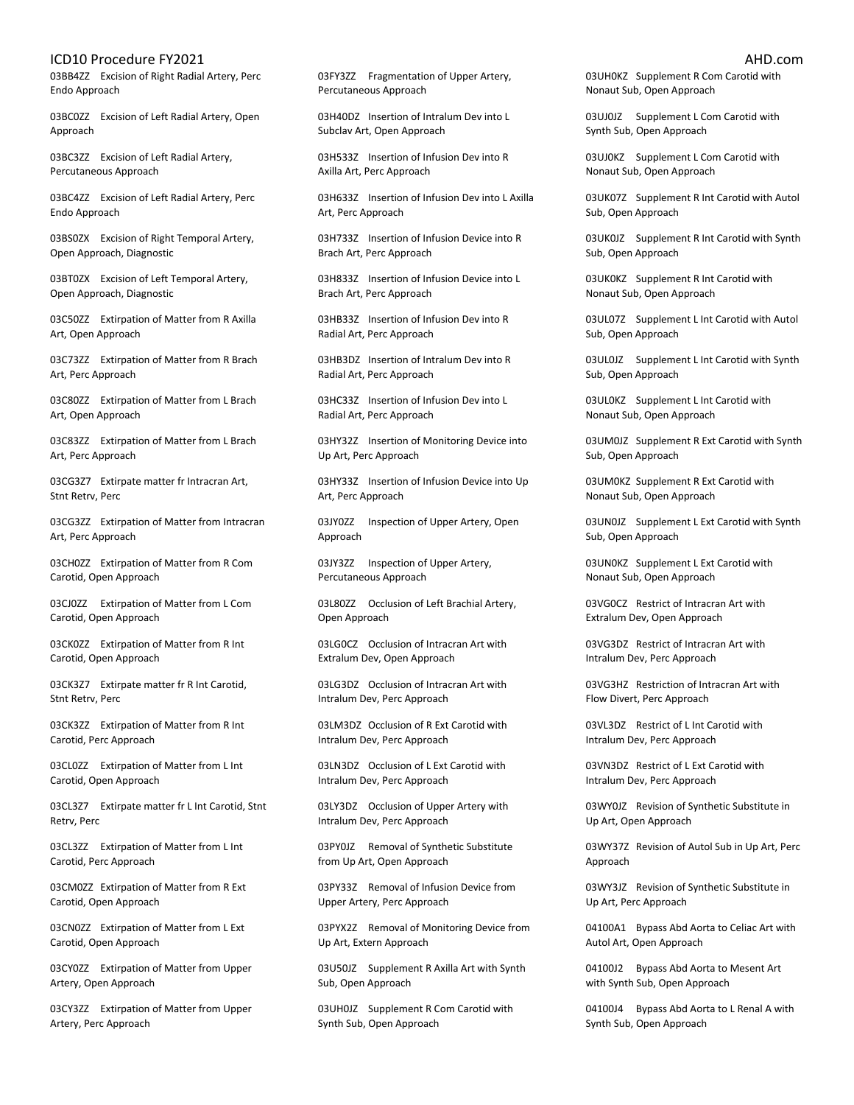03BB4ZZ Excision of Right Radial Artery, Perc Endo Approach

03BC0ZZ Excision of Left Radial Artery, Open Approach

03BC3ZZ Excision of Left Radial Artery, Percutaneous Approach

03BC4ZZ Excision of Left Radial Artery, Perc Endo Approach

03BS0ZX Excision of Right Temporal Artery, Open Approach, Diagnostic

03BT0ZX Excision of Left Temporal Artery, Open Approach, Diagnostic

03C50ZZ Extirpation of Matter from R Axilla Art, Open Approach

03C73ZZ Extirpation of Matter from R Brach Art, Perc Approach

03C80ZZ Extirpation of Matter from L Brach Art, Open Approach

03C83ZZ Extirpation of Matter from L Brach Art, Perc Approach

03CG3Z7 Extirpate matter fr Intracran Art, Stnt Retrv, Perc

03CG3ZZ Extirpation of Matter from Intracran Art, Perc Approach

03CH0ZZ Extirpation of Matter from R Com Carotid, Open Approach

03CJ0ZZ Extirpation of Matter from L Com Carotid, Open Approach

03CK0ZZ Extirpation of Matter from R Int Carotid, Open Approach

03CK3Z7 Extirpate matter fr R Int Carotid, Stnt Retrv, Perc

03CK3ZZ Extirpation of Matter from R Int Carotid, Perc Approach

03CL0ZZ Extirpation of Matter from L Int Carotid, Open Approach

03CL3Z7 Extirpate matter fr L Int Carotid, Stnt Retrv, Perc

03CL3ZZ Extirpation of Matter from L Int Carotid, Perc Approach

03CM0ZZ Extirpation of Matter from R Ext Carotid, Open Approach

03CN0ZZ Extirpation of Matter from L Ext Carotid, Open Approach

03CY0ZZ Extirpation of Matter from Upper Artery, Open Approach

03CY3ZZ Extirpation of Matter from Upper Artery, Perc Approach

03FY3ZZ Fragmentation of Upper Artery, Percutaneous Approach

03H40DZ Insertion of Intralum Dev into L Subclav Art, Open Approach

03H533Z Insertion of Infusion Dev into R Axilla Art, Perc Approach

03H633Z Insertion of Infusion Dev into L Axilla Art, Perc Approach

03H733Z Insertion of Infusion Device into R Brach Art, Perc Approach

03H833Z Insertion of Infusion Device into L Brach Art, Perc Approach

03HB33Z Insertion of Infusion Dev into R Radial Art, Perc Approach

03HB3DZ Insertion of Intralum Dev into R Radial Art, Perc Approach

03HC33Z Insertion of Infusion Dev into L Radial Art, Perc Approach

03HY32Z Insertion of Monitoring Device into Up Art, Perc Approach

03HY33Z Insertion of Infusion Device into Up Art, Perc Approach

03JY0ZZ Inspection of Upper Artery, Open Approach

03JY3ZZ Inspection of Upper Artery, Percutaneous Approach

03L80ZZ Occlusion of Left Brachial Artery, Open Approach

03LG0CZ Occlusion of Intracran Art with Extralum Dev, Open Approach

03LG3DZ Occlusion of Intracran Art with Intralum Dev, Perc Approach

03LM3DZ Occlusion of R Ext Carotid with Intralum Dev, Perc Approach

03LN3DZ Occlusion of L Ext Carotid with Intralum Dev, Perc Approach

03LY3DZ Occlusion of Upper Artery with Intralum Dev, Perc Approach

03PY0JZ Removal of Synthetic Substitute from Up Art, Open Approach

03PY33Z Removal of Infusion Device from Upper Artery, Perc Approach

03PYX2Z Removal of Monitoring Device from Up Art, Extern Approach

03U50JZ Supplement R Axilla Art with Synth Sub, Open Approach

03UH0JZ Supplement R Com Carotid with Synth Sub, Open Approach

03UH0KZ Supplement R Com Carotid with Nonaut Sub, Open Approach

03UJ0JZ Supplement L Com Carotid with Synth Sub, Open Approach

03UJ0KZ Supplement L Com Carotid with Nonaut Sub, Open Approach

03UK07Z Supplement R Int Carotid with Autol Sub, Open Approach

03UK0JZ Supplement R Int Carotid with Synth Sub, Open Approach

03UK0KZ Supplement R Int Carotid with Nonaut Sub, Open Approach

03UL07Z Supplement L Int Carotid with Autol Sub, Open Approach

03UL0JZ Supplement L Int Carotid with Synth Sub, Open Approach

03UL0KZ Supplement L Int Carotid with Nonaut Sub, Open Approach

03UM0JZ Supplement R Ext Carotid with Synth Sub, Open Approach

03UM0KZ Supplement R Ext Carotid with Nonaut Sub, Open Approach

03UN0JZ Supplement L Ext Carotid with Synth Sub, Open Approach

03UN0KZ Supplement L Ext Carotid with Nonaut Sub, Open Approach

03VG0CZ Restrict of Intracran Art with Extralum Dev, Open Approach

03VG3DZ Restrict of Intracran Art with Intralum Dev, Perc Approach

03VG3HZ Restriction of Intracran Art with Flow Divert, Perc Approach

03VL3DZ Restrict of L Int Carotid with Intralum Dev, Perc Approach

03VN3DZ Restrict of L Ext Carotid with Intralum Dev, Perc Approach

03WY0JZ Revision of Synthetic Substitute in Up Art, Open Approach

03WY37Z Revision of Autol Sub in Up Art, Perc Approach

03WY3JZ Revision of Synthetic Substitute in Up Art, Perc Approach

04100A1 Bypass Abd Aorta to Celiac Art with Autol Art, Open Approach

04100J2 Bypass Abd Aorta to Mesent Art with Synth Sub, Open Approach

04100J4 Bypass Abd Aorta to L Renal A with Synth Sub, Open Approach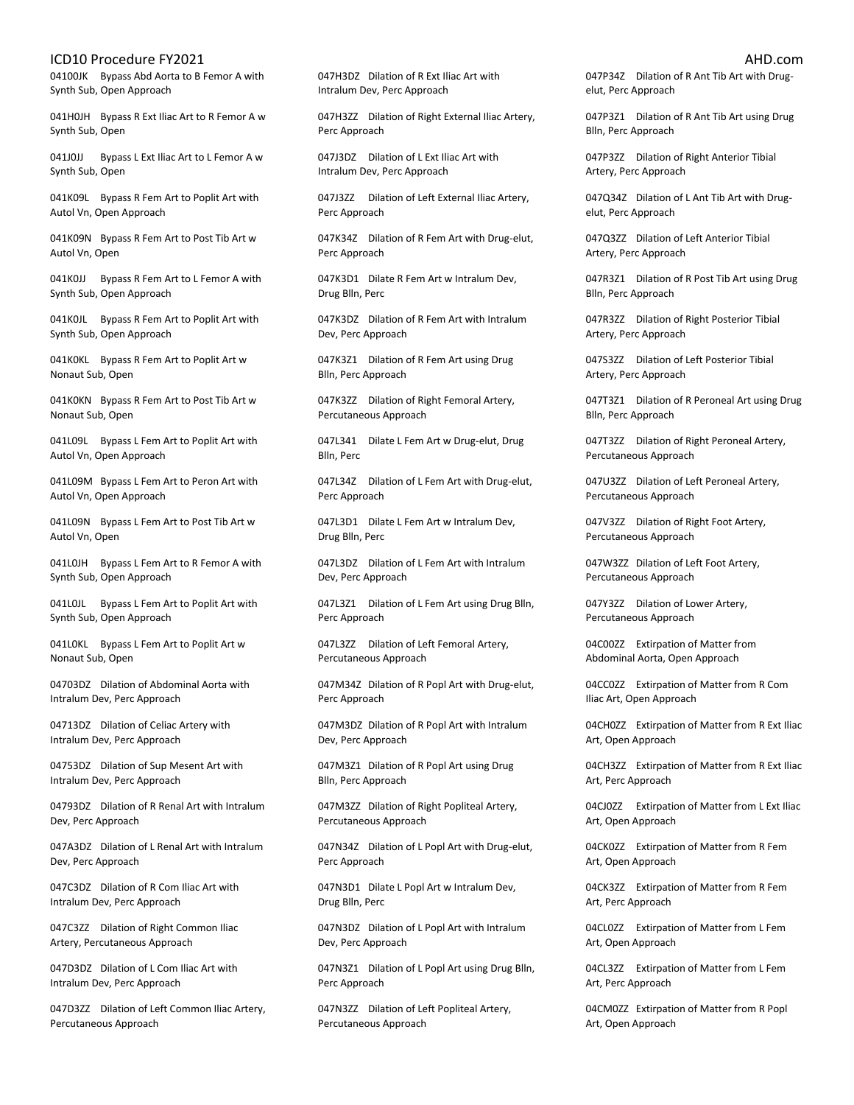04100JK Bypass Abd Aorta to B Femor A with Synth Sub, Open Approach

041H0JH Bypass R Ext Iliac Art to R Femor A w Synth Sub, Open

041J0JJ Bypass L Ext Iliac Art to L Femor A w Synth Sub, Open

041K09L Bypass R Fem Art to Poplit Art with Autol Vn, Open Approach

041K09N Bypass R Fem Art to Post Tib Art w Autol Vn, Open

041K0JJ Bypass R Fem Art to L Femor A with Synth Sub, Open Approach

041K0JL Bypass R Fem Art to Poplit Art with Synth Sub, Open Approach

041K0KL Bypass R Fem Art to Poplit Art w Nonaut Sub, Open

041K0KN Bypass R Fem Art to Post Tib Art w Nonaut Sub, Open

041L09L Bypass L Fem Art to Poplit Art with Autol Vn, Open Approach

041L09M Bypass L Fem Art to Peron Art with Autol Vn, Open Approach

041L09N Bypass L Fem Art to Post Tib Art w Autol Vn, Open

041L0JH Bypass L Fem Art to R Femor A with Synth Sub, Open Approach

041L0JL Bypass L Fem Art to Poplit Art with Synth Sub, Open Approach

041L0KL Bypass L Fem Art to Poplit Art w Nonaut Sub, Open

04703DZ Dilation of Abdominal Aorta with Intralum Dev, Perc Approach

04713DZ Dilation of Celiac Artery with Intralum Dev, Perc Approach

04753DZ Dilation of Sup Mesent Art with Intralum Dev, Perc Approach

04793DZ Dilation of R Renal Art with Intralum Dev, Perc Approach

047A3DZ Dilation of L Renal Art with Intralum Dev, Perc Approach

047C3DZ Dilation of R Com Iliac Art with Intralum Dev, Perc Approach

047C3ZZ Dilation of Right Common Iliac Artery, Percutaneous Approach

047D3DZ Dilation of L Com Iliac Art with Intralum Dev, Perc Approach

047D3ZZ Dilation of Left Common Iliac Artery, Percutaneous Approach

047H3DZ Dilation of R Ext Iliac Art with Intralum Dev, Perc Approach

047H3ZZ Dilation of Right External Iliac Artery, Perc Approach

047J3DZ Dilation of L Ext Iliac Art with Intralum Dev, Perc Approach

047J3ZZ Dilation of Left External Iliac Artery, Perc Approach

047K34Z Dilation of R Fem Art with Drug-elut, Perc Approach

047K3D1 Dilate R Fem Art w Intralum Dev, Drug Blln, Perc

047K3DZ Dilation of R Fem Art with Intralum Dev, Perc Approach

047K3Z1 Dilation of R Fem Art using Drug Blln, Perc Approach

047K3ZZ Dilation of Right Femoral Artery, Percutaneous Approach

047L341 Dilate L Fem Art w Drug-elut, Drug Blln, Perc

047L34Z Dilation of L Fem Art with Drug-elut, Perc Approach

047L3D1 Dilate L Fem Art w Intralum Dev, Drug Blln, Perc

047L3DZ Dilation of L Fem Art with Intralum Dev, Perc Approach

047L3Z1 Dilation of L Fem Art using Drug Blln, Perc Approach

047L3ZZ Dilation of Left Femoral Artery, Percutaneous Approach

047M34Z Dilation of R Popl Art with Drug-elut, Perc Approach

047M3DZ Dilation of R Popl Art with Intralum Dev, Perc Approach

047M3Z1 Dilation of R Popl Art using Drug Blln, Perc Approach

047M3ZZ Dilation of Right Popliteal Artery, Percutaneous Approach

047N34Z Dilation of L Popl Art with Drug-elut, Perc Approach

047N3D1 Dilate L Popl Art w Intralum Dev, Drug Blln, Perc

047N3DZ Dilation of L Popl Art with Intralum Dev, Perc Approach

047N3Z1 Dilation of L Popl Art using Drug Blln, Perc Approach

047N3ZZ Dilation of Left Popliteal Artery, Percutaneous Approach

047P34Z Dilation of R Ant Tib Art with Drugelut, Perc Approach

047P3Z1 Dilation of R Ant Tib Art using Drug Blln, Perc Approach

047P3ZZ Dilation of Right Anterior Tibial Artery, Perc Approach

047Q34Z Dilation of L Ant Tib Art with Drugelut, Perc Approach

047Q3ZZ Dilation of Left Anterior Tibial Artery, Perc Approach

047R3Z1 Dilation of R Post Tib Art using Drug Blln, Perc Approach

047R3ZZ Dilation of Right Posterior Tibial Artery, Perc Approach

047S3ZZ Dilation of Left Posterior Tibial Artery, Perc Approach

047T3Z1 Dilation of R Peroneal Art using Drug Blln, Perc Approach

047T3ZZ Dilation of Right Peroneal Artery, Percutaneous Approach

047U3ZZ Dilation of Left Peroneal Artery, Percutaneous Approach

047V3ZZ Dilation of Right Foot Artery, Percutaneous Approach

047W3ZZ Dilation of Left Foot Artery, Percutaneous Approach

047Y3ZZ Dilation of Lower Artery, Percutaneous Approach

04C00ZZ Extirpation of Matter from Abdominal Aorta, Open Approach

04CC0ZZ Extirpation of Matter from R Com Iliac Art, Open Approach

04CH0ZZ Extirpation of Matter from R Ext Iliac Art, Open Approach

04CH3ZZ Extirpation of Matter from R Ext Iliac Art, Perc Approach

04CJ0ZZ Extirpation of Matter from L Ext Iliac Art, Open Approach

04CK0ZZ Extirpation of Matter from R Fem Art, Open Approach

04CK3ZZ Extirpation of Matter from R Fem Art, Perc Approach

04CL0ZZ Extirpation of Matter from L Fem Art, Open Approach

04CL3ZZ Extirpation of Matter from L Fem Art, Perc Approach

04CM0ZZ Extirpation of Matter from R Popl Art, Open Approach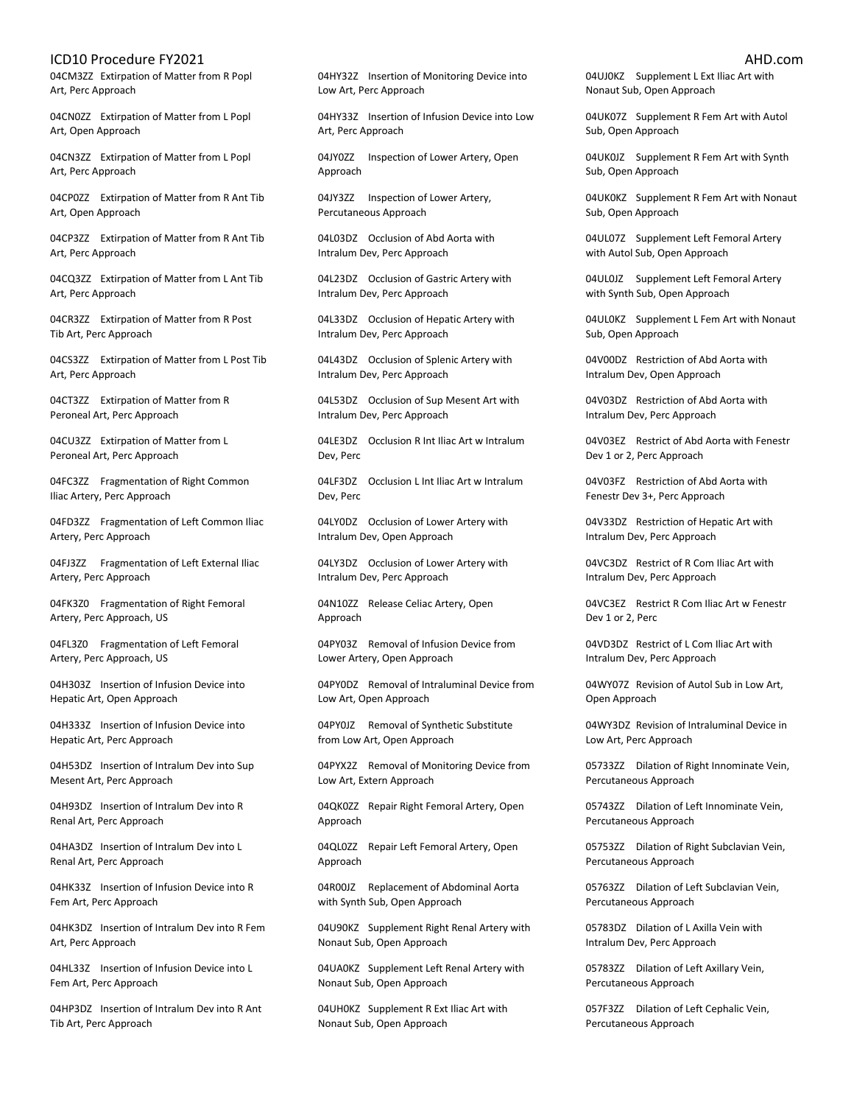04CM3ZZ Extirpation of Matter from R Popl Art, Perc Approach

04CN0ZZ Extirpation of Matter from L Popl Art, Open Approach

04CN3ZZ Extirpation of Matter from L Popl Art, Perc Approach

04CP0ZZ Extirpation of Matter from R Ant Tib Art, Open Approach

04CP3ZZ Extirpation of Matter from R Ant Tib Art, Perc Approach

04CQ3ZZ Extirpation of Matter from L Ant Tib Art, Perc Approach

04CR3ZZ Extirpation of Matter from R Post Tib Art, Perc Approach

04CS3ZZ Extirpation of Matter from L Post Tib Art, Perc Approach

04CT3ZZ Extirpation of Matter from R Peroneal Art, Perc Approach

04CU3ZZ Extirpation of Matter from L Peroneal Art, Perc Approach

04FC3ZZ Fragmentation of Right Common Iliac Artery, Perc Approach

04FD3ZZ Fragmentation of Left Common Iliac Artery, Perc Approach

04FJ3ZZ Fragmentation of Left External Iliac Artery, Perc Approach

04FK3Z0 Fragmentation of Right Femoral Artery, Perc Approach, US

04FL3Z0 Fragmentation of Left Femoral Artery, Perc Approach, US

04H303Z Insertion of Infusion Device into Hepatic Art, Open Approach

04H333Z Insertion of Infusion Device into Hepatic Art, Perc Approach

04H53DZ Insertion of Intralum Dev into Sup Mesent Art, Perc Approach

04H93DZ Insertion of Intralum Dev into R Renal Art, Perc Approach

04HA3DZ Insertion of Intralum Dev into L Renal Art, Perc Approach

04HK33Z Insertion of Infusion Device into R Fem Art, Perc Approach

04HK3DZ Insertion of Intralum Dev into R Fem Art, Perc Approach

04HL33Z Insertion of Infusion Device into L Fem Art, Perc Approach

04HP3DZ Insertion of Intralum Dev into R Ant Tib Art, Perc Approach

04HY32Z Insertion of Monitoring Device into Low Art, Perc Approach

04HY33Z Insertion of Infusion Device into Low Art, Perc Approach

04JY0ZZ Inspection of Lower Artery, Open Approach

04JY3ZZ Inspection of Lower Artery, Percutaneous Approach

04L03DZ Occlusion of Abd Aorta with Intralum Dev, Perc Approach

04L23DZ Occlusion of Gastric Artery with Intralum Dev, Perc Approach

04L33DZ Occlusion of Hepatic Artery with Intralum Dev, Perc Approach

04L43DZ Occlusion of Splenic Artery with Intralum Dev, Perc Approach

04L53DZ Occlusion of Sup Mesent Art with Intralum Dev, Perc Approach

04LE3DZ Occlusion R Int Iliac Art w Intralum Dev, Perc

04LF3DZ Occlusion L Int Iliac Art w Intralum Dev, Perc

04LY0DZ Occlusion of Lower Artery with Intralum Dev, Open Approach

04LY3DZ Occlusion of Lower Artery with Intralum Dev, Perc Approach

04N10ZZ Release Celiac Artery, Open Approach

04PY03Z Removal of Infusion Device from Lower Artery, Open Approach

04PY0DZ Removal of Intraluminal Device from Low Art, Open Approach

04PY0JZ Removal of Synthetic Substitute from Low Art, Open Approach

04PYX2Z Removal of Monitoring Device from Low Art, Extern Approach

04QK0ZZ Repair Right Femoral Artery, Open Approach

04QL0ZZ Repair Left Femoral Artery, Open Approach

04R00JZ Replacement of Abdominal Aorta with Synth Sub, Open Approach

04U90KZ Supplement Right Renal Artery with Nonaut Sub, Open Approach

04UA0KZ Supplement Left Renal Artery with Nonaut Sub, Open Approach

04UH0KZ Supplement R Ext Iliac Art with Nonaut Sub, Open Approach

04UJ0KZ Supplement L Ext Iliac Art with Nonaut Sub, Open Approach

04UK07Z Supplement R Fem Art with Autol Sub, Open Approach

04UK0JZ Supplement R Fem Art with Synth Sub, Open Approach

04UK0KZ Supplement R Fem Art with Nonaut Sub, Open Approach

04UL07Z Supplement Left Femoral Artery with Autol Sub, Open Approach

04UL0JZ Supplement Left Femoral Artery with Synth Sub, Open Approach

04UL0KZ Supplement L Fem Art with Nonaut Sub, Open Approach

04V00DZ Restriction of Abd Aorta with Intralum Dev, Open Approach

04V03DZ Restriction of Abd Aorta with Intralum Dev, Perc Approach

04V03EZ Restrict of Abd Aorta with Fenestr Dev 1 or 2, Perc Approach

04V03FZ Restriction of Abd Aorta with Fenestr Dev 3+, Perc Approach

04V33DZ Restriction of Hepatic Art with Intralum Dev, Perc Approach

04VC3DZ Restrict of R Com Iliac Art with Intralum Dev, Perc Approach

04VC3EZ Restrict R Com Iliac Art w Fenestr Dev 1 or 2, Perc

04VD3DZ Restrict of L Com Iliac Art with Intralum Dev, Perc Approach

04WY07Z Revision of Autol Sub in Low Art, Open Approach

04WY3DZ Revision of Intraluminal Device in Low Art, Perc Approach

05733ZZ Dilation of Right Innominate Vein, Percutaneous Approach

05743ZZ Dilation of Left Innominate Vein, Percutaneous Approach

05753ZZ Dilation of Right Subclavian Vein, Percutaneous Approach

05763ZZ Dilation of Left Subclavian Vein, Percutaneous Approach

05783DZ Dilation of L Axilla Vein with Intralum Dev, Perc Approach

05783ZZ Dilation of Left Axillary Vein, Percutaneous Approach

057F3ZZ Dilation of Left Cephalic Vein, Percutaneous Approach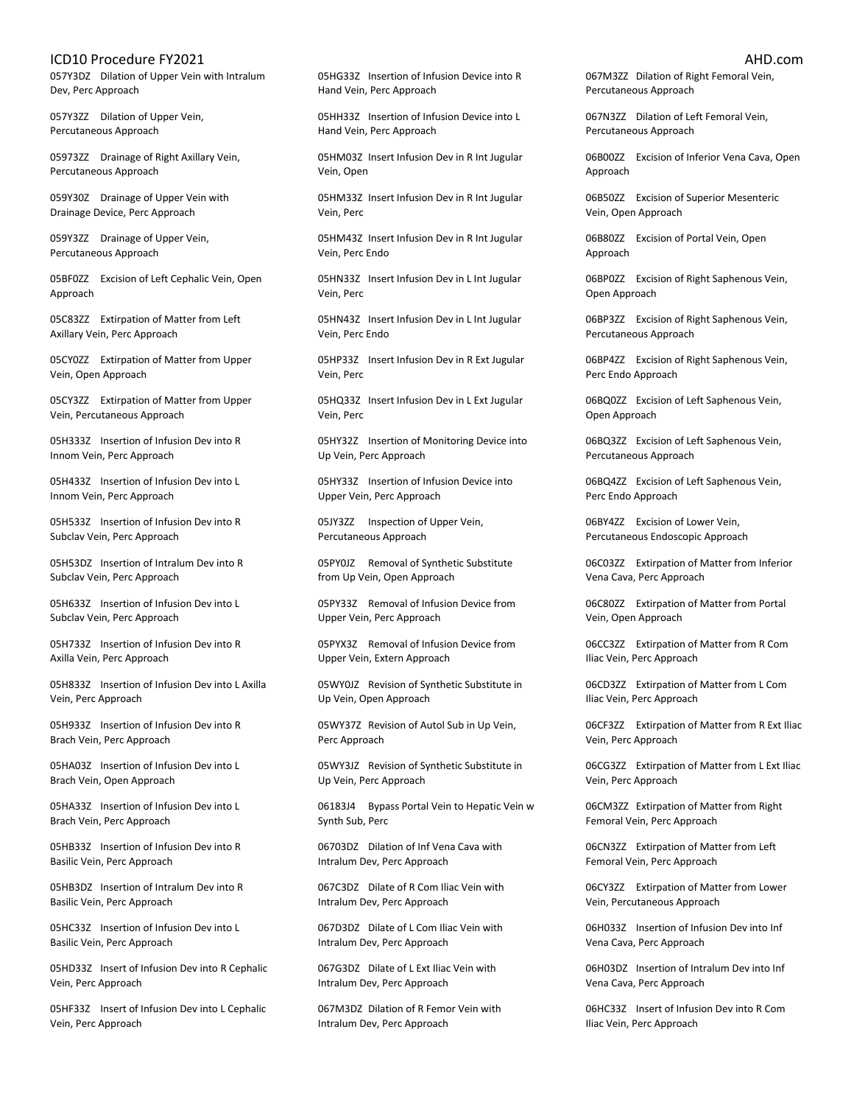057Y3DZ Dilation of Upper Vein with Intralum Dev, Perc Approach

057Y3ZZ Dilation of Upper Vein, Percutaneous Approach

05973ZZ Drainage of Right Axillary Vein, Percutaneous Approach

059Y30Z Drainage of Upper Vein with Drainage Device, Perc Approach

059Y3ZZ Drainage of Upper Vein, Percutaneous Approach

05BF0ZZ Excision of Left Cephalic Vein, Open Approach

05C83ZZ Extirpation of Matter from Left Axillary Vein, Perc Approach

05CY0ZZ Extirpation of Matter from Upper Vein, Open Approach

05CY3ZZ Extirpation of Matter from Upper Vein, Percutaneous Approach

05H333Z Insertion of Infusion Dev into R Innom Vein, Perc Approach

05H433Z Insertion of Infusion Dev into L Innom Vein, Perc Approach

05H533Z Insertion of Infusion Dev into R Subclav Vein, Perc Approach

05H53DZ Insertion of Intralum Dev into R Subclav Vein, Perc Approach

05H633Z Insertion of Infusion Dev into L Subclav Vein, Perc Approach

05H733Z Insertion of Infusion Dev into R Axilla Vein, Perc Approach

05H833Z Insertion of Infusion Dev into L Axilla Vein, Perc Approach

05H933Z Insertion of Infusion Dev into R Brach Vein, Perc Approach

05HA03Z Insertion of Infusion Dev into L Brach Vein, Open Approach

05HA33Z Insertion of Infusion Dev into L Brach Vein, Perc Approach

05HB33Z Insertion of Infusion Dev into R Basilic Vein, Perc Approach

05HB3DZ Insertion of Intralum Dev into R Basilic Vein, Perc Approach

05HC33Z Insertion of Infusion Dev into L Basilic Vein, Perc Approach

05HD33Z Insert of Infusion Dev into R Cephalic Vein, Perc Approach

05HF33Z Insert of Infusion Dev into L Cephalic Vein, Perc Approach

05HG33Z Insertion of Infusion Device into R Hand Vein, Perc Approach

05HH33Z Insertion of Infusion Device into L Hand Vein, Perc Approach

05HM03Z Insert Infusion Dev in R Int Jugular Vein, Open

05HM33Z Insert Infusion Dev in R Int Jugular Vein, Perc

05HM43Z Insert Infusion Dev in R Int Jugular Vein, Perc Endo

05HN33Z Insert Infusion Dev in L Int Jugular Vein, Perc

05HN43Z Insert Infusion Dev in L Int Jugular Vein, Perc Endo

05HP33Z Insert Infusion Dev in R Ext Jugular Vein, Perc

05HQ33Z Insert Infusion Dev in L Ext Jugular Vein, Perc

05HY32Z Insertion of Monitoring Device into Up Vein, Perc Approach

05HY33Z Insertion of Infusion Device into Upper Vein, Perc Approach

05JY3ZZ Inspection of Upper Vein, Percutaneous Approach

05PY0JZ Removal of Synthetic Substitute from Up Vein, Open Approach

05PY33Z Removal of Infusion Device from Upper Vein, Perc Approach

05PYX3Z Removal of Infusion Device from Upper Vein, Extern Approach

05WY0JZ Revision of Synthetic Substitute in Up Vein, Open Approach

05WY37Z Revision of Autol Sub in Up Vein, Perc Approach

05WY3JZ Revision of Synthetic Substitute in Up Vein, Perc Approach

06183J4 Bypass Portal Vein to Hepatic Vein w Synth Sub, Perc

06703DZ Dilation of Inf Vena Cava with Intralum Dev, Perc Approach

067C3DZ Dilate of R Com Iliac Vein with Intralum Dev, Perc Approach

067D3DZ Dilate of L Com Iliac Vein with Intralum Dev, Perc Approach

067G3DZ Dilate of L Ext Iliac Vein with Intralum Dev, Perc Approach

067M3DZ Dilation of R Femor Vein with Intralum Dev, Perc Approach

067M3ZZ Dilation of Right Femoral Vein, Percutaneous Approach

067N3ZZ Dilation of Left Femoral Vein, Percutaneous Approach

06B00ZZ Excision of Inferior Vena Cava, Open Approach

06B50ZZ Excision of Superior Mesenteric Vein, Open Approach

06B80ZZ Excision of Portal Vein, Open Approach

06BP0ZZ Excision of Right Saphenous Vein, Open Approach

06BP3ZZ Excision of Right Saphenous Vein, Percutaneous Approach

06BP4ZZ Excision of Right Saphenous Vein, Perc Endo Approach

06BQ0ZZ Excision of Left Saphenous Vein, Open Approach

06BQ3ZZ Excision of Left Saphenous Vein, Percutaneous Approach

06BQ4ZZ Excision of Left Saphenous Vein, Perc Endo Approach

06BY4ZZ Excision of Lower Vein, Percutaneous Endoscopic Approach

06C03ZZ Extirpation of Matter from Inferior Vena Cava, Perc Approach

06C80ZZ Extirpation of Matter from Portal Vein, Open Approach

06CC3ZZ Extirpation of Matter from R Com Iliac Vein, Perc Approach

06CD3ZZ Extirpation of Matter from L Com Iliac Vein, Perc Approach

06CF3ZZ Extirpation of Matter from R Ext Iliac Vein, Perc Approach

06CG3ZZ Extirpation of Matter from L Ext Iliac Vein, Perc Approach

06CM3ZZ Extirpation of Matter from Right Femoral Vein, Perc Approach

06CN3ZZ Extirpation of Matter from Left Femoral Vein, Perc Approach

06CY3ZZ Extirpation of Matter from Lower Vein, Percutaneous Approach

06H033Z Insertion of Infusion Dev into Inf Vena Cava, Perc Approach

06H03DZ Insertion of Intralum Dev into Inf Vena Cava, Perc Approach

06HC33Z Insert of Infusion Dev into R Com Iliac Vein, Perc Approach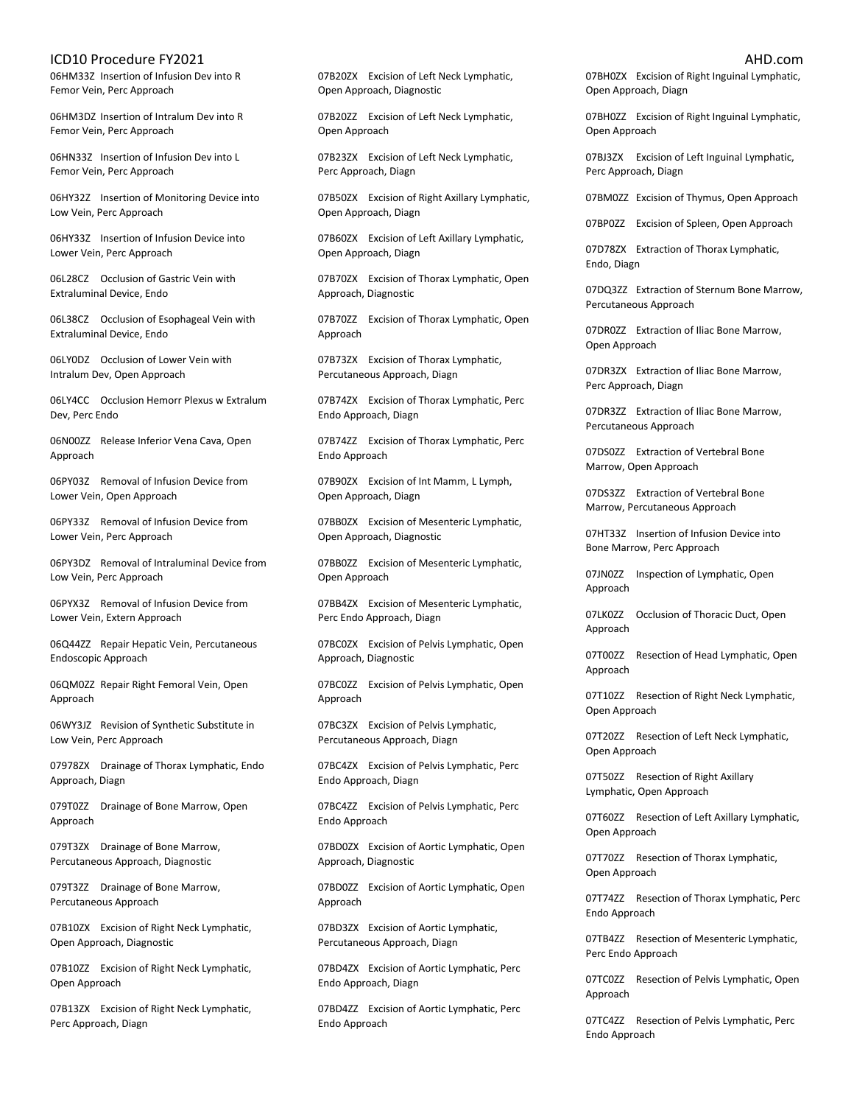06HM33Z Insertion of Infusion Dev into R Femor Vein, Perc Approach

06HM3DZ Insertion of Intralum Dev into R Femor Vein, Perc Approach

06HN33Z Insertion of Infusion Dev into L Femor Vein, Perc Approach

06HY32Z Insertion of Monitoring Device into Low Vein, Perc Approach

06HY33Z Insertion of Infusion Device into Lower Vein, Perc Approach

06L28CZ Occlusion of Gastric Vein with Extraluminal Device, Endo

06L38CZ Occlusion of Esophageal Vein with Extraluminal Device, Endo

06LY0DZ Occlusion of Lower Vein with Intralum Dev, Open Approach

06LY4CC Occlusion Hemorr Plexus w Extralum Dev, Perc Endo

06N00ZZ Release Inferior Vena Cava, Open Approach

06PY03Z Removal of Infusion Device from Lower Vein, Open Approach

06PY33Z Removal of Infusion Device from Lower Vein, Perc Approach

06PY3DZ Removal of Intraluminal Device from Low Vein, Perc Approach

06PYX3Z Removal of Infusion Device from Lower Vein, Extern Approach

06Q44ZZ Repair Hepatic Vein, Percutaneous Endoscopic Approach

06QM0ZZ Repair Right Femoral Vein, Open Approach

06WY3JZ Revision of Synthetic Substitute in Low Vein, Perc Approach

07978ZX Drainage of Thorax Lymphatic, Endo Approach, Diagn

079T0ZZ Drainage of Bone Marrow, Open Approach

079T3ZX Drainage of Bone Marrow, Percutaneous Approach, Diagnostic

079T3ZZ Drainage of Bone Marrow, Percutaneous Approach

07B10ZX Excision of Right Neck Lymphatic, Open Approach, Diagnostic

07B10ZZ Excision of Right Neck Lymphatic, Open Approach

07B13ZX Excision of Right Neck Lymphatic, Perc Approach, Diagn

07B20ZX Excision of Left Neck Lymphatic, Open Approach, Diagnostic

07B20ZZ Excision of Left Neck Lymphatic, Open Approach

07B23ZX Excision of Left Neck Lymphatic, Perc Approach, Diagn

07B50ZX Excision of Right Axillary Lymphatic, Open Approach, Diagn

07B60ZX Excision of Left Axillary Lymphatic, Open Approach, Diagn

07B70ZX Excision of Thorax Lymphatic, Open Approach, Diagnostic

07B70ZZ Excision of Thorax Lymphatic, Open Approach

07B73ZX Excision of Thorax Lymphatic, Percutaneous Approach, Diagn

07B74ZX Excision of Thorax Lymphatic, Perc Endo Approach, Diagn

07B74ZZ Excision of Thorax Lymphatic, Perc Endo Approach

07B90ZX Excision of Int Mamm, L Lymph, Open Approach, Diagn

07BB0ZX Excision of Mesenteric Lymphatic, Open Approach, Diagnostic

07BB0ZZ Excision of Mesenteric Lymphatic, Open Approach

07BB4ZX Excision of Mesenteric Lymphatic, Perc Endo Approach, Diagn

07BC0ZX Excision of Pelvis Lymphatic, Open Approach, Diagnostic

07BC0ZZ Excision of Pelvis Lymphatic, Open Approach

07BC3ZX Excision of Pelvis Lymphatic, Percutaneous Approach, Diagn

07BC4ZX Excision of Pelvis Lymphatic, Perc Endo Approach, Diagn

07BC4ZZ Excision of Pelvis Lymphatic, Perc Endo Approach

07BD0ZX Excision of Aortic Lymphatic, Open Approach, Diagnostic

07BD0ZZ Excision of Aortic Lymphatic, Open Approach

07BD3ZX Excision of Aortic Lymphatic, Percutaneous Approach, Diagn

07BD4ZX Excision of Aortic Lymphatic, Perc Endo Approach, Diagn

07BD4ZZ Excision of Aortic Lymphatic, Perc Endo Approach

07BH0ZX Excision of Right Inguinal Lymphatic, Open Approach, Diagn

07BH0ZZ Excision of Right Inguinal Lymphatic, Open Approach

07BJ3ZX Excision of Left Inguinal Lymphatic, Perc Approach, Diagn

07BM0ZZ Excision of Thymus, Open Approach

07BP0ZZ Excision of Spleen, Open Approach

07D78ZX Extraction of Thorax Lymphatic, Endo, Diagn

07DQ3ZZ Extraction of Sternum Bone Marrow, Percutaneous Approach

07DR0ZZ Extraction of Iliac Bone Marrow, Open Approach

07DR3ZX Extraction of Iliac Bone Marrow, Perc Approach, Diagn

07DR3ZZ Extraction of Iliac Bone Marrow, Percutaneous Approach

07DS0ZZ Extraction of Vertebral Bone Marrow, Open Approach

07DS3ZZ Extraction of Vertebral Bone Marrow, Percutaneous Approach

07HT33Z Insertion of Infusion Device into Bone Marrow, Perc Approach

07JN0ZZ Inspection of Lymphatic, Open Approach

07LK0ZZ Occlusion of Thoracic Duct, Open Approach

07T00ZZ Resection of Head Lymphatic, Open Approach

07T10ZZ Resection of Right Neck Lymphatic, Open Approach

07T20ZZ Resection of Left Neck Lymphatic, Open Approach

07T50ZZ Resection of Right Axillary Lymphatic, Open Approach

07T60ZZ Resection of Left Axillary Lymphatic, Open Approach

07T70ZZ Resection of Thorax Lymphatic, Open Approach

07T74ZZ Resection of Thorax Lymphatic, Perc Endo Approach

07TB4ZZ Resection of Mesenteric Lymphatic, Perc Endo Approach

07TC0ZZ Resection of Pelvis Lymphatic, Open Approach

07TC4ZZ Resection of Pelvis Lymphatic, Perc Endo Approach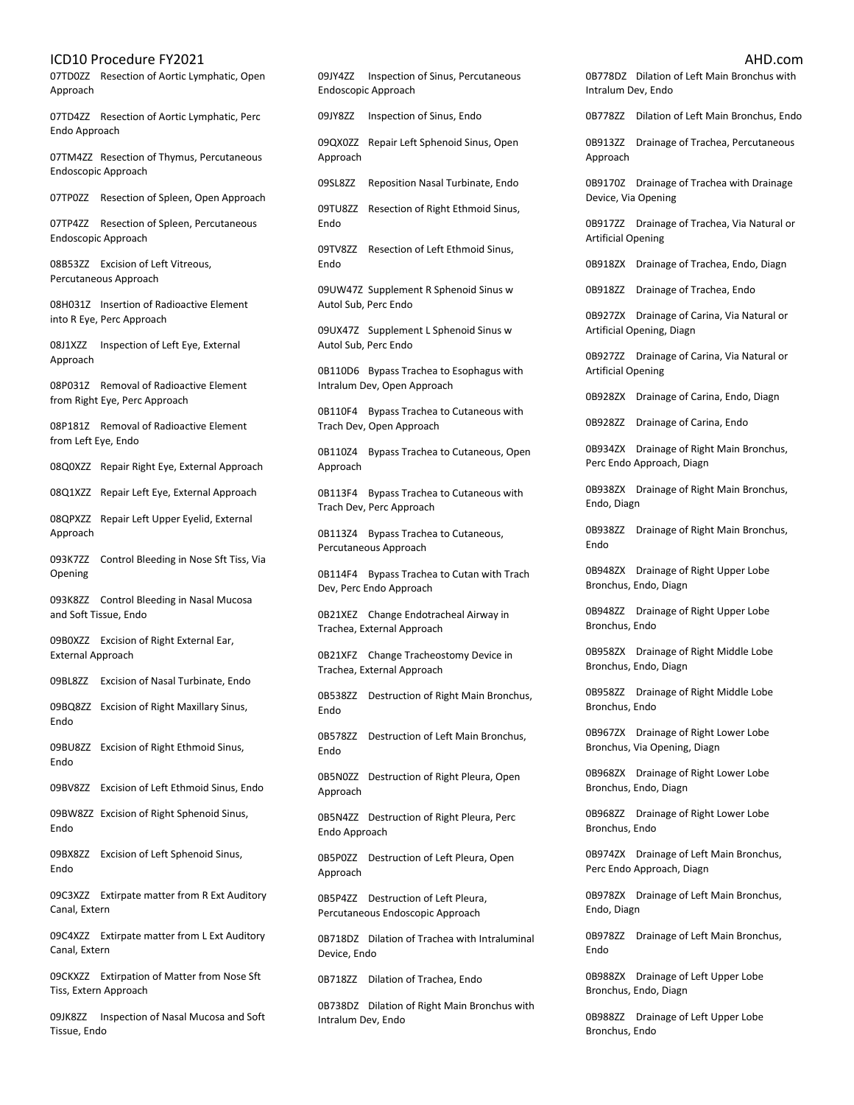07TD0ZZ Resection of Aortic Lymphatic, Open Approach

07TD4ZZ Resection of Aortic Lymphatic, Perc Endo Approach

07TM4ZZ Resection of Thymus, Percutaneous Endoscopic Approach

07TP0ZZ Resection of Spleen, Open Approach

07TP4ZZ Resection of Spleen, Percutaneous Endoscopic Approach

08B53ZZ Excision of Left Vitreous, Percutaneous Approach

08H031Z Insertion of Radioactive Element into R Eye, Perc Approach

08J1XZZ Inspection of Left Eye, External Approach

08P031Z Removal of Radioactive Element from Right Eye, Perc Approach

08P181Z Removal of Radioactive Element from Left Eye, Endo

08Q0XZZ Repair Right Eye, External Approach

08Q1XZZ Repair Left Eye, External Approach

08QPXZZ Repair Left Upper Eyelid, External Approach

093K7ZZ Control Bleeding in Nose Sft Tiss, Via Opening

093K8ZZ Control Bleeding in Nasal Mucosa and Soft Tissue, Endo

09B0XZZ Excision of Right External Ear, External Approach

09BL8ZZ Excision of Nasal Turbinate, Endo

09BQ8ZZ Excision of Right Maxillary Sinus, Endo

09BU8ZZ Excision of Right Ethmoid Sinus, Endo

09BV8ZZ Excision of Left Ethmoid Sinus, Endo

09BW8ZZ Excision of Right Sphenoid Sinus, Endo

09BX8ZZ Excision of Left Sphenoid Sinus, Endo

09C3XZZ Extirpate matter from R Ext Auditory Canal, Extern

09C4XZZ Extirpate matter from L Ext Auditory Canal, Extern

09CKXZZ Extirpation of Matter from Nose Sft Tiss, Extern Approach

09JK8ZZ Inspection of Nasal Mucosa and Soft Tissue, Endo

09JY4ZZ Inspection of Sinus, Percutaneous Endoscopic Approach

09JY8ZZ Inspection of Sinus, Endo

09QX0ZZ Repair Left Sphenoid Sinus, Open Approach

09SL8ZZ Reposition Nasal Turbinate, Endo

09TU8ZZ Resection of Right Ethmoid Sinus, Endo

09TV8ZZ Resection of Left Ethmoid Sinus, Endo

09UW47Z Supplement R Sphenoid Sinus w Autol Sub, Perc Endo

09UX47Z Supplement L Sphenoid Sinus w Autol Sub, Perc Endo

0B110D6 Bypass Trachea to Esophagus with Intralum Dev, Open Approach

0B110F4 Bypass Trachea to Cutaneous with Trach Dev, Open Approach

0B110Z4 Bypass Trachea to Cutaneous, Open Approach

0B113F4 Bypass Trachea to Cutaneous with Trach Dev, Perc Approach

0B113Z4 Bypass Trachea to Cutaneous, Percutaneous Approach

0B114F4 Bypass Trachea to Cutan with Trach Dev, Perc Endo Approach

0B21XEZ Change Endotracheal Airway in Trachea, External Approach

0B21XFZ Change Tracheostomy Device in Trachea, External Approach

0B538ZZ Destruction of Right Main Bronchus, Endo

0B578ZZ Destruction of Left Main Bronchus, Endo

0B5N0ZZ Destruction of Right Pleura, Open Approach

0B5N4ZZ Destruction of Right Pleura, Perc Endo Approach

0B5P0ZZ Destruction of Left Pleura, Open Approach

0B5P4ZZ Destruction of Left Pleura, Percutaneous Endoscopic Approach

0B718DZ Dilation of Trachea with Intraluminal Device, Endo

0B718ZZ Dilation of Trachea, Endo

0B738DZ Dilation of Right Main Bronchus with Intralum Dev, Endo

0B778DZ Dilation of Left Main Bronchus with Intralum Dev, Endo

0B778ZZ Dilation of Left Main Bronchus, Endo

0B913ZZ Drainage of Trachea, Percutaneous Approach

0B9170Z Drainage of Trachea with Drainage Device, Via Opening

0B917ZZ Drainage of Trachea, Via Natural or Artificial Opening

0B918ZX Drainage of Trachea, Endo, Diagn

0B918ZZ Drainage of Trachea, Endo

0B927ZX Drainage of Carina, Via Natural or Artificial Opening, Diagn

0B927ZZ Drainage of Carina, Via Natural or Artificial Opening

0B928ZX Drainage of Carina, Endo, Diagn

0B928ZZ Drainage of Carina, Endo

0B934ZX Drainage of Right Main Bronchus, Perc Endo Approach, Diagn

0B938ZX Drainage of Right Main Bronchus, Endo, Diagn

0B938ZZ Drainage of Right Main Bronchus, Endo

0B948ZX Drainage of Right Upper Lobe Bronchus, Endo, Diagn

0B948ZZ Drainage of Right Upper Lobe Bronchus, Endo

0B958ZX Drainage of Right Middle Lobe Bronchus, Endo, Diagn

0B958ZZ Drainage of Right Middle Lobe Bronchus, Endo

0B967ZX Drainage of Right Lower Lobe Bronchus, Via Opening, Diagn

0B968ZX Drainage of Right Lower Lobe Bronchus, Endo, Diagn

0B968ZZ Drainage of Right Lower Lobe Bronchus, Endo

0B974ZX Drainage of Left Main Bronchus, Perc Endo Approach, Diagn

0B978ZX Drainage of Left Main Bronchus, Endo, Diagn

0B978ZZ Drainage of Left Main Bronchus, Endo

0B988ZX Drainage of Left Upper Lobe Bronchus, Endo, Diagn

0B988ZZ Drainage of Left Upper Lobe Bronchus, Endo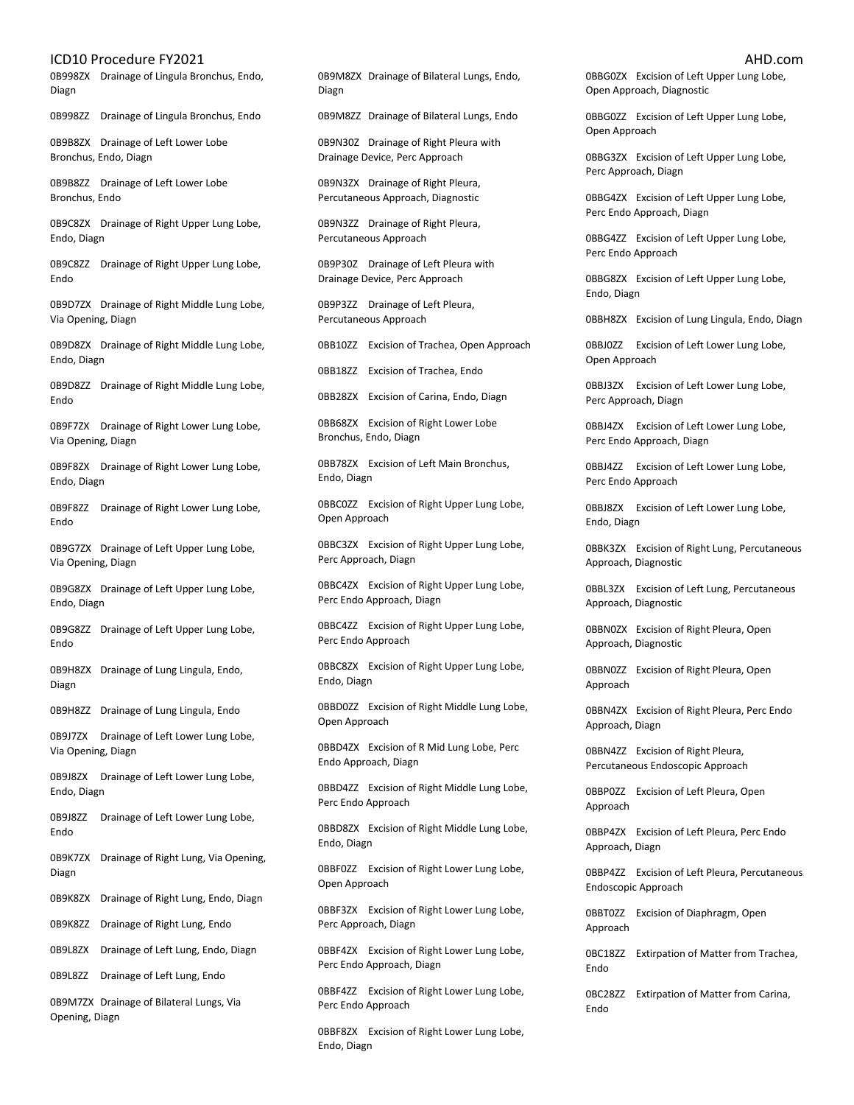0B998ZX Drainage of Lingula Bronchus, Endo, Diagn

0B998ZZ Drainage of Lingula Bronchus, Endo

0B9B8ZX Drainage of Left Lower Lobe Bronchus, Endo, Diagn

0B9B8ZZ Drainage of Left Lower Lobe Bronchus, Endo

0B9C8ZX Drainage of Right Upper Lung Lobe, Endo, Diagn

0B9C8ZZ Drainage of Right Upper Lung Lobe, Endo

0B9D7ZX Drainage of Right Middle Lung Lobe, Via Opening, Diagn

0B9D8ZX Drainage of Right Middle Lung Lobe, Endo, Diagn

0B9D8ZZ Drainage of Right Middle Lung Lobe, Endo

0B9F7ZX Drainage of Right Lower Lung Lobe, Via Opening, Diagn

0B9F8ZX Drainage of Right Lower Lung Lobe, Endo, Diagn

0B9F8ZZ Drainage of Right Lower Lung Lobe, Endo

0B9G7ZX Drainage of Left Upper Lung Lobe, Via Opening, Diagn

0B9G8ZX Drainage of Left Upper Lung Lobe, Endo, Diagn

0B9G8ZZ Drainage of Left Upper Lung Lobe, Endo

0B9H8ZX Drainage of Lung Lingula, Endo, Diagn

0B9H8ZZ Drainage of Lung Lingula, Endo

0B9J7ZX Drainage of Left Lower Lung Lobe, Via Opening, Diagn

0B9J8ZX Drainage of Left Lower Lung Lobe, Endo, Diagn

0B9J8ZZ Drainage of Left Lower Lung Lobe, Endo

0B9K7ZX Drainage of Right Lung, Via Opening, Diagn

0B9K8ZX Drainage of Right Lung, Endo, Diagn

0B9K8ZZ Drainage of Right Lung, Endo

0B9L8ZX Drainage of Left Lung, Endo, Diagn

0B9L8ZZ Drainage of Left Lung, Endo

0B9M7ZX Drainage of Bilateral Lungs, Via Opening, Diagn

0B9M8ZX Drainage of Bilateral Lungs, Endo, Diagn

0B9M8ZZ Drainage of Bilateral Lungs, Endo

0B9N30Z Drainage of Right Pleura with Drainage Device, Perc Approach

0B9N3ZX Drainage of Right Pleura, Percutaneous Approach, Diagnostic

0B9N3ZZ Drainage of Right Pleura, Percutaneous Approach

0B9P30Z Drainage of Left Pleura with Drainage Device, Perc Approach

0B9P3ZZ Drainage of Left Pleura, Percutaneous Approach

0BB10ZZ Excision of Trachea, Open Approach

0BB18ZZ Excision of Trachea, Endo

0BB28ZX Excision of Carina, Endo, Diagn

0BB68ZX Excision of Right Lower Lobe Bronchus, Endo, Diagn

0BB78ZX Excision of Left Main Bronchus, Endo, Diagn

0BBC0ZZ Excision of Right Upper Lung Lobe, Open Approach

0BBC3ZX Excision of Right Upper Lung Lobe, Perc Approach, Diagn

0BBC4ZX Excision of Right Upper Lung Lobe, Perc Endo Approach, Diagn

0BBC4ZZ Excision of Right Upper Lung Lobe, Perc Endo Approach

0BBC8ZX Excision of Right Upper Lung Lobe, Endo, Diagn

0BBD0ZZ Excision of Right Middle Lung Lobe, Open Approach

0BBD4ZX Excision of R Mid Lung Lobe, Perc Endo Approach, Diagn

0BBD4ZZ Excision of Right Middle Lung Lobe, Perc Endo Approach

0BBD8ZX Excision of Right Middle Lung Lobe, Endo, Diagn

0BBF0ZZ Excision of Right Lower Lung Lobe, Open Approach

0BBF3ZX Excision of Right Lower Lung Lobe, Perc Approach, Diagn

0BBF4ZX Excision of Right Lower Lung Lobe, Perc Endo Approach, Diagn

0BBF4ZZ Excision of Right Lower Lung Lobe, Perc Endo Approach

0BBF8ZX Excision of Right Lower Lung Lobe, Endo, Diagn

0BBG0ZX Excision of Left Upper Lung Lobe, Open Approach, Diagnostic

0BBG0ZZ Excision of Left Upper Lung Lobe, Open Approach

0BBG3ZX Excision of Left Upper Lung Lobe, Perc Approach, Diagn

0BBG4ZX Excision of Left Upper Lung Lobe, Perc Endo Approach, Diagn

0BBG4ZZ Excision of Left Upper Lung Lobe, Perc Endo Approach

0BBG8ZX Excision of Left Upper Lung Lobe, Endo, Diagn

0BBH8ZX Excision of Lung Lingula, Endo, Diagn

0BBJ0ZZ Excision of Left Lower Lung Lobe, Open Approach

0BBJ3ZX Excision of Left Lower Lung Lobe, Perc Approach, Diagn

0BBJ4ZX Excision of Left Lower Lung Lobe, Perc Endo Approach, Diagn

0BBJ4ZZ Excision of Left Lower Lung Lobe, Perc Endo Approach

0BBJ8ZX Excision of Left Lower Lung Lobe, Endo, Diagn

0BBK3ZX Excision of Right Lung, Percutaneous Approach, Diagnostic

0BBL3ZX Excision of Left Lung, Percutaneous Approach, Diagnostic

0BBN0ZX Excision of Right Pleura, Open Approach, Diagnostic

0BBN0ZZ Excision of Right Pleura, Open Approach

0BBN4ZX Excision of Right Pleura, Perc Endo Approach, Diagn

0BBN4ZZ Excision of Right Pleura, Percutaneous Endoscopic Approach

0BBP0ZZ Excision of Left Pleura, Open Approach

0BBP4ZX Excision of Left Pleura, Perc Endo Approach, Diagn

0BBP4ZZ Excision of Left Pleura, Percutaneous Endoscopic Approach

0BBT0ZZ Excision of Diaphragm, Open Approach

0BC18ZZ Extirpation of Matter from Trachea, Endo

0BC28ZZ Extirpation of Matter from Carina, Endo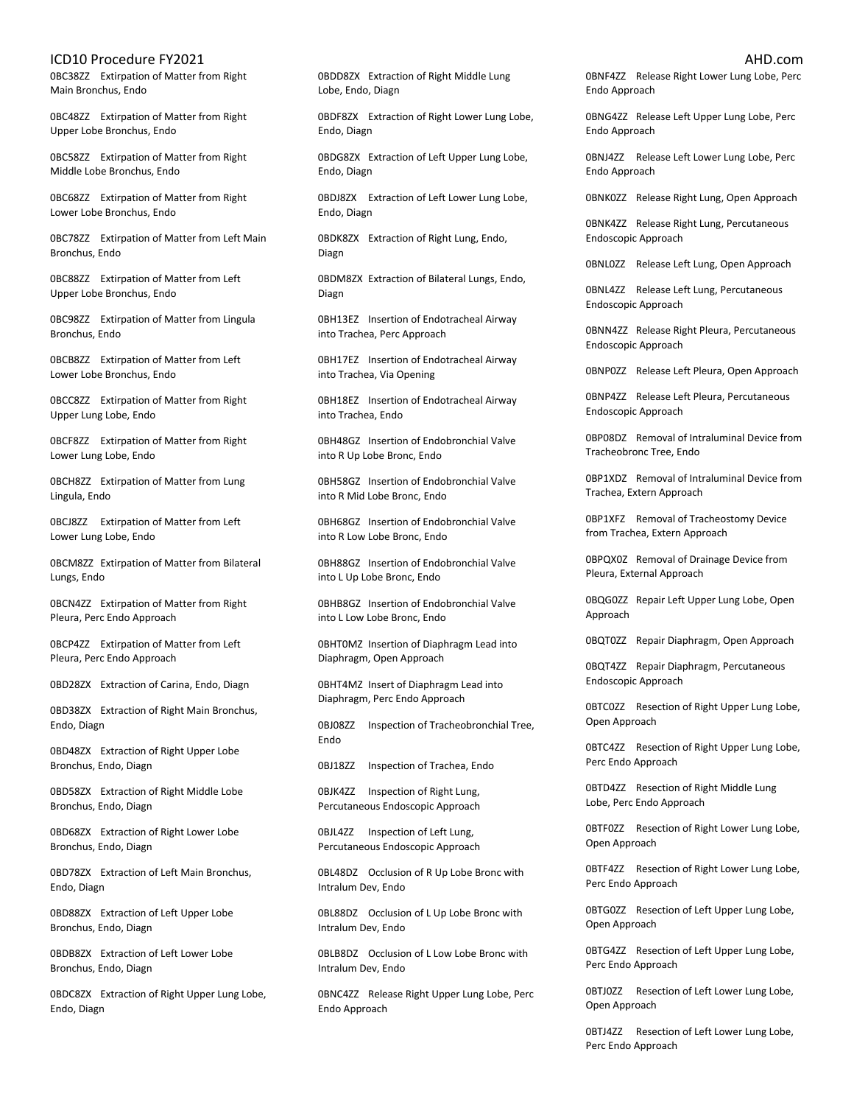0BC38ZZ Extirpation of Matter from Right Main Bronchus, Endo

0BC48ZZ Extirpation of Matter from Right Upper Lobe Bronchus, Endo

0BC58ZZ Extirpation of Matter from Right Middle Lobe Bronchus, Endo

0BC68ZZ Extirpation of Matter from Right Lower Lobe Bronchus, Endo

0BC78ZZ Extirpation of Matter from Left Main Bronchus, Endo

0BC88ZZ Extirpation of Matter from Left Upper Lobe Bronchus, Endo

0BC98ZZ Extirpation of Matter from Lingula Bronchus, Endo

0BCB8ZZ Extirpation of Matter from Left Lower Lobe Bronchus, Endo

0BCC8ZZ Extirpation of Matter from Right Upper Lung Lobe, Endo

0BCF8ZZ Extirpation of Matter from Right Lower Lung Lobe, Endo

0BCH8ZZ Extirpation of Matter from Lung Lingula, Endo

0BCJ8ZZ Extirpation of Matter from Left Lower Lung Lobe, Endo

0BCM8ZZ Extirpation of Matter from Bilateral Lungs, Endo

0BCN4ZZ Extirpation of Matter from Right Pleura, Perc Endo Approach

0BCP4ZZ Extirpation of Matter from Left Pleura, Perc Endo Approach

0BD28ZX Extraction of Carina, Endo, Diagn

0BD38ZX Extraction of Right Main Bronchus, Endo, Diagn

0BD48ZX Extraction of Right Upper Lobe Bronchus, Endo, Diagn

0BD58ZX Extraction of Right Middle Lobe Bronchus, Endo, Diagn

0BD68ZX Extraction of Right Lower Lobe Bronchus, Endo, Diagn

0BD78ZX Extraction of Left Main Bronchus, Endo, Diagn

0BD88ZX Extraction of Left Upper Lobe Bronchus, Endo, Diagn

0BDB8ZX Extraction of Left Lower Lobe Bronchus, Endo, Diagn

0BDC8ZX Extraction of Right Upper Lung Lobe, Endo, Diagn

0BDD8ZX Extraction of Right Middle Lung Lobe, Endo, Diagn

0BDF8ZX Extraction of Right Lower Lung Lobe, Endo, Diagn

0BDG8ZX Extraction of Left Upper Lung Lobe, Endo, Diagn

0BDJ8ZX Extraction of Left Lower Lung Lobe, Endo, Diagn

0BDK8ZX Extraction of Right Lung, Endo, Diagn

0BDM8ZX Extraction of Bilateral Lungs, Endo, Diagn

0BH13EZ Insertion of Endotracheal Airway into Trachea, Perc Approach

0BH17EZ Insertion of Endotracheal Airway into Trachea, Via Opening

0BH18EZ Insertion of Endotracheal Airway into Trachea, Endo

0BH48GZ Insertion of Endobronchial Valve into R Up Lobe Bronc, Endo

0BH58GZ Insertion of Endobronchial Valve into R Mid Lobe Bronc, Endo

0BH68GZ Insertion of Endobronchial Valve into R Low Lobe Bronc, Endo

0BH88GZ Insertion of Endobronchial Valve into L Up Lobe Bronc, Endo

0BHB8GZ Insertion of Endobronchial Valve into L Low Lobe Bronc, Endo

0BHT0MZ Insertion of Diaphragm Lead into Diaphragm, Open Approach

0BHT4MZ Insert of Diaphragm Lead into Diaphragm, Perc Endo Approach

0BJ08ZZ Inspection of Tracheobronchial Tree, Endo

0BJ18ZZ Inspection of Trachea, Endo

0BJK4ZZ Inspection of Right Lung, Percutaneous Endoscopic Approach

0BJL4ZZ Inspection of Left Lung, Percutaneous Endoscopic Approach

0BL48DZ Occlusion of R Up Lobe Bronc with Intralum Dev, Endo

0BL88DZ Occlusion of L Up Lobe Bronc with Intralum Dev, Endo

0BLB8DZ Occlusion of L Low Lobe Bronc with Intralum Dev, Endo

0BNC4ZZ Release Right Upper Lung Lobe, Perc Endo Approach

0BNF4ZZ Release Right Lower Lung Lobe, Perc Endo Approach

0BNG4ZZ Release Left Upper Lung Lobe, Perc Endo Approach

0BNJ4ZZ Release Left Lower Lung Lobe, Perc Endo Approach

0BNK0ZZ Release Right Lung, Open Approach

0BNK4ZZ Release Right Lung, Percutaneous Endoscopic Approach

0BNL0ZZ Release Left Lung, Open Approach

0BNL4ZZ Release Left Lung, Percutaneous Endoscopic Approach

0BNN4ZZ Release Right Pleura, Percutaneous Endoscopic Approach

0BNP0ZZ Release Left Pleura, Open Approach

0BNP4ZZ Release Left Pleura, Percutaneous Endoscopic Approach

0BP08DZ Removal of Intraluminal Device from Tracheobronc Tree, Endo

0BP1XDZ Removal of Intraluminal Device from Trachea, Extern Approach

0BP1XFZ Removal of Tracheostomy Device from Trachea, Extern Approach

0BPQX0Z Removal of Drainage Device from Pleura, External Approach

0BQG0ZZ Repair Left Upper Lung Lobe, Open Approach

0BQT0ZZ Repair Diaphragm, Open Approach

0BQT4ZZ Repair Diaphragm, Percutaneous Endoscopic Approach

0BTC0ZZ Resection of Right Upper Lung Lobe, Open Approach

0BTC4ZZ Resection of Right Upper Lung Lobe, Perc Endo Approach

0BTD4ZZ Resection of Right Middle Lung Lobe, Perc Endo Approach

0BTF0ZZ Resection of Right Lower Lung Lobe, Open Approach

0BTF4ZZ Resection of Right Lower Lung Lobe, Perc Endo Approach

0BTG0ZZ Resection of Left Upper Lung Lobe, Open Approach

0BTG4ZZ Resection of Left Upper Lung Lobe, Perc Endo Approach

0BTJ0ZZ Resection of Left Lower Lung Lobe, Open Approach

0BTJ4ZZ Resection of Left Lower Lung Lobe, Perc Endo Approach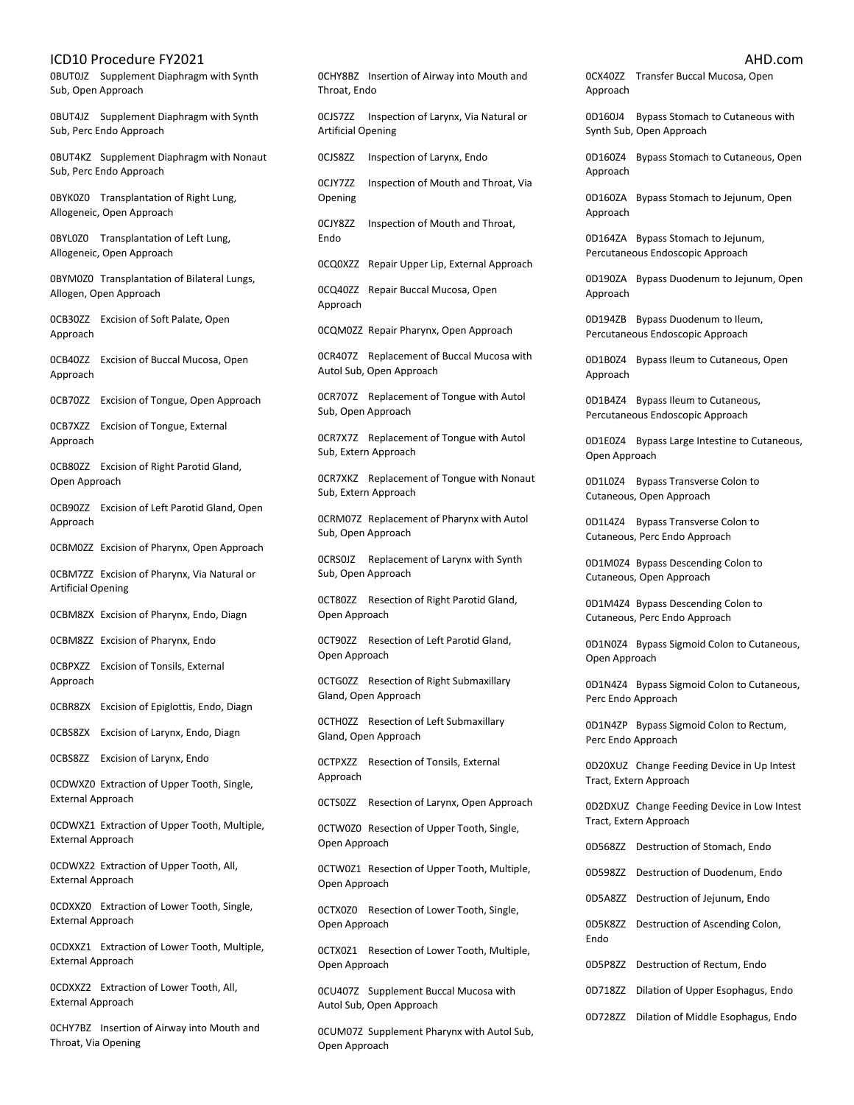0BUT0JZ Supplement Diaphragm with Synth Sub, Open Approach

0BUT4JZ Supplement Diaphragm with Synth Sub, Perc Endo Approach

0BUT4KZ Supplement Diaphragm with Nonaut Sub, Perc Endo Approach

0BYK0Z0 Transplantation of Right Lung, Allogeneic, Open Approach

0BYL0Z0 Transplantation of Left Lung, Allogeneic, Open Approach

0BYM0Z0 Transplantation of Bilateral Lungs, Allogen, Open Approach

0CB30ZZ Excision of Soft Palate, Open Approach

0CB40ZZ Excision of Buccal Mucosa, Open Approach

0CB70ZZ Excision of Tongue, Open Approach

0CB7XZZ Excision of Tongue, External Approach

0CB80ZZ Excision of Right Parotid Gland, Open Approach

0CB90ZZ Excision of Left Parotid Gland, Open Approach

0CBM0ZZ Excision of Pharynx, Open Approach

0CBM7ZZ Excision of Pharynx, Via Natural or Artificial Opening

0CBM8ZX Excision of Pharynx, Endo, Diagn

0CBM8ZZ Excision of Pharynx, Endo

0CBPXZZ Excision of Tonsils, External Approach

0CBR8ZX Excision of Epiglottis, Endo, Diagn

0CBS8ZX Excision of Larynx, Endo, Diagn

0CBS8ZZ Excision of Larynx, Endo

0CDWXZ0 Extraction of Upper Tooth, Single, External Approach

0CDWXZ1 Extraction of Upper Tooth, Multiple, External Approach

0CDWXZ2 Extraction of Upper Tooth, All, External Approach

0CDXXZ0 Extraction of Lower Tooth, Single, External Approach

0CDXXZ1 Extraction of Lower Tooth, Multiple, External Approach

0CDXXZ2 Extraction of Lower Tooth, All, External Approach

0CHY7BZ Insertion of Airway into Mouth and Throat, Via Opening

0CHY8BZ Insertion of Airway into Mouth and Throat, Endo

0CJS7ZZ Inspection of Larynx, Via Natural or Artificial Opening

0CJS8ZZ Inspection of Larynx, Endo

0CJY7ZZ Inspection of Mouth and Throat, Via Opening

0CJY8ZZ Inspection of Mouth and Throat, Endo

0CQ0XZZ Repair Upper Lip, External Approach

0CQ40ZZ Repair Buccal Mucosa, Open Approach

0CQM0ZZ Repair Pharynx, Open Approach

0CR407Z Replacement of Buccal Mucosa with Autol Sub, Open Approach

0CR707Z Replacement of Tongue with Autol Sub, Open Approach

0CR7X7Z Replacement of Tongue with Autol Sub, Extern Approach

0CR7XKZ Replacement of Tongue with Nonaut Sub, Extern Approach

0CRM07Z Replacement of Pharynx with Autol Sub, Open Approach

0CRS0JZ Replacement of Larynx with Synth Sub, Open Approach

0CT80ZZ Resection of Right Parotid Gland, Open Approach

0CT90ZZ Resection of Left Parotid Gland, Open Approach

0CTG0ZZ Resection of Right Submaxillary Gland, Open Approach

0CTH0ZZ Resection of Left Submaxillary Gland, Open Approach

0CTPXZZ Resection of Tonsils, External Approach

0CTS0ZZ Resection of Larynx, Open Approach

0CTW0Z0 Resection of Upper Tooth, Single, Open Approach

0CTW0Z1 Resection of Upper Tooth, Multiple, Open Approach

0CTX0Z0 Resection of Lower Tooth, Single, Open Approach

0CTX0Z1 Resection of Lower Tooth, Multiple, Open Approach

0CU407Z Supplement Buccal Mucosa with Autol Sub, Open Approach

0CUM07Z Supplement Pharynx with Autol Sub, Open Approach

0CX40ZZ Transfer Buccal Mucosa, Open Approach

0D160J4 Bypass Stomach to Cutaneous with Synth Sub, Open Approach

0D160Z4 Bypass Stomach to Cutaneous, Open Approach

0D160ZA Bypass Stomach to Jejunum, Open Approach

0D164ZA Bypass Stomach to Jejunum, Percutaneous Endoscopic Approach

0D190ZA Bypass Duodenum to Jejunum, Open Approach

0D194ZB Bypass Duodenum to Ileum, Percutaneous Endoscopic Approach

0D1B0Z4 Bypass Ileum to Cutaneous, Open Approach

0D1B4Z4 Bypass Ileum to Cutaneous, Percutaneous Endoscopic Approach

0D1E0Z4 Bypass Large Intestine to Cutaneous, Open Approach

0D1L0Z4 Bypass Transverse Colon to Cutaneous, Open Approach

0D1L4Z4 Bypass Transverse Colon to Cutaneous, Perc Endo Approach

0D1M0Z4 Bypass Descending Colon to Cutaneous, Open Approach

0D1M4Z4 Bypass Descending Colon to Cutaneous, Perc Endo Approach

0D1N0Z4 Bypass Sigmoid Colon to Cutaneous, Open Approach

0D1N4Z4 Bypass Sigmoid Colon to Cutaneous, Perc Endo Approach

0D1N4ZP Bypass Sigmoid Colon to Rectum, Perc Endo Approach

0D20XUZ Change Feeding Device in Up Intest Tract, Extern Approach

0D2DXUZ Change Feeding Device in Low Intest Tract, Extern Approach

0D568ZZ Destruction of Stomach, Endo

0D598ZZ Destruction of Duodenum, Endo

0D5A8ZZ Destruction of Jejunum, Endo

0D5K8ZZ Destruction of Ascending Colon, Endo

0D5P8ZZ Destruction of Rectum, Endo

0D718ZZ Dilation of Upper Esophagus, Endo

0D728ZZ Dilation of Middle Esophagus, Endo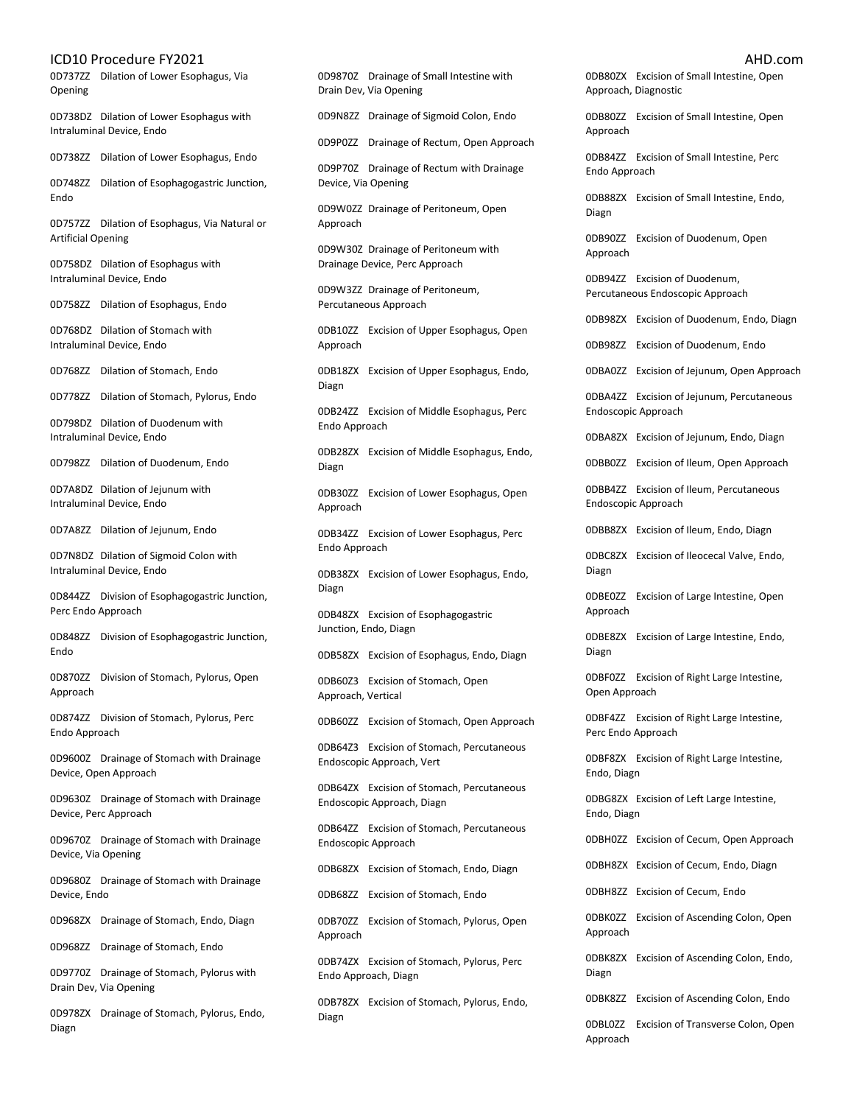0D737ZZ Dilation of Lower Esophagus, Via Opening

0D738DZ Dilation of Lower Esophagus with Intraluminal Device, Endo

0D738ZZ Dilation of Lower Esophagus, Endo

0D748ZZ Dilation of Esophagogastric Junction, **Endo** 

0D757ZZ Dilation of Esophagus, Via Natural or Artificial Opening

0D758DZ Dilation of Esophagus with Intraluminal Device, Endo

0D758ZZ Dilation of Esophagus, Endo

0D768DZ Dilation of Stomach with Intraluminal Device, Endo

0D768ZZ Dilation of Stomach, Endo

0D778ZZ Dilation of Stomach, Pylorus, Endo

0D798DZ Dilation of Duodenum with Intraluminal Device, Endo

0D798ZZ Dilation of Duodenum, Endo

0D7A8DZ Dilation of Jejunum with Intraluminal Device, Endo

0D7A8ZZ Dilation of Jejunum, Endo

0D7N8DZ Dilation of Sigmoid Colon with Intraluminal Device, Endo

0D844ZZ Division of Esophagogastric Junction, Perc Endo Approach

0D848ZZ Division of Esophagogastric Junction, Endo

0D870ZZ Division of Stomach, Pylorus, Open Approach

0D874ZZ Division of Stomach, Pylorus, Perc Endo Approach

0D9600Z Drainage of Stomach with Drainage Device, Open Approach

0D9630Z Drainage of Stomach with Drainage Device, Perc Approach

0D9670Z Drainage of Stomach with Drainage Device, Via Opening

0D9680Z Drainage of Stomach with Drainage Device, Endo

0D968ZX Drainage of Stomach, Endo, Diagn

0D968ZZ Drainage of Stomach, Endo

0D9770Z Drainage of Stomach, Pylorus with Drain Dev, Via Opening

0D978ZX Drainage of Stomach, Pylorus, Endo, Diagn

0D9870Z Drainage of Small Intestine with Drain Dev, Via Opening

0D9N8ZZ Drainage of Sigmoid Colon, Endo

0D9P0ZZ Drainage of Rectum, Open Approach

0D9P70Z Drainage of Rectum with Drainage Device, Via Opening

0D9W0ZZ Drainage of Peritoneum, Open Approach

0D9W30Z Drainage of Peritoneum with Drainage Device, Perc Approach

0D9W3ZZ Drainage of Peritoneum, Percutaneous Approach

0DB10ZZ Excision of Upper Esophagus, Open Approach

0DB18ZX Excision of Upper Esophagus, Endo, Diagn

0DB24ZZ Excision of Middle Esophagus, Perc Endo Approach

0DB28ZX Excision of Middle Esophagus, Endo, Diagn

0DB30ZZ Excision of Lower Esophagus, Open Approach

0DB34ZZ Excision of Lower Esophagus, Perc Endo Approach

0DB38ZX Excision of Lower Esophagus, Endo, Diagn

0DB48ZX Excision of Esophagogastric Junction, Endo, Diagn

0DB58ZX Excision of Esophagus, Endo, Diagn

0DB60Z3 Excision of Stomach, Open Approach, Vertical

0DB60ZZ Excision of Stomach, Open Approach

0DB64Z3 Excision of Stomach, Percutaneous Endoscopic Approach, Vert

0DB64ZX Excision of Stomach, Percutaneous Endoscopic Approach, Diagn

0DB64ZZ Excision of Stomach, Percutaneous Endoscopic Approach

0DB68ZX Excision of Stomach, Endo, Diagn

0DB68ZZ Excision of Stomach, Endo

0DB70ZZ Excision of Stomach, Pylorus, Open Approach

0DB74ZX Excision of Stomach, Pylorus, Perc Endo Approach, Diagn

0DB78ZX Excision of Stomach, Pylorus, Endo, Diagn

0DB80ZX Excision of Small Intestine, Open Approach, Diagnostic

0DB80ZZ Excision of Small Intestine, Open Approach

0DB84ZZ Excision of Small Intestine, Perc Endo Approach

0DB88ZX Excision of Small Intestine, Endo, Diagn

0DB90ZZ Excision of Duodenum, Open Approach

0DB94ZZ Excision of Duodenum, Percutaneous Endoscopic Approach

0DB98ZX Excision of Duodenum, Endo, Diagn

0DB98ZZ Excision of Duodenum, Endo

0DBA0ZZ Excision of Jejunum, Open Approach

0DBA4ZZ Excision of Jejunum, Percutaneous Endoscopic Approach

0DBA8ZX Excision of Jejunum, Endo, Diagn

0DBB0ZZ Excision of Ileum, Open Approach

0DBB4ZZ Excision of Ileum, Percutaneous Endoscopic Approach

0DBB8ZX Excision of Ileum, Endo, Diagn

0DBC8ZX Excision of Ileocecal Valve, Endo, Diagn

0DBE0ZZ Excision of Large Intestine, Open Approach

0DBE8ZX Excision of Large Intestine, Endo, Diagn

0DBF0ZZ Excision of Right Large Intestine, Open Approach

0DBF4ZZ Excision of Right Large Intestine, Perc Endo Approach

0DBF8ZX Excision of Right Large Intestine, Endo, Diagn

0DBG8ZX Excision of Left Large Intestine, Endo, Diagn

0DBH0ZZ Excision of Cecum, Open Approach

0DBH8ZX Excision of Cecum, Endo, Diagn

0DBH8ZZ Excision of Cecum, Endo

0DBK0ZZ Excision of Ascending Colon, Open Approach

0DBK8ZX Excision of Ascending Colon, Endo, Diagn

0DBK8ZZ Excision of Ascending Colon, Endo

0DBL0ZZ Excision of Transverse Colon, Open Approach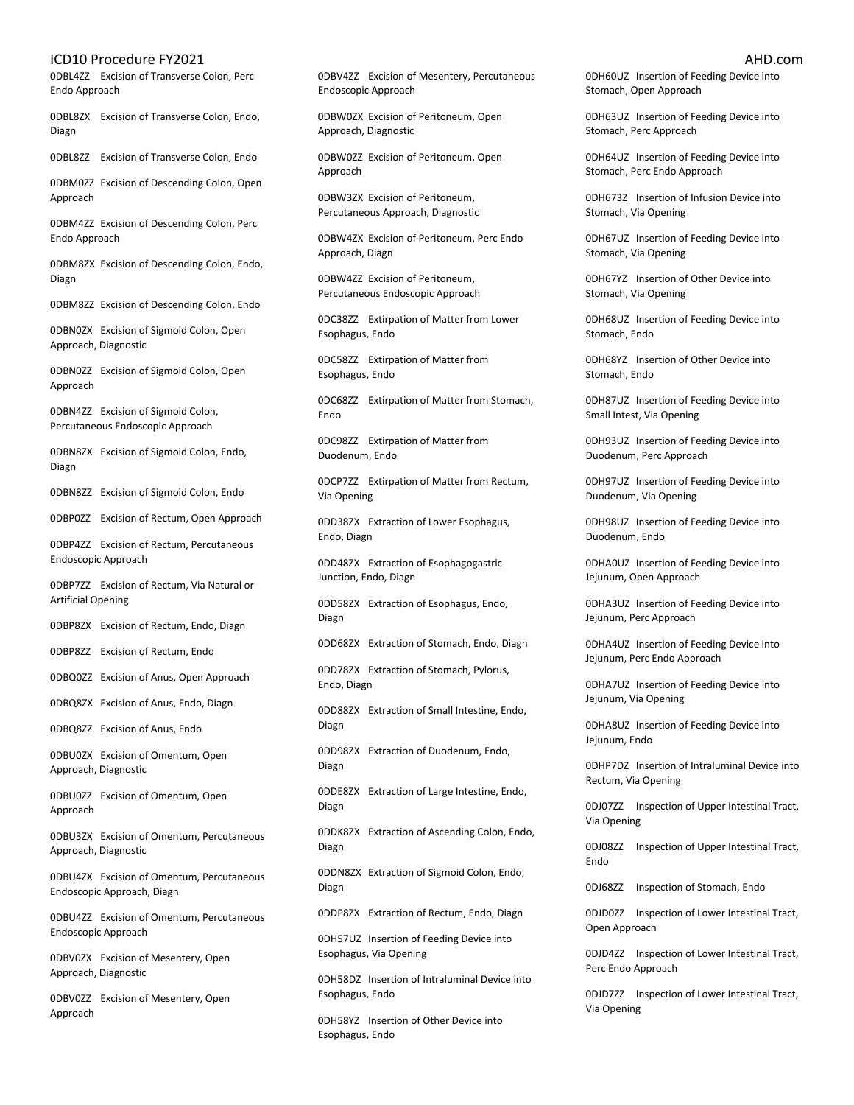0DBL4ZZ Excision of Transverse Colon, Perc Endo Approach

0DBL8ZX Excision of Transverse Colon, Endo, Diagn

0DBL8ZZ Excision of Transverse Colon, Endo

0DBM0ZZ Excision of Descending Colon, Open Approach

0DBM4ZZ Excision of Descending Colon, Perc Endo Approach

0DBM8ZX Excision of Descending Colon, Endo, Diagn

0DBM8ZZ Excision of Descending Colon, Endo

0DBN0ZX Excision of Sigmoid Colon, Open Approach, Diagnostic

0DBN0ZZ Excision of Sigmoid Colon, Open Approach

0DBN4ZZ Excision of Sigmoid Colon, Percutaneous Endoscopic Approach

0DBN8ZX Excision of Sigmoid Colon, Endo, Diagn

0DBN8ZZ Excision of Sigmoid Colon, Endo

0DBP0ZZ Excision of Rectum, Open Approach

0DBP4ZZ Excision of Rectum, Percutaneous Endoscopic Approach

0DBP7ZZ Excision of Rectum, Via Natural or Artificial Opening

0DBP8ZX Excision of Rectum, Endo, Diagn

0DBP8ZZ Excision of Rectum, Endo

0DBQ0ZZ Excision of Anus, Open Approach

0DBQ8ZX Excision of Anus, Endo, Diagn

0DBQ8ZZ Excision of Anus, Endo

0DBU0ZX Excision of Omentum, Open Approach, Diagnostic

0DBU0ZZ Excision of Omentum, Open Approach

0DBU3ZX Excision of Omentum, Percutaneous Approach, Diagnostic

0DBU4ZX Excision of Omentum, Percutaneous Endoscopic Approach, Diagn

0DBU4ZZ Excision of Omentum, Percutaneous Endoscopic Approach

0DBV0ZX Excision of Mesentery, Open Approach, Diagnostic

0DBV0ZZ Excision of Mesentery, Open Approach

0DBV4ZZ Excision of Mesentery, Percutaneous Endoscopic Approach

0DBW0ZX Excision of Peritoneum, Open Approach, Diagnostic

0DBW0ZZ Excision of Peritoneum, Open Approach

0DBW3ZX Excision of Peritoneum, Percutaneous Approach, Diagnostic

0DBW4ZX Excision of Peritoneum, Perc Endo Approach, Diagn

0DBW4ZZ Excision of Peritoneum, Percutaneous Endoscopic Approach

0DC38ZZ Extirpation of Matter from Lower Esophagus, Endo

0DC58ZZ Extirpation of Matter from Esophagus, Endo

0DC68ZZ Extirpation of Matter from Stomach, Endo

0DC98ZZ Extirpation of Matter from Duodenum, Endo

0DCP7ZZ Extirpation of Matter from Rectum, Via Opening

0DD38ZX Extraction of Lower Esophagus, Endo, Diagn

0DD48ZX Extraction of Esophagogastric Junction, Endo, Diagn

0DD58ZX Extraction of Esophagus, Endo, Diagn

0DD68ZX Extraction of Stomach, Endo, Diagn 0DD78ZX Extraction of Stomach, Pylorus,

Endo, Diagn

0DD88ZX Extraction of Small Intestine, Endo, Diagn

0DD98ZX Extraction of Duodenum, Endo, Diagn

0DDE8ZX Extraction of Large Intestine, Endo, Diagn

0DDK8ZX Extraction of Ascending Colon, Endo, Diagn

0DDN8ZX Extraction of Sigmoid Colon, Endo, Diagn

0DDP8ZX Extraction of Rectum, Endo, Diagn

0DH57UZ Insertion of Feeding Device into Esophagus, Via Opening

0DH58DZ Insertion of Intraluminal Device into Esophagus, Endo

0DH58YZ Insertion of Other Device into Esophagus, Endo

0DH60UZ Insertion of Feeding Device into Stomach, Open Approach

0DH63UZ Insertion of Feeding Device into Stomach, Perc Approach

0DH64UZ Insertion of Feeding Device into Stomach, Perc Endo Approach

0DH673Z Insertion of Infusion Device into Stomach, Via Opening

0DH67UZ Insertion of Feeding Device into Stomach, Via Opening

0DH67YZ Insertion of Other Device into Stomach, Via Opening

0DH68UZ Insertion of Feeding Device into Stomach, Endo

0DH68YZ Insertion of Other Device into Stomach, Endo

0DH87UZ Insertion of Feeding Device into Small Intest, Via Opening

0DH93UZ Insertion of Feeding Device into Duodenum, Perc Approach

0DH97UZ Insertion of Feeding Device into Duodenum, Via Opening

0DH98UZ Insertion of Feeding Device into Duodenum, Endo

0DHA0UZ Insertion of Feeding Device into Jejunum, Open Approach

0DHA3UZ Insertion of Feeding Device into Jejunum, Perc Approach

0DHA4UZ Insertion of Feeding Device into Jejunum, Perc Endo Approach

0DHA7UZ Insertion of Feeding Device into Jejunum, Via Opening

0DHA8UZ Insertion of Feeding Device into Jejunum, Endo

0DHP7DZ Insertion of Intraluminal Device into Rectum, Via Opening

0DJ07ZZ Inspection of Upper Intestinal Tract, Via Opening

0DJ08ZZ Inspection of Upper Intestinal Tract, Endo

0DJ68ZZ Inspection of Stomach, Endo

0DJD0ZZ Inspection of Lower Intestinal Tract, Open Approach

0DJD4ZZ Inspection of Lower Intestinal Tract, Perc Endo Approach

0DJD7ZZ Inspection of Lower Intestinal Tract, Via Opening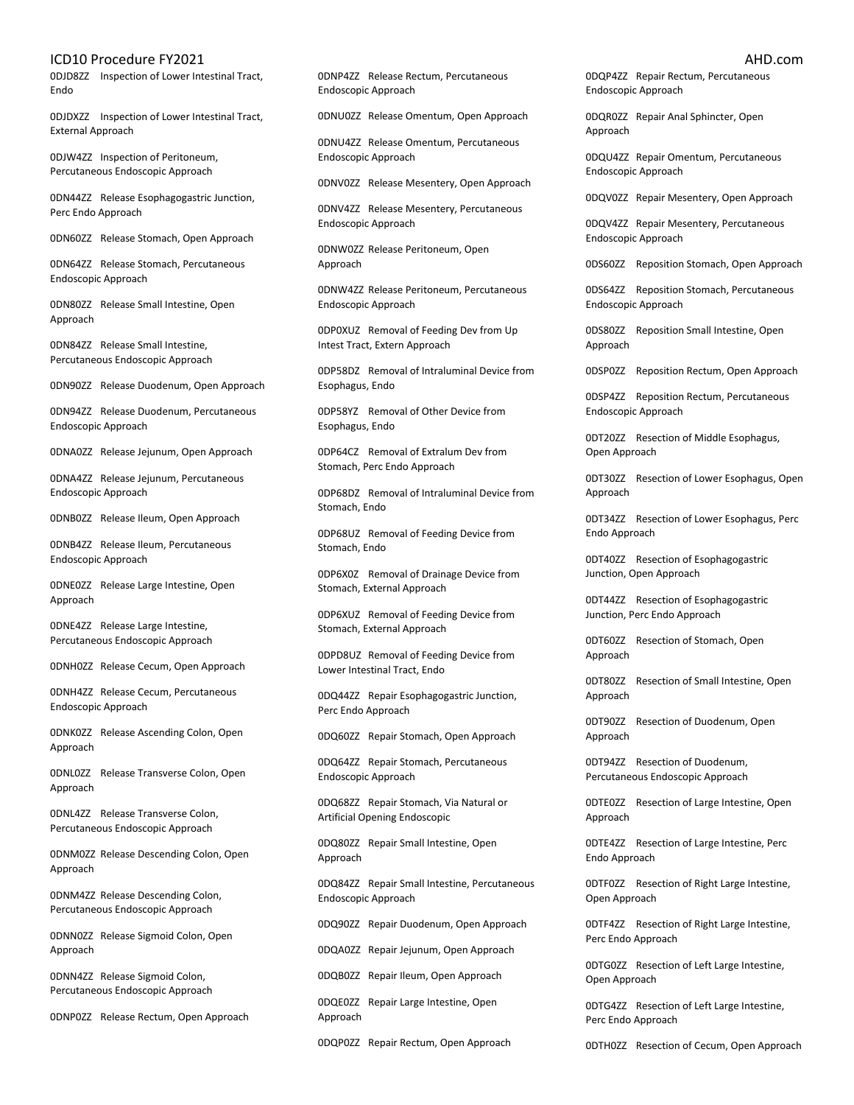0DJD8ZZ Inspection of Lower Intestinal Tract, Endo

0DJDXZZ Inspection of Lower Intestinal Tract, External Approach

0DJW4ZZ Inspection of Peritoneum, Percutaneous Endoscopic Approach

0DN44ZZ Release Esophagogastric Junction, Perc Endo Approach

0DN60ZZ Release Stomach, Open Approach

0DN64ZZ Release Stomach, Percutaneous Endoscopic Approach

0DN80ZZ Release Small Intestine, Open Approach

0DN84ZZ Release Small Intestine, Percutaneous Endoscopic Approach

0DN90ZZ Release Duodenum, Open Approach

0DN94ZZ Release Duodenum, Percutaneous Endoscopic Approach

0DNA0ZZ Release Jejunum, Open Approach

0DNA4ZZ Release Jejunum, Percutaneous Endoscopic Approach

0DNB0ZZ Release Ileum, Open Approach

0DNB4ZZ Release Ileum, Percutaneous Endoscopic Approach

0DNE0ZZ Release Large Intestine, Open Approach

0DNE4ZZ Release Large Intestine, Percutaneous Endoscopic Approach

0DNH0ZZ Release Cecum, Open Approach

0DNH4ZZ Release Cecum, Percutaneous Endoscopic Approach

0DNK0ZZ Release Ascending Colon, Open Approach

0DNL0ZZ Release Transverse Colon, Open Approach

0DNL4ZZ Release Transverse Colon, Percutaneous Endoscopic Approach

0DNM0ZZ Release Descending Colon, Open Approach

0DNM4ZZ Release Descending Colon, Percutaneous Endoscopic Approach

0DNN0ZZ Release Sigmoid Colon, Open Approach

0DNN4ZZ Release Sigmoid Colon, Percutaneous Endoscopic Approach

0DNP0ZZ Release Rectum, Open Approach

0DNP4ZZ Release Rectum, Percutaneous Endoscopic Approach

0DNU0ZZ Release Omentum, Open Approach

0DNU4ZZ Release Omentum, Percutaneous Endoscopic Approach

0DNV0ZZ Release Mesentery, Open Approach

0DNV4ZZ Release Mesentery, Percutaneous Endoscopic Approach

0DNW0ZZ Release Peritoneum, Open Approach

0DNW4ZZ Release Peritoneum, Percutaneous Endoscopic Approach

0DP0XUZ Removal of Feeding Dev from Up Intest Tract, Extern Approach

0DP58DZ Removal of Intraluminal Device from Esophagus, Endo

0DP58YZ Removal of Other Device from Esophagus, Endo

0DP64CZ Removal of Extralum Dev from Stomach, Perc Endo Approach

0DP68DZ Removal of Intraluminal Device from Stomach, Endo

0DP68UZ Removal of Feeding Device from Stomach, Endo

0DP6X0Z Removal of Drainage Device from Stomach, External Approach

0DP6XUZ Removal of Feeding Device from Stomach, External Approach

0DPD8UZ Removal of Feeding Device from Lower Intestinal Tract, Endo

0DQ44ZZ Repair Esophagogastric Junction, Perc Endo Approach

0DQ60ZZ Repair Stomach, Open Approach

0DQ64ZZ Repair Stomach, Percutaneous Endoscopic Approach

0DQ68ZZ Repair Stomach, Via Natural or Artificial Opening Endoscopic

0DQ80ZZ Repair Small Intestine, Open Approach

0DQ84ZZ Repair Small Intestine, Percutaneous Endoscopic Approach

0DQ90ZZ Repair Duodenum, Open Approach

0DQA0ZZ Repair Jejunum, Open Approach

0DQB0ZZ Repair Ileum, Open Approach

0DQE0ZZ Repair Large Intestine, Open Approach

0DQP0ZZ Repair Rectum, Open Approach

0DQP4ZZ Repair Rectum, Percutaneous Endoscopic Approach

0DQR0ZZ Repair Anal Sphincter, Open Approach

0DQU4ZZ Repair Omentum, Percutaneous Endoscopic Approach

0DQV0ZZ Repair Mesentery, Open Approach

0DQV4ZZ Repair Mesentery, Percutaneous Endoscopic Approach

0DS60ZZ Reposition Stomach, Open Approach

0DS64ZZ Reposition Stomach, Percutaneous Endoscopic Approach

0DS80ZZ Reposition Small Intestine, Open Approach

0DSP0ZZ Reposition Rectum, Open Approach

0DSP4ZZ Reposition Rectum, Percutaneous Endoscopic Approach

0DT20ZZ Resection of Middle Esophagus, Open Approach

0DT30ZZ Resection of Lower Esophagus, Open Approach

0DT34ZZ Resection of Lower Esophagus, Perc Endo Approach

0DT40ZZ Resection of Esophagogastric Junction, Open Approach

0DT44ZZ Resection of Esophagogastric Junction, Perc Endo Approach

0DT60ZZ Resection of Stomach, Open Approach

0DT80ZZ Resection of Small Intestine, Open Approach

0DT90ZZ Resection of Duodenum, Open Approach

0DT94ZZ Resection of Duodenum, Percutaneous Endoscopic Approach

0DTE0ZZ Resection of Large Intestine, Open Approach

0DTE4ZZ Resection of Large Intestine, Perc Endo Approach

0DTF0ZZ Resection of Right Large Intestine, Open Approach

0DTF4ZZ Resection of Right Large Intestine, Perc Endo Approach

0DTG0ZZ Resection of Left Large Intestine, Open Approach

0DTG4ZZ Resection of Left Large Intestine, Perc Endo Approach

0DTH0ZZ Resection of Cecum, Open Approach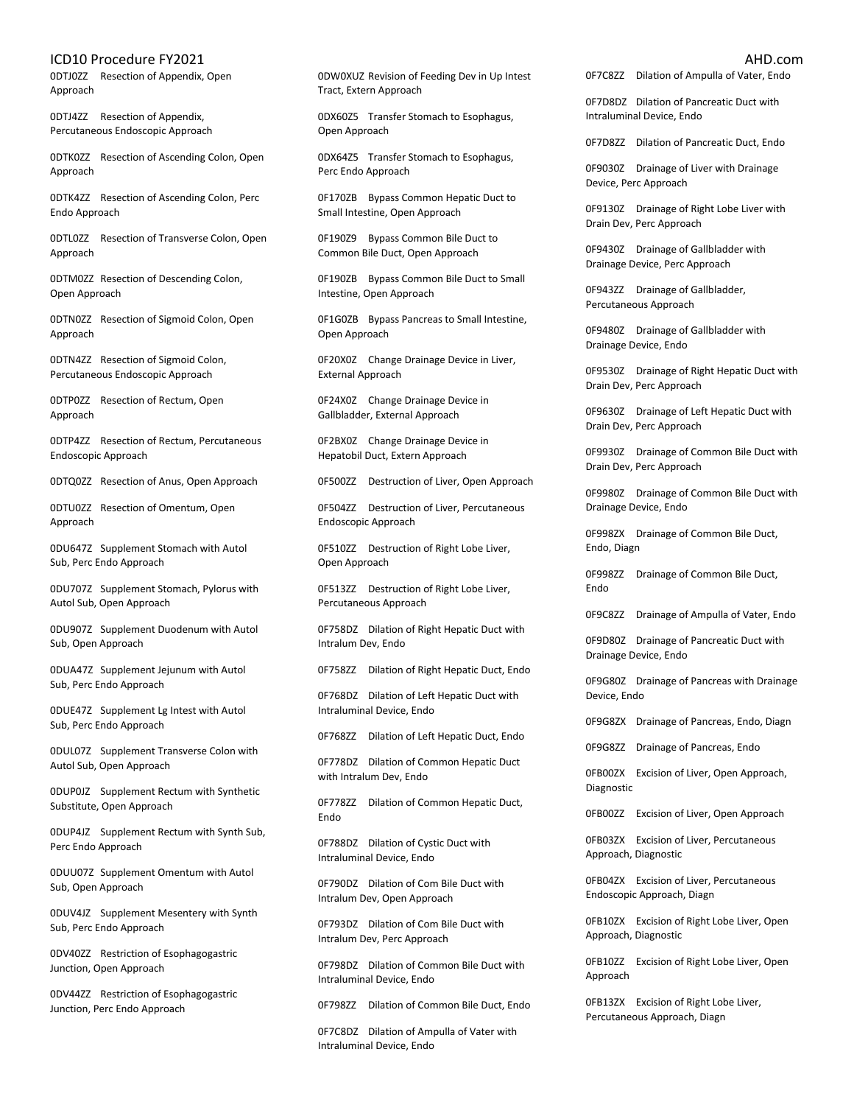0DTJ0ZZ Resection of Appendix, Open Approach

0DTJ4ZZ Resection of Appendix, Percutaneous Endoscopic Approach

0DTK0ZZ Resection of Ascending Colon, Open Approach

0DTK4ZZ Resection of Ascending Colon, Perc Endo Approach

0DTL0ZZ Resection of Transverse Colon, Open Approach

0DTM0ZZ Resection of Descending Colon, Open Approach

0DTN0ZZ Resection of Sigmoid Colon, Open Approach

0DTN4ZZ Resection of Sigmoid Colon, Percutaneous Endoscopic Approach

0DTP0ZZ Resection of Rectum, Open Approach

0DTP4ZZ Resection of Rectum, Percutaneous Endoscopic Approach

0DTQ0ZZ Resection of Anus, Open Approach

0DTU0ZZ Resection of Omentum, Open Approach

0DU647Z Supplement Stomach with Autol Sub, Perc Endo Approach

0DU707Z Supplement Stomach, Pylorus with Autol Sub, Open Approach

0DU907Z Supplement Duodenum with Autol Sub, Open Approach

0DUA47Z Supplement Jejunum with Autol Sub, Perc Endo Approach

0DUE47Z Supplement Lg Intest with Autol Sub, Perc Endo Approach

0DUL07Z Supplement Transverse Colon with Autol Sub, Open Approach

0DUP0JZ Supplement Rectum with Synthetic Substitute, Open Approach

0DUP4JZ Supplement Rectum with Synth Sub, Perc Endo Approach

0DUU07Z Supplement Omentum with Autol Sub, Open Approach

0DUV4JZ Supplement Mesentery with Synth Sub, Perc Endo Approach

0DV40ZZ Restriction of Esophagogastric Junction, Open Approach

0DV44ZZ Restriction of Esophagogastric Junction, Perc Endo Approach

0DW0XUZ Revision of Feeding Dev in Up Intest Tract, Extern Approach

0DX60Z5 Transfer Stomach to Esophagus, Open Approach

0DX64Z5 Transfer Stomach to Esophagus, Perc Endo Approach

0F170ZB Bypass Common Hepatic Duct to Small Intestine, Open Approach

0F190Z9 Bypass Common Bile Duct to Common Bile Duct, Open Approach

0F190ZB Bypass Common Bile Duct to Small Intestine, Open Approach

0F1G0ZB Bypass Pancreas to Small Intestine, Open Approach

0F20X0Z Change Drainage Device in Liver, External Approach

0F24X0Z Change Drainage Device in Gallbladder, External Approach

0F2BX0Z Change Drainage Device in Hepatobil Duct, Extern Approach

0F500ZZ Destruction of Liver, Open Approach

0F504ZZ Destruction of Liver, Percutaneous Endoscopic Approach

0F510ZZ Destruction of Right Lobe Liver, Open Approach

0F513ZZ Destruction of Right Lobe Liver, Percutaneous Approach

0F758DZ Dilation of Right Hepatic Duct with Intralum Dev, Endo

0F758ZZ Dilation of Right Hepatic Duct, Endo

0F768DZ Dilation of Left Hepatic Duct with Intraluminal Device, Endo

0F768ZZ Dilation of Left Hepatic Duct, Endo

0F778DZ Dilation of Common Hepatic Duct with Intralum Dev, Endo

0F778ZZ Dilation of Common Hepatic Duct, Endo

0F788DZ Dilation of Cystic Duct with Intraluminal Device, Endo

0F790DZ Dilation of Com Bile Duct with Intralum Dev, Open Approach

0F793DZ Dilation of Com Bile Duct with Intralum Dev, Perc Approach

0F798DZ Dilation of Common Bile Duct with Intraluminal Device, Endo

0F798ZZ Dilation of Common Bile Duct, Endo

0F7C8DZ Dilation of Ampulla of Vater with Intraluminal Device, Endo

0F7C8ZZ Dilation of Ampulla of Vater, Endo

0F7D8DZ Dilation of Pancreatic Duct with Intraluminal Device, Endo

0F7D8ZZ Dilation of Pancreatic Duct, Endo

0F9030Z Drainage of Liver with Drainage Device, Perc Approach

0F9130Z Drainage of Right Lobe Liver with Drain Dev, Perc Approach

0F9430Z Drainage of Gallbladder with Drainage Device, Perc Approach

0F943ZZ Drainage of Gallbladder, Percutaneous Approach

0F9480Z Drainage of Gallbladder with Drainage Device, Endo

0F9530Z Drainage of Right Hepatic Duct with Drain Dev, Perc Approach

0F9630Z Drainage of Left Hepatic Duct with Drain Dev, Perc Approach

0F9930Z Drainage of Common Bile Duct with Drain Dev, Perc Approach

0F9980Z Drainage of Common Bile Duct with Drainage Device, Endo

0F998ZX Drainage of Common Bile Duct, Endo, Diagn

0F998ZZ Drainage of Common Bile Duct, Endo

0F9C8ZZ Drainage of Ampulla of Vater, Endo

0F9D80Z Drainage of Pancreatic Duct with Drainage Device, Endo

0F9G80Z Drainage of Pancreas with Drainage Device, Endo

0F9G8ZX Drainage of Pancreas, Endo, Diagn

0F9G8ZZ Drainage of Pancreas, Endo

0FB00ZX Excision of Liver, Open Approach, Diagnostic

0FB00ZZ Excision of Liver, Open Approach

0FB03ZX Excision of Liver, Percutaneous Approach, Diagnostic

0FB04ZX Excision of Liver, Percutaneous Endoscopic Approach, Diagn

0FB10ZX Excision of Right Lobe Liver, Open Approach, Diagnostic

0FB10ZZ Excision of Right Lobe Liver, Open Approach

0FB13ZX Excision of Right Lobe Liver, Percutaneous Approach, Diagn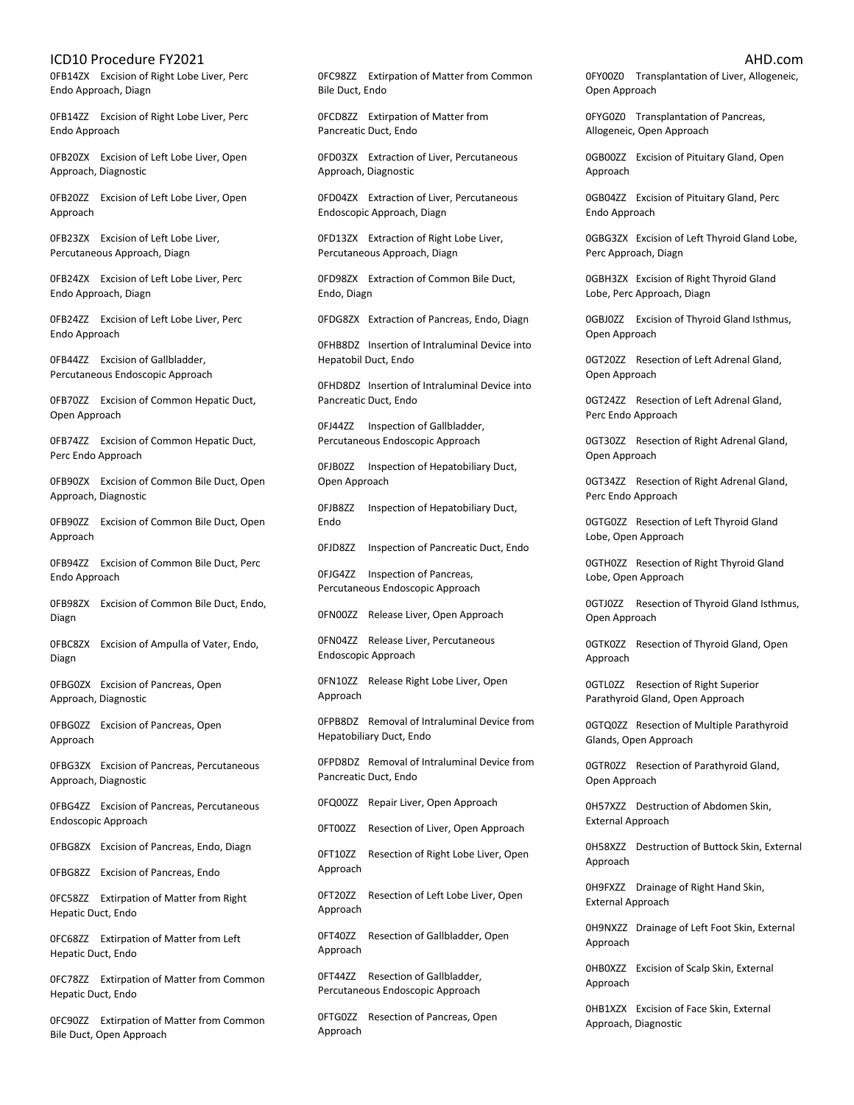0FB14ZX Excision of Right Lobe Liver, Perc Endo Approach, Diagn

0FB14ZZ Excision of Right Lobe Liver, Perc Endo Approach

0FB20ZX Excision of Left Lobe Liver, Open Approach, Diagnostic

0FB20ZZ Excision of Left Lobe Liver, Open Approach

0FB23ZX Excision of Left Lobe Liver, Percutaneous Approach, Diagn

0FB24ZX Excision of Left Lobe Liver, Perc Endo Approach, Diagn

0FB24ZZ Excision of Left Lobe Liver, Perc Endo Approach

0FB44ZZ Excision of Gallbladder, Percutaneous Endoscopic Approach

0FB70ZZ Excision of Common Hepatic Duct, Open Approach

0FB74ZZ Excision of Common Hepatic Duct, Perc Endo Approach

0FB90ZX Excision of Common Bile Duct, Open Approach, Diagnostic

0FB90ZZ Excision of Common Bile Duct, Open Approach

0FB94ZZ Excision of Common Bile Duct, Perc Endo Approach

0FB98ZX Excision of Common Bile Duct, Endo, Diagn

0FBC8ZX Excision of Ampulla of Vater, Endo, Diagn

0FBG0ZX Excision of Pancreas, Open Approach, Diagnostic

0FBG0ZZ Excision of Pancreas, Open Approach

0FBG3ZX Excision of Pancreas, Percutaneous Approach, Diagnostic

0FBG4ZZ Excision of Pancreas, Percutaneous Endoscopic Approach

0FBG8ZX Excision of Pancreas, Endo, Diagn

0FBG8ZZ Excision of Pancreas, Endo

0FC58ZZ Extirpation of Matter from Right Hepatic Duct, Endo

0FC68ZZ Extirpation of Matter from Left Hepatic Duct, Endo

0FC78ZZ Extirpation of Matter from Common Hepatic Duct, Endo

0FC90ZZ Extirpation of Matter from Common Bile Duct, Open Approach

0FC98ZZ Extirpation of Matter from Common Bile Duct, Endo

0FCD8ZZ Extirpation of Matter from Pancreatic Duct, Endo

0FD03ZX Extraction of Liver, Percutaneous Approach, Diagnostic

0FD04ZX Extraction of Liver, Percutaneous Endoscopic Approach, Diagn

0FD13ZX Extraction of Right Lobe Liver, Percutaneous Approach, Diagn

0FD98ZX Extraction of Common Bile Duct, Endo, Diagn

0FDG8ZX Extraction of Pancreas, Endo, Diagn

0FHB8DZ Insertion of Intraluminal Device into Hepatobil Duct, Endo

0FHD8DZ Insertion of Intraluminal Device into Pancreatic Duct, Endo

0FJ44ZZ Inspection of Gallbladder, Percutaneous Endoscopic Approach

0FJB0ZZ Inspection of Hepatobiliary Duct, Open Approach

0FJB8ZZ Inspection of Hepatobiliary Duct, Endo

0FJD8ZZ Inspection of Pancreatic Duct, Endo

0FJG4ZZ Inspection of Pancreas, Percutaneous Endoscopic Approach

0FN00ZZ Release Liver, Open Approach

0FN04ZZ Release Liver, Percutaneous Endoscopic Approach

0FN10ZZ Release Right Lobe Liver, Open Approach

0FPB8DZ Removal of Intraluminal Device from Hepatobiliary Duct, Endo

0FPD8DZ Removal of Intraluminal Device from Pancreatic Duct, Endo

0FQ00ZZ Repair Liver, Open Approach

0FT00ZZ Resection of Liver, Open Approach

0FT10ZZ Resection of Right Lobe Liver, Open Approach

0FT20ZZ Resection of Left Lobe Liver, Open Approach

0FT40ZZ Resection of Gallbladder, Open Approach

0FT44ZZ Resection of Gallbladder, Percutaneous Endoscopic Approach

0FTG0ZZ Resection of Pancreas, Open Approach

0FY00Z0 Transplantation of Liver, Allogeneic, Open Approach

0FYG0Z0 Transplantation of Pancreas, Allogeneic, Open Approach

0GB00ZZ Excision of Pituitary Gland, Open Approach

0GB04ZZ Excision of Pituitary Gland, Perc Endo Approach

0GBG3ZX Excision of Left Thyroid Gland Lobe, Perc Approach, Diagn

0GBH3ZX Excision of Right Thyroid Gland Lobe, Perc Approach, Diagn

0GBJ0ZZ Excision of Thyroid Gland Isthmus, Open Approach

0GT20ZZ Resection of Left Adrenal Gland, Open Approach

0GT24ZZ Resection of Left Adrenal Gland, Perc Endo Approach

0GT30ZZ Resection of Right Adrenal Gland, Open Approach

0GT34ZZ Resection of Right Adrenal Gland, Perc Endo Approach

0GTG0ZZ Resection of Left Thyroid Gland Lobe, Open Approach

0GTH0ZZ Resection of Right Thyroid Gland Lobe, Open Approach

0GTJ0ZZ Resection of Thyroid Gland Isthmus, Open Approach

0GTK0ZZ Resection of Thyroid Gland, Open Approach

0GTL0ZZ Resection of Right Superior Parathyroid Gland, Open Approach

0GTQ0ZZ Resection of Multiple Parathyroid Glands, Open Approach

0GTR0ZZ Resection of Parathyroid Gland, Open Approach

0H57XZZ Destruction of Abdomen Skin, External Approach

0H58XZZ Destruction of Buttock Skin, External Approach

0H9FXZZ Drainage of Right Hand Skin, External Approach

0H9NXZZ Drainage of Left Foot Skin, External Approach

0HB0XZZ Excision of Scalp Skin, External Approach

0HB1XZX Excision of Face Skin, External Approach, Diagnostic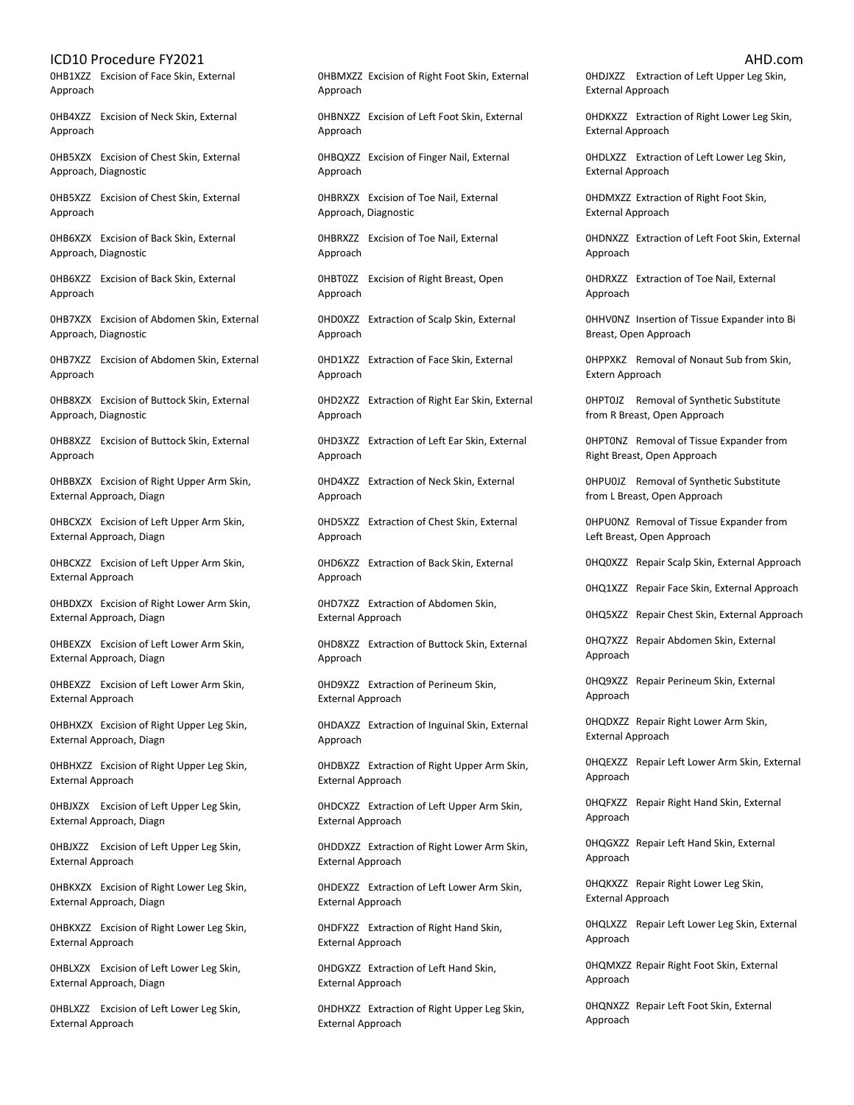0HB1XZZ Excision of Face Skin, External Approach

0HB4XZZ Excision of Neck Skin, External Approach

0HB5XZX Excision of Chest Skin, External Approach, Diagnostic

0HB5XZZ Excision of Chest Skin, External Approach

0HB6XZX Excision of Back Skin, External Approach, Diagnostic

0HB6XZZ Excision of Back Skin, External Approach

0HB7XZX Excision of Abdomen Skin, External Approach, Diagnostic

0HB7XZZ Excision of Abdomen Skin, External Approach

0HB8XZX Excision of Buttock Skin, External Approach, Diagnostic

0HB8XZZ Excision of Buttock Skin, External Approach

0HBBXZX Excision of Right Upper Arm Skin, External Approach, Diagn

0HBCXZX Excision of Left Upper Arm Skin, External Approach, Diagn

0HBCXZZ Excision of Left Upper Arm Skin, External Approach

0HBDXZX Excision of Right Lower Arm Skin, External Approach, Diagn

0HBEXZX Excision of Left Lower Arm Skin, External Approach, Diagn

0HBEXZZ Excision of Left Lower Arm Skin, External Approach

0HBHXZX Excision of Right Upper Leg Skin, External Approach, Diagn

0HBHXZZ Excision of Right Upper Leg Skin, External Approach

0HBJXZX Excision of Left Upper Leg Skin, External Approach, Diagn

0HBJXZZ Excision of Left Upper Leg Skin, External Approach

0HBKXZX Excision of Right Lower Leg Skin, External Approach, Diagn

0HBKXZZ Excision of Right Lower Leg Skin, External Approach

0HBLXZX Excision of Left Lower Leg Skin, External Approach, Diagn

0HBLXZZ Excision of Left Lower Leg Skin, External Approach

0HBMXZZ Excision of Right Foot Skin, External Approach

0HBNXZZ Excision of Left Foot Skin, External Approach

0HBQXZZ Excision of Finger Nail, External Approach

0HBRXZX Excision of Toe Nail, External Approach, Diagnostic

0HBRXZZ Excision of Toe Nail, External Approach

0HBT0ZZ Excision of Right Breast, Open Approach

0HD0XZZ Extraction of Scalp Skin, External Approach

0HD1XZZ Extraction of Face Skin, External Approach

0HD2XZZ Extraction of Right Ear Skin, External Approach

0HD3XZZ Extraction of Left Ear Skin, External Approach

0HD4XZZ Extraction of Neck Skin, External Approach

0HD5XZZ Extraction of Chest Skin, External Approach

0HD6XZZ Extraction of Back Skin, External Approach

0HD7XZZ Extraction of Abdomen Skin, External Approach

0HD8XZZ Extraction of Buttock Skin, External Approach

0HD9XZZ Extraction of Perineum Skin, External Approach

0HDAXZZ Extraction of Inguinal Skin, External Approach

0HDBXZZ Extraction of Right Upper Arm Skin, External Approach

0HDCXZZ Extraction of Left Upper Arm Skin, External Approach

0HDDXZZ Extraction of Right Lower Arm Skin, External Approach

0HDEXZZ Extraction of Left Lower Arm Skin, External Approach

0HDFXZZ Extraction of Right Hand Skin, External Approach

0HDGXZZ Extraction of Left Hand Skin, External Approach

0HDHXZZ Extraction of Right Upper Leg Skin, External Approach

0HDJXZZ Extraction of Left Upper Leg Skin, External Approach

0HDKXZZ Extraction of Right Lower Leg Skin, External Approach

0HDLXZZ Extraction of Left Lower Leg Skin, External Approach

0HDMXZZ Extraction of Right Foot Skin, External Approach

0HDNXZZ Extraction of Left Foot Skin, External Approach

0HDRXZZ Extraction of Toe Nail, External Approach

0HHV0NZ Insertion of Tissue Expander into Bi Breast, Open Approach

0HPPXKZ Removal of Nonaut Sub from Skin, Extern Approach

0HPT0JZ Removal of Synthetic Substitute from R Breast, Open Approach

0HPT0NZ Removal of Tissue Expander from Right Breast, Open Approach

0HPU0JZ Removal of Synthetic Substitute from L Breast, Open Approach

0HPU0NZ Removal of Tissue Expander from Left Breast, Open Approach

0HQ0XZZ Repair Scalp Skin, External Approach

0HQ1XZZ Repair Face Skin, External Approach

0HQ5XZZ Repair Chest Skin, External Approach

0HQ7XZZ Repair Abdomen Skin, External Approach

0HQ9XZZ Repair Perineum Skin, External Approach

0HQDXZZ Repair Right Lower Arm Skin, External Approach

0HQEXZZ Repair Left Lower Arm Skin, External Approach

0HQFXZZ Repair Right Hand Skin, External Approach

0HQGXZZ Repair Left Hand Skin, External Approach

0HQKXZZ Repair Right Lower Leg Skin, External Approach

0HQLXZZ Repair Left Lower Leg Skin, External Approach

0HQMXZZ Repair Right Foot Skin, External Approach

0HQNXZZ Repair Left Foot Skin, External Approach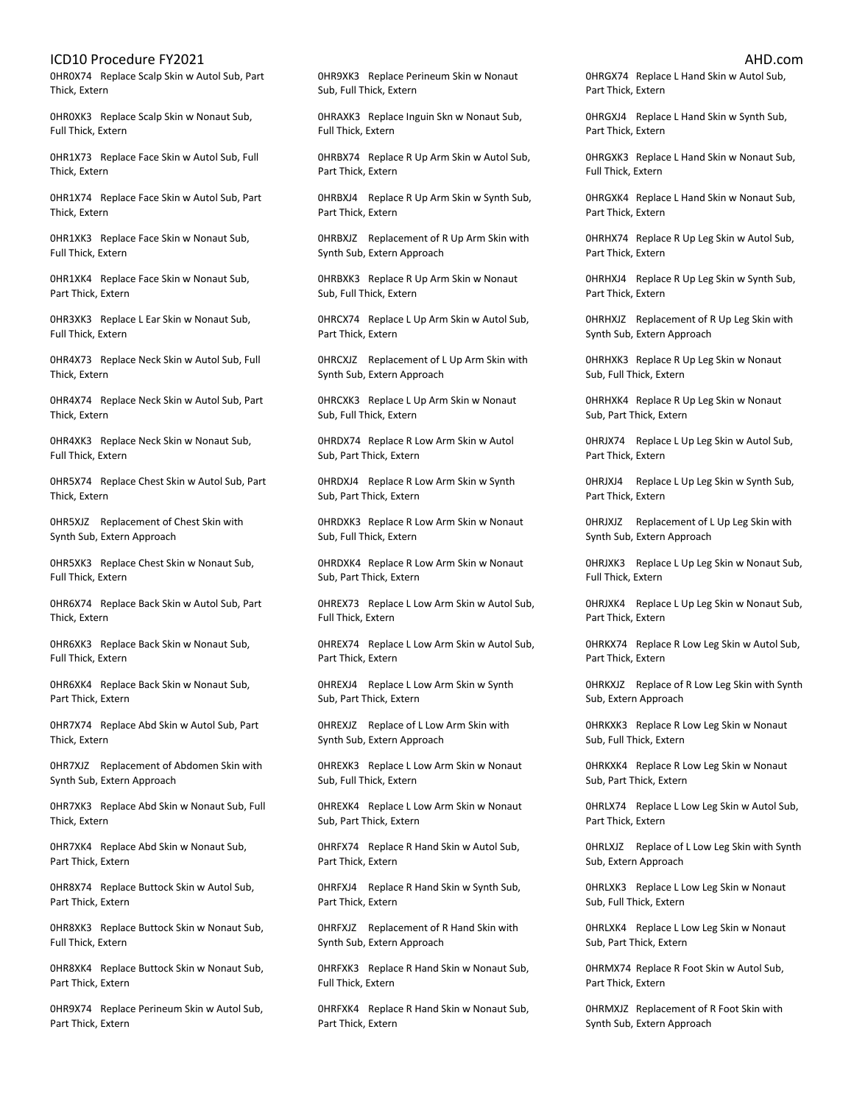0HR0X74 Replace Scalp Skin w Autol Sub, Part Thick, Extern

0HR0XK3 Replace Scalp Skin w Nonaut Sub, Full Thick, Extern

0HR1X73 Replace Face Skin w Autol Sub, Full Thick, Extern

0HR1X74 Replace Face Skin w Autol Sub, Part Thick, Extern

0HR1XK3 Replace Face Skin w Nonaut Sub, Full Thick, Extern

0HR1XK4 Replace Face Skin w Nonaut Sub, Part Thick, Extern

0HR3XK3 Replace L Ear Skin w Nonaut Sub, Full Thick, Extern

0HR4X73 Replace Neck Skin w Autol Sub, Full Thick, Extern

0HR4X74 Replace Neck Skin w Autol Sub, Part Thick, Extern

0HR4XK3 Replace Neck Skin w Nonaut Sub, Full Thick, Extern

0HR5X74 Replace Chest Skin w Autol Sub, Part Thick, Extern

0HR5XJZ Replacement of Chest Skin with Synth Sub, Extern Approach

0HR5XK3 Replace Chest Skin w Nonaut Sub, Full Thick, Extern

0HR6X74 Replace Back Skin w Autol Sub, Part Thick, Extern

0HR6XK3 Replace Back Skin w Nonaut Sub, Full Thick, Extern

0HR6XK4 Replace Back Skin w Nonaut Sub, Part Thick, Extern

0HR7X74 Replace Abd Skin w Autol Sub, Part Thick, Extern

0HR7XJZ Replacement of Abdomen Skin with Synth Sub, Extern Approach

0HR7XK3 Replace Abd Skin w Nonaut Sub, Full Thick, Extern

0HR7XK4 Replace Abd Skin w Nonaut Sub, Part Thick, Extern

0HR8X74 Replace Buttock Skin w Autol Sub, Part Thick, Extern

0HR8XK3 Replace Buttock Skin w Nonaut Sub, Full Thick, Extern

0HR8XK4 Replace Buttock Skin w Nonaut Sub, Part Thick, Extern

0HR9X74 Replace Perineum Skin w Autol Sub, Part Thick, Extern

0HR9XK3 Replace Perineum Skin w Nonaut Sub, Full Thick, Extern

0HRAXK3 Replace Inguin Skn w Nonaut Sub, Full Thick, Extern

0HRBX74 Replace R Up Arm Skin w Autol Sub, Part Thick, Extern

0HRBXJ4 Replace R Up Arm Skin w Synth Sub, Part Thick, Extern

0HRBXJZ Replacement of R Up Arm Skin with Synth Sub, Extern Approach

0HRBXK3 Replace R Up Arm Skin w Nonaut Sub, Full Thick, Extern

0HRCX74 Replace L Up Arm Skin w Autol Sub, Part Thick, Extern

0HRCXJZ Replacement of L Up Arm Skin with Synth Sub, Extern Approach

0HRCXK3 Replace L Up Arm Skin w Nonaut Sub, Full Thick, Extern

0HRDX74 Replace R Low Arm Skin w Autol Sub, Part Thick, Extern

0HRDXJ4 Replace R Low Arm Skin w Synth Sub, Part Thick, Extern

0HRDXK3 Replace R Low Arm Skin w Nonaut Sub, Full Thick, Extern

0HRDXK4 Replace R Low Arm Skin w Nonaut Sub, Part Thick, Extern

0HREX73 Replace L Low Arm Skin w Autol Sub, Full Thick, Extern

0HREX74 Replace L Low Arm Skin w Autol Sub, Part Thick, Extern

0HREXJ4 Replace L Low Arm Skin w Synth Sub, Part Thick, Extern

0HREXJZ Replace of L Low Arm Skin with Synth Sub, Extern Approach

0HREXK3 Replace L Low Arm Skin w Nonaut Sub, Full Thick, Extern

0HREXK4 Replace L Low Arm Skin w Nonaut Sub, Part Thick, Extern

0HRFX74 Replace R Hand Skin w Autol Sub, Part Thick, Extern

0HRFXJ4 Replace R Hand Skin w Synth Sub, Part Thick, Extern

0HRFXJZ Replacement of R Hand Skin with Synth Sub, Extern Approach

0HRFXK3 Replace R Hand Skin w Nonaut Sub, Full Thick, Extern

0HRFXK4 Replace R Hand Skin w Nonaut Sub, Part Thick, Extern

0HRGX74 Replace L Hand Skin w Autol Sub, Part Thick, Extern

0HRGXJ4 Replace L Hand Skin w Synth Sub, Part Thick, Extern

0HRGXK3 Replace L Hand Skin w Nonaut Sub, Full Thick, Extern

0HRGXK4 Replace L Hand Skin w Nonaut Sub, Part Thick, Extern

0HRHX74 Replace R Up Leg Skin w Autol Sub, Part Thick, Extern

0HRHXJ4 Replace R Up Leg Skin w Synth Sub, Part Thick, Extern

0HRHXJZ Replacement of R Up Leg Skin with Synth Sub, Extern Approach

0HRHXK3 Replace R Up Leg Skin w Nonaut Sub, Full Thick, Extern

0HRHXK4 Replace R Up Leg Skin w Nonaut Sub, Part Thick, Extern

0HRJX74 Replace L Up Leg Skin w Autol Sub, Part Thick, Extern

0HRJXJ4 Replace L Up Leg Skin w Synth Sub, Part Thick, Extern

0HRJXJZ Replacement of L Up Leg Skin with Synth Sub, Extern Approach

0HRJXK3 Replace L Up Leg Skin w Nonaut Sub, Full Thick, Extern

0HRJXK4 Replace L Up Leg Skin w Nonaut Sub, Part Thick, Extern

0HRKX74 Replace R Low Leg Skin w Autol Sub, Part Thick, Extern

0HRKXJZ Replace of R Low Leg Skin with Synth Sub, Extern Approach

0HRKXK3 Replace R Low Leg Skin w Nonaut Sub, Full Thick, Extern

0HRKXK4 Replace R Low Leg Skin w Nonaut Sub, Part Thick, Extern

0HRLX74 Replace L Low Leg Skin w Autol Sub, Part Thick, Extern

0HRLXJZ Replace of L Low Leg Skin with Synth Sub, Extern Approach

0HRLXK3 Replace L Low Leg Skin w Nonaut Sub, Full Thick, Extern

0HRLXK4 Replace L Low Leg Skin w Nonaut Sub, Part Thick, Extern

0HRMX74 Replace R Foot Skin w Autol Sub, Part Thick, Extern

0HRMXJZ Replacement of R Foot Skin with Synth Sub, Extern Approach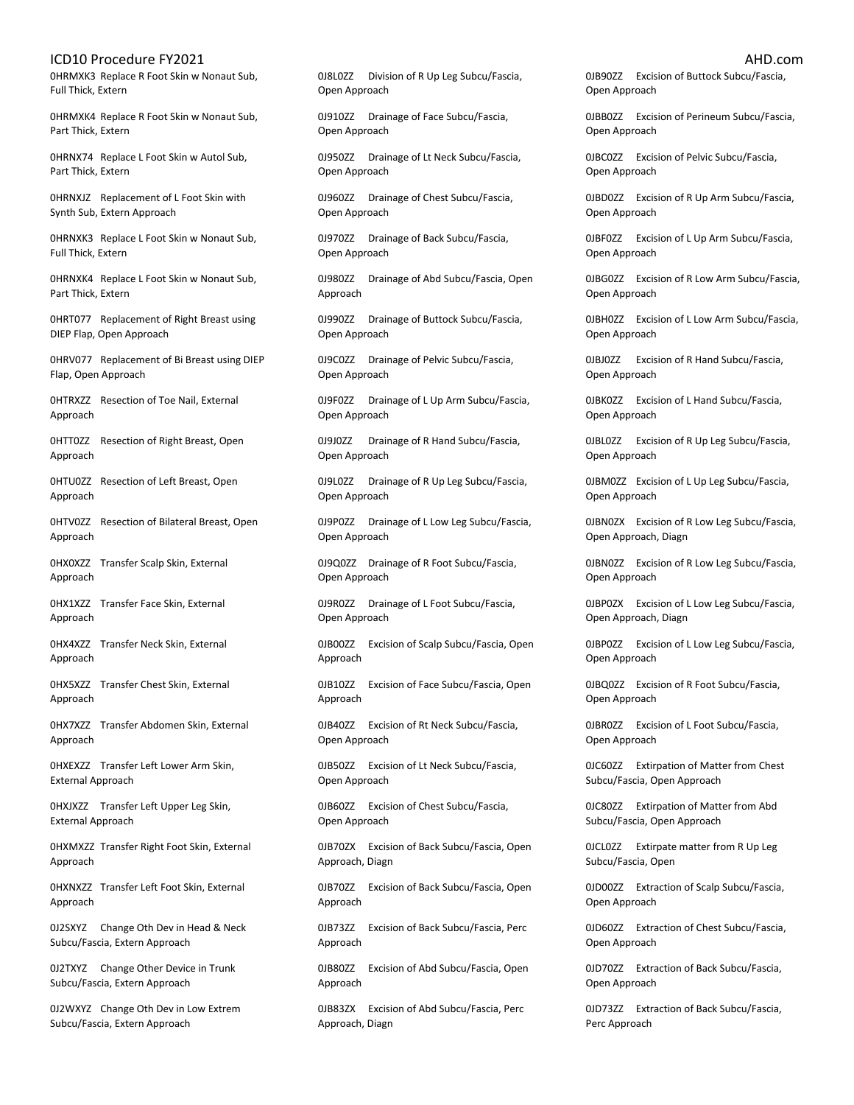0HRMXK3 Replace R Foot Skin w Nonaut Sub, Full Thick, Extern

0HRMXK4 Replace R Foot Skin w Nonaut Sub, Part Thick, Extern

0HRNX74 Replace L Foot Skin w Autol Sub, Part Thick, Extern

0HRNXJZ Replacement of L Foot Skin with Synth Sub, Extern Approach

0HRNXK3 Replace L Foot Skin w Nonaut Sub, Full Thick, Extern

0HRNXK4 Replace L Foot Skin w Nonaut Sub, Part Thick, Extern

0HRT077 Replacement of Right Breast using DIEP Flap, Open Approach

0HRV077 Replacement of Bi Breast using DIEP Flap, Open Approach

0HTRXZZ Resection of Toe Nail, External Approach

0HTT0ZZ Resection of Right Breast, Open Approach

0HTU0ZZ Resection of Left Breast, Open Approach

0HTV0ZZ Resection of Bilateral Breast, Open Approach

0HX0XZZ Transfer Scalp Skin, External Approach

0HX1XZZ Transfer Face Skin, External Approach

0HX4XZZ Transfer Neck Skin, External Approach

0HX5XZZ Transfer Chest Skin, External Approach

0HX7XZZ Transfer Abdomen Skin, External Approach

0HXEXZZ Transfer Left Lower Arm Skin, External Approach

0HXJXZZ Transfer Left Upper Leg Skin, External Approach

0HXMXZZ Transfer Right Foot Skin, External Approach

0HXNXZZ Transfer Left Foot Skin, External Approach

0J2SXYZ Change Oth Dev in Head & Neck Subcu/Fascia, Extern Approach

0J2TXYZ Change Other Device in Trunk Subcu/Fascia, Extern Approach

0J2WXYZ Change Oth Dev in Low Extrem Subcu/Fascia, Extern Approach

0J8L0ZZ Division of R Up Leg Subcu/Fascia, Open Approach

0J910ZZ Drainage of Face Subcu/Fascia, Open Approach

0J950ZZ Drainage of Lt Neck Subcu/Fascia, Open Approach

0J960ZZ Drainage of Chest Subcu/Fascia, Open Approach

0J970ZZ Drainage of Back Subcu/Fascia, Open Approach

0J980ZZ Drainage of Abd Subcu/Fascia, Open Approach

0J990ZZ Drainage of Buttock Subcu/Fascia, Open Approach

0J9C0ZZ Drainage of Pelvic Subcu/Fascia, Open Approach

0J9F0ZZ Drainage of L Up Arm Subcu/Fascia, Open Approach

0J9J0ZZ Drainage of R Hand Subcu/Fascia, Open Approach

0J9L0ZZ Drainage of R Up Leg Subcu/Fascia, Open Approach

0J9P0ZZ Drainage of L Low Leg Subcu/Fascia, Open Approach

0J9Q0ZZ Drainage of R Foot Subcu/Fascia, Open Approach

0J9R0ZZ Drainage of L Foot Subcu/Fascia, Open Approach

0JB00ZZ Excision of Scalp Subcu/Fascia, Open Approach

0JB10ZZ Excision of Face Subcu/Fascia, Open Approach

0JB40ZZ Excision of Rt Neck Subcu/Fascia, Open Approach

0JB50ZZ Excision of Lt Neck Subcu/Fascia, Open Approach

0JB60ZZ Excision of Chest Subcu/Fascia, Open Approach

0JB70ZX Excision of Back Subcu/Fascia, Open Approach, Diagn

0JB70ZZ Excision of Back Subcu/Fascia, Open Approach

0JB73ZZ Excision of Back Subcu/Fascia, Perc Approach

0JB80ZZ Excision of Abd Subcu/Fascia, Open Approach

0JB83ZX Excision of Abd Subcu/Fascia, Perc Approach, Diagn

0JB90ZZ Excision of Buttock Subcu/Fascia, Open Approach

0JBB0ZZ Excision of Perineum Subcu/Fascia, Open Approach

0JBC0ZZ Excision of Pelvic Subcu/Fascia, Open Approach

0JBD0ZZ Excision of R Up Arm Subcu/Fascia, Open Approach

0JBF0ZZ Excision of L Up Arm Subcu/Fascia, Open Approach

0JBG0ZZ Excision of R Low Arm Subcu/Fascia, Open Approach

0JBH0ZZ Excision of L Low Arm Subcu/Fascia, Open Approach

0JBJ0ZZ Excision of R Hand Subcu/Fascia, Open Approach

0JBK0ZZ Excision of L Hand Subcu/Fascia, Open Approach

0JBL0ZZ Excision of R Up Leg Subcu/Fascia, Open Approach

0JBM0ZZ Excision of L Up Leg Subcu/Fascia, Open Approach

0JBN0ZX Excision of R Low Leg Subcu/Fascia, Open Approach, Diagn

0JBN0ZZ Excision of R Low Leg Subcu/Fascia, Open Approach

0JBP0ZX Excision of L Low Leg Subcu/Fascia, Open Approach, Diagn

0JBP0ZZ Excision of L Low Leg Subcu/Fascia, Open Approach

0JBQ0ZZ Excision of R Foot Subcu/Fascia, Open Approach

0JBR0ZZ Excision of L Foot Subcu/Fascia, Open Approach

0JC60ZZ Extirpation of Matter from Chest Subcu/Fascia, Open Approach

0JC80ZZ Extirpation of Matter from Abd Subcu/Fascia, Open Approach

0JCL0ZZ Extirpate matter from R Up Leg Subcu/Fascia, Open

0JD00ZZ Extraction of Scalp Subcu/Fascia, Open Approach

0JD60ZZ Extraction of Chest Subcu/Fascia, Open Approach

0JD70ZZ Extraction of Back Subcu/Fascia, Open Approach

0JD73ZZ Extraction of Back Subcu/Fascia, Perc Approach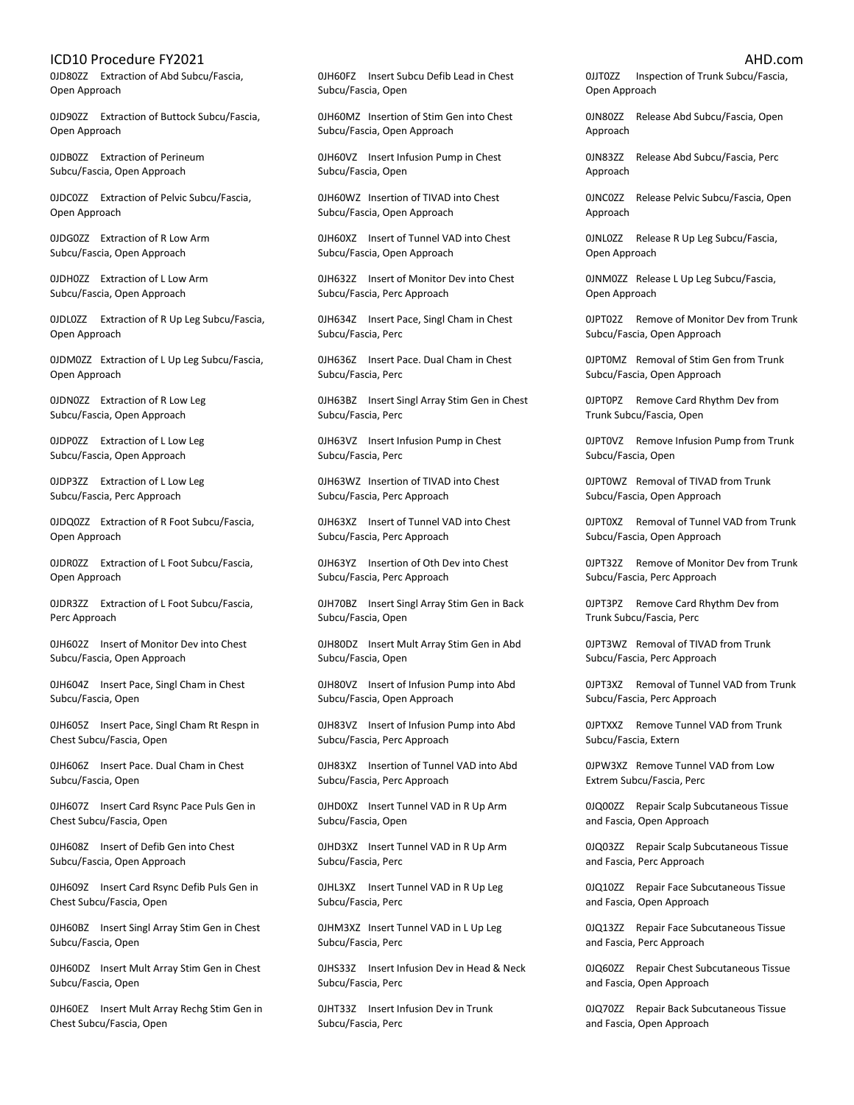0JD80ZZ Extraction of Abd Subcu/Fascia, Open Approach

0JD90ZZ Extraction of Buttock Subcu/Fascia, Open Approach

0JDB0ZZ Extraction of Perineum Subcu/Fascia, Open Approach

0JDC0ZZ Extraction of Pelvic Subcu/Fascia, Open Approach

0JDG0ZZ Extraction of R Low Arm Subcu/Fascia, Open Approach

0JDH0ZZ Extraction of L Low Arm Subcu/Fascia, Open Approach

0JDL0ZZ Extraction of R Up Leg Subcu/Fascia, Open Approach

0JDM0ZZ Extraction of L Up Leg Subcu/Fascia, Open Approach

0JDN0ZZ Extraction of R Low Leg Subcu/Fascia, Open Approach

0JDP0ZZ Extraction of L Low Leg Subcu/Fascia, Open Approach

0JDP3ZZ Extraction of L Low Leg Subcu/Fascia, Perc Approach

0JDQ0ZZ Extraction of R Foot Subcu/Fascia, Open Approach

0JDR0ZZ Extraction of L Foot Subcu/Fascia, Open Approach

0JDR3ZZ Extraction of L Foot Subcu/Fascia, Perc Approach

0JH602Z Insert of Monitor Dev into Chest Subcu/Fascia, Open Approach

0JH604Z Insert Pace, Singl Cham in Chest Subcu/Fascia, Open

0JH605Z Insert Pace, Singl Cham Rt Respn in Chest Subcu/Fascia, Open

0JH606Z Insert Pace. Dual Cham in Chest Subcu/Fascia, Open

0JH607Z Insert Card Rsync Pace Puls Gen in Chest Subcu/Fascia, Open

0JH608Z Insert of Defib Gen into Chest Subcu/Fascia, Open Approach

0JH609Z Insert Card Rsync Defib Puls Gen in Chest Subcu/Fascia, Open

0JH60BZ Insert Singl Array Stim Gen in Chest Subcu/Fascia, Open

0JH60DZ Insert Mult Array Stim Gen in Chest Subcu/Fascia, Open

0JH60EZ Insert Mult Array Rechg Stim Gen in Chest Subcu/Fascia, Open

0JH60FZ Insert Subcu Defib Lead in Chest Subcu/Fascia, Open

0JH60MZ Insertion of Stim Gen into Chest Subcu/Fascia, Open Approach

0JH60VZ Insert Infusion Pump in Chest Subcu/Fascia, Open

0JH60WZ Insertion of TIVAD into Chest Subcu/Fascia, Open Approach

0JH60XZ Insert of Tunnel VAD into Chest Subcu/Fascia, Open Approach

0JH632Z Insert of Monitor Dev into Chest Subcu/Fascia, Perc Approach

0JH634Z Insert Pace, Singl Cham in Chest Subcu/Fascia, Perc

0JH636Z Insert Pace. Dual Cham in Chest Subcu/Fascia, Perc

0JH63BZ Insert Singl Array Stim Gen in Chest Subcu/Fascia, Perc

0JH63VZ Insert Infusion Pump in Chest Subcu/Fascia, Perc

0JH63WZ Insertion of TIVAD into Chest Subcu/Fascia, Perc Approach

0JH63XZ Insert of Tunnel VAD into Chest Subcu/Fascia, Perc Approach

0JH63YZ Insertion of Oth Dev into Chest Subcu/Fascia, Perc Approach

0JH70BZ Insert Singl Array Stim Gen in Back Subcu/Fascia, Open

0JH80DZ Insert Mult Array Stim Gen in Abd Subcu/Fascia, Open

0JH80VZ Insert of Infusion Pump into Abd Subcu/Fascia, Open Approach

0JH83VZ Insert of Infusion Pump into Abd Subcu/Fascia, Perc Approach

0JH83XZ Insertion of Tunnel VAD into Abd Subcu/Fascia, Perc Approach

0JHD0XZ Insert Tunnel VAD in R Up Arm Subcu/Fascia, Open

0JHD3XZ Insert Tunnel VAD in R Up Arm Subcu/Fascia, Perc

0JHL3XZ Insert Tunnel VAD in R Up Leg Subcu/Fascia, Perc

0JHM3XZ Insert Tunnel VAD in L Up Leg Subcu/Fascia, Perc

0JHS33Z Insert Infusion Dev in Head & Neck Subcu/Fascia, Perc

0JHT33Z Insert Infusion Dev in Trunk Subcu/Fascia, Perc

0JJT0ZZ Inspection of Trunk Subcu/Fascia, Open Approach

0JN80ZZ Release Abd Subcu/Fascia, Open Approach

0JN83ZZ Release Abd Subcu/Fascia, Perc Approach

0JNC0ZZ Release Pelvic Subcu/Fascia, Open Approach

0JNL0ZZ Release R Up Leg Subcu/Fascia, Open Approach

0JNM0ZZ Release L Up Leg Subcu/Fascia, Open Approach

0JPT02Z Remove of Monitor Dev from Trunk Subcu/Fascia, Open Approach

0JPT0MZ Removal of Stim Gen from Trunk Subcu/Fascia, Open Approach

0JPT0PZ Remove Card Rhythm Dev from Trunk Subcu/Fascia, Open

0JPT0VZ Remove Infusion Pump from Trunk Subcu/Fascia, Open

0JPT0WZ Removal of TIVAD from Trunk Subcu/Fascia, Open Approach

0JPT0XZ Removal of Tunnel VAD from Trunk Subcu/Fascia, Open Approach

0JPT32Z Remove of Monitor Dev from Trunk Subcu/Fascia, Perc Approach

0JPT3PZ Remove Card Rhythm Dev from Trunk Subcu/Fascia, Perc

0JPT3WZ Removal of TIVAD from Trunk Subcu/Fascia, Perc Approach

0JPT3XZ Removal of Tunnel VAD from Trunk Subcu/Fascia, Perc Approach

0JPTXXZ Remove Tunnel VAD from Trunk Subcu/Fascia, Extern

0JPW3XZ Remove Tunnel VAD from Low Extrem Subcu/Fascia, Perc

0JQ00ZZ Repair Scalp Subcutaneous Tissue and Fascia, Open Approach

0JQ03ZZ Repair Scalp Subcutaneous Tissue and Fascia, Perc Approach

0JQ10ZZ Repair Face Subcutaneous Tissue and Fascia, Open Approach

0JQ13ZZ Repair Face Subcutaneous Tissue and Fascia, Perc Approach

0JQ60ZZ Repair Chest Subcutaneous Tissue and Fascia, Open Approach

0JQ70ZZ Repair Back Subcutaneous Tissue and Fascia, Open Approach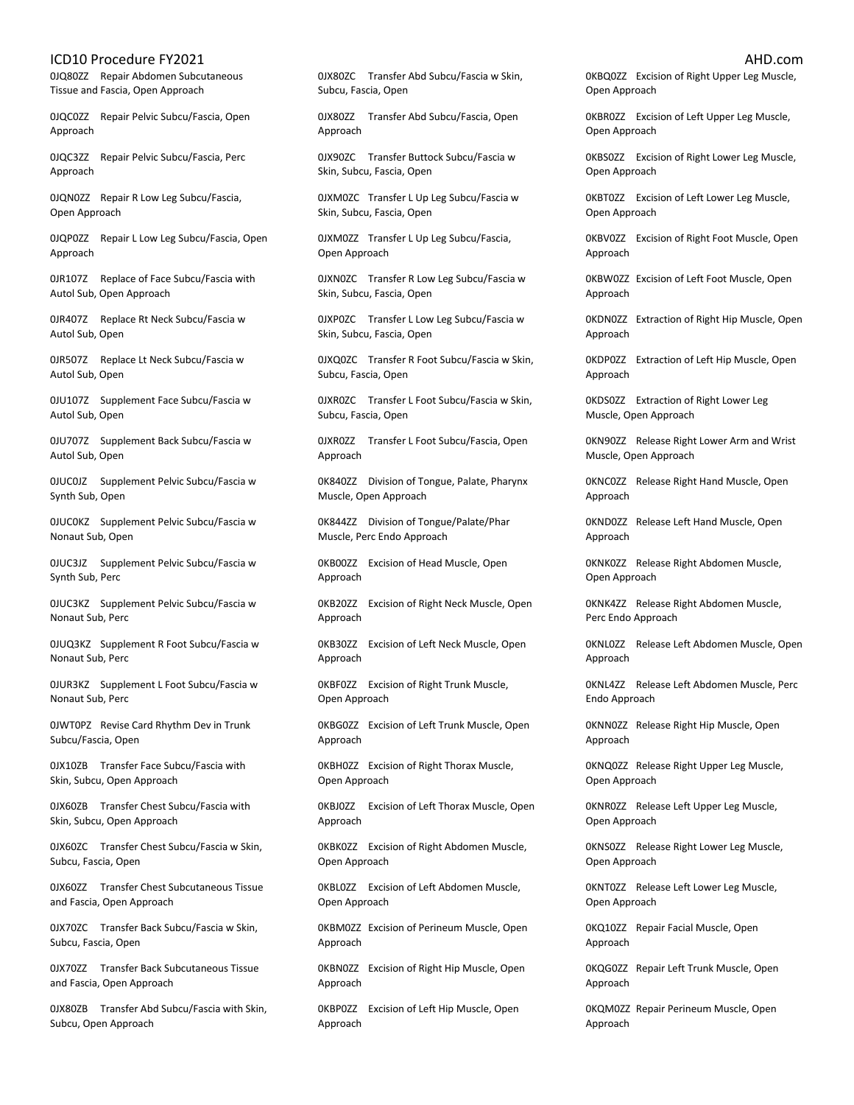0JQ80ZZ Repair Abdomen Subcutaneous Tissue and Fascia, Open Approach

0JQC0ZZ Repair Pelvic Subcu/Fascia, Open Approach

0JQC3ZZ Repair Pelvic Subcu/Fascia, Perc Approach

0JQN0ZZ Repair R Low Leg Subcu/Fascia, Open Approach

0JQP0ZZ Repair L Low Leg Subcu/Fascia, Open Approach

0JR107Z Replace of Face Subcu/Fascia with Autol Sub, Open Approach

0JR407Z Replace Rt Neck Subcu/Fascia w Autol Sub, Open

0JR507Z Replace Lt Neck Subcu/Fascia w Autol Sub, Open

0JU107Z Supplement Face Subcu/Fascia w Autol Sub, Open

0JU707Z Supplement Back Subcu/Fascia w Autol Sub, Open

0JUC0JZ Supplement Pelvic Subcu/Fascia w Synth Sub, Open

0JUC0KZ Supplement Pelvic Subcu/Fascia w Nonaut Sub, Open

0JUC3JZ Supplement Pelvic Subcu/Fascia w Synth Sub, Perc

0JUC3KZ Supplement Pelvic Subcu/Fascia w Nonaut Sub, Perc

0JUQ3KZ Supplement R Foot Subcu/Fascia w Nonaut Sub, Perc

0JUR3KZ Supplement L Foot Subcu/Fascia w Nonaut Sub, Perc

0JWT0PZ Revise Card Rhythm Dev in Trunk Subcu/Fascia, Open

0JX10ZB Transfer Face Subcu/Fascia with Skin, Subcu, Open Approach

0JX60ZB Transfer Chest Subcu/Fascia with Skin, Subcu, Open Approach

0JX60ZC Transfer Chest Subcu/Fascia w Skin, Subcu, Fascia, Open

0JX60ZZ Transfer Chest Subcutaneous Tissue and Fascia, Open Approach

0JX70ZC Transfer Back Subcu/Fascia w Skin, Subcu, Fascia, Open

0JX70ZZ Transfer Back Subcutaneous Tissue and Fascia, Open Approach

0JX80ZB Transfer Abd Subcu/Fascia with Skin, Subcu, Open Approach

0JX80ZC Transfer Abd Subcu/Fascia w Skin, Subcu, Fascia, Open

0JX80ZZ Transfer Abd Subcu/Fascia, Open Approach

0JX90ZC Transfer Buttock Subcu/Fascia w Skin, Subcu, Fascia, Open

0JXM0ZC Transfer L Up Leg Subcu/Fascia w Skin, Subcu, Fascia, Open

0JXM0ZZ Transfer L Up Leg Subcu/Fascia, Open Approach

0JXN0ZC Transfer R Low Leg Subcu/Fascia w Skin, Subcu, Fascia, Open

0JXP0ZC Transfer L Low Leg Subcu/Fascia w Skin, Subcu, Fascia, Open

0JXQ0ZC Transfer R Foot Subcu/Fascia w Skin, Subcu, Fascia, Open

0JXR0ZC Transfer L Foot Subcu/Fascia w Skin, Subcu, Fascia, Open

0JXR0ZZ Transfer L Foot Subcu/Fascia, Open Approach

0K840ZZ Division of Tongue, Palate, Pharynx Muscle, Open Approach

0K844ZZ Division of Tongue/Palate/Phar Muscle, Perc Endo Approach

0KB00ZZ Excision of Head Muscle, Open Approach

0KB20ZZ Excision of Right Neck Muscle, Open Approach

0KB30ZZ Excision of Left Neck Muscle, Open Approach

0KBF0ZZ Excision of Right Trunk Muscle, Open Approach

0KBG0ZZ Excision of Left Trunk Muscle, Open Approach

0KBH0ZZ Excision of Right Thorax Muscle, Open Approach

0KBJ0ZZ Excision of Left Thorax Muscle, Open Approach

0KBK0ZZ Excision of Right Abdomen Muscle, Open Approach

0KBL0ZZ Excision of Left Abdomen Muscle, Open Approach

0KBM0ZZ Excision of Perineum Muscle, Open Approach

0KBN0ZZ Excision of Right Hip Muscle, Open Approach

0KBP0ZZ Excision of Left Hip Muscle, Open Approach

0KBQ0ZZ Excision of Right Upper Leg Muscle, Open Approach

0KBR0ZZ Excision of Left Upper Leg Muscle, Open Approach

0KBS0ZZ Excision of Right Lower Leg Muscle, Open Approach

0KBT0ZZ Excision of Left Lower Leg Muscle, Open Approach

0KBV0ZZ Excision of Right Foot Muscle, Open Approach

0KBW0ZZ Excision of Left Foot Muscle, Open Approach

0KDN0ZZ Extraction of Right Hip Muscle, Open Approach

0KDP0ZZ Extraction of Left Hip Muscle, Open Approach

0KDS0ZZ Extraction of Right Lower Leg Muscle, Open Approach

0KN90ZZ Release Right Lower Arm and Wrist Muscle, Open Approach

0KNC0ZZ Release Right Hand Muscle, Open Approach

0KND0ZZ Release Left Hand Muscle, Open Approach

0KNK0ZZ Release Right Abdomen Muscle, Open Approach

0KNK4ZZ Release Right Abdomen Muscle, Perc Endo Approach

0KNL0ZZ Release Left Abdomen Muscle, Open Approach

0KNL4ZZ Release Left Abdomen Muscle, Perc Endo Approach

0KNN0ZZ Release Right Hip Muscle, Open Approach

0KNQ0ZZ Release Right Upper Leg Muscle, Open Approach

0KNR0ZZ Release Left Upper Leg Muscle, Open Approach

0KNS0ZZ Release Right Lower Leg Muscle, Open Approach

0KNT0ZZ Release Left Lower Leg Muscle, Open Approach

0KQ10ZZ Repair Facial Muscle, Open Approach

0KQG0ZZ Repair Left Trunk Muscle, Open Approach

0KQM0ZZ Repair Perineum Muscle, Open Approach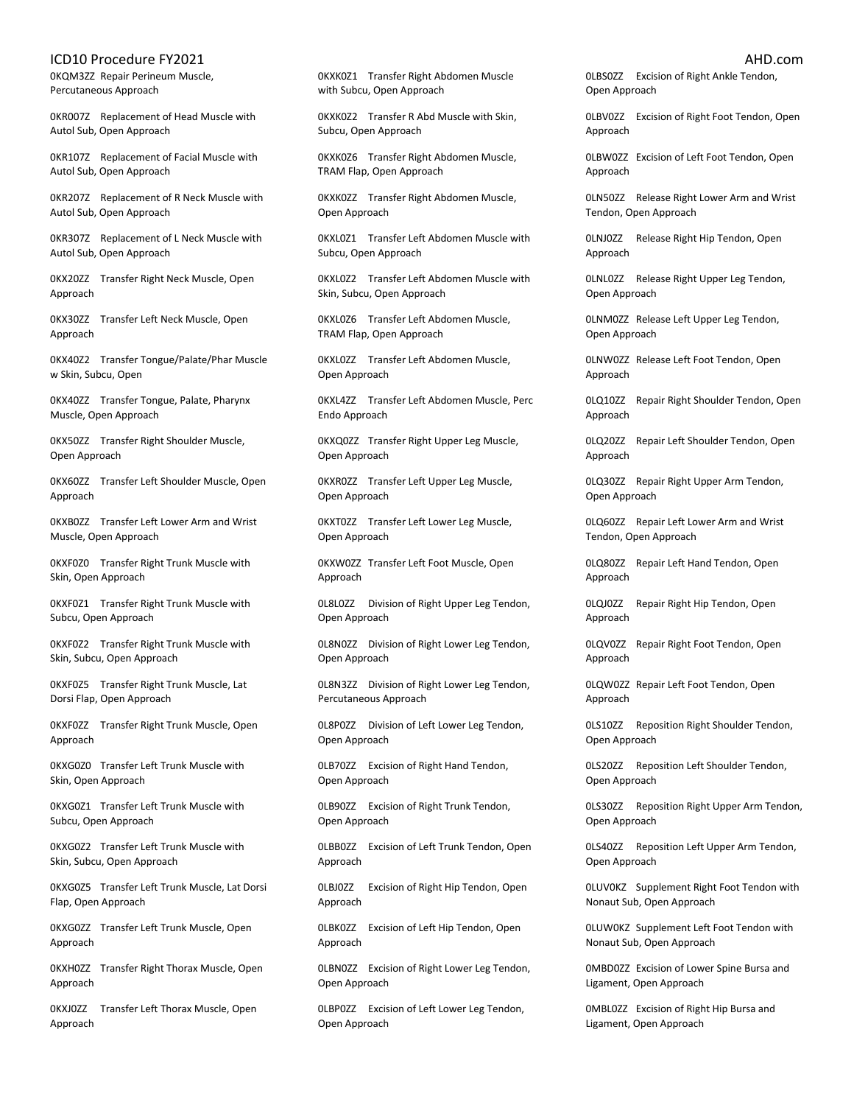0KQM3ZZ Repair Perineum Muscle, Percutaneous Approach

0KR007Z Replacement of Head Muscle with Autol Sub, Open Approach

0KR107Z Replacement of Facial Muscle with Autol Sub, Open Approach

0KR207Z Replacement of R Neck Muscle with Autol Sub, Open Approach

0KR307Z Replacement of L Neck Muscle with Autol Sub, Open Approach

0KX20ZZ Transfer Right Neck Muscle, Open Approach

0KX30ZZ Transfer Left Neck Muscle, Open Approach

0KX40Z2 Transfer Tongue/Palate/Phar Muscle w Skin, Subcu, Open

0KX40ZZ Transfer Tongue, Palate, Pharynx Muscle, Open Approach

0KX50ZZ Transfer Right Shoulder Muscle, Open Approach

0KX60ZZ Transfer Left Shoulder Muscle, Open Approach

0KXB0ZZ Transfer Left Lower Arm and Wrist Muscle, Open Approach

0KXF0Z0 Transfer Right Trunk Muscle with Skin, Open Approach

0KXF0Z1 Transfer Right Trunk Muscle with Subcu, Open Approach

0KXF0Z2 Transfer Right Trunk Muscle with Skin, Subcu, Open Approach

0KXF0Z5 Transfer Right Trunk Muscle, Lat Dorsi Flap, Open Approach

0KXF0ZZ Transfer Right Trunk Muscle, Open Approach

0KXG0Z0 Transfer Left Trunk Muscle with Skin, Open Approach

0KXG0Z1 Transfer Left Trunk Muscle with Subcu, Open Approach

0KXG0Z2 Transfer Left Trunk Muscle with Skin, Subcu, Open Approach

0KXG0Z5 Transfer Left Trunk Muscle, Lat Dorsi Flap, Open Approach

0KXG0ZZ Transfer Left Trunk Muscle, Open Approach

0KXH0ZZ Transfer Right Thorax Muscle, Open Approach

0KXJ0ZZ Transfer Left Thorax Muscle, Open Approach

0KXK0Z1 Transfer Right Abdomen Muscle with Subcu, Open Approach

0KXK0Z2 Transfer R Abd Muscle with Skin, Subcu, Open Approach

0KXK0Z6 Transfer Right Abdomen Muscle, TRAM Flap, Open Approach

0KXK0ZZ Transfer Right Abdomen Muscle, Open Approach

0KXL0Z1 Transfer Left Abdomen Muscle with Subcu, Open Approach

0KXL0Z2 Transfer Left Abdomen Muscle with Skin, Subcu, Open Approach

0KXL0Z6 Transfer Left Abdomen Muscle, TRAM Flap, Open Approach

0KXL0ZZ Transfer Left Abdomen Muscle, Open Approach

0KXL4ZZ Transfer Left Abdomen Muscle, Perc Endo Approach

0KXQ0ZZ Transfer Right Upper Leg Muscle, Open Approach

0KXR0ZZ Transfer Left Upper Leg Muscle, Open Approach

0KXT0ZZ Transfer Left Lower Leg Muscle, Open Approach

0KXW0ZZ Transfer Left Foot Muscle, Open Approach

0L8L0ZZ Division of Right Upper Leg Tendon, Open Approach

0L8N0ZZ Division of Right Lower Leg Tendon, Open Approach

0L8N3ZZ Division of Right Lower Leg Tendon, Percutaneous Approach

0L8P0ZZ Division of Left Lower Leg Tendon, Open Approach

0LB70ZZ Excision of Right Hand Tendon, Open Approach

0LB90ZZ Excision of Right Trunk Tendon, Open Approach

0LBB0ZZ Excision of Left Trunk Tendon, Open Approach

0LBJ0ZZ Excision of Right Hip Tendon, Open Approach

0LBK0ZZ Excision of Left Hip Tendon, Open Approach

0LBN0ZZ Excision of Right Lower Leg Tendon, Open Approach

0LBP0ZZ Excision of Left Lower Leg Tendon, Open Approach

0LBS0ZZ Excision of Right Ankle Tendon, Open Approach

0LBV0ZZ Excision of Right Foot Tendon, Open Approach

0LBW0ZZ Excision of Left Foot Tendon, Open Approach

0LN50ZZ Release Right Lower Arm and Wrist Tendon, Open Approach

0LNJ0ZZ Release Right Hip Tendon, Open Approach

0LNL0ZZ Release Right Upper Leg Tendon, Open Approach

0LNM0ZZ Release Left Upper Leg Tendon, Open Approach

0LNW0ZZ Release Left Foot Tendon, Open Approach

0LQ10ZZ Repair Right Shoulder Tendon, Open Approach

0LQ20ZZ Repair Left Shoulder Tendon, Open Approach

0LQ30ZZ Repair Right Upper Arm Tendon, Open Approach

0LQ60ZZ Repair Left Lower Arm and Wrist Tendon, Open Approach

0LQ80ZZ Repair Left Hand Tendon, Open Approach

0LQJ0ZZ Repair Right Hip Tendon, Open Approach

0LQV0ZZ Repair Right Foot Tendon, Open Approach

0LQW0ZZ Repair Left Foot Tendon, Open Approach

0LS10ZZ Reposition Right Shoulder Tendon, Open Approach

0LS20ZZ Reposition Left Shoulder Tendon, Open Approach

0LS30ZZ Reposition Right Upper Arm Tendon, Open Approach

0LS40ZZ Reposition Left Upper Arm Tendon, Open Approach

0LUV0KZ Supplement Right Foot Tendon with Nonaut Sub, Open Approach

0LUW0KZ Supplement Left Foot Tendon with Nonaut Sub, Open Approach

0MBD0ZZ Excision of Lower Spine Bursa and Ligament, Open Approach

0MBL0ZZ Excision of Right Hip Bursa and Ligament, Open Approach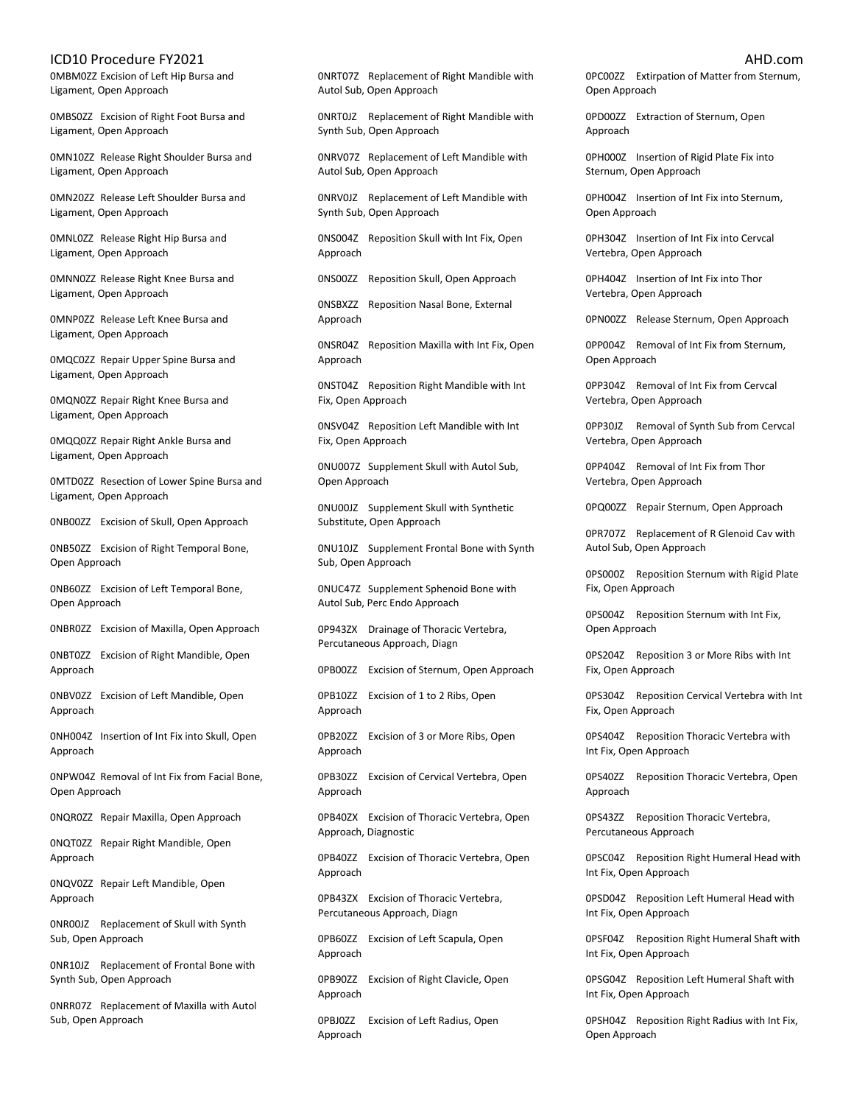0MBM0ZZ Excision of Left Hip Bursa and Ligament, Open Approach

0MBS0ZZ Excision of Right Foot Bursa and Ligament, Open Approach

0MN10ZZ Release Right Shoulder Bursa and Ligament, Open Approach

0MN20ZZ Release Left Shoulder Bursa and Ligament, Open Approach

0MNL0ZZ Release Right Hip Bursa and Ligament, Open Approach

0MNN0ZZ Release Right Knee Bursa and Ligament, Open Approach

0MNP0ZZ Release Left Knee Bursa and Ligament, Open Approach

0MQC0ZZ Repair Upper Spine Bursa and Ligament, Open Approach

0MQN0ZZ Repair Right Knee Bursa and Ligament, Open Approach

0MQQ0ZZ Repair Right Ankle Bursa and Ligament, Open Approach

0MTD0ZZ Resection of Lower Spine Bursa and Ligament, Open Approach

0NB00ZZ Excision of Skull, Open Approach

0NB50ZZ Excision of Right Temporal Bone, Open Approach

0NB60ZZ Excision of Left Temporal Bone, Open Approach

0NBR0ZZ Excision of Maxilla, Open Approach

0NBT0ZZ Excision of Right Mandible, Open Approach

0NBV0ZZ Excision of Left Mandible, Open Approach

0NH004Z Insertion of Int Fix into Skull, Open Approach

0NPW04Z Removal of Int Fix from Facial Bone, Open Approach

0NQR0ZZ Repair Maxilla, Open Approach

0NQT0ZZ Repair Right Mandible, Open Approach

0NQV0ZZ Repair Left Mandible, Open Approach

0NR00JZ Replacement of Skull with Synth Sub, Open Approach

0NR10JZ Replacement of Frontal Bone with Synth Sub, Open Approach

0NRR07Z Replacement of Maxilla with Autol Sub, Open Approach

0NRT07Z Replacement of Right Mandible with Autol Sub, Open Approach

0NRT0JZ Replacement of Right Mandible with Synth Sub, Open Approach

0NRV07Z Replacement of Left Mandible with Autol Sub, Open Approach

0NRV0JZ Replacement of Left Mandible with Synth Sub, Open Approach

0NS004Z Reposition Skull with Int Fix, Open Approach

0NS00ZZ Reposition Skull, Open Approach

0NSBXZZ Reposition Nasal Bone, External Approach

0NSR04Z Reposition Maxilla with Int Fix, Open Approach

0NST04Z Reposition Right Mandible with Int Fix, Open Approach

0NSV04Z Reposition Left Mandible with Int Fix, Open Approach

0NU007Z Supplement Skull with Autol Sub, Open Approach

0NU00JZ Supplement Skull with Synthetic Substitute, Open Approach

0NU10JZ Supplement Frontal Bone with Synth Sub, Open Approach

0NUC47Z Supplement Sphenoid Bone with Autol Sub, Perc Endo Approach

0P943ZX Drainage of Thoracic Vertebra, Percutaneous Approach, Diagn

0PB00ZZ Excision of Sternum, Open Approach

0PB10ZZ Excision of 1 to 2 Ribs, Open Approach

0PB20ZZ Excision of 3 or More Ribs, Open Approach

0PB30ZZ Excision of Cervical Vertebra, Open Approach

0PB40ZX Excision of Thoracic Vertebra, Open Approach, Diagnostic

0PB40ZZ Excision of Thoracic Vertebra, Open Approach

0PB43ZX Excision of Thoracic Vertebra, Percutaneous Approach, Diagn

0PB60ZZ Excision of Left Scapula, Open Approach

0PB90ZZ Excision of Right Clavicle, Open Approach

0PBJ0ZZ Excision of Left Radius, Open Approach

0PC00ZZ Extirpation of Matter from Sternum, Open Approach

0PD00ZZ Extraction of Sternum, Open Approach

0PH000Z Insertion of Rigid Plate Fix into Sternum, Open Approach

0PH004Z Insertion of Int Fix into Sternum, Open Approach

0PH304Z Insertion of Int Fix into Cervcal Vertebra, Open Approach

0PH404Z Insertion of Int Fix into Thor Vertebra, Open Approach

0PN00ZZ Release Sternum, Open Approach

0PP004Z Removal of Int Fix from Sternum, Open Approach

0PP304Z Removal of Int Fix from Cervcal Vertebra, Open Approach

0PP30JZ Removal of Synth Sub from Cervcal Vertebra, Open Approach

0PP404Z Removal of Int Fix from Thor Vertebra, Open Approach

0PQ00ZZ Repair Sternum, Open Approach

0PR707Z Replacement of R Glenoid Cav with Autol Sub, Open Approach

0PS000Z Reposition Sternum with Rigid Plate Fix, Open Approach

0PS004Z Reposition Sternum with Int Fix, Open Approach

0PS204Z Reposition 3 or More Ribs with Int Fix, Open Approach

0PS304Z Reposition Cervical Vertebra with Int Fix, Open Approach

0PS404Z Reposition Thoracic Vertebra with Int Fix, Open Approach

0PS40ZZ Reposition Thoracic Vertebra, Open Approach

0PS43ZZ Reposition Thoracic Vertebra, Percutaneous Approach

0PSC04Z Reposition Right Humeral Head with Int Fix, Open Approach

0PSD04Z Reposition Left Humeral Head with Int Fix, Open Approach

0PSF04Z Reposition Right Humeral Shaft with Int Fix, Open Approach

0PSG04Z Reposition Left Humeral Shaft with Int Fix, Open Approach

0PSH04Z Reposition Right Radius with Int Fix, Open Approach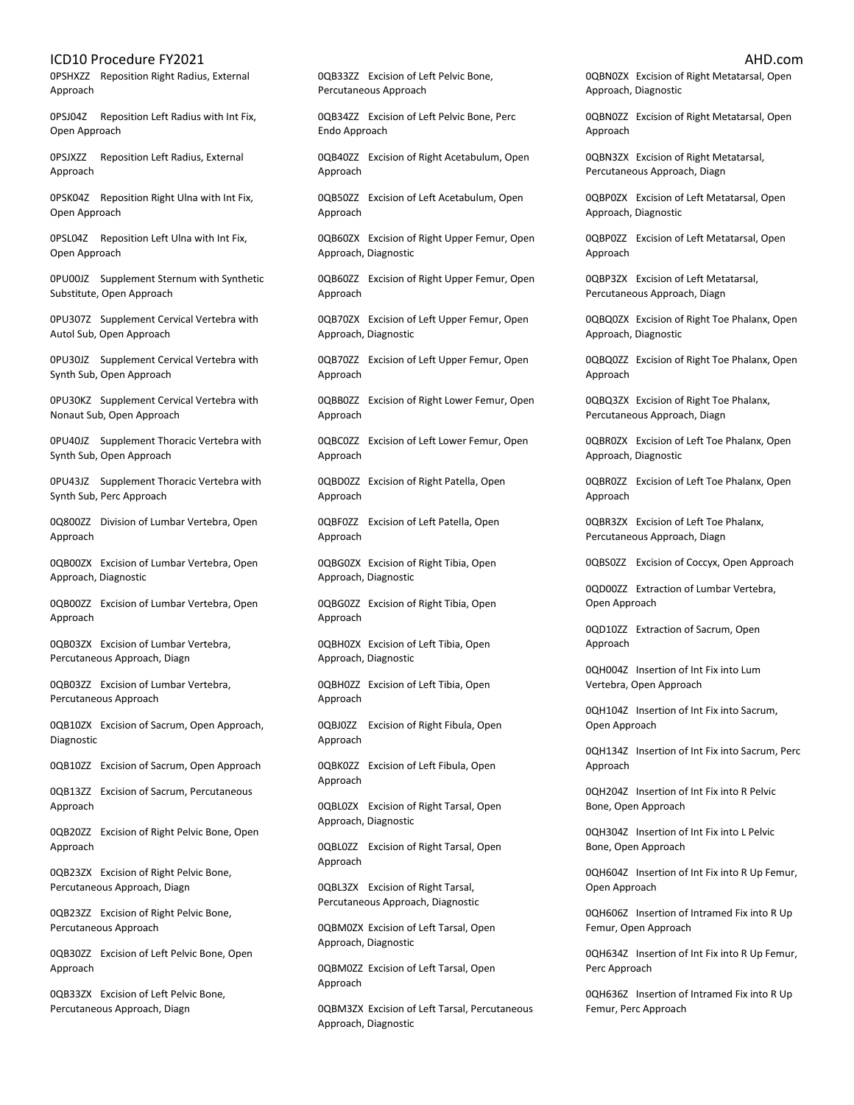0PSHXZZ Reposition Right Radius, External Approach

0PSJ04Z Reposition Left Radius with Int Fix, Open Approach

0PSJXZZ Reposition Left Radius, External Approach

0PSK04Z Reposition Right Ulna with Int Fix, Open Approach

0PSL04Z Reposition Left Ulna with Int Fix, Open Approach

0PU00JZ Supplement Sternum with Synthetic Substitute, Open Approach

0PU307Z Supplement Cervical Vertebra with Autol Sub, Open Approach

0PU30JZ Supplement Cervical Vertebra with Synth Sub, Open Approach

0PU30KZ Supplement Cervical Vertebra with Nonaut Sub, Open Approach

0PU40JZ Supplement Thoracic Vertebra with Synth Sub, Open Approach

0PU43JZ Supplement Thoracic Vertebra with Synth Sub, Perc Approach

0Q800ZZ Division of Lumbar Vertebra, Open Approach

0QB00ZX Excision of Lumbar Vertebra, Open Approach, Diagnostic

0QB00ZZ Excision of Lumbar Vertebra, Open Approach

0QB03ZX Excision of Lumbar Vertebra, Percutaneous Approach, Diagn

0QB03ZZ Excision of Lumbar Vertebra, Percutaneous Approach

0QB10ZX Excision of Sacrum, Open Approach, Diagnostic

0QB10ZZ Excision of Sacrum, Open Approach

0QB13ZZ Excision of Sacrum, Percutaneous Approach

0QB20ZZ Excision of Right Pelvic Bone, Open Approach

0QB23ZX Excision of Right Pelvic Bone, Percutaneous Approach, Diagn

0QB23ZZ Excision of Right Pelvic Bone, Percutaneous Approach

0QB30ZZ Excision of Left Pelvic Bone, Open Approach

0QB33ZX Excision of Left Pelvic Bone, Percutaneous Approach, Diagn

0QB33ZZ Excision of Left Pelvic Bone, Percutaneous Approach

0QB34ZZ Excision of Left Pelvic Bone, Perc Endo Approach

0QB40ZZ Excision of Right Acetabulum, Open Approach

0QB50ZZ Excision of Left Acetabulum, Open Approach

0QB60ZX Excision of Right Upper Femur, Open Approach, Diagnostic

0QB60ZZ Excision of Right Upper Femur, Open Approach

0QB70ZX Excision of Left Upper Femur, Open Approach, Diagnostic

0QB70ZZ Excision of Left Upper Femur, Open Approach

0QBB0ZZ Excision of Right Lower Femur, Open Approach

0QBC0ZZ Excision of Left Lower Femur, Open Approach

0QBD0ZZ Excision of Right Patella, Open Approach

0QBF0ZZ Excision of Left Patella, Open Approach

0QBG0ZX Excision of Right Tibia, Open Approach, Diagnostic

0QBG0ZZ Excision of Right Tibia, Open Approach

0QBH0ZX Excision of Left Tibia, Open Approach, Diagnostic

0QBH0ZZ Excision of Left Tibia, Open Approach

0QBJ0ZZ Excision of Right Fibula, Open Approach

0QBK0ZZ Excision of Left Fibula, Open Approach

0QBL0ZX Excision of Right Tarsal, Open Approach, Diagnostic

0QBL0ZZ Excision of Right Tarsal, Open Approach

0QBL3ZX Excision of Right Tarsal, Percutaneous Approach, Diagnostic

0QBM0ZX Excision of Left Tarsal, Open Approach, Diagnostic

0QBM0ZZ Excision of Left Tarsal, Open Approach

0QBM3ZX Excision of Left Tarsal, Percutaneous Approach, Diagnostic

0QBN0ZX Excision of Right Metatarsal, Open Approach, Diagnostic

0QBN0ZZ Excision of Right Metatarsal, Open Approach

0QBN3ZX Excision of Right Metatarsal, Percutaneous Approach, Diagn

0QBP0ZX Excision of Left Metatarsal, Open Approach, Diagnostic

0QBP0ZZ Excision of Left Metatarsal, Open Approach

0QBP3ZX Excision of Left Metatarsal, Percutaneous Approach, Diagn

0QBQ0ZX Excision of Right Toe Phalanx, Open Approach, Diagnostic

0QBQ0ZZ Excision of Right Toe Phalanx, Open Approach

0QBQ3ZX Excision of Right Toe Phalanx, Percutaneous Approach, Diagn

0QBR0ZX Excision of Left Toe Phalanx, Open Approach, Diagnostic

0QBR0ZZ Excision of Left Toe Phalanx, Open Approach

0QBR3ZX Excision of Left Toe Phalanx, Percutaneous Approach, Diagn

0QBS0ZZ Excision of Coccyx, Open Approach

0QD00ZZ Extraction of Lumbar Vertebra, Open Approach

0QD10ZZ Extraction of Sacrum, Open Approach

0QH004Z Insertion of Int Fix into Lum Vertebra, Open Approach

0QH104Z Insertion of Int Fix into Sacrum, Open Approach

0QH134Z Insertion of Int Fix into Sacrum, Perc Approach

0QH204Z Insertion of Int Fix into R Pelvic Bone, Open Approach

0QH304Z Insertion of Int Fix into L Pelvic Bone, Open Approach

0QH604Z Insertion of Int Fix into R Up Femur, Open Approach

0QH606Z Insertion of Intramed Fix into R Up Femur, Open Approach

0QH634Z Insertion of Int Fix into R Up Femur, Perc Approach

0QH636Z Insertion of Intramed Fix into R Up Femur, Perc Approach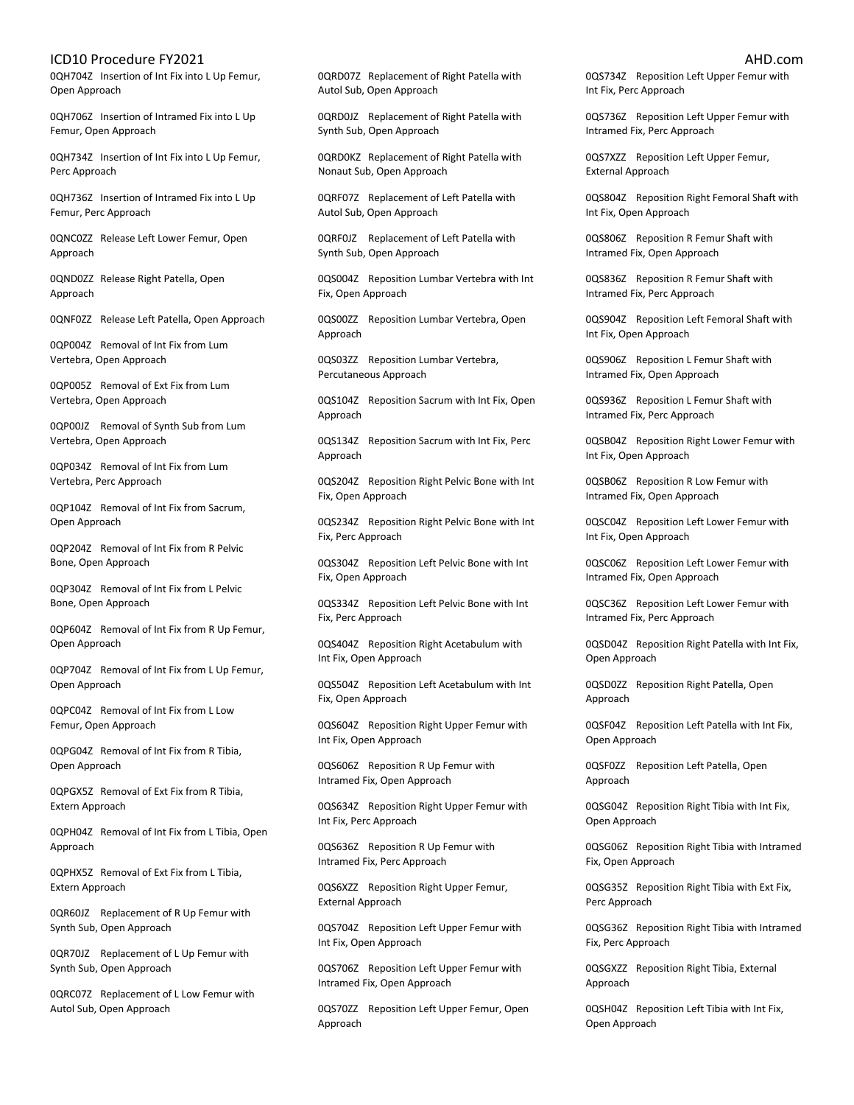0QH704Z Insertion of Int Fix into L Up Femur, Open Approach

0QH706Z Insertion of Intramed Fix into L Up Femur, Open Approach

0QH734Z Insertion of Int Fix into L Up Femur, Perc Approach

0QH736Z Insertion of Intramed Fix into L Up Femur, Perc Approach

0QNC0ZZ Release Left Lower Femur, Open Approach

0QND0ZZ Release Right Patella, Open Approach

0QNF0ZZ Release Left Patella, Open Approach

0QP004Z Removal of Int Fix from Lum Vertebra, Open Approach

0QP005Z Removal of Ext Fix from Lum Vertebra, Open Approach

0QP00JZ Removal of Synth Sub from Lum Vertebra, Open Approach

0QP034Z Removal of Int Fix from Lum Vertebra, Perc Approach

0QP104Z Removal of Int Fix from Sacrum, Open Approach

0QP204Z Removal of Int Fix from R Pelvic Bone, Open Approach

0QP304Z Removal of Int Fix from L Pelvic Bone, Open Approach

0QP604Z Removal of Int Fix from R Up Femur, Open Approach

0QP704Z Removal of Int Fix from L Up Femur, Open Approach

0QPC04Z Removal of Int Fix from L Low Femur, Open Approach

0QPG04Z Removal of Int Fix from R Tibia, Open Approach

0QPGX5Z Removal of Ext Fix from R Tibia, Extern Approach

0QPH04Z Removal of Int Fix from L Tibia, Open Approach

0QPHX5Z Removal of Ext Fix from L Tibia, Extern Approach

0QR60JZ Replacement of R Up Femur with Synth Sub, Open Approach

0QR70JZ Replacement of L Up Femur with Synth Sub, Open Approach

0QRC07Z Replacement of L Low Femur with Autol Sub, Open Approach

0QRD07Z Replacement of Right Patella with Autol Sub, Open Approach

0QRD0JZ Replacement of Right Patella with Synth Sub, Open Approach

0QRD0KZ Replacement of Right Patella with Nonaut Sub, Open Approach

0QRF07Z Replacement of Left Patella with Autol Sub, Open Approach

0QRF0JZ Replacement of Left Patella with Synth Sub, Open Approach

0QS004Z Reposition Lumbar Vertebra with Int Fix, Open Approach

0QS00ZZ Reposition Lumbar Vertebra, Open Approach

0QS03ZZ Reposition Lumbar Vertebra, Percutaneous Approach

0QS104Z Reposition Sacrum with Int Fix, Open Approach

0QS134Z Reposition Sacrum with Int Fix, Perc Approach

0QS204Z Reposition Right Pelvic Bone with Int Fix, Open Approach

0QS234Z Reposition Right Pelvic Bone with Int Fix, Perc Approach

0QS304Z Reposition Left Pelvic Bone with Int Fix, Open Approach

0QS334Z Reposition Left Pelvic Bone with Int Fix, Perc Approach

0QS404Z Reposition Right Acetabulum with Int Fix, Open Approach

0QS504Z Reposition Left Acetabulum with Int Fix, Open Approach

0QS604Z Reposition Right Upper Femur with Int Fix, Open Approach

0QS606Z Reposition R Up Femur with Intramed Fix, Open Approach

0QS634Z Reposition Right Upper Femur with Int Fix, Perc Approach

0QS636Z Reposition R Up Femur with Intramed Fix, Perc Approach

0QS6XZZ Reposition Right Upper Femur, External Approach

0QS704Z Reposition Left Upper Femur with Int Fix, Open Approach

0QS706Z Reposition Left Upper Femur with Intramed Fix, Open Approach

0QS70ZZ Reposition Left Upper Femur, Open Approach

0QS734Z Reposition Left Upper Femur with Int Fix, Perc Approach

0QS736Z Reposition Left Upper Femur with Intramed Fix, Perc Approach

0QS7XZZ Reposition Left Upper Femur, External Approach

0QS804Z Reposition Right Femoral Shaft with Int Fix, Open Approach

0QS806Z Reposition R Femur Shaft with Intramed Fix, Open Approach

0QS836Z Reposition R Femur Shaft with Intramed Fix, Perc Approach

0QS904Z Reposition Left Femoral Shaft with Int Fix, Open Approach

0QS906Z Reposition L Femur Shaft with Intramed Fix, Open Approach

0QS936Z Reposition L Femur Shaft with Intramed Fix, Perc Approach

0QSB04Z Reposition Right Lower Femur with Int Fix, Open Approach

0QSB06Z Reposition R Low Femur with Intramed Fix, Open Approach

0QSC04Z Reposition Left Lower Femur with Int Fix, Open Approach

0QSC06Z Reposition Left Lower Femur with Intramed Fix, Open Approach

0QSC36Z Reposition Left Lower Femur with Intramed Fix, Perc Approach

0QSD04Z Reposition Right Patella with Int Fix, Open Approach

0QSD0ZZ Reposition Right Patella, Open Approach

0QSF04Z Reposition Left Patella with Int Fix, Open Approach

0QSF0ZZ Reposition Left Patella, Open Approach

0QSG04Z Reposition Right Tibia with Int Fix, Open Approach

0QSG06Z Reposition Right Tibia with Intramed Fix, Open Approach

0QSG35Z Reposition Right Tibia with Ext Fix, Perc Approach

0QSG36Z Reposition Right Tibia with Intramed Fix, Perc Approach

0QSGXZZ Reposition Right Tibia, External Approach

0QSH04Z Reposition Left Tibia with Int Fix, Open Approach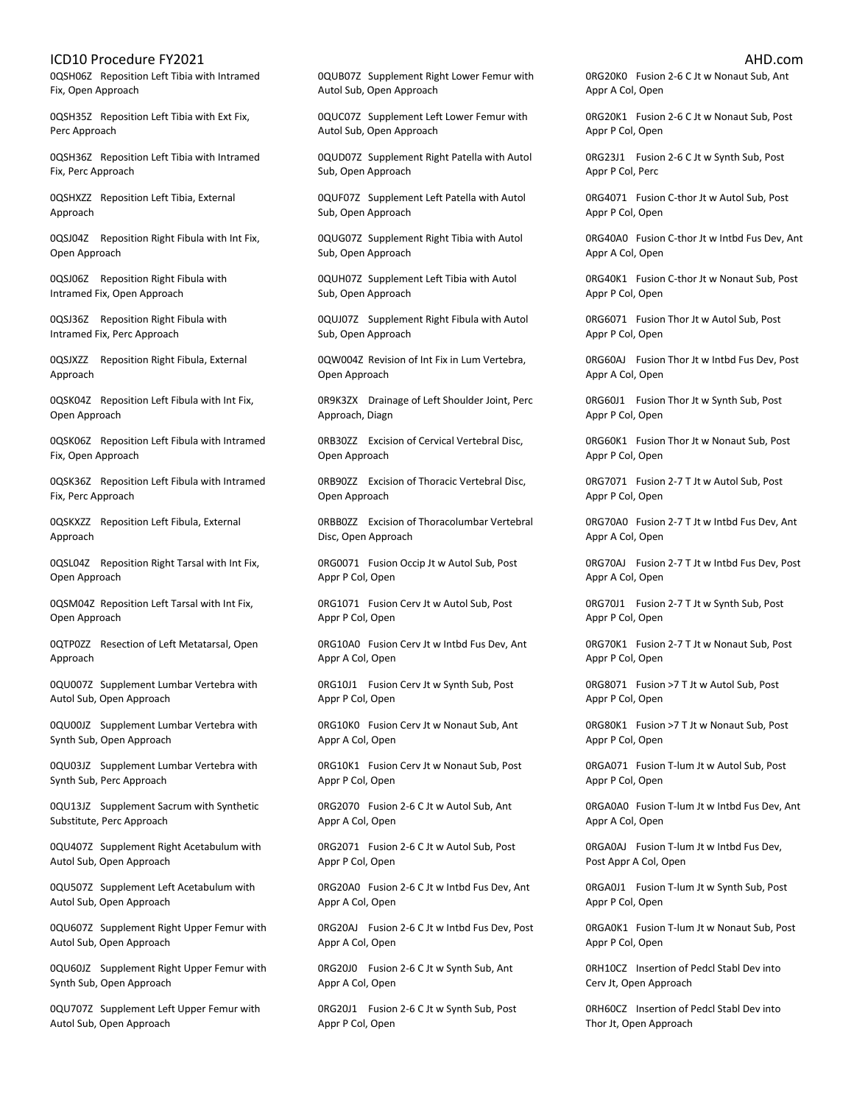0QSH06Z Reposition Left Tibia with Intramed Fix, Open Approach

0QSH35Z Reposition Left Tibia with Ext Fix, Perc Approach

0QSH36Z Reposition Left Tibia with Intramed Fix, Perc Approach

0QSHXZZ Reposition Left Tibia, External Approach

0QSJ04Z Reposition Right Fibula with Int Fix, Open Approach

0QSJ06Z Reposition Right Fibula with Intramed Fix, Open Approach

0QSJ36Z Reposition Right Fibula with Intramed Fix, Perc Approach

0QSJXZZ Reposition Right Fibula, External Approach

0QSK04Z Reposition Left Fibula with Int Fix, Open Approach

0QSK06Z Reposition Left Fibula with Intramed Fix, Open Approach

0QSK36Z Reposition Left Fibula with Intramed Fix, Perc Approach

0QSKXZZ Reposition Left Fibula, External Approach

0QSL04Z Reposition Right Tarsal with Int Fix, Open Approach

0QSM04Z Reposition Left Tarsal with Int Fix, Open Approach

0QTP0ZZ Resection of Left Metatarsal, Open Approach

0QU007Z Supplement Lumbar Vertebra with Autol Sub, Open Approach

0QU00JZ Supplement Lumbar Vertebra with Synth Sub, Open Approach

0QU03JZ Supplement Lumbar Vertebra with Synth Sub, Perc Approach

0QU13JZ Supplement Sacrum with Synthetic Substitute, Perc Approach

0QU407Z Supplement Right Acetabulum with Autol Sub, Open Approach

0QU507Z Supplement Left Acetabulum with Autol Sub, Open Approach

0QU607Z Supplement Right Upper Femur with Autol Sub, Open Approach

0QU60JZ Supplement Right Upper Femur with Synth Sub, Open Approach

0QU707Z Supplement Left Upper Femur with Autol Sub, Open Approach

0QUB07Z Supplement Right Lower Femur with Autol Sub, Open Approach

0QUC07Z Supplement Left Lower Femur with Autol Sub, Open Approach

0QUD07Z Supplement Right Patella with Autol Sub, Open Approach

0QUF07Z Supplement Left Patella with Autol Sub, Open Approach

0QUG07Z Supplement Right Tibia with Autol Sub, Open Approach

0QUH07Z Supplement Left Tibia with Autol Sub, Open Approach

0QUJ07Z Supplement Right Fibula with Autol Sub, Open Approach

0QW004Z Revision of Int Fix in Lum Vertebra, Open Approach

0R9K3ZX Drainage of Left Shoulder Joint, Perc Approach, Diagn

0RB30ZZ Excision of Cervical Vertebral Disc, Open Approach

0RB90ZZ Excision of Thoracic Vertebral Disc, Open Approach

0RBB0ZZ Excision of Thoracolumbar Vertebral Disc, Open Approach

0RG0071 Fusion Occip Jt w Autol Sub, Post Appr P Col, Open

0RG1071 Fusion Cerv Jt w Autol Sub, Post Appr P Col, Open

0RG10A0 Fusion Cerv Jt w Intbd Fus Dev, Ant Appr A Col, Open

0RG10J1 Fusion Cerv Jt w Synth Sub, Post Appr P Col, Open

0RG10K0 Fusion Cerv Jt w Nonaut Sub, Ant Appr A Col, Open

0RG10K1 Fusion Cerv Jt w Nonaut Sub, Post Appr P Col, Open

0RG2070 Fusion 2-6 C Jt w Autol Sub, Ant Appr A Col, Open

0RG2071 Fusion 2-6 C Jt w Autol Sub, Post Appr P Col, Open

0RG20A0 Fusion 2-6 C Jt w Intbd Fus Dev, Ant Appr A Col, Open

0RG20AJ Fusion 2-6 C Jt w Intbd Fus Dev, Post Appr A Col, Open

0RG20J0 Fusion 2-6 C Jt w Synth Sub, Ant Appr A Col, Open

0RG20J1 Fusion 2-6 C Jt w Synth Sub, Post Appr P Col, Open

0RG20K0 Fusion 2-6 C Jt w Nonaut Sub, Ant Appr A Col, Open

0RG20K1 Fusion 2-6 C Jt w Nonaut Sub, Post Appr P Col, Open

0RG23J1 Fusion 2-6 C Jt w Synth Sub, Post Appr P Col, Perc

0RG4071 Fusion C-thor Jt w Autol Sub, Post Appr P Col, Open

0RG40A0 Fusion C-thor Jt w Intbd Fus Dev, Ant Appr A Col, Open

0RG40K1 Fusion C-thor Jt w Nonaut Sub, Post Appr P Col, Open

0RG6071 Fusion Thor Jt w Autol Sub, Post Appr P Col, Open

0RG60AJ Fusion Thor Jt w Intbd Fus Dev, Post Appr A Col, Open

0RG60J1 Fusion Thor Jt w Synth Sub, Post Appr P Col, Open

0RG60K1 Fusion Thor Jt w Nonaut Sub, Post Appr P Col, Open

0RG7071 Fusion 2-7 T Jt w Autol Sub, Post Appr P Col, Open

0RG70A0 Fusion 2-7 T Jt w Intbd Fus Dev, Ant Appr A Col, Open

0RG70AJ Fusion 2-7 T Jt w Intbd Fus Dev, Post Appr A Col, Open

0RG70J1 Fusion 2-7 T Jt w Synth Sub, Post Appr P Col, Open

0RG70K1 Fusion 2-7 T Jt w Nonaut Sub, Post Appr P Col, Open

0RG8071 Fusion >7 T Jt w Autol Sub, Post Appr P Col, Open

0RG80K1 Fusion >7 T Jt w Nonaut Sub, Post Appr P Col, Open

0RGA071 Fusion T-lum Jt w Autol Sub, Post Appr P Col, Open

0RGA0A0 Fusion T-lum Jt w Intbd Fus Dev, Ant Appr A Col, Open

0RGA0AJ Fusion T-lum Jt w Intbd Fus Dev, Post Appr A Col, Open

0RGA0J1 Fusion T-lum Jt w Synth Sub, Post Appr P Col, Open

0RGA0K1 Fusion T-lum Jt w Nonaut Sub, Post Appr P Col, Open

0RH10CZ Insertion of Pedcl Stabl Dev into Cerv Jt, Open Approach

0RH60CZ Insertion of Pedcl Stabl Dev into Thor Jt, Open Approach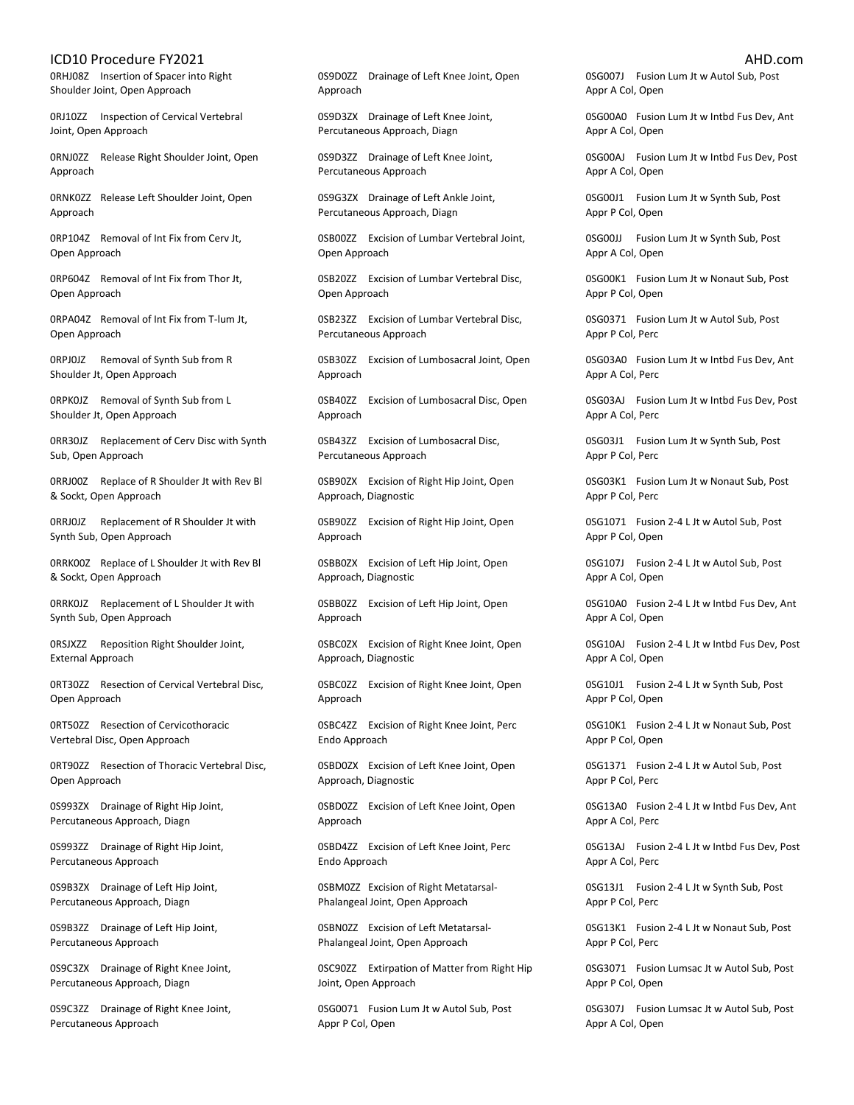0RHJ08Z Insertion of Spacer into Right Shoulder Joint, Open Approach

0RJ10ZZ Inspection of Cervical Vertebral Joint, Open Approach

0RNJ0ZZ Release Right Shoulder Joint, Open Approach

0RNK0ZZ Release Left Shoulder Joint, Open Approach

0RP104Z Removal of Int Fix from Cerv Jt, Open Approach

0RP604Z Removal of Int Fix from Thor Jt, Open Approach

0RPA04Z Removal of Int Fix from T-lum Jt, Open Approach

0RPJ0JZ Removal of Synth Sub from R Shoulder Jt, Open Approach

0RPK0JZ Removal of Synth Sub from L Shoulder Jt, Open Approach

0RR30JZ Replacement of Cerv Disc with Synth Sub, Open Approach

0RRJ00Z Replace of R Shoulder Jt with Rev Bl & Sockt, Open Approach

0RRJ0JZ Replacement of R Shoulder Jt with Synth Sub, Open Approach

0RRK00Z Replace of L Shoulder Jt with Rev Bl & Sockt, Open Approach

0RRK0JZ Replacement of L Shoulder Jt with Synth Sub, Open Approach

0RSJXZZ Reposition Right Shoulder Joint, External Approach

0RT30ZZ Resection of Cervical Vertebral Disc, Open Approach

0RT50ZZ Resection of Cervicothoracic Vertebral Disc, Open Approach

0RT90ZZ Resection of Thoracic Vertebral Disc, Open Approach

0S993ZX Drainage of Right Hip Joint, Percutaneous Approach, Diagn

0S993ZZ Drainage of Right Hip Joint, Percutaneous Approach

0S9B3ZX Drainage of Left Hip Joint, Percutaneous Approach, Diagn

0S9B3ZZ Drainage of Left Hip Joint, Percutaneous Approach

0S9C3ZX Drainage of Right Knee Joint, Percutaneous Approach, Diagn

0S9C3ZZ Drainage of Right Knee Joint, Percutaneous Approach

0S9D0ZZ Drainage of Left Knee Joint, Open Approach

0S9D3ZX Drainage of Left Knee Joint, Percutaneous Approach, Diagn

0S9D3ZZ Drainage of Left Knee Joint, Percutaneous Approach

0S9G3ZX Drainage of Left Ankle Joint, Percutaneous Approach, Diagn

0SB00ZZ Excision of Lumbar Vertebral Joint, Open Approach

0SB20ZZ Excision of Lumbar Vertebral Disc, Open Approach

0SB23ZZ Excision of Lumbar Vertebral Disc, Percutaneous Approach

0SB30ZZ Excision of Lumbosacral Joint, Open Approach

0SB40ZZ Excision of Lumbosacral Disc, Open Approach

0SB43ZZ Excision of Lumbosacral Disc, Percutaneous Approach

0SB90ZX Excision of Right Hip Joint, Open Approach, Diagnostic

0SB90ZZ Excision of Right Hip Joint, Open Approach

0SBB0ZX Excision of Left Hip Joint, Open Approach, Diagnostic

0SBB0ZZ Excision of Left Hip Joint, Open Approach

0SBC0ZX Excision of Right Knee Joint, Open Approach, Diagnostic

0SBC0ZZ Excision of Right Knee Joint, Open Approach

0SBC4ZZ Excision of Right Knee Joint, Perc Endo Approach

0SBD0ZX Excision of Left Knee Joint, Open Approach, Diagnostic

0SBD0ZZ Excision of Left Knee Joint, Open Approach

0SBD4ZZ Excision of Left Knee Joint, Perc Endo Approach

0SBM0ZZ Excision of Right Metatarsal-Phalangeal Joint, Open Approach

0SBN0ZZ Excision of Left Metatarsal-Phalangeal Joint, Open Approach

0SC90ZZ Extirpation of Matter from Right Hip Joint, Open Approach

0SG0071 Fusion Lum Jt w Autol Sub, Post Appr P Col, Open

0SG007J Fusion Lum Jt w Autol Sub, Post Appr A Col, Open

0SG00A0 Fusion Lum Jt w Intbd Fus Dev, Ant Appr A Col, Open

0SG00AJ Fusion Lum Jt w Intbd Fus Dev, Post Appr A Col, Open

0SG00J1 Fusion Lum Jt w Synth Sub, Post Appr P Col, Open

0SG00JJ Fusion Lum Jt w Synth Sub, Post Appr A Col, Open

0SG00K1 Fusion Lum Jt w Nonaut Sub, Post Appr P Col, Open

0SG0371 Fusion Lum Jt w Autol Sub, Post Appr P Col, Perc

0SG03A0 Fusion Lum Jt w Intbd Fus Dev, Ant Appr A Col, Perc

0SG03AJ Fusion Lum Jt w Intbd Fus Dev, Post Appr A Col, Perc

0SG03J1 Fusion Lum Jt w Synth Sub, Post Appr P Col, Perc

0SG03K1 Fusion Lum Jt w Nonaut Sub, Post Appr P Col, Perc

0SG1071 Fusion 2-4 L Jt w Autol Sub, Post Appr P Col, Open

0SG107J Fusion 2-4 L Jt w Autol Sub, Post Appr A Col, Open

0SG10A0 Fusion 2-4 L Jt w Intbd Fus Dev, Ant Appr A Col, Open

0SG10AJ Fusion 2-4 L Jt w Intbd Fus Dev, Post Appr A Col, Open

0SG10J1 Fusion 2-4 L Jt w Synth Sub, Post Appr P Col, Open

0SG10K1 Fusion 2-4 L Jt w Nonaut Sub, Post Appr P Col, Open

0SG1371 Fusion 2-4 L Jt w Autol Sub, Post Appr P Col, Perc

0SG13A0 Fusion 2-4 L Jt w Intbd Fus Dev, Ant Appr A Col, Perc

0SG13AJ Fusion 2-4 L Jt w Intbd Fus Dev, Post Appr A Col, Perc

0SG13J1 Fusion 2-4 L Jt w Synth Sub, Post Appr P Col, Perc

0SG13K1 Fusion 2-4 L Jt w Nonaut Sub, Post Appr P Col, Perc

0SG3071 Fusion Lumsac Jt w Autol Sub, Post Appr P Col, Open

0SG307J Fusion Lumsac Jt w Autol Sub, Post Appr A Col, Open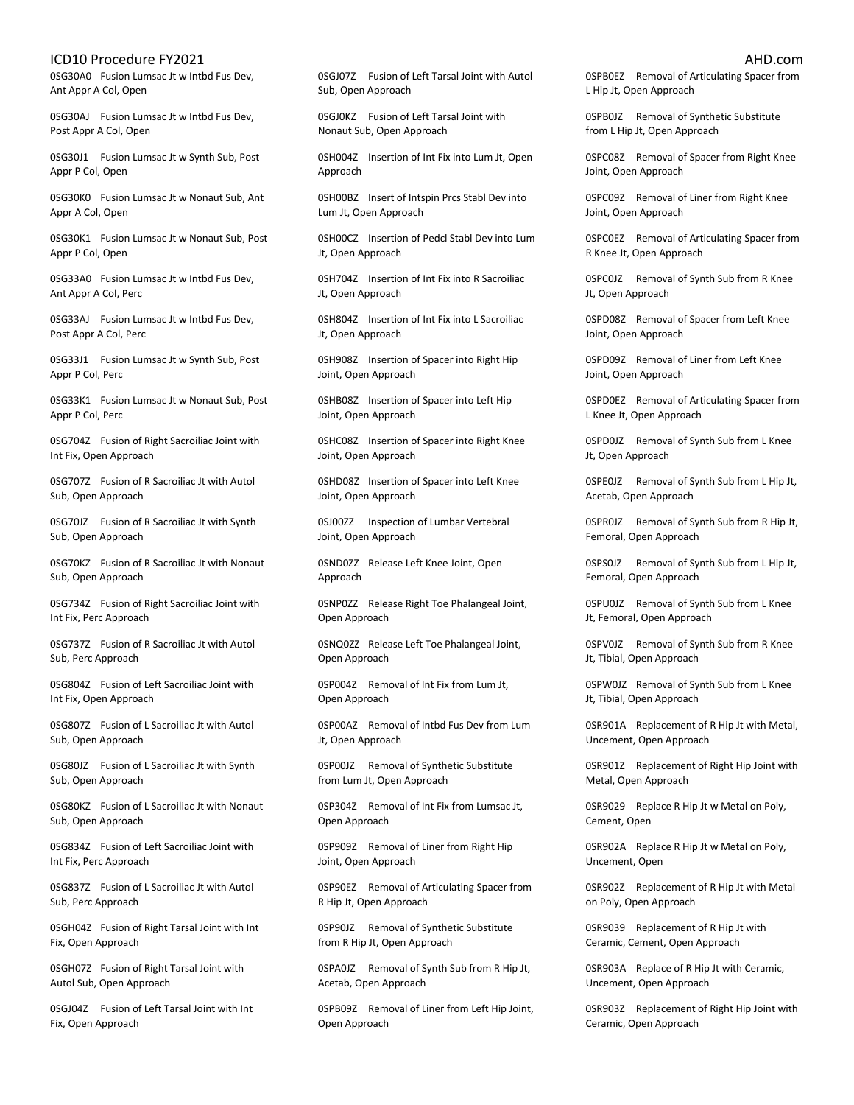0SG30A0 Fusion Lumsac Jt w Intbd Fus Dev, Ant Appr A Col, Open

0SG30AJ Fusion Lumsac Jt w Intbd Fus Dev, Post Appr A Col, Open

0SG30J1 Fusion Lumsac Jt w Synth Sub, Post Appr P Col, Open

0SG30K0 Fusion Lumsac Jt w Nonaut Sub, Ant Appr A Col, Open

0SG30K1 Fusion Lumsac Jt w Nonaut Sub, Post Appr P Col, Open

0SG33A0 Fusion Lumsac Jt w Intbd Fus Dev, Ant Appr A Col, Perc

0SG33AJ Fusion Lumsac Jt w Intbd Fus Dev, Post Appr A Col, Perc

0SG33J1 Fusion Lumsac Jt w Synth Sub, Post Appr P Col, Perc

0SG33K1 Fusion Lumsac Jt w Nonaut Sub, Post Appr P Col, Perc

0SG704Z Fusion of Right Sacroiliac Joint with Int Fix, Open Approach

0SG707Z Fusion of R Sacroiliac Jt with Autol Sub, Open Approach

0SG70JZ Fusion of R Sacroiliac Jt with Synth Sub, Open Approach

0SG70KZ Fusion of R Sacroiliac Jt with Nonaut Sub, Open Approach

0SG734Z Fusion of Right Sacroiliac Joint with Int Fix, Perc Approach

0SG737Z Fusion of R Sacroiliac Jt with Autol Sub, Perc Approach

0SG804Z Fusion of Left Sacroiliac Joint with Int Fix, Open Approach

0SG807Z Fusion of L Sacroiliac Jt with Autol Sub, Open Approach

0SG80JZ Fusion of L Sacroiliac Jt with Synth Sub, Open Approach

0SG80KZ Fusion of L Sacroiliac Jt with Nonaut Sub, Open Approach

0SG834Z Fusion of Left Sacroiliac Joint with Int Fix, Perc Approach

0SG837Z Fusion of L Sacroiliac Jt with Autol Sub, Perc Approach

0SGH04Z Fusion of Right Tarsal Joint with Int Fix, Open Approach

0SGH07Z Fusion of Right Tarsal Joint with Autol Sub, Open Approach

0SGJ04Z Fusion of Left Tarsal Joint with Int Fix, Open Approach

0SGJ07Z Fusion of Left Tarsal Joint with Autol Sub, Open Approach

0SGJ0KZ Fusion of Left Tarsal Joint with Nonaut Sub, Open Approach

0SH004Z Insertion of Int Fix into Lum Jt, Open Approach

0SH00BZ Insert of Intspin Prcs Stabl Dev into Lum Jt, Open Approach

0SH00CZ Insertion of Pedcl Stabl Dev into Lum Jt, Open Approach

0SH704Z Insertion of Int Fix into R Sacroiliac Jt, Open Approach

0SH804Z Insertion of Int Fix into L Sacroiliac Jt, Open Approach

0SH908Z Insertion of Spacer into Right Hip Joint, Open Approach

0SHB08Z Insertion of Spacer into Left Hip Joint, Open Approach

0SHC08Z Insertion of Spacer into Right Knee Joint, Open Approach

0SHD08Z Insertion of Spacer into Left Knee Joint, Open Approach

0SJ00ZZ Inspection of Lumbar Vertebral Joint, Open Approach

0SND0ZZ Release Left Knee Joint, Open Approach

0SNP0ZZ Release Right Toe Phalangeal Joint, Open Approach

0SNQ0ZZ Release Left Toe Phalangeal Joint, Open Approach

0SP004Z Removal of Int Fix from Lum Jt, Open Approach

0SP00AZ Removal of Intbd Fus Dev from Lum Jt, Open Approach

0SP00JZ Removal of Synthetic Substitute from Lum Jt, Open Approach

0SP304Z Removal of Int Fix from Lumsac Jt, Open Approach

0SP909Z Removal of Liner from Right Hip Joint, Open Approach

0SP90EZ Removal of Articulating Spacer from R Hip Jt, Open Approach

0SP90JZ Removal of Synthetic Substitute from R Hip Jt, Open Approach

0SPA0JZ Removal of Synth Sub from R Hip Jt, Acetab, Open Approach

0SPB09Z Removal of Liner from Left Hip Joint, Open Approach

0SPB0EZ Removal of Articulating Spacer from L Hip Jt, Open Approach

0SPB0JZ Removal of Synthetic Substitute from L Hip Jt, Open Approach

0SPC08Z Removal of Spacer from Right Knee Joint, Open Approach

0SPC09Z Removal of Liner from Right Knee Joint, Open Approach

0SPC0EZ Removal of Articulating Spacer from R Knee Jt, Open Approach

0SPC0JZ Removal of Synth Sub from R Knee Jt, Open Approach

0SPD08Z Removal of Spacer from Left Knee Joint, Open Approach

0SPD09Z Removal of Liner from Left Knee Joint, Open Approach

0SPD0EZ Removal of Articulating Spacer from L Knee Jt, Open Approach

0SPD0JZ Removal of Synth Sub from L Knee Jt, Open Approach

0SPE0JZ Removal of Synth Sub from L Hip Jt, Acetab, Open Approach

0SPR0JZ Removal of Synth Sub from R Hip Jt, Femoral, Open Approach

0SPS0JZ Removal of Synth Sub from L Hip Jt, Femoral, Open Approach

0SPU0JZ Removal of Synth Sub from L Knee Jt, Femoral, Open Approach

0SPV0JZ Removal of Synth Sub from R Knee Jt, Tibial, Open Approach

0SPW0JZ Removal of Synth Sub from L Knee Jt, Tibial, Open Approach

0SR901A Replacement of R Hip Jt with Metal, Uncement, Open Approach

0SR901Z Replacement of Right Hip Joint with Metal, Open Approach

0SR9029 Replace R Hip Jt w Metal on Poly, Cement, Open

0SR902A Replace R Hip Jt w Metal on Poly, Uncement, Open

0SR902Z Replacement of R Hip Jt with Metal on Poly, Open Approach

0SR9039 Replacement of R Hip Jt with Ceramic, Cement, Open Approach

0SR903A Replace of R Hip Jt with Ceramic, Uncement, Open Approach

0SR903Z Replacement of Right Hip Joint with Ceramic, Open Approach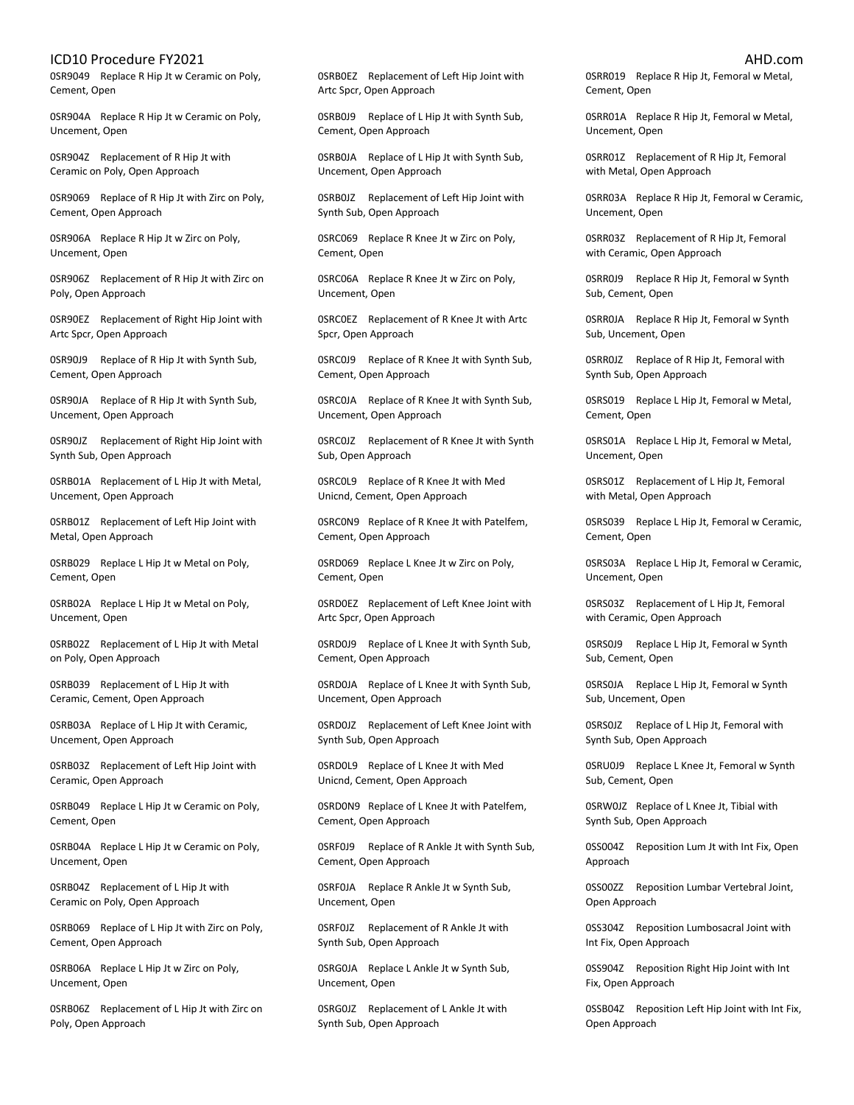0SR9049 Replace R Hip Jt w Ceramic on Poly, Cement, Open

0SR904A Replace R Hip Jt w Ceramic on Poly, Uncement, Open

0SR904Z Replacement of R Hip Jt with Ceramic on Poly, Open Approach

0SR9069 Replace of R Hip Jt with Zirc on Poly, Cement, Open Approach

0SR906A Replace R Hip Jt w Zirc on Poly, Uncement, Open

0SR906Z Replacement of R Hip Jt with Zirc on Poly, Open Approach

0SR90EZ Replacement of Right Hip Joint with Artc Spcr, Open Approach

0SR90J9 Replace of R Hip Jt with Synth Sub, Cement, Open Approach

0SR90JA Replace of R Hip Jt with Synth Sub, Uncement, Open Approach

0SR90JZ Replacement of Right Hip Joint with Synth Sub, Open Approach

0SRB01A Replacement of L Hip Jt with Metal, Uncement, Open Approach

0SRB01Z Replacement of Left Hip Joint with Metal, Open Approach

0SRB029 Replace L Hip Jt w Metal on Poly, Cement, Open

0SRB02A Replace L Hip Jt w Metal on Poly, Uncement, Open

0SRB02Z Replacement of L Hip Jt with Metal on Poly, Open Approach

0SRB039 Replacement of L Hip Jt with Ceramic, Cement, Open Approach

0SRB03A Replace of L Hip Jt with Ceramic, Uncement, Open Approach

0SRB03Z Replacement of Left Hip Joint with Ceramic, Open Approach

0SRB049 Replace L Hip Jt w Ceramic on Poly, Cement, Open

0SRB04A Replace L Hip Jt w Ceramic on Poly, Uncement, Open

0SRB04Z Replacement of L Hip Jt with Ceramic on Poly, Open Approach

0SRB069 Replace of L Hip Jt with Zirc on Poly, Cement, Open Approach

0SRB06A Replace L Hip Jt w Zirc on Poly, Uncement, Open

0SRB06Z Replacement of L Hip Jt with Zirc on Poly, Open Approach

0SRB0EZ Replacement of Left Hip Joint with Artc Spcr, Open Approach

0SRB0J9 Replace of L Hip Jt with Synth Sub, Cement, Open Approach

0SRB0JA Replace of L Hip Jt with Synth Sub, Uncement, Open Approach

0SRB0JZ Replacement of Left Hip Joint with Synth Sub, Open Approach

0SRC069 Replace R Knee Jt w Zirc on Poly, Cement, Open

0SRC06A Replace R Knee Jt w Zirc on Poly, Uncement, Open

0SRC0EZ Replacement of R Knee Jt with Artc Spcr, Open Approach

0SRC0J9 Replace of R Knee Jt with Synth Sub, Cement, Open Approach

0SRC0JA Replace of R Knee Jt with Synth Sub, Uncement, Open Approach

0SRC0JZ Replacement of R Knee Jt with Synth Sub, Open Approach

0SRC0L9 Replace of R Knee Jt with Med Unicnd, Cement, Open Approach

0SRC0N9 Replace of R Knee Jt with Patelfem, Cement, Open Approach

0SRD069 Replace L Knee Jt w Zirc on Poly, Cement, Open

0SRD0EZ Replacement of Left Knee Joint with Artc Spcr, Open Approach

0SRD0J9 Replace of L Knee Jt with Synth Sub, Cement, Open Approach

0SRD0JA Replace of L Knee Jt with Synth Sub, Uncement, Open Approach

0SRD0JZ Replacement of Left Knee Joint with Synth Sub, Open Approach

0SRD0L9 Replace of L Knee Jt with Med Unicnd, Cement, Open Approach

0SRD0N9 Replace of L Knee Jt with Patelfem, Cement, Open Approach

0SRF0J9 Replace of R Ankle Jt with Synth Sub, Cement, Open Approach

0SRF0JA Replace R Ankle Jt w Synth Sub, Uncement, Open

0SRF0JZ Replacement of R Ankle Jt with Synth Sub, Open Approach

0SRG0JA Replace L Ankle Jt w Synth Sub, Uncement, Open

0SRG0JZ Replacement of L Ankle Jt with Synth Sub, Open Approach

0SRR019 Replace R Hip Jt, Femoral w Metal, Cement, Open

0SRR01A Replace R Hip Jt, Femoral w Metal, Uncement, Open

0SRR01Z Replacement of R Hip Jt, Femoral with Metal, Open Approach

0SRR03A Replace R Hip Jt, Femoral w Ceramic, Uncement, Open

0SRR03Z Replacement of R Hip Jt, Femoral with Ceramic, Open Approach

0SRR0J9 Replace R Hip Jt, Femoral w Synth Sub, Cement, Open

0SRR0JA Replace R Hip Jt, Femoral w Synth Sub, Uncement, Open

0SRR0JZ Replace of R Hip Jt, Femoral with Synth Sub, Open Approach

0SRS019 Replace L Hip Jt, Femoral w Metal, Cement, Open

0SRS01A Replace L Hip Jt, Femoral w Metal, Uncement, Open

0SRS01Z Replacement of L Hip Jt, Femoral with Metal, Open Approach

0SRS039 Replace L Hip Jt, Femoral w Ceramic, Cement, Open

0SRS03A Replace L Hip Jt, Femoral w Ceramic, Uncement, Open

0SRS03Z Replacement of L Hip Jt, Femoral with Ceramic, Open Approach

0SRS0J9 Replace L Hip Jt, Femoral w Synth Sub, Cement, Open

0SRS0JA Replace L Hip Jt, Femoral w Synth Sub, Uncement, Open

0SRS0JZ Replace of L Hip Jt, Femoral with Synth Sub, Open Approach

0SRU0J9 Replace L Knee Jt, Femoral w Synth Sub, Cement, Open

0SRW0JZ Replace of L Knee Jt, Tibial with Synth Sub, Open Approach

0SS004Z Reposition Lum Jt with Int Fix, Open Approach

0SS00ZZ Reposition Lumbar Vertebral Joint, Open Approach

0SS304Z Reposition Lumbosacral Joint with Int Fix, Open Approach

0SS904Z Reposition Right Hip Joint with Int Fix, Open Approach

0SSB04Z Reposition Left Hip Joint with Int Fix, Open Approach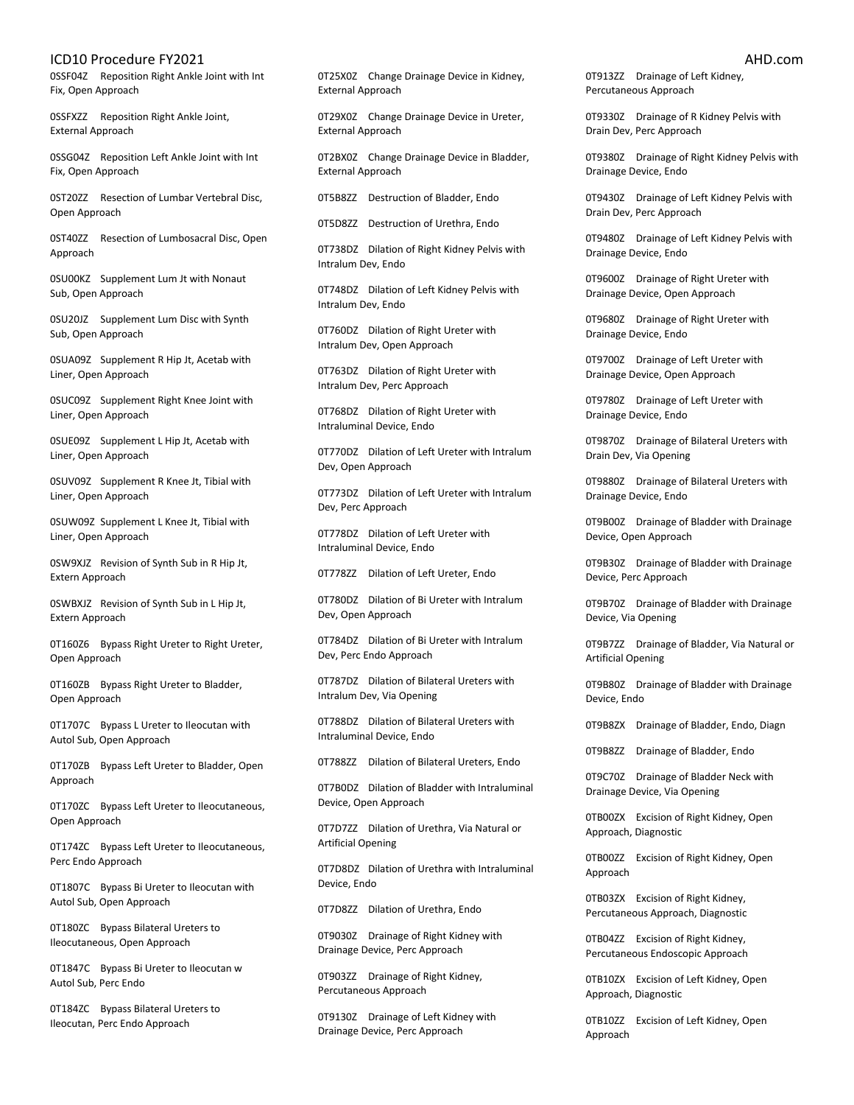0SSF04Z Reposition Right Ankle Joint with Int Fix, Open Approach

0SSFXZZ Reposition Right Ankle Joint, External Approach

0SSG04Z Reposition Left Ankle Joint with Int Fix, Open Approach

0ST20ZZ Resection of Lumbar Vertebral Disc, Open Approach

0ST40ZZ Resection of Lumbosacral Disc, Open Approach

0SU00KZ Supplement Lum Jt with Nonaut Sub, Open Approach

0SU20JZ Supplement Lum Disc with Synth Sub, Open Approach

0SUA09Z Supplement R Hip Jt, Acetab with Liner, Open Approach

0SUC09Z Supplement Right Knee Joint with Liner, Open Approach

0SUE09Z Supplement L Hip Jt, Acetab with Liner, Open Approach

0SUV09Z Supplement R Knee Jt, Tibial with Liner, Open Approach

0SUW09Z Supplement L Knee Jt, Tibial with Liner, Open Approach

0SW9XJZ Revision of Synth Sub in R Hip Jt, Extern Approach

0SWBXJZ Revision of Synth Sub in L Hip Jt, Extern Approach

0T160Z6 Bypass Right Ureter to Right Ureter, Open Approach

0T160ZB Bypass Right Ureter to Bladder, Open Approach

0T1707C Bypass L Ureter to Ileocutan with Autol Sub, Open Approach

0T170ZB Bypass Left Ureter to Bladder, Open Approach

0T170ZC Bypass Left Ureter to Ileocutaneous, Open Approach

0T174ZC Bypass Left Ureter to Ileocutaneous, Perc Endo Approach

0T1807C Bypass Bi Ureter to Ileocutan with Autol Sub, Open Approach

0T180ZC Bypass Bilateral Ureters to Ileocutaneous, Open Approach

0T1847C Bypass Bi Ureter to Ileocutan w Autol Sub, Perc Endo

0T184ZC Bypass Bilateral Ureters to Ileocutan, Perc Endo Approach

0T25X0Z Change Drainage Device in Kidney, External Approach

0T29X0Z Change Drainage Device in Ureter, External Approach

0T2BX0Z Change Drainage Device in Bladder, External Approach

0T5B8ZZ Destruction of Bladder, Endo

0T5D8ZZ Destruction of Urethra, Endo

0T738DZ Dilation of Right Kidney Pelvis with Intralum Dev, Endo

0T748DZ Dilation of Left Kidney Pelvis with Intralum Dev, Endo

0T760DZ Dilation of Right Ureter with Intralum Dev, Open Approach

0T763DZ Dilation of Right Ureter with Intralum Dev, Perc Approach

0T768DZ Dilation of Right Ureter with Intraluminal Device, Endo

0T770DZ Dilation of Left Ureter with Intralum Dev, Open Approach

0T773DZ Dilation of Left Ureter with Intralum Dev, Perc Approach

0T778DZ Dilation of Left Ureter with Intraluminal Device, Endo

0T778ZZ Dilation of Left Ureter, Endo

0T780DZ Dilation of Bi Ureter with Intralum Dev, Open Approach

0T784DZ Dilation of Bi Ureter with Intralum Dev, Perc Endo Approach

0T787DZ Dilation of Bilateral Ureters with Intralum Dev, Via Opening

0T788DZ Dilation of Bilateral Ureters with Intraluminal Device, Endo

0T788ZZ Dilation of Bilateral Ureters, Endo

0T7B0DZ Dilation of Bladder with Intraluminal Device, Open Approach

0T7D7ZZ Dilation of Urethra, Via Natural or Artificial Opening

0T7D8DZ Dilation of Urethra with Intraluminal Device, Endo

0T7D8ZZ Dilation of Urethra, Endo

0T9030Z Drainage of Right Kidney with Drainage Device, Perc Approach

0T903ZZ Drainage of Right Kidney, Percutaneous Approach

0T9130Z Drainage of Left Kidney with Drainage Device, Perc Approach

0T913ZZ Drainage of Left Kidney, Percutaneous Approach

0T9330Z Drainage of R Kidney Pelvis with Drain Dev, Perc Approach

0T9380Z Drainage of Right Kidney Pelvis with Drainage Device, Endo

0T9430Z Drainage of Left Kidney Pelvis with Drain Dev, Perc Approach

0T9480Z Drainage of Left Kidney Pelvis with Drainage Device, Endo

0T9600Z Drainage of Right Ureter with Drainage Device, Open Approach

0T9680Z Drainage of Right Ureter with Drainage Device, Endo

0T9700Z Drainage of Left Ureter with Drainage Device, Open Approach

0T9780Z Drainage of Left Ureter with Drainage Device, Endo

0T9870Z Drainage of Bilateral Ureters with Drain Dev, Via Opening

0T9880Z Drainage of Bilateral Ureters with Drainage Device, Endo

0T9B00Z Drainage of Bladder with Drainage Device, Open Approach

0T9B30Z Drainage of Bladder with Drainage Device, Perc Approach

0T9B70Z Drainage of Bladder with Drainage Device, Via Opening

0T9B7ZZ Drainage of Bladder, Via Natural or Artificial Opening

0T9B80Z Drainage of Bladder with Drainage Device, Endo

0T9B8ZX Drainage of Bladder, Endo, Diagn

0T9B8ZZ Drainage of Bladder, Endo

0T9C70Z Drainage of Bladder Neck with Drainage Device, Via Opening

0TB00ZX Excision of Right Kidney, Open Approach, Diagnostic

0TB00ZZ Excision of Right Kidney, Open Approach

0TB03ZX Excision of Right Kidney, Percutaneous Approach, Diagnostic

0TB04ZZ Excision of Right Kidney, Percutaneous Endoscopic Approach

0TB10ZX Excision of Left Kidney, Open Approach, Diagnostic

0TB10ZZ Excision of Left Kidney, Open Approach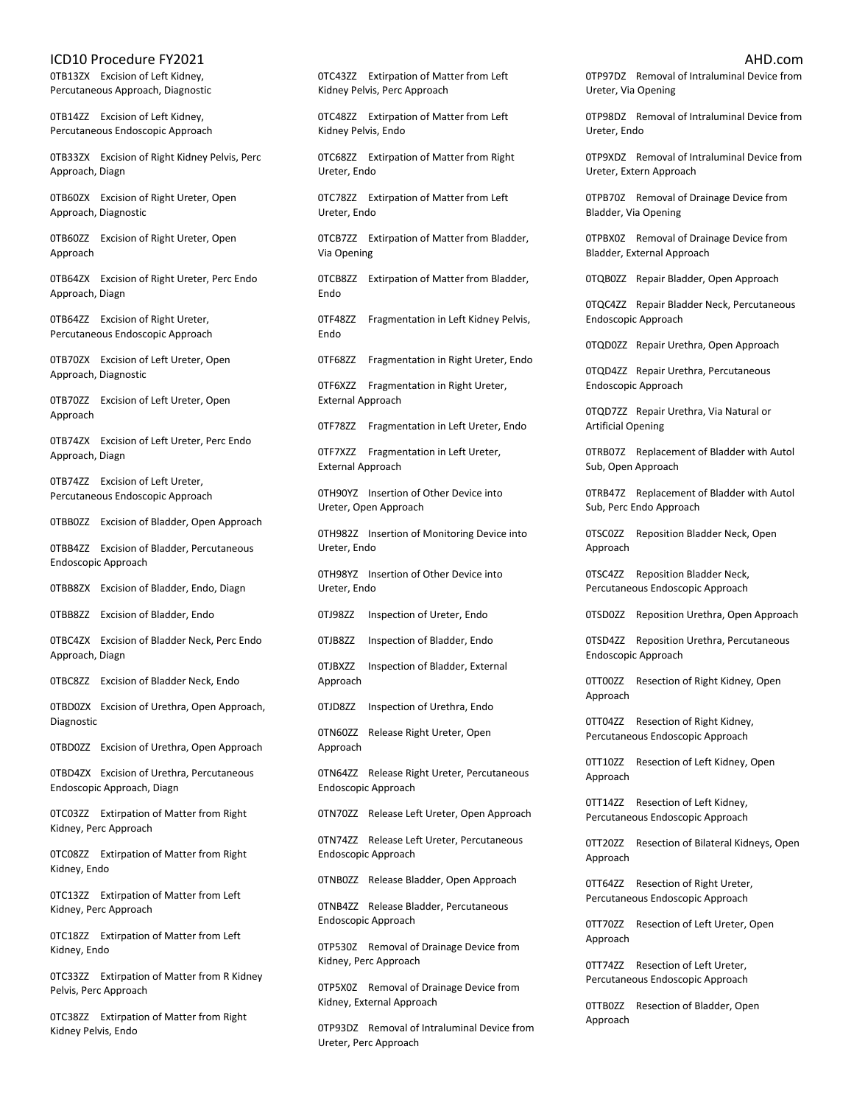0TB13ZX Excision of Left Kidney, Percutaneous Approach, Diagnostic

0TB14ZZ Excision of Left Kidney, Percutaneous Endoscopic Approach

0TB33ZX Excision of Right Kidney Pelvis, Perc Approach, Diagn

0TB60ZX Excision of Right Ureter, Open Approach, Diagnostic

0TB60ZZ Excision of Right Ureter, Open Approach

0TB64ZX Excision of Right Ureter, Perc Endo Approach, Diagn

0TB64ZZ Excision of Right Ureter, Percutaneous Endoscopic Approach

0TB70ZX Excision of Left Ureter, Open Approach, Diagnostic

0TB70ZZ Excision of Left Ureter, Open Approach

0TB74ZX Excision of Left Ureter, Perc Endo Approach, Diagn

0TB74ZZ Excision of Left Ureter, Percutaneous Endoscopic Approach

0TBB0ZZ Excision of Bladder, Open Approach

0TBB4ZZ Excision of Bladder, Percutaneous Endoscopic Approach

0TBB8ZX Excision of Bladder, Endo, Diagn

0TBB8ZZ Excision of Bladder, Endo

0TBC4ZX Excision of Bladder Neck, Perc Endo Approach, Diagn

0TBC8ZZ Excision of Bladder Neck, Endo

0TBD0ZX Excision of Urethra, Open Approach, Diagnostic

0TBD0ZZ Excision of Urethra, Open Approach

0TBD4ZX Excision of Urethra, Percutaneous Endoscopic Approach, Diagn

0TC03ZZ Extirpation of Matter from Right Kidney, Perc Approach

0TC08ZZ Extirpation of Matter from Right Kidney, Endo

0TC13ZZ Extirpation of Matter from Left Kidney, Perc Approach

0TC18ZZ Extirpation of Matter from Left Kidney, Endo

0TC33ZZ Extirpation of Matter from R Kidney Pelvis, Perc Approach

0TC38ZZ Extirpation of Matter from Right Kidney Pelvis, Endo

0TC43ZZ Extirpation of Matter from Left Kidney Pelvis, Perc Approach

0TC48ZZ Extirpation of Matter from Left Kidney Pelvis, Endo

0TC68ZZ Extirpation of Matter from Right Ureter, Endo

0TC78ZZ Extirpation of Matter from Left Ureter, Endo

0TCB7ZZ Extirpation of Matter from Bladder, Via Opening

0TCB8ZZ Extirpation of Matter from Bladder, Endo

0TF48ZZ Fragmentation in Left Kidney Pelvis, Endo

0TF68ZZ Fragmentation in Right Ureter, Endo

0TF6XZZ Fragmentation in Right Ureter, External Approach

0TF78ZZ Fragmentation in Left Ureter, Endo

0TF7XZZ Fragmentation in Left Ureter, External Approach

0TH90YZ Insertion of Other Device into Ureter, Open Approach

0TH982Z Insertion of Monitoring Device into Ureter, Endo

0TH98YZ Insertion of Other Device into Ureter, Endo

0TJ98ZZ Inspection of Ureter, Endo

0TJB8ZZ Inspection of Bladder, Endo

0TJBXZZ Inspection of Bladder, External Approach

0TJD8ZZ Inspection of Urethra, Endo

0TN60ZZ Release Right Ureter, Open Approach

0TN64ZZ Release Right Ureter, Percutaneous Endoscopic Approach

0TN70ZZ Release Left Ureter, Open Approach

0TN74ZZ Release Left Ureter, Percutaneous Endoscopic Approach

0TNB0ZZ Release Bladder, Open Approach

0TNB4ZZ Release Bladder, Percutaneous Endoscopic Approach

0TP530Z Removal of Drainage Device from Kidney, Perc Approach

0TP5X0Z Removal of Drainage Device from Kidney, External Approach

0TP93DZ Removal of Intraluminal Device from Ureter, Perc Approach

0TP97DZ Removal of Intraluminal Device from Ureter, Via Opening

0TP98DZ Removal of Intraluminal Device from Ureter, Endo

0TP9XDZ Removal of Intraluminal Device from Ureter, Extern Approach

0TPB70Z Removal of Drainage Device from Bladder, Via Opening

0TPBX0Z Removal of Drainage Device from Bladder, External Approach

0TQB0ZZ Repair Bladder, Open Approach

0TQC4ZZ Repair Bladder Neck, Percutaneous Endoscopic Approach

0TQD0ZZ Repair Urethra, Open Approach

0TQD4ZZ Repair Urethra, Percutaneous Endoscopic Approach

0TQD7ZZ Repair Urethra, Via Natural or Artificial Opening

0TRB07Z Replacement of Bladder with Autol Sub, Open Approach

0TRB47Z Replacement of Bladder with Autol Sub, Perc Endo Approach

0TSC0ZZ Reposition Bladder Neck, Open Approach

0TSC4ZZ Reposition Bladder Neck, Percutaneous Endoscopic Approach

0TSD0ZZ Reposition Urethra, Open Approach

0TSD4ZZ Reposition Urethra, Percutaneous Endoscopic Approach

0TT00ZZ Resection of Right Kidney, Open Approach

0TT04ZZ Resection of Right Kidney, Percutaneous Endoscopic Approach

0TT10ZZ Resection of Left Kidney, Open Approach

0TT14ZZ Resection of Left Kidney, Percutaneous Endoscopic Approach

0TT20ZZ Resection of Bilateral Kidneys, Open Approach

0TT64ZZ Resection of Right Ureter, Percutaneous Endoscopic Approach

0TT70ZZ Resection of Left Ureter, Open Approach

0TT74ZZ Resection of Left Ureter, Percutaneous Endoscopic Approach

0TTB0ZZ Resection of Bladder, Open Approach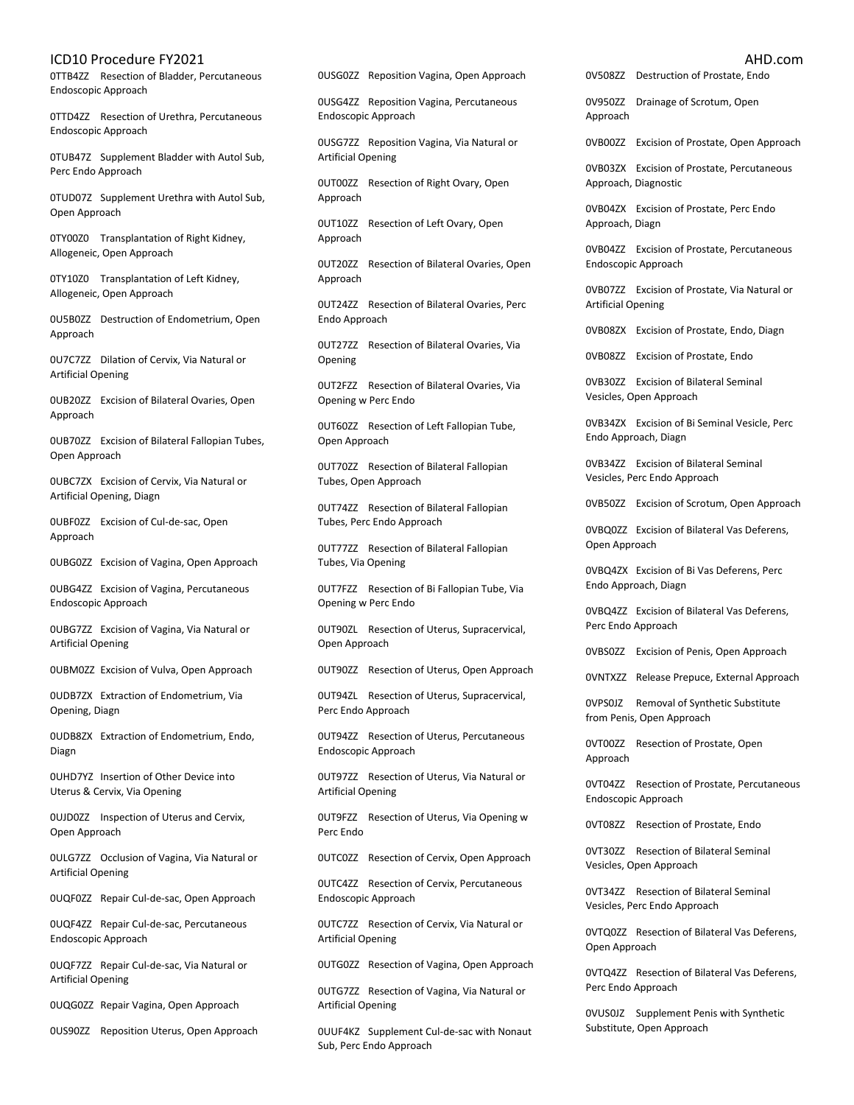0TTB4ZZ Resection of Bladder, Percutaneous Endoscopic Approach

0TTD4ZZ Resection of Urethra, Percutaneous Endoscopic Approach

0TUB47Z Supplement Bladder with Autol Sub, Perc Endo Approach

0TUD07Z Supplement Urethra with Autol Sub, Open Approach

0TY00Z0 Transplantation of Right Kidney, Allogeneic, Open Approach

0TY10Z0 Transplantation of Left Kidney, Allogeneic, Open Approach

0U5B0ZZ Destruction of Endometrium, Open Approach

0U7C7ZZ Dilation of Cervix, Via Natural or Artificial Opening

0UB20ZZ Excision of Bilateral Ovaries, Open Approach

0UB70ZZ Excision of Bilateral Fallopian Tubes, Open Approach

0UBC7ZX Excision of Cervix, Via Natural or Artificial Opening, Diagn

0UBF0ZZ Excision of Cul-de-sac, Open Approach

0UBG0ZZ Excision of Vagina, Open Approach

0UBG4ZZ Excision of Vagina, Percutaneous Endoscopic Approach

0UBG7ZZ Excision of Vagina, Via Natural or Artificial Opening

0UBM0ZZ Excision of Vulva, Open Approach

0UDB7ZX Extraction of Endometrium, Via Opening, Diagn

0UDB8ZX Extraction of Endometrium, Endo, Diagn

0UHD7YZ Insertion of Other Device into Uterus & Cervix, Via Opening

0UJD0ZZ Inspection of Uterus and Cervix, Open Approach

0ULG7ZZ Occlusion of Vagina, Via Natural or Artificial Opening

0UQF0ZZ Repair Cul-de-sac, Open Approach

0UQF4ZZ Repair Cul-de-sac, Percutaneous Endoscopic Approach

0UQF7ZZ Repair Cul-de-sac, Via Natural or Artificial Opening

0UQG0ZZ Repair Vagina, Open Approach

0US90ZZ Reposition Uterus, Open Approach

0USG0ZZ Reposition Vagina, Open Approach

0USG4ZZ Reposition Vagina, Percutaneous Endoscopic Approach

0USG7ZZ Reposition Vagina, Via Natural or Artificial Opening

0UT00ZZ Resection of Right Ovary, Open Approach

0UT10ZZ Resection of Left Ovary, Open Approach

0UT20ZZ Resection of Bilateral Ovaries, Open Approach

0UT24ZZ Resection of Bilateral Ovaries, Perc Endo Approach

0UT27ZZ Resection of Bilateral Ovaries, Via Opening

0UT2FZZ Resection of Bilateral Ovaries, Via Opening w Perc Endo

0UT60ZZ Resection of Left Fallopian Tube, Open Approach

0UT70ZZ Resection of Bilateral Fallopian Tubes, Open Approach

0UT74ZZ Resection of Bilateral Fallopian Tubes, Perc Endo Approach

0UT77ZZ Resection of Bilateral Fallopian Tubes, Via Opening

0UT7FZZ Resection of Bi Fallopian Tube, Via Opening w Perc Endo

0UT90ZL Resection of Uterus, Supracervical, Open Approach

0UT90ZZ Resection of Uterus, Open Approach

0UT94ZL Resection of Uterus, Supracervical, Perc Endo Approach

0UT94ZZ Resection of Uterus, Percutaneous Endoscopic Approach

0UT97ZZ Resection of Uterus, Via Natural or Artificial Opening

0UT9FZZ Resection of Uterus, Via Opening w Perc Endo

0UTC0ZZ Resection of Cervix, Open Approach

0UTC4ZZ Resection of Cervix, Percutaneous Endoscopic Approach

0UTC7ZZ Resection of Cervix, Via Natural or Artificial Opening

0UTG0ZZ Resection of Vagina, Open Approach

0UTG7ZZ Resection of Vagina, Via Natural or Artificial Opening

0UUF4KZ Supplement Cul-de-sac with Nonaut Sub, Perc Endo Approach

0V508ZZ Destruction of Prostate, Endo

0V950ZZ Drainage of Scrotum, Open Approach

0VB00ZZ Excision of Prostate, Open Approach

0VB03ZX Excision of Prostate, Percutaneous Approach, Diagnostic

0VB04ZX Excision of Prostate, Perc Endo Approach, Diagn

0VB04ZZ Excision of Prostate, Percutaneous Endoscopic Approach

0VB07ZZ Excision of Prostate, Via Natural or Artificial Opening

0VB08ZX Excision of Prostate, Endo, Diagn

0VB08ZZ Excision of Prostate, Endo

0VB30ZZ Excision of Bilateral Seminal Vesicles, Open Approach

0VB34ZX Excision of Bi Seminal Vesicle, Perc Endo Approach, Diagn

0VB34ZZ Excision of Bilateral Seminal Vesicles, Perc Endo Approach

0VB50ZZ Excision of Scrotum, Open Approach

0VBQ0ZZ Excision of Bilateral Vas Deferens, Open Approach

0VBQ4ZX Excision of Bi Vas Deferens, Perc Endo Approach, Diagn

0VBQ4ZZ Excision of Bilateral Vas Deferens, Perc Endo Approach

0VBS0ZZ Excision of Penis, Open Approach

0VNTXZZ Release Prepuce, External Approach

0VPS0JZ Removal of Synthetic Substitute from Penis, Open Approach

0VT00ZZ Resection of Prostate, Open Approach

0VT04ZZ Resection of Prostate, Percutaneous Endoscopic Approach

0VT08ZZ Resection of Prostate, Endo

0VT30ZZ Resection of Bilateral Seminal Vesicles, Open Approach

0VT34ZZ Resection of Bilateral Seminal Vesicles, Perc Endo Approach

0VTQ0ZZ Resection of Bilateral Vas Deferens, Open Approach

0VTQ4ZZ Resection of Bilateral Vas Deferens, Perc Endo Approach

0VUS0JZ Supplement Penis with Synthetic Substitute, Open Approach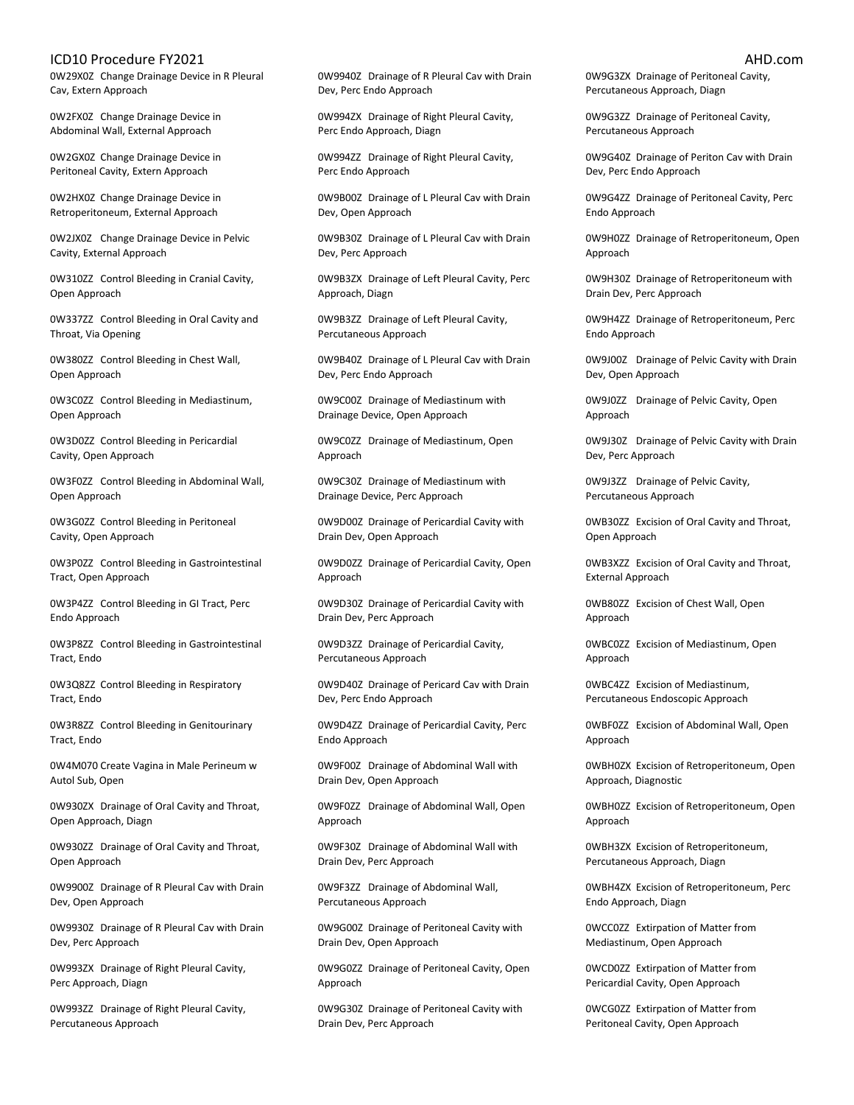0W29X0Z Change Drainage Device in R Pleural Cav, Extern Approach

0W2FX0Z Change Drainage Device in Abdominal Wall, External Approach

0W2GX0Z Change Drainage Device in Peritoneal Cavity, Extern Approach

0W2HX0Z Change Drainage Device in Retroperitoneum, External Approach

0W2JX0Z Change Drainage Device in Pelvic Cavity, External Approach

0W310ZZ Control Bleeding in Cranial Cavity, Open Approach

0W337ZZ Control Bleeding in Oral Cavity and Throat, Via Opening

0W380ZZ Control Bleeding in Chest Wall, Open Approach

0W3C0ZZ Control Bleeding in Mediastinum, Open Approach

0W3D0ZZ Control Bleeding in Pericardial Cavity, Open Approach

0W3F0ZZ Control Bleeding in Abdominal Wall, Open Approach

0W3G0ZZ Control Bleeding in Peritoneal Cavity, Open Approach

0W3P0ZZ Control Bleeding in Gastrointestinal Tract, Open Approach

0W3P4ZZ Control Bleeding in GI Tract, Perc Endo Approach

0W3P8ZZ Control Bleeding in Gastrointestinal Tract, Endo

0W3Q8ZZ Control Bleeding in Respiratory Tract, Endo

0W3R8ZZ Control Bleeding in Genitourinary Tract, Endo

0W4M070 Create Vagina in Male Perineum w Autol Sub, Open

0W930ZX Drainage of Oral Cavity and Throat, Open Approach, Diagn

0W930ZZ Drainage of Oral Cavity and Throat, Open Approach

0W9900Z Drainage of R Pleural Cav with Drain Dev, Open Approach

0W9930Z Drainage of R Pleural Cav with Drain Dev, Perc Approach

0W993ZX Drainage of Right Pleural Cavity, Perc Approach, Diagn

0W993ZZ Drainage of Right Pleural Cavity, Percutaneous Approach

0W9940Z Drainage of R Pleural Cav with Drain Dev, Perc Endo Approach

0W994ZX Drainage of Right Pleural Cavity, Perc Endo Approach, Diagn

0W994ZZ Drainage of Right Pleural Cavity, Perc Endo Approach

0W9B00Z Drainage of L Pleural Cav with Drain Dev, Open Approach

0W9B30Z Drainage of L Pleural Cav with Drain Dev, Perc Approach

0W9B3ZX Drainage of Left Pleural Cavity, Perc Approach, Diagn

0W9B3ZZ Drainage of Left Pleural Cavity, Percutaneous Approach

0W9B40Z Drainage of L Pleural Cav with Drain Dev, Perc Endo Approach

0W9C00Z Drainage of Mediastinum with Drainage Device, Open Approach

0W9C0ZZ Drainage of Mediastinum, Open Approach

0W9C30Z Drainage of Mediastinum with Drainage Device, Perc Approach

0W9D00Z Drainage of Pericardial Cavity with Drain Dev, Open Approach

0W9D0ZZ Drainage of Pericardial Cavity, Open Approach

0W9D30Z Drainage of Pericardial Cavity with Drain Dev, Perc Approach

0W9D3ZZ Drainage of Pericardial Cavity, Percutaneous Approach

0W9D40Z Drainage of Pericard Cav with Drain Dev, Perc Endo Approach

0W9D4ZZ Drainage of Pericardial Cavity, Perc Endo Approach

0W9F00Z Drainage of Abdominal Wall with Drain Dev, Open Approach

0W9F0ZZ Drainage of Abdominal Wall, Open Approach

0W9F30Z Drainage of Abdominal Wall with Drain Dev, Perc Approach

0W9F3ZZ Drainage of Abdominal Wall, Percutaneous Approach

0W9G00Z Drainage of Peritoneal Cavity with Drain Dev, Open Approach

0W9G0ZZ Drainage of Peritoneal Cavity, Open Approach

0W9G30Z Drainage of Peritoneal Cavity with Drain Dev, Perc Approach

0W9G3ZX Drainage of Peritoneal Cavity, Percutaneous Approach, Diagn

0W9G3ZZ Drainage of Peritoneal Cavity, Percutaneous Approach

0W9G40Z Drainage of Periton Cav with Drain Dev, Perc Endo Approach

0W9G4ZZ Drainage of Peritoneal Cavity, Perc Endo Approach

0W9H0ZZ Drainage of Retroperitoneum, Open Approach

0W9H30Z Drainage of Retroperitoneum with Drain Dev, Perc Approach

0W9H4ZZ Drainage of Retroperitoneum, Perc Endo Approach

0W9J00Z Drainage of Pelvic Cavity with Drain Dev, Open Approach

0W9J0ZZ Drainage of Pelvic Cavity, Open Approach

0W9J30Z Drainage of Pelvic Cavity with Drain Dev, Perc Approach

0W9J3ZZ Drainage of Pelvic Cavity, Percutaneous Approach

0WB30ZZ Excision of Oral Cavity and Throat, Open Approach

0WB3XZZ Excision of Oral Cavity and Throat, External Approach

0WB80ZZ Excision of Chest Wall, Open Approach

0WBC0ZZ Excision of Mediastinum, Open Approach

0WBC4ZZ Excision of Mediastinum, Percutaneous Endoscopic Approach

0WBF0ZZ Excision of Abdominal Wall, Open Approach

0WBH0ZX Excision of Retroperitoneum, Open Approach, Diagnostic

0WBH0ZZ Excision of Retroperitoneum, Open Approach

0WBH3ZX Excision of Retroperitoneum, Percutaneous Approach, Diagn

0WBH4ZX Excision of Retroperitoneum, Perc Endo Approach, Diagn

0WCC0ZZ Extirpation of Matter from Mediastinum, Open Approach

0WCD0ZZ Extirpation of Matter from Pericardial Cavity, Open Approach

0WCG0ZZ Extirpation of Matter from Peritoneal Cavity, Open Approach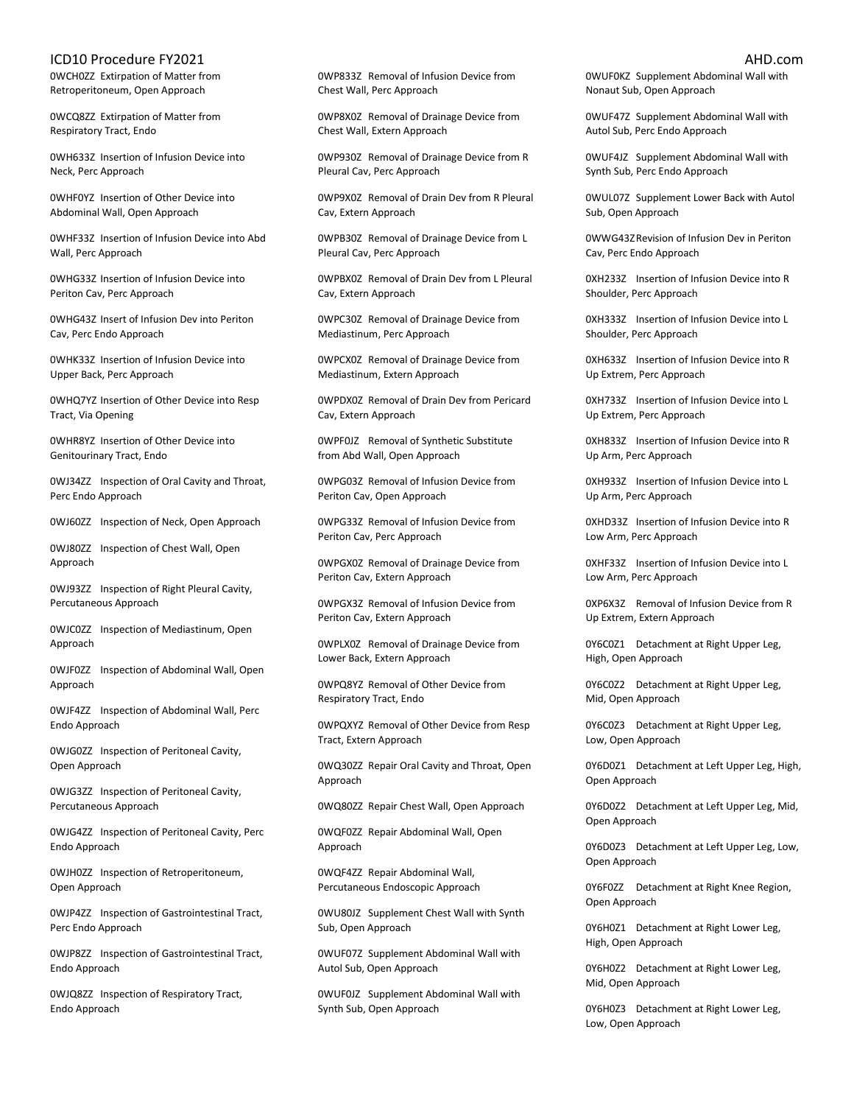0WCH0ZZ Extirpation of Matter from Retroperitoneum, Open Approach

0WCQ8ZZ Extirpation of Matter from Respiratory Tract, Endo

0WH633Z Insertion of Infusion Device into Neck, Perc Approach

0WHF0YZ Insertion of Other Device into Abdominal Wall, Open Approach

0WHF33Z Insertion of Infusion Device into Abd Wall, Perc Approach

0WHG33Z Insertion of Infusion Device into Periton Cav, Perc Approach

0WHG43Z Insert of Infusion Dev into Periton Cav, Perc Endo Approach

0WHK33Z Insertion of Infusion Device into Upper Back, Perc Approach

0WHQ7YZ Insertion of Other Device into Resp Tract, Via Opening

0WHR8YZ Insertion of Other Device into Genitourinary Tract, Endo

0WJ34ZZ Inspection of Oral Cavity and Throat, Perc Endo Approach

0WJ60ZZ Inspection of Neck, Open Approach

0WJ80ZZ Inspection of Chest Wall, Open Approach

0WJ93ZZ Inspection of Right Pleural Cavity, Percutaneous Approach

0WJC0ZZ Inspection of Mediastinum, Open Approach

0WJF0ZZ Inspection of Abdominal Wall, Open Approach

0WJF4ZZ Inspection of Abdominal Wall, Perc Endo Approach

0WJG0ZZ Inspection of Peritoneal Cavity, Open Approach

0WJG3ZZ Inspection of Peritoneal Cavity, Percutaneous Approach

0WJG4ZZ Inspection of Peritoneal Cavity, Perc Endo Approach

0WJH0ZZ Inspection of Retroperitoneum, Open Approach

0WJP4ZZ Inspection of Gastrointestinal Tract, Perc Endo Approach

0WJP8ZZ Inspection of Gastrointestinal Tract, Endo Approach

0WJQ8ZZ Inspection of Respiratory Tract, Endo Approach

0WP833Z Removal of Infusion Device from Chest Wall, Perc Approach

0WP8X0Z Removal of Drainage Device from Chest Wall, Extern Approach

0WP930Z Removal of Drainage Device from R Pleural Cav, Perc Approach

0WP9X0Z Removal of Drain Dev from R Pleural Cav, Extern Approach

0WPB30Z Removal of Drainage Device from L Pleural Cav, Perc Approach

0WPBX0Z Removal of Drain Dev from L Pleural Cav, Extern Approach

0WPC30Z Removal of Drainage Device from Mediastinum, Perc Approach

0WPCX0Z Removal of Drainage Device from Mediastinum, Extern Approach

0WPDX0Z Removal of Drain Dev from Pericard Cav, Extern Approach

0WPF0JZ Removal of Synthetic Substitute from Abd Wall, Open Approach

0WPG03Z Removal of Infusion Device from Periton Cav, Open Approach

0WPG33Z Removal of Infusion Device from Periton Cav, Perc Approach

0WPGX0Z Removal of Drainage Device from Periton Cav, Extern Approach

0WPGX3Z Removal of Infusion Device from Periton Cav, Extern Approach

0WPLX0Z Removal of Drainage Device from Lower Back, Extern Approach

0WPQ8YZ Removal of Other Device from Respiratory Tract, Endo

0WPQXYZ Removal of Other Device from Resp Tract, Extern Approach

0WQ30ZZ Repair Oral Cavity and Throat, Open Approach

0WQ80ZZ Repair Chest Wall, Open Approach

0WQF0ZZ Repair Abdominal Wall, Open Approach

0WQF4ZZ Repair Abdominal Wall, Percutaneous Endoscopic Approach

0WU80JZ Supplement Chest Wall with Synth Sub, Open Approach

0WUF07Z Supplement Abdominal Wall with Autol Sub, Open Approach

0WUF0JZ Supplement Abdominal Wall with Synth Sub, Open Approach

0WUF0KZ Supplement Abdominal Wall with Nonaut Sub, Open Approach

0WUF47Z Supplement Abdominal Wall with Autol Sub, Perc Endo Approach

0WUF4JZ Supplement Abdominal Wall with Synth Sub, Perc Endo Approach

0WUL07Z Supplement Lower Back with Autol Sub, Open Approach

0WWG43ZRevision of Infusion Dev in Periton Cav, Perc Endo Approach

0XH233Z Insertion of Infusion Device into R Shoulder, Perc Approach

0XH333Z Insertion of Infusion Device into L Shoulder, Perc Approach

0XH633Z Insertion of Infusion Device into R Up Extrem, Perc Approach

0XH733Z Insertion of Infusion Device into L Up Extrem, Perc Approach

0XH833Z Insertion of Infusion Device into R Up Arm, Perc Approach

0XH933Z Insertion of Infusion Device into L Up Arm, Perc Approach

0XHD33Z Insertion of Infusion Device into R Low Arm, Perc Approach

0XHF33Z Insertion of Infusion Device into L Low Arm, Perc Approach

0XP6X3Z Removal of Infusion Device from R Up Extrem, Extern Approach

0Y6C0Z1 Detachment at Right Upper Leg, High, Open Approach

0Y6C0Z2 Detachment at Right Upper Leg, Mid, Open Approach

0Y6C0Z3 Detachment at Right Upper Leg, Low, Open Approach

0Y6D0Z1 Detachment at Left Upper Leg, High, Open Approach

0Y6D0Z2 Detachment at Left Upper Leg, Mid, Open Approach

0Y6D0Z3 Detachment at Left Upper Leg, Low, Open Approach

0Y6F0ZZ Detachment at Right Knee Region, Open Approach

0Y6H0Z1 Detachment at Right Lower Leg, High, Open Approach

0Y6H0Z2 Detachment at Right Lower Leg, Mid, Open Approach

0Y6H0Z3 Detachment at Right Lower Leg, Low, Open Approach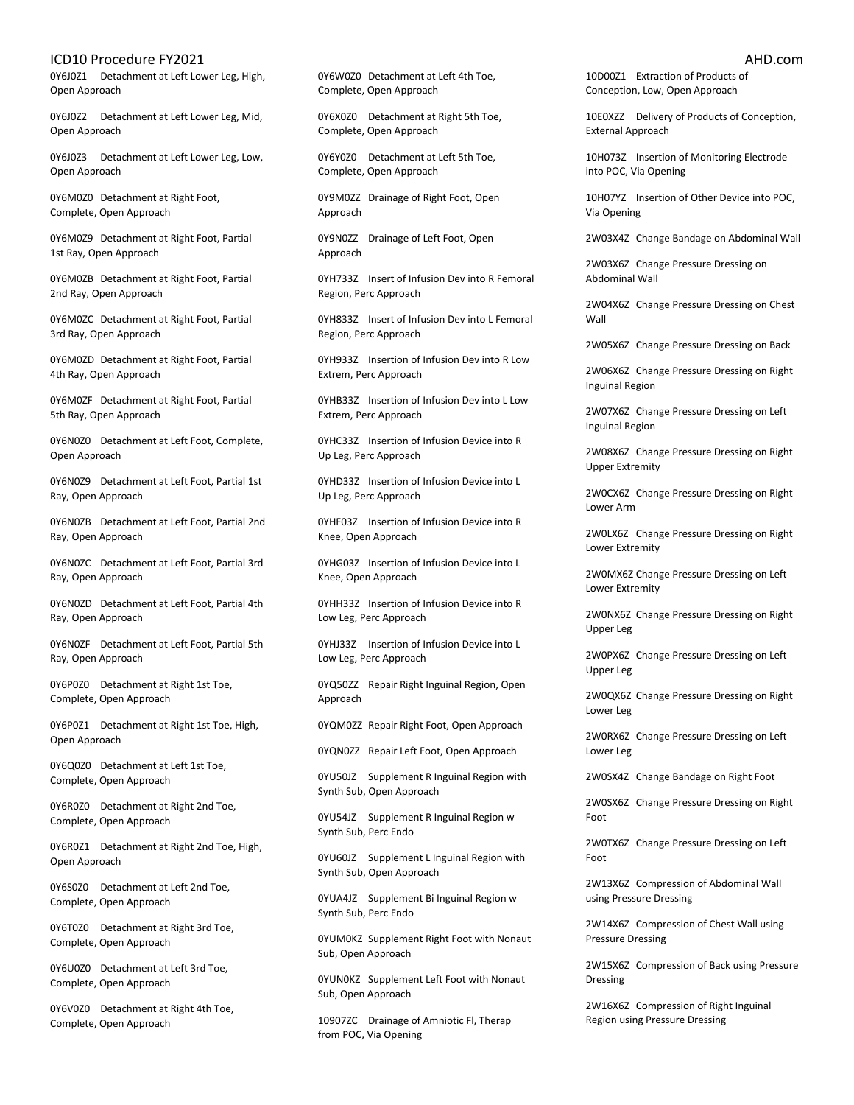0Y6J0Z1 Detachment at Left Lower Leg, High, Open Approach

0Y6J0Z2 Detachment at Left Lower Leg, Mid, Open Approach

0Y6J0Z3 Detachment at Left Lower Leg, Low, Open Approach

0Y6M0Z0 Detachment at Right Foot, Complete, Open Approach

0Y6M0Z9 Detachment at Right Foot, Partial 1st Ray, Open Approach

0Y6M0ZB Detachment at Right Foot, Partial 2nd Ray, Open Approach

0Y6M0ZC Detachment at Right Foot, Partial 3rd Ray, Open Approach

0Y6M0ZD Detachment at Right Foot, Partial 4th Ray, Open Approach

0Y6M0ZF Detachment at Right Foot, Partial 5th Ray, Open Approach

0Y6N0Z0 Detachment at Left Foot, Complete, Open Approach

0Y6N0Z9 Detachment at Left Foot, Partial 1st Ray, Open Approach

0Y6N0ZB Detachment at Left Foot, Partial 2nd Ray, Open Approach

0Y6N0ZC Detachment at Left Foot, Partial 3rd Ray, Open Approach

0Y6N0ZD Detachment at Left Foot, Partial 4th Ray, Open Approach

0Y6N0ZF Detachment at Left Foot, Partial 5th Ray, Open Approach

0Y6P0Z0 Detachment at Right 1st Toe, Complete, Open Approach

0Y6P0Z1 Detachment at Right 1st Toe, High, Open Approach

0Y6Q0Z0 Detachment at Left 1st Toe, Complete, Open Approach

0Y6R0Z0 Detachment at Right 2nd Toe, Complete, Open Approach

0Y6R0Z1 Detachment at Right 2nd Toe, High, Open Approach

0Y6S0Z0 Detachment at Left 2nd Toe, Complete, Open Approach

0Y6T0Z0 Detachment at Right 3rd Toe, Complete, Open Approach

0Y6U0Z0 Detachment at Left 3rd Toe, Complete, Open Approach

0Y6V0Z0 Detachment at Right 4th Toe, Complete, Open Approach

0Y6W0Z0 Detachment at Left 4th Toe, Complete, Open Approach

0Y6X0Z0 Detachment at Right 5th Toe, Complete, Open Approach

0Y6Y0Z0 Detachment at Left 5th Toe, Complete, Open Approach

0Y9M0ZZ Drainage of Right Foot, Open Approach

0Y9N0ZZ Drainage of Left Foot, Open Approach

0YH733Z Insert of Infusion Dev into R Femoral Region, Perc Approach

0YH833Z Insert of Infusion Dev into L Femoral Region, Perc Approach

0YH933Z Insertion of Infusion Dev into R Low Extrem, Perc Approach

0YHB33Z Insertion of Infusion Dev into L Low Extrem, Perc Approach

0YHC33Z Insertion of Infusion Device into R Up Leg, Perc Approach

0YHD33Z Insertion of Infusion Device into L Up Leg, Perc Approach

0YHF03Z Insertion of Infusion Device into R Knee, Open Approach

0YHG03Z Insertion of Infusion Device into L Knee, Open Approach

0YHH33Z Insertion of Infusion Device into R Low Leg, Perc Approach

0YHJ33Z Insertion of Infusion Device into L Low Leg, Perc Approach

0YQ50ZZ Repair Right Inguinal Region, Open Approach

0YQM0ZZ Repair Right Foot, Open Approach

0YQN0ZZ Repair Left Foot, Open Approach

0YU50JZ Supplement R Inguinal Region with Synth Sub, Open Approach

0YU54JZ Supplement R Inguinal Region w Synth Sub, Perc Endo

0YU60JZ Supplement L Inguinal Region with Synth Sub, Open Approach

0YUA4JZ Supplement Bi Inguinal Region w Synth Sub, Perc Endo

0YUM0KZ Supplement Right Foot with Nonaut Sub, Open Approach

0YUN0KZ Supplement Left Foot with Nonaut Sub, Open Approach

10907ZC Drainage of Amniotic Fl, Therap from POC, Via Opening

10D00Z1 Extraction of Products of Conception, Low, Open Approach

10E0XZZ Delivery of Products of Conception, External Approach

10H073Z Insertion of Monitoring Electrode into POC, Via Opening

10H07YZ Insertion of Other Device into POC, Via Opening

2W03X4Z Change Bandage on Abdominal Wall

2W03X6Z Change Pressure Dressing on Abdominal Wall

2W04X6Z Change Pressure Dressing on Chest Wall

2W05X6Z Change Pressure Dressing on Back

2W06X6Z Change Pressure Dressing on Right Inguinal Region

2W07X6Z Change Pressure Dressing on Left Inguinal Region

2W08X6Z Change Pressure Dressing on Right Upper Extremity

2W0CX6Z Change Pressure Dressing on Right Lower Arm

2W0LX6Z Change Pressure Dressing on Right Lower Extremity

2W0MX6Z Change Pressure Dressing on Left Lower Extremity

2W0NX6Z Change Pressure Dressing on Right Upper Leg

2W0PX6Z Change Pressure Dressing on Left Upper Leg

2W0QX6Z Change Pressure Dressing on Right Lower Leg

2W0RX6Z Change Pressure Dressing on Left Lower Leg

2W0SX4Z Change Bandage on Right Foot

2W0SX6Z Change Pressure Dressing on Right Foot

2W0TX6Z Change Pressure Dressing on Left Foot

2W13X6Z Compression of Abdominal Wall using Pressure Dressing

2W14X6Z Compression of Chest Wall using Pressure Dressing

2W15X6Z Compression of Back using Pressure Dressing

2W16X6Z Compression of Right Inguinal Region using Pressure Dressing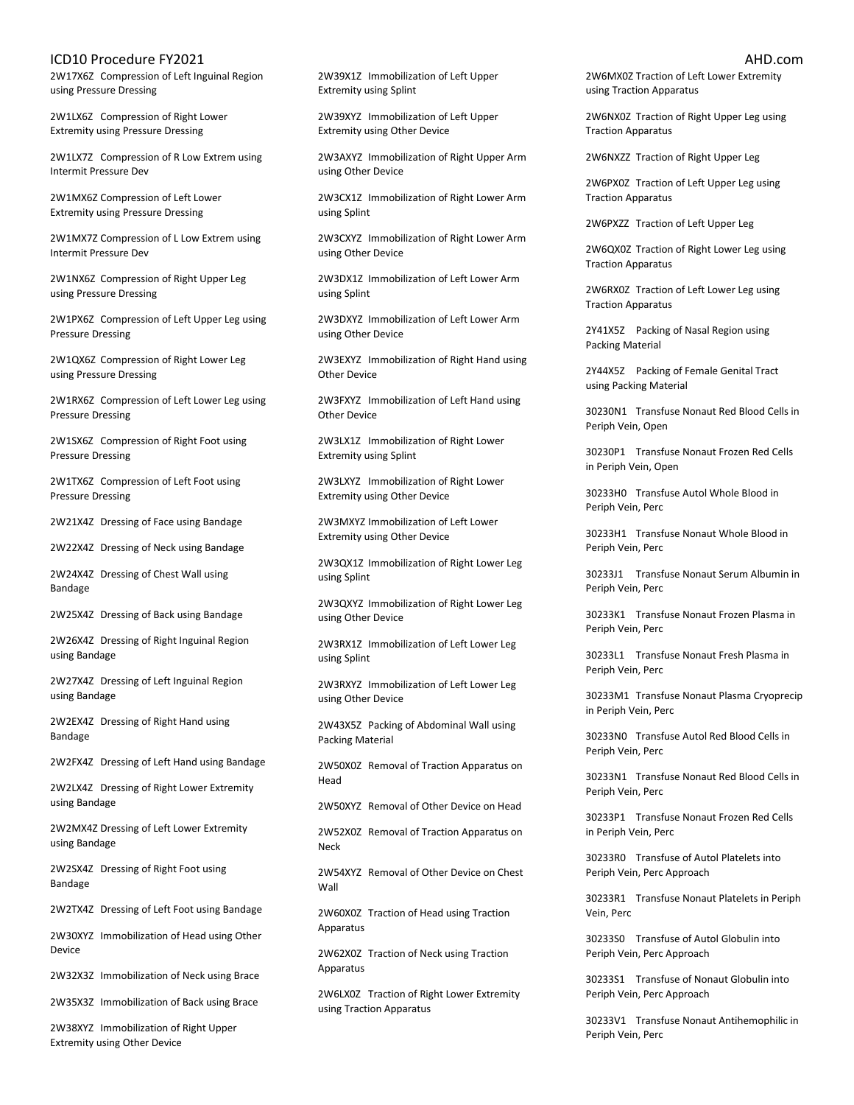2W17X6Z Compression of Left Inguinal Region using Pressure Dressing

2W1LX6Z Compression of Right Lower Extremity using Pressure Dressing

2W1LX7Z Compression of R Low Extrem using Intermit Pressure Dev

2W1MX6Z Compression of Left Lower Extremity using Pressure Dressing

2W1MX7Z Compression of L Low Extrem using Intermit Pressure Dev

2W1NX6Z Compression of Right Upper Leg using Pressure Dressing

2W1PX6Z Compression of Left Upper Leg using Pressure Dressing

2W1QX6Z Compression of Right Lower Leg using Pressure Dressing

2W1RX6Z Compression of Left Lower Leg using Pressure Dressing

2W1SX6Z Compression of Right Foot using Pressure Dressing

2W1TX6Z Compression of Left Foot using Pressure Dressing

2W21X4Z Dressing of Face using Bandage

2W22X4Z Dressing of Neck using Bandage

2W24X4Z Dressing of Chest Wall using Bandage

2W25X4Z Dressing of Back using Bandage

2W26X4Z Dressing of Right Inguinal Region using Bandage

2W27X4Z Dressing of Left Inguinal Region using Bandage

2W2EX4Z Dressing of Right Hand using Bandage

2W2FX4Z Dressing of Left Hand using Bandage

2W2LX4Z Dressing of Right Lower Extremity using Bandage

2W2MX4Z Dressing of Left Lower Extremity using Bandage

2W2SX4Z Dressing of Right Foot using Bandage

2W2TX4Z Dressing of Left Foot using Bandage

2W30XYZ Immobilization of Head using Other Device

2W32X3Z Immobilization of Neck using Brace

2W35X3Z Immobilization of Back using Brace

2W38XYZ Immobilization of Right Upper Extremity using Other Device

2W39X1Z Immobilization of Left Upper Extremity using Splint

2W39XYZ Immobilization of Left Upper Extremity using Other Device

2W3AXYZ Immobilization of Right Upper Arm using Other Device

2W3CX1Z Immobilization of Right Lower Arm using Splint

2W3CXYZ Immobilization of Right Lower Arm using Other Device

2W3DX1Z Immobilization of Left Lower Arm using Splint

2W3DXYZ Immobilization of Left Lower Arm using Other Device

2W3EXYZ Immobilization of Right Hand using Other Device

2W3FXYZ Immobilization of Left Hand using Other Device

2W3LX1Z Immobilization of Right Lower Extremity using Splint

2W3LXYZ Immobilization of Right Lower Extremity using Other Device

2W3MXYZ Immobilization of Left Lower Extremity using Other Device

2W3QX1Z Immobilization of Right Lower Leg using Splint

2W3QXYZ Immobilization of Right Lower Leg using Other Device

2W3RX1Z Immobilization of Left Lower Leg using Splint

2W3RXYZ Immobilization of Left Lower Leg using Other Device

2W43X5Z Packing of Abdominal Wall using Packing Material

2W50X0Z Removal of Traction Apparatus on Head

2W50XYZ Removal of Other Device on Head

2W52X0Z Removal of Traction Apparatus on Neck

2W54XYZ Removal of Other Device on Chest Wall

2W60X0Z Traction of Head using Traction Apparatus

2W62X0Z Traction of Neck using Traction Apparatus

2W6LX0Z Traction of Right Lower Extremity using Traction Apparatus

2W6MX0Z Traction of Left Lower Extremity using Traction Apparatus

2W6NX0Z Traction of Right Upper Leg using Traction Apparatus

2W6NXZZ Traction of Right Upper Leg

2W6PX0Z Traction of Left Upper Leg using Traction Apparatus

2W6PXZZ Traction of Left Upper Leg

2W6QX0Z Traction of Right Lower Leg using Traction Apparatus

2W6RX0Z Traction of Left Lower Leg using Traction Apparatus

2Y41X5Z Packing of Nasal Region using Packing Material

2Y44X5Z Packing of Female Genital Tract using Packing Material

30230N1 Transfuse Nonaut Red Blood Cells in Periph Vein, Open

30230P1 Transfuse Nonaut Frozen Red Cells in Periph Vein, Open

30233H0 Transfuse Autol Whole Blood in Periph Vein, Perc

30233H1 Transfuse Nonaut Whole Blood in Periph Vein, Perc

30233J1 Transfuse Nonaut Serum Albumin in Periph Vein, Perc

30233K1 Transfuse Nonaut Frozen Plasma in Periph Vein, Perc

30233L1 Transfuse Nonaut Fresh Plasma in Periph Vein, Perc

30233M1 Transfuse Nonaut Plasma Cryoprecip in Periph Vein, Perc

30233N0 Transfuse Autol Red Blood Cells in Periph Vein, Perc

30233N1 Transfuse Nonaut Red Blood Cells in Periph Vein, Perc

30233P1 Transfuse Nonaut Frozen Red Cells in Periph Vein, Perc

30233R0 Transfuse of Autol Platelets into Periph Vein, Perc Approach

30233R1 Transfuse Nonaut Platelets in Periph Vein, Perc

30233S0 Transfuse of Autol Globulin into Periph Vein, Perc Approach

30233S1 Transfuse of Nonaut Globulin into Periph Vein, Perc Approach

30233V1 Transfuse Nonaut Antihemophilic in Periph Vein, Perc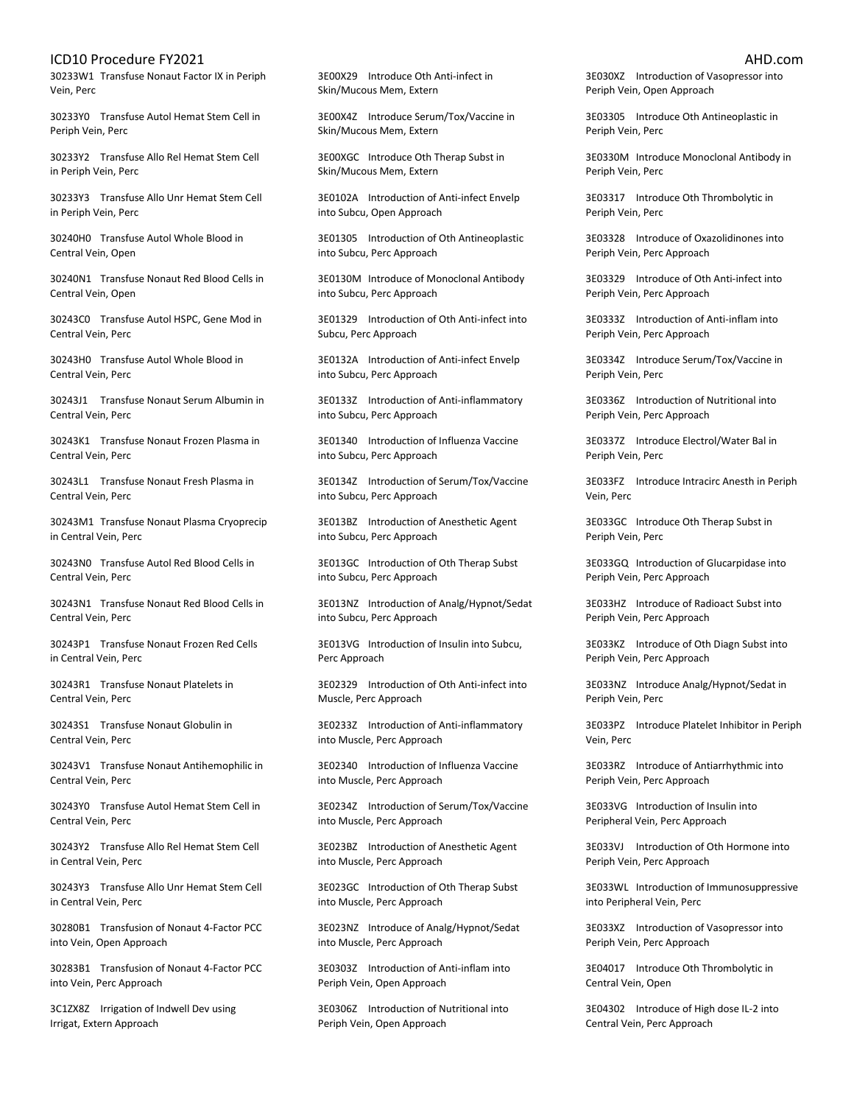30233W1 Transfuse Nonaut Factor IX in Periph Vein, Perc

30233Y0 Transfuse Autol Hemat Stem Cell in Periph Vein, Perc

30233Y2 Transfuse Allo Rel Hemat Stem Cell in Periph Vein, Perc

30233Y3 Transfuse Allo Unr Hemat Stem Cell in Periph Vein, Perc

30240H0 Transfuse Autol Whole Blood in Central Vein, Open

30240N1 Transfuse Nonaut Red Blood Cells in Central Vein, Open

30243C0 Transfuse Autol HSPC, Gene Mod in Central Vein, Perc

30243H0 Transfuse Autol Whole Blood in Central Vein, Perc

30243J1 Transfuse Nonaut Serum Albumin in Central Vein, Perc

30243K1 Transfuse Nonaut Frozen Plasma in Central Vein, Perc

30243L1 Transfuse Nonaut Fresh Plasma in Central Vein, Perc

30243M1 Transfuse Nonaut Plasma Cryoprecip in Central Vein, Perc

30243N0 Transfuse Autol Red Blood Cells in Central Vein, Perc

30243N1 Transfuse Nonaut Red Blood Cells in Central Vein, Perc

30243P1 Transfuse Nonaut Frozen Red Cells in Central Vein, Perc

30243R1 Transfuse Nonaut Platelets in Central Vein, Perc

30243S1 Transfuse Nonaut Globulin in Central Vein, Perc

30243V1 Transfuse Nonaut Antihemophilic in Central Vein, Perc

30243Y0 Transfuse Autol Hemat Stem Cell in Central Vein, Perc

30243Y2 Transfuse Allo Rel Hemat Stem Cell in Central Vein, Perc

30243Y3 Transfuse Allo Unr Hemat Stem Cell in Central Vein, Perc

30280B1 Transfusion of Nonaut 4-Factor PCC into Vein, Open Approach

30283B1 Transfusion of Nonaut 4-Factor PCC into Vein, Perc Approach

3C1ZX8Z Irrigation of Indwell Dev using Irrigat, Extern Approach

3E00X29 Introduce Oth Anti-infect in Skin/Mucous Mem, Extern

3E00X4Z Introduce Serum/Tox/Vaccine in Skin/Mucous Mem, Extern

3E00XGC Introduce Oth Therap Subst in Skin/Mucous Mem, Extern

3E0102A Introduction of Anti-infect Envelp into Subcu, Open Approach

3E01305 Introduction of Oth Antineoplastic into Subcu, Perc Approach

3E0130M Introduce of Monoclonal Antibody into Subcu, Perc Approach

3E01329 Introduction of Oth Anti-infect into Subcu, Perc Approach

3E0132A Introduction of Anti-infect Envelp into Subcu, Perc Approach

3E0133Z Introduction of Anti-inflammatory into Subcu, Perc Approach

3E01340 Introduction of Influenza Vaccine into Subcu, Perc Approach

3E0134Z Introduction of Serum/Tox/Vaccine into Subcu, Perc Approach

3E013BZ Introduction of Anesthetic Agent into Subcu, Perc Approach

3E013GC Introduction of Oth Therap Subst into Subcu, Perc Approach

3E013NZ Introduction of Analg/Hypnot/Sedat into Subcu, Perc Approach

3E013VG Introduction of Insulin into Subcu, Perc Approach

3E02329 Introduction of Oth Anti-infect into Muscle, Perc Approach

3E0233Z Introduction of Anti-inflammatory into Muscle, Perc Approach

3E02340 Introduction of Influenza Vaccine into Muscle, Perc Approach

3E0234Z Introduction of Serum/Tox/Vaccine into Muscle, Perc Approach

3E023BZ Introduction of Anesthetic Agent into Muscle, Perc Approach

3E023GC Introduction of Oth Therap Subst into Muscle, Perc Approach

3E023NZ Introduce of Analg/Hypnot/Sedat into Muscle, Perc Approach

3E0303Z Introduction of Anti-inflam into Periph Vein, Open Approach

3E0306Z Introduction of Nutritional into Periph Vein, Open Approach

3E030XZ Introduction of Vasopressor into Periph Vein, Open Approach

3E03305 Introduce Oth Antineoplastic in Periph Vein, Perc

3E0330M Introduce Monoclonal Antibody in Periph Vein, Perc

3E03317 Introduce Oth Thrombolytic in Periph Vein, Perc

3E03328 Introduce of Oxazolidinones into Periph Vein, Perc Approach

3E03329 Introduce of Oth Anti-infect into Periph Vein, Perc Approach

3E0333Z Introduction of Anti-inflam into Periph Vein, Perc Approach

3E0334Z Introduce Serum/Tox/Vaccine in Periph Vein, Perc

3E0336Z Introduction of Nutritional into Periph Vein, Perc Approach

3E0337Z Introduce Electrol/Water Bal in Periph Vein, Perc

3E033FZ Introduce Intracirc Anesth in Periph Vein, Perc

3E033GC Introduce Oth Therap Subst in Periph Vein, Perc

3E033GQ Introduction of Glucarpidase into Periph Vein, Perc Approach

3E033HZ Introduce of Radioact Subst into Periph Vein, Perc Approach

3E033KZ Introduce of Oth Diagn Subst into Periph Vein, Perc Approach

3E033NZ Introduce Analg/Hypnot/Sedat in Periph Vein, Perc

3E033PZ Introduce Platelet Inhibitor in Periph Vein, Perc

3E033RZ Introduce of Antiarrhythmic into Periph Vein, Perc Approach

3E033VG Introduction of Insulin into Peripheral Vein, Perc Approach

3E033VJ Introduction of Oth Hormone into Periph Vein, Perc Approach

3E033WL Introduction of Immunosuppressive into Peripheral Vein, Perc

3E033XZ Introduction of Vasopressor into Periph Vein, Perc Approach

3E04017 Introduce Oth Thrombolytic in Central Vein, Open

3E04302 Introduce of High dose IL-2 into Central Vein, Perc Approach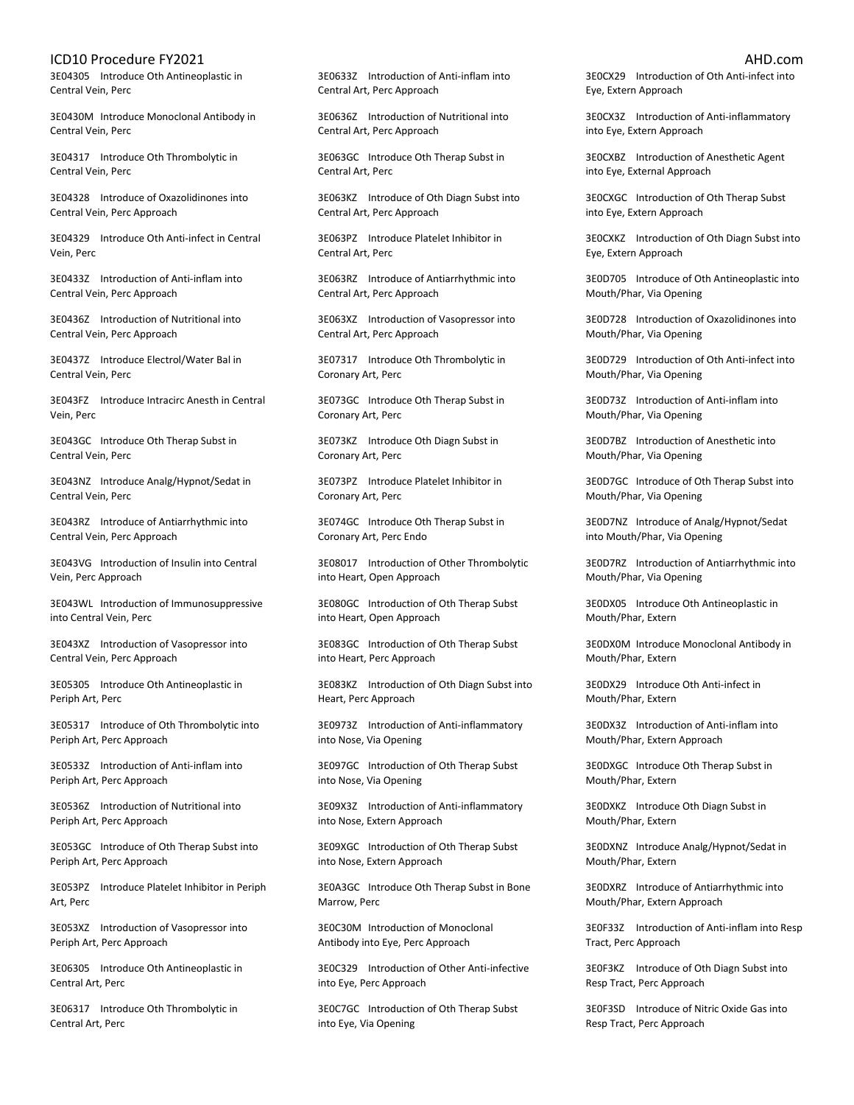3E04305 Introduce Oth Antineoplastic in Central Vein, Perc

3E0430M Introduce Monoclonal Antibody in Central Vein, Perc

3E04317 Introduce Oth Thrombolytic in Central Vein, Perc

3E04328 Introduce of Oxazolidinones into Central Vein, Perc Approach

3E04329 Introduce Oth Anti-infect in Central Vein, Perc

3E0433Z Introduction of Anti-inflam into Central Vein, Perc Approach

3E0436Z Introduction of Nutritional into Central Vein, Perc Approach

3E0437Z Introduce Electrol/Water Bal in Central Vein, Perc

3E043FZ Introduce Intracirc Anesth in Central Vein, Perc

3E043GC Introduce Oth Therap Subst in Central Vein, Perc

3E043NZ Introduce Analg/Hypnot/Sedat in Central Vein, Perc

3E043RZ Introduce of Antiarrhythmic into Central Vein, Perc Approach

3E043VG Introduction of Insulin into Central Vein, Perc Approach

3E043WL Introduction of Immunosuppressive into Central Vein, Perc

3E043XZ Introduction of Vasopressor into Central Vein, Perc Approach

3E05305 Introduce Oth Antineoplastic in Periph Art, Perc

3E05317 Introduce of Oth Thrombolytic into Periph Art, Perc Approach

3E0533Z Introduction of Anti-inflam into Periph Art, Perc Approach

3E0536Z Introduction of Nutritional into Periph Art, Perc Approach

3E053GC Introduce of Oth Therap Subst into Periph Art, Perc Approach

3E053PZ Introduce Platelet Inhibitor in Periph Art, Perc

3E053XZ Introduction of Vasopressor into Periph Art, Perc Approach

3E06305 Introduce Oth Antineoplastic in Central Art, Perc

3E06317 Introduce Oth Thrombolytic in Central Art, Perc

3E0633Z Introduction of Anti-inflam into Central Art, Perc Approach

3E0636Z Introduction of Nutritional into Central Art, Perc Approach

3E063GC Introduce Oth Therap Subst in Central Art, Perc

3E063KZ Introduce of Oth Diagn Subst into Central Art, Perc Approach

3E063PZ Introduce Platelet Inhibitor in Central Art, Perc

3E063RZ Introduce of Antiarrhythmic into Central Art, Perc Approach

3E063XZ Introduction of Vasopressor into Central Art, Perc Approach

3E07317 Introduce Oth Thrombolytic in Coronary Art, Perc

3E073GC Introduce Oth Therap Subst in Coronary Art, Perc

3E073KZ Introduce Oth Diagn Subst in Coronary Art, Perc

3E073PZ Introduce Platelet Inhibitor in Coronary Art, Perc

3E074GC Introduce Oth Therap Subst in Coronary Art, Perc Endo

3E08017 Introduction of Other Thrombolytic into Heart, Open Approach

3E080GC Introduction of Oth Therap Subst into Heart, Open Approach

3E083GC Introduction of Oth Therap Subst into Heart, Perc Approach

3E083KZ Introduction of Oth Diagn Subst into Heart, Perc Approach

3E0973Z Introduction of Anti-inflammatory into Nose, Via Opening

3E097GC Introduction of Oth Therap Subst into Nose, Via Opening

3E09X3Z Introduction of Anti-inflammatory into Nose, Extern Approach

3E09XGC Introduction of Oth Therap Subst into Nose, Extern Approach

3E0A3GC Introduce Oth Therap Subst in Bone Marrow, Perc

3E0C30M Introduction of Monoclonal Antibody into Eye, Perc Approach

3E0C329 Introduction of Other Anti-infective into Eye, Perc Approach

3E0C7GC Introduction of Oth Therap Subst into Eye, Via Opening

3E0CX29 Introduction of Oth Anti-infect into Eye, Extern Approach

3E0CX3Z Introduction of Anti-inflammatory into Eye, Extern Approach

3E0CXBZ Introduction of Anesthetic Agent into Eye, External Approach

3E0CXGC Introduction of Oth Therap Subst into Eye, Extern Approach

3E0CXKZ Introduction of Oth Diagn Subst into Eye, Extern Approach

3E0D705 Introduce of Oth Antineoplastic into Mouth/Phar, Via Opening

3E0D728 Introduction of Oxazolidinones into Mouth/Phar, Via Opening

3E0D729 Introduction of Oth Anti-infect into Mouth/Phar, Via Opening

3E0D73Z Introduction of Anti-inflam into Mouth/Phar, Via Opening

3E0D7BZ Introduction of Anesthetic into Mouth/Phar, Via Opening

3E0D7GC Introduce of Oth Therap Subst into Mouth/Phar, Via Opening

3E0D7NZ Introduce of Analg/Hypnot/Sedat into Mouth/Phar, Via Opening

3E0D7RZ Introduction of Antiarrhythmic into Mouth/Phar, Via Opening

3E0DX05 Introduce Oth Antineoplastic in Mouth/Phar, Extern

3E0DX0M Introduce Monoclonal Antibody in Mouth/Phar, Extern

3E0DX29 Introduce Oth Anti-infect in Mouth/Phar, Extern

3E0DX3Z Introduction of Anti-inflam into Mouth/Phar, Extern Approach

3E0DXGC Introduce Oth Therap Subst in Mouth/Phar, Extern

3E0DXKZ Introduce Oth Diagn Subst in Mouth/Phar, Extern

3E0DXNZ Introduce Analg/Hypnot/Sedat in Mouth/Phar, Extern

3E0DXRZ Introduce of Antiarrhythmic into Mouth/Phar, Extern Approach

3E0F33Z Introduction of Anti-inflam into Resp Tract, Perc Approach

3E0F3KZ Introduce of Oth Diagn Subst into Resp Tract, Perc Approach

3E0F3SD Introduce of Nitric Oxide Gas into Resp Tract, Perc Approach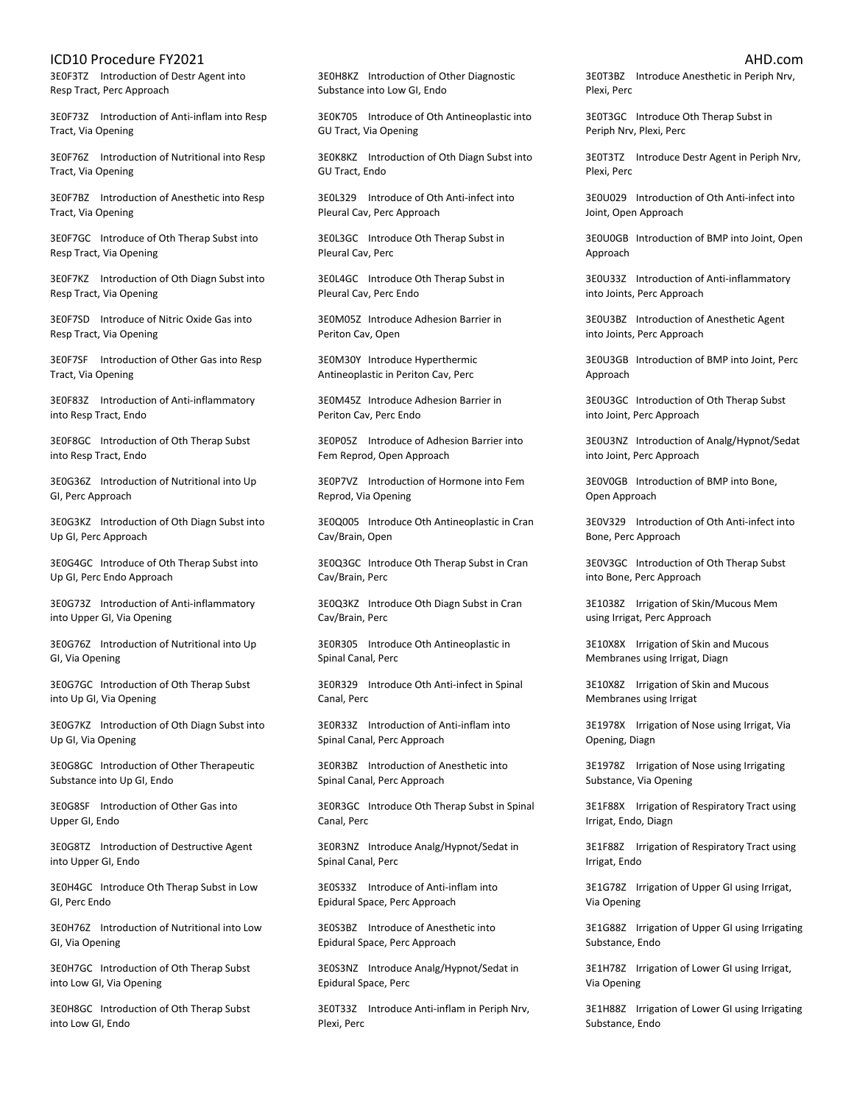3E0F3TZ Introduction of Destr Agent into Resp Tract, Perc Approach

3E0F73Z Introduction of Anti-inflam into Resp Tract, Via Opening

3E0F76Z Introduction of Nutritional into Resp Tract, Via Opening

3E0F7BZ Introduction of Anesthetic into Resp Tract, Via Opening

3E0F7GC Introduce of Oth Therap Subst into Resp Tract, Via Opening

3E0F7KZ Introduction of Oth Diagn Subst into Resp Tract, Via Opening

3E0F7SD Introduce of Nitric Oxide Gas into Resp Tract, Via Opening

3E0F7SF Introduction of Other Gas into Resp Tract, Via Opening

3E0F83Z Introduction of Anti-inflammatory into Resp Tract, Endo

3E0F8GC Introduction of Oth Therap Subst into Resp Tract, Endo

3E0G36Z Introduction of Nutritional into Up GI, Perc Approach

3E0G3KZ Introduction of Oth Diagn Subst into Up GI, Perc Approach

3E0G4GC Introduce of Oth Therap Subst into Up GI, Perc Endo Approach

3E0G73Z Introduction of Anti-inflammatory into Upper GI, Via Opening

3E0G76Z Introduction of Nutritional into Up GI, Via Opening

3E0G7GC Introduction of Oth Therap Subst into Up GI, Via Opening

3E0G7KZ Introduction of Oth Diagn Subst into Up GI, Via Opening

3E0G8GC Introduction of Other Therapeutic Substance into Up GI, Endo

3E0G8SF Introduction of Other Gas into Upper GI, Endo

3E0G8TZ Introduction of Destructive Agent into Upper GI, Endo

3E0H4GC Introduce Oth Therap Subst in Low GI, Perc Endo

3E0H76Z Introduction of Nutritional into Low GI, Via Opening

3E0H7GC Introduction of Oth Therap Subst into Low GI, Via Opening

3E0H8GC Introduction of Oth Therap Subst into Low GI, Endo

3E0H8KZ Introduction of Other Diagnostic Substance into Low GI, Endo

3E0K705 Introduce of Oth Antineoplastic into GU Tract, Via Opening

3E0K8KZ Introduction of Oth Diagn Subst into GU Tract, Endo

3E0L329 Introduce of Oth Anti-infect into Pleural Cav, Perc Approach

3E0L3GC Introduce Oth Therap Subst in Pleural Cav, Perc

3E0L4GC Introduce Oth Therap Subst in Pleural Cav, Perc Endo

3E0M05Z Introduce Adhesion Barrier in Periton Cav, Open

3E0M30Y Introduce Hyperthermic Antineoplastic in Periton Cav, Perc

3E0M45Z Introduce Adhesion Barrier in Periton Cav, Perc Endo

3E0P05Z Introduce of Adhesion Barrier into Fem Reprod, Open Approach

3E0P7VZ Introduction of Hormone into Fem Reprod, Via Opening

3E0Q005 Introduce Oth Antineoplastic in Cran Cav/Brain, Open

3E0Q3GC Introduce Oth Therap Subst in Cran Cav/Brain, Perc

3E0Q3KZ Introduce Oth Diagn Subst in Cran Cav/Brain, Perc

3E0R305 Introduce Oth Antineoplastic in Spinal Canal, Perc

3E0R329 Introduce Oth Anti-infect in Spinal Canal, Perc

3E0R33Z Introduction of Anti-inflam into Spinal Canal, Perc Approach

3E0R3BZ Introduction of Anesthetic into Spinal Canal, Perc Approach

3E0R3GC Introduce Oth Therap Subst in Spinal Canal, Perc

3E0R3NZ Introduce Analg/Hypnot/Sedat in Spinal Canal, Perc

3E0S33Z Introduce of Anti-inflam into Epidural Space, Perc Approach

3E0S3BZ Introduce of Anesthetic into Epidural Space, Perc Approach

3E0S3NZ Introduce Analg/Hypnot/Sedat in Epidural Space, Perc

3E0T33Z Introduce Anti-inflam in Periph Nrv, Plexi, Perc

3E0T3BZ Introduce Anesthetic in Periph Nrv, Plexi, Perc

3E0T3GC Introduce Oth Therap Subst in Periph Nrv, Plexi, Perc

3E0T3TZ Introduce Destr Agent in Periph Nrv, Plexi, Perc

3E0U029 Introduction of Oth Anti-infect into Joint, Open Approach

3E0U0GB Introduction of BMP into Joint, Open Approach

3E0U33Z Introduction of Anti-inflammatory into Joints, Perc Approach

3E0U3BZ Introduction of Anesthetic Agent into Joints, Perc Approach

3E0U3GB Introduction of BMP into Joint, Perc Approach

3E0U3GC Introduction of Oth Therap Subst into Joint, Perc Approach

3E0U3NZ Introduction of Analg/Hypnot/Sedat into Joint, Perc Approach

3E0V0GB Introduction of BMP into Bone, Open Approach

3E0V329 Introduction of Oth Anti-infect into Bone, Perc Approach

3E0V3GC Introduction of Oth Therap Subst into Bone, Perc Approach

3E1038Z Irrigation of Skin/Mucous Mem using Irrigat, Perc Approach

3E10X8X Irrigation of Skin and Mucous Membranes using Irrigat, Diagn

3E10X8Z Irrigation of Skin and Mucous Membranes using Irrigat

3E1978X Irrigation of Nose using Irrigat, Via Opening, Diagn

3E1978Z Irrigation of Nose using Irrigating Substance, Via Opening

3E1F88X Irrigation of Respiratory Tract using Irrigat, Endo, Diagn

3E1F88Z Irrigation of Respiratory Tract using Irrigat, Endo

3E1G78Z Irrigation of Upper GI using Irrigat, Via Opening

3E1G88Z Irrigation of Upper GI using Irrigating Substance, Endo

3E1H78Z Irrigation of Lower GI using Irrigat, Via Opening

3E1H88Z Irrigation of Lower GI using Irrigating Substance, Endo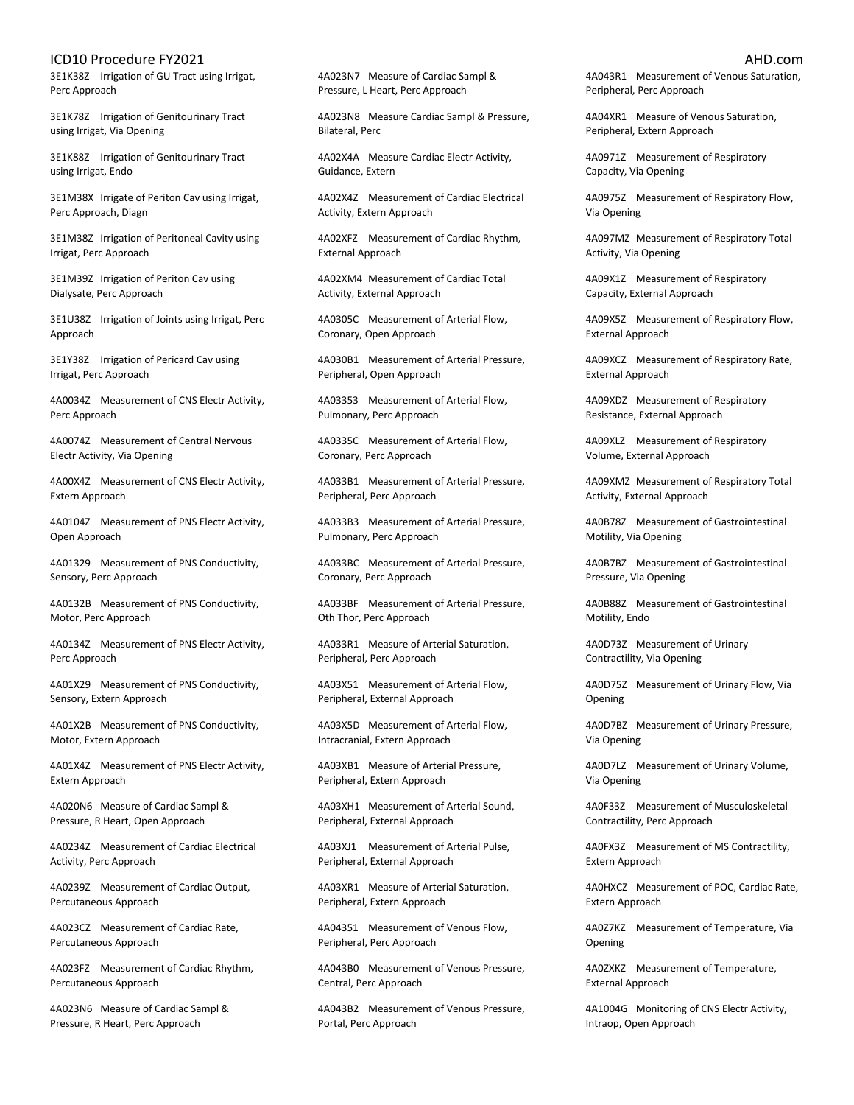3E1K38Z Irrigation of GU Tract using Irrigat, Perc Approach

3E1K78Z Irrigation of Genitourinary Tract using Irrigat, Via Opening

3E1K88Z Irrigation of Genitourinary Tract using Irrigat, Endo

3E1M38X Irrigate of Periton Cav using Irrigat, Perc Approach, Diagn

3E1M38Z Irrigation of Peritoneal Cavity using Irrigat, Perc Approach

3E1M39Z Irrigation of Periton Cav using Dialysate, Perc Approach

3E1U38Z Irrigation of Joints using Irrigat, Perc Approach

3E1Y38Z Irrigation of Pericard Cav using Irrigat, Perc Approach

4A0034Z Measurement of CNS Electr Activity, Perc Approach

4A0074Z Measurement of Central Nervous Electr Activity, Via Opening

4A00X4Z Measurement of CNS Electr Activity, Extern Approach

4A0104Z Measurement of PNS Electr Activity, Open Approach

4A01329 Measurement of PNS Conductivity, Sensory, Perc Approach

4A0132B Measurement of PNS Conductivity, Motor, Perc Approach

4A0134Z Measurement of PNS Electr Activity, Perc Approach

4A01X29 Measurement of PNS Conductivity, Sensory, Extern Approach

4A01X2B Measurement of PNS Conductivity, Motor, Extern Approach

4A01X4Z Measurement of PNS Electr Activity, Extern Approach

4A020N6 Measure of Cardiac Sampl & Pressure, R Heart, Open Approach

4A0234Z Measurement of Cardiac Electrical Activity, Perc Approach

4A0239Z Measurement of Cardiac Output, Percutaneous Approach

4A023CZ Measurement of Cardiac Rate, Percutaneous Approach

4A023FZ Measurement of Cardiac Rhythm, Percutaneous Approach

4A023N6 Measure of Cardiac Sampl & Pressure, R Heart, Perc Approach

4A023N7 Measure of Cardiac Sampl & Pressure, L Heart, Perc Approach

4A023N8 Measure Cardiac Sampl & Pressure, Bilateral, Perc

4A02X4A Measure Cardiac Electr Activity, Guidance, Extern

4A02X4Z Measurement of Cardiac Electrical Activity, Extern Approach

4A02XFZ Measurement of Cardiac Rhythm, External Approach

4A02XM4 Measurement of Cardiac Total Activity, External Approach

4A0305C Measurement of Arterial Flow, Coronary, Open Approach

4A030B1 Measurement of Arterial Pressure, Peripheral, Open Approach

4A03353 Measurement of Arterial Flow, Pulmonary, Perc Approach

4A0335C Measurement of Arterial Flow, Coronary, Perc Approach

4A033B1 Measurement of Arterial Pressure, Peripheral, Perc Approach

4A033B3 Measurement of Arterial Pressure, Pulmonary, Perc Approach

4A033BC Measurement of Arterial Pressure, Coronary, Perc Approach

4A033BF Measurement of Arterial Pressure, Oth Thor, Perc Approach

4A033R1 Measure of Arterial Saturation, Peripheral, Perc Approach

4A03X51 Measurement of Arterial Flow, Peripheral, External Approach

4A03X5D Measurement of Arterial Flow, Intracranial, Extern Approach

4A03XB1 Measure of Arterial Pressure, Peripheral, Extern Approach

4A03XH1 Measurement of Arterial Sound, Peripheral, External Approach

4A03XJ1 Measurement of Arterial Pulse, Peripheral, External Approach

4A03XR1 Measure of Arterial Saturation, Peripheral, Extern Approach

4A04351 Measurement of Venous Flow, Peripheral, Perc Approach

4A043B0 Measurement of Venous Pressure, Central, Perc Approach

4A043B2 Measurement of Venous Pressure, Portal, Perc Approach

4A043R1 Measurement of Venous Saturation, Peripheral, Perc Approach

4A04XR1 Measure of Venous Saturation, Peripheral, Extern Approach

4A0971Z Measurement of Respiratory Capacity, Via Opening

4A0975Z Measurement of Respiratory Flow, Via Opening

4A097MZ Measurement of Respiratory Total Activity, Via Opening

4A09X1Z Measurement of Respiratory Capacity, External Approach

4A09X5Z Measurement of Respiratory Flow, External Approach

4A09XCZ Measurement of Respiratory Rate, External Approach

4A09XDZ Measurement of Respiratory Resistance, External Approach

4A09XLZ Measurement of Respiratory Volume, External Approach

4A09XMZ Measurement of Respiratory Total Activity, External Approach

4A0B78Z Measurement of Gastrointestinal Motility, Via Opening

4A0B7BZ Measurement of Gastrointestinal Pressure, Via Opening

4A0B88Z Measurement of Gastrointestinal Motility, Endo

4A0D73Z Measurement of Urinary Contractility, Via Opening

4A0D75Z Measurement of Urinary Flow, Via Opening

4A0D7BZ Measurement of Urinary Pressure, Via Opening

4A0D7LZ Measurement of Urinary Volume, Via Opening

4A0F33Z Measurement of Musculoskeletal Contractility, Perc Approach

4A0FX3Z Measurement of MS Contractility, Extern Approach

4A0HXCZ Measurement of POC, Cardiac Rate, Extern Approach

4A0Z7KZ Measurement of Temperature, Via Opening

4A0ZXKZ Measurement of Temperature, External Approach

4A1004G Monitoring of CNS Electr Activity, Intraop, Open Approach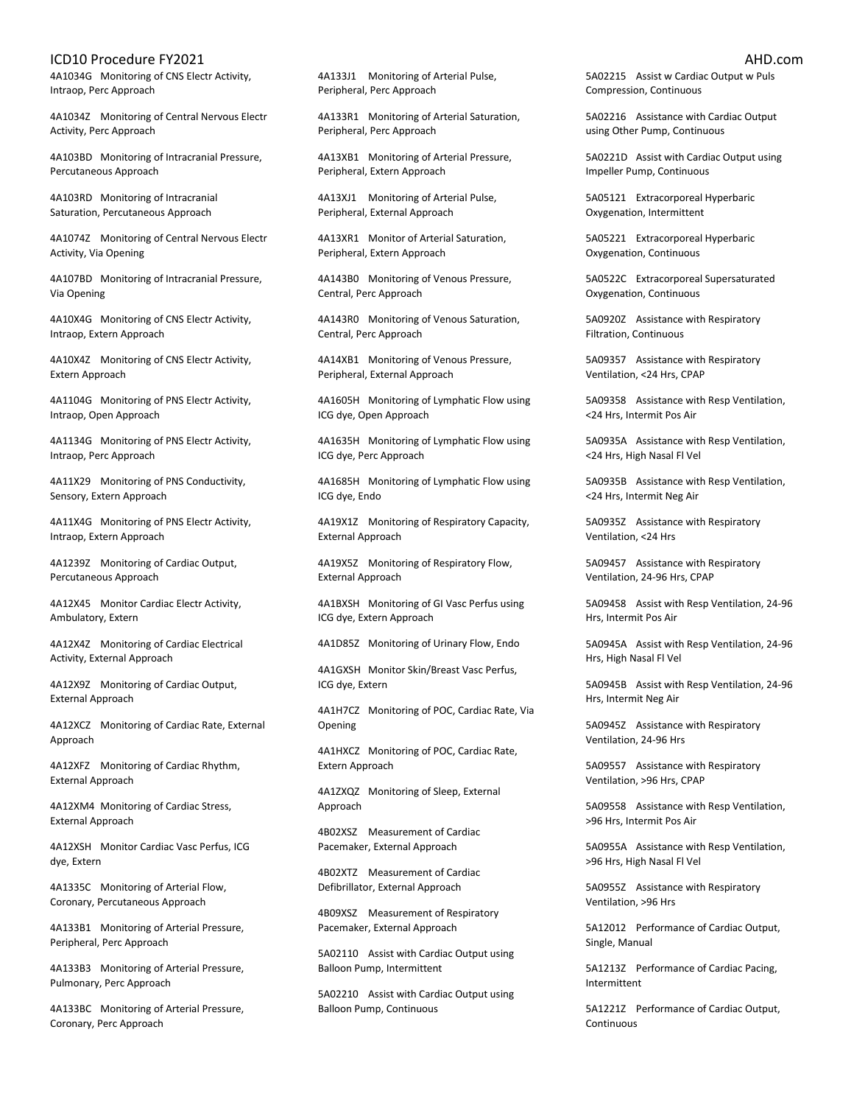4A1034G Monitoring of CNS Electr Activity, Intraop, Perc Approach

4A1034Z Monitoring of Central Nervous Electr Activity, Perc Approach

4A103BD Monitoring of Intracranial Pressure, Percutaneous Approach

4A103RD Monitoring of Intracranial Saturation, Percutaneous Approach

4A1074Z Monitoring of Central Nervous Electr Activity, Via Opening

4A107BD Monitoring of Intracranial Pressure, Via Opening

4A10X4G Monitoring of CNS Electr Activity, Intraop, Extern Approach

4A10X4Z Monitoring of CNS Electr Activity, Extern Approach

4A1104G Monitoring of PNS Electr Activity, Intraop, Open Approach

4A1134G Monitoring of PNS Electr Activity, Intraop, Perc Approach

4A11X29 Monitoring of PNS Conductivity, Sensory, Extern Approach

4A11X4G Monitoring of PNS Electr Activity, Intraop, Extern Approach

4A1239Z Monitoring of Cardiac Output, Percutaneous Approach

4A12X45 Monitor Cardiac Electr Activity, Ambulatory, Extern

4A12X4Z Monitoring of Cardiac Electrical Activity, External Approach

4A12X9Z Monitoring of Cardiac Output, External Approach

4A12XCZ Monitoring of Cardiac Rate, External Approach

4A12XFZ Monitoring of Cardiac Rhythm, External Approach

4A12XM4 Monitoring of Cardiac Stress, External Approach

4A12XSH Monitor Cardiac Vasc Perfus, ICG dye, Extern

4A1335C Monitoring of Arterial Flow, Coronary, Percutaneous Approach

4A133B1 Monitoring of Arterial Pressure, Peripheral, Perc Approach

4A133B3 Monitoring of Arterial Pressure, Pulmonary, Perc Approach

4A133BC Monitoring of Arterial Pressure, Coronary, Perc Approach

4A133J1 Monitoring of Arterial Pulse, Peripheral, Perc Approach

4A133R1 Monitoring of Arterial Saturation, Peripheral, Perc Approach

4A13XB1 Monitoring of Arterial Pressure, Peripheral, Extern Approach

4A13XJ1 Monitoring of Arterial Pulse, Peripheral, External Approach

4A13XR1 Monitor of Arterial Saturation, Peripheral, Extern Approach

4A143B0 Monitoring of Venous Pressure, Central, Perc Approach

4A143R0 Monitoring of Venous Saturation, Central, Perc Approach

4A14XB1 Monitoring of Venous Pressure, Peripheral, External Approach

4A1605H Monitoring of Lymphatic Flow using ICG dye, Open Approach

4A1635H Monitoring of Lymphatic Flow using ICG dye, Perc Approach

4A1685H Monitoring of Lymphatic Flow using ICG dye, Endo

4A19X1Z Monitoring of Respiratory Capacity, External Approach

4A19X5Z Monitoring of Respiratory Flow, External Approach

4A1BXSH Monitoring of GI Vasc Perfus using ICG dye, Extern Approach

4A1D85Z Monitoring of Urinary Flow, Endo

4A1GXSH Monitor Skin/Breast Vasc Perfus, ICG dye, Extern

4A1H7CZ Monitoring of POC, Cardiac Rate, Via Opening

4A1HXCZ Monitoring of POC, Cardiac Rate, Extern Approach

4A1ZXQZ Monitoring of Sleep, External Approach

4B02XSZ Measurement of Cardiac Pacemaker, External Approach

4B02XTZ Measurement of Cardiac Defibrillator, External Approach

4B09XSZ Measurement of Respiratory Pacemaker, External Approach

5A02110 Assist with Cardiac Output using Balloon Pump, Intermittent

5A02210 Assist with Cardiac Output using Balloon Pump, Continuous

5A02215 Assist w Cardiac Output w Puls Compression, Continuous

5A02216 Assistance with Cardiac Output using Other Pump, Continuous

5A0221D Assist with Cardiac Output using Impeller Pump, Continuous

5A05121 Extracorporeal Hyperbaric Oxygenation, Intermittent

5A05221 Extracorporeal Hyperbaric Oxygenation, Continuous

5A0522C Extracorporeal Supersaturated Oxygenation, Continuous

5A0920Z Assistance with Respiratory Filtration, Continuous

5A09357 Assistance with Respiratory Ventilation, <24 Hrs, CPAP

5A09358 Assistance with Resp Ventilation, <24 Hrs, Intermit Pos Air

5A0935A Assistance with Resp Ventilation, <24 Hrs, High Nasal Fl Vel

5A0935B Assistance with Resp Ventilation, <24 Hrs, Intermit Neg Air

5A0935Z Assistance with Respiratory Ventilation, <24 Hrs

5A09457 Assistance with Respiratory Ventilation, 24-96 Hrs, CPAP

5A09458 Assist with Resp Ventilation, 24-96 Hrs, Intermit Pos Air

5A0945A Assist with Resp Ventilation, 24-96 Hrs, High Nasal Fl Vel

5A0945B Assist with Resp Ventilation, 24-96 Hrs, Intermit Neg Air

5A0945Z Assistance with Respiratory Ventilation, 24-96 Hrs

5A09557 Assistance with Respiratory Ventilation, >96 Hrs, CPAP

5A09558 Assistance with Resp Ventilation, >96 Hrs, Intermit Pos Air

5A0955A Assistance with Resp Ventilation, >96 Hrs, High Nasal Fl Vel

5A0955Z Assistance with Respiratory Ventilation, >96 Hrs

5A12012 Performance of Cardiac Output, Single, Manual

5A1213Z Performance of Cardiac Pacing, Intermittent

5A1221Z Performance of Cardiac Output, Continuous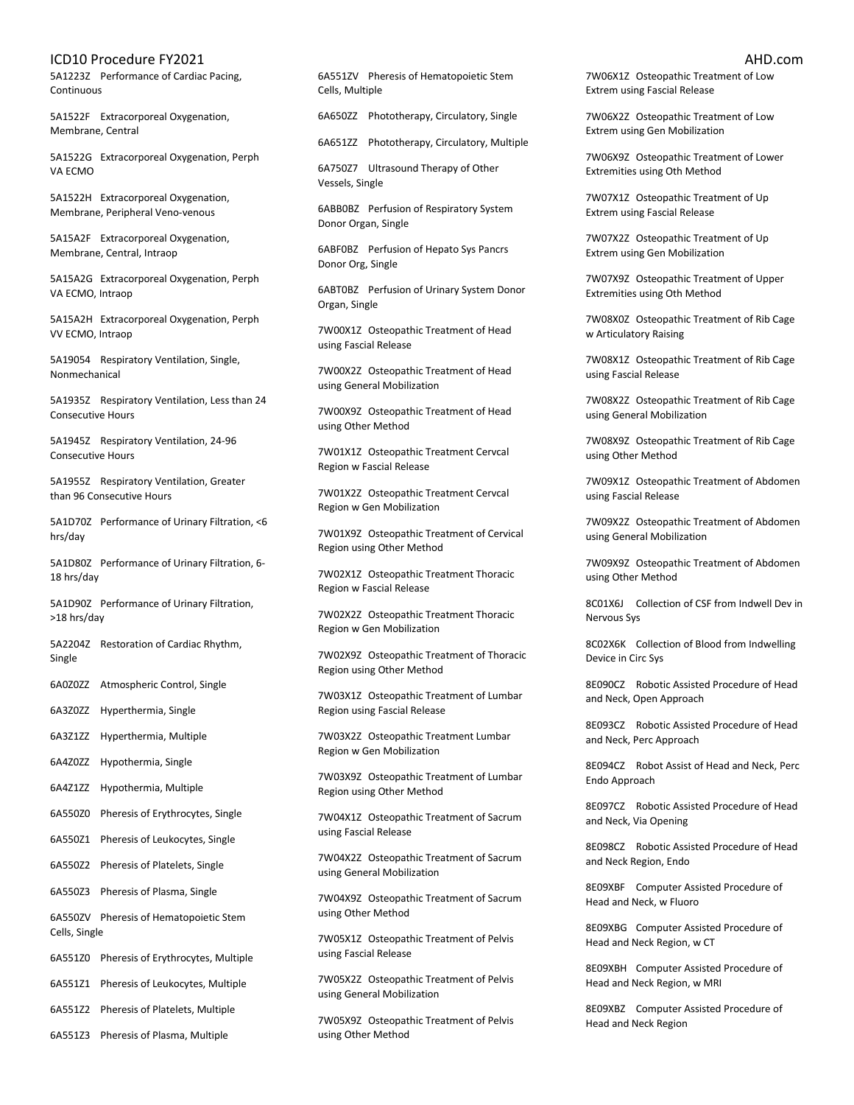5A1223Z Performance of Cardiac Pacing, Continuous

5A1522F Extracorporeal Oxygenation, Membrane, Central

5A1522G Extracorporeal Oxygenation, Perph VA ECMO

5A1522H Extracorporeal Oxygenation, Membrane, Peripheral Veno-venous

5A15A2F Extracorporeal Oxygenation, Membrane, Central, Intraop

5A15A2G Extracorporeal Oxygenation, Perph VA ECMO, Intraop

5A15A2H Extracorporeal Oxygenation, Perph VV ECMO, Intraop

5A19054 Respiratory Ventilation, Single, Nonmechanical

5A1935Z Respiratory Ventilation, Less than 24 Consecutive Hours

5A1945Z Respiratory Ventilation, 24-96 Consecutive Hours

5A1955Z Respiratory Ventilation, Greater than 96 Consecutive Hours

5A1D70Z Performance of Urinary Filtration, <6 hrs/day

5A1D80Z Performance of Urinary Filtration, 6- 18 hrs/day

5A1D90Z Performance of Urinary Filtration, >18 hrs/day

5A2204Z Restoration of Cardiac Rhythm, Single

6A0Z0ZZ Atmospheric Control, Single

6A3Z0ZZ Hyperthermia, Single

6A3Z1ZZ Hyperthermia, Multiple

6A4Z0ZZ Hypothermia, Single

6A4Z1ZZ Hypothermia, Multiple

6A550Z0 Pheresis of Erythrocytes, Single

6A550Z1 Pheresis of Leukocytes, Single

6A550Z2 Pheresis of Platelets, Single

6A550Z3 Pheresis of Plasma, Single

6A550ZV Pheresis of Hematopoietic Stem Cells, Single

6A551Z0 Pheresis of Erythrocytes, Multiple

6A551Z1 Pheresis of Leukocytes, Multiple

6A551Z2 Pheresis of Platelets, Multiple

6A551Z3 Pheresis of Plasma, Multiple

6A551ZV Pheresis of Hematopoietic Stem Cells, Multiple

6A650ZZ Phototherapy, Circulatory, Single

6A651ZZ Phototherapy, Circulatory, Multiple

6A750Z7 Ultrasound Therapy of Other Vessels, Single

6ABB0BZ Perfusion of Respiratory System Donor Organ, Single

6ABF0BZ Perfusion of Hepato Sys Pancrs Donor Org, Single

6ABT0BZ Perfusion of Urinary System Donor Organ, Single

7W00X1Z Osteopathic Treatment of Head using Fascial Release

7W00X2Z Osteopathic Treatment of Head using General Mobilization

7W00X9Z Osteopathic Treatment of Head using Other Method

7W01X1Z Osteopathic Treatment Cervcal Region w Fascial Release

7W01X2Z Osteopathic Treatment Cervcal Region w Gen Mobilization

7W01X9Z Osteopathic Treatment of Cervical Region using Other Method

7W02X1Z Osteopathic Treatment Thoracic Region w Fascial Release

7W02X2Z Osteopathic Treatment Thoracic Region w Gen Mobilization

7W02X9Z Osteopathic Treatment of Thoracic Region using Other Method

7W03X1Z Osteopathic Treatment of Lumbar Region using Fascial Release

7W03X2Z Osteopathic Treatment Lumbar Region w Gen Mobilization

7W03X9Z Osteopathic Treatment of Lumbar Region using Other Method

7W04X1Z Osteopathic Treatment of Sacrum using Fascial Release

7W04X2Z Osteopathic Treatment of Sacrum using General Mobilization

7W04X9Z Osteopathic Treatment of Sacrum using Other Method

7W05X1Z Osteopathic Treatment of Pelvis using Fascial Release

7W05X2Z Osteopathic Treatment of Pelvis using General Mobilization

7W05X9Z Osteopathic Treatment of Pelvis using Other Method

7W06X1Z Osteopathic Treatment of Low Extrem using Fascial Release

7W06X2Z Osteopathic Treatment of Low Extrem using Gen Mobilization

7W06X9Z Osteopathic Treatment of Lower Extremities using Oth Method

7W07X1Z Osteopathic Treatment of Up Extrem using Fascial Release

7W07X2Z Osteopathic Treatment of Up Extrem using Gen Mobilization

7W07X9Z Osteopathic Treatment of Upper Extremities using Oth Method

7W08X0Z Osteopathic Treatment of Rib Cage w Articulatory Raising

7W08X1Z Osteopathic Treatment of Rib Cage using Fascial Release

7W08X2Z Osteopathic Treatment of Rib Cage using General Mobilization

7W08X9Z Osteopathic Treatment of Rib Cage using Other Method

7W09X1Z Osteopathic Treatment of Abdomen using Fascial Release

7W09X2Z Osteopathic Treatment of Abdomen using General Mobilization

7W09X9Z Osteopathic Treatment of Abdomen using Other Method

8C01X6J Collection of CSF from Indwell Dev in Nervous Sys

8C02X6K Collection of Blood from Indwelling Device in Circ Sys

8E090CZ Robotic Assisted Procedure of Head and Neck, Open Approach

8E093CZ Robotic Assisted Procedure of Head and Neck, Perc Approach

8E094CZ Robot Assist of Head and Neck, Perc Endo Approach

8E097CZ Robotic Assisted Procedure of Head and Neck, Via Opening

8E098CZ Robotic Assisted Procedure of Head and Neck Region, Endo

8E09XBF Computer Assisted Procedure of Head and Neck, w Fluoro

8E09XBG Computer Assisted Procedure of Head and Neck Region, w CT

8E09XBH Computer Assisted Procedure of Head and Neck Region, w MRI

8E09XBZ Computer Assisted Procedure of Head and Neck Region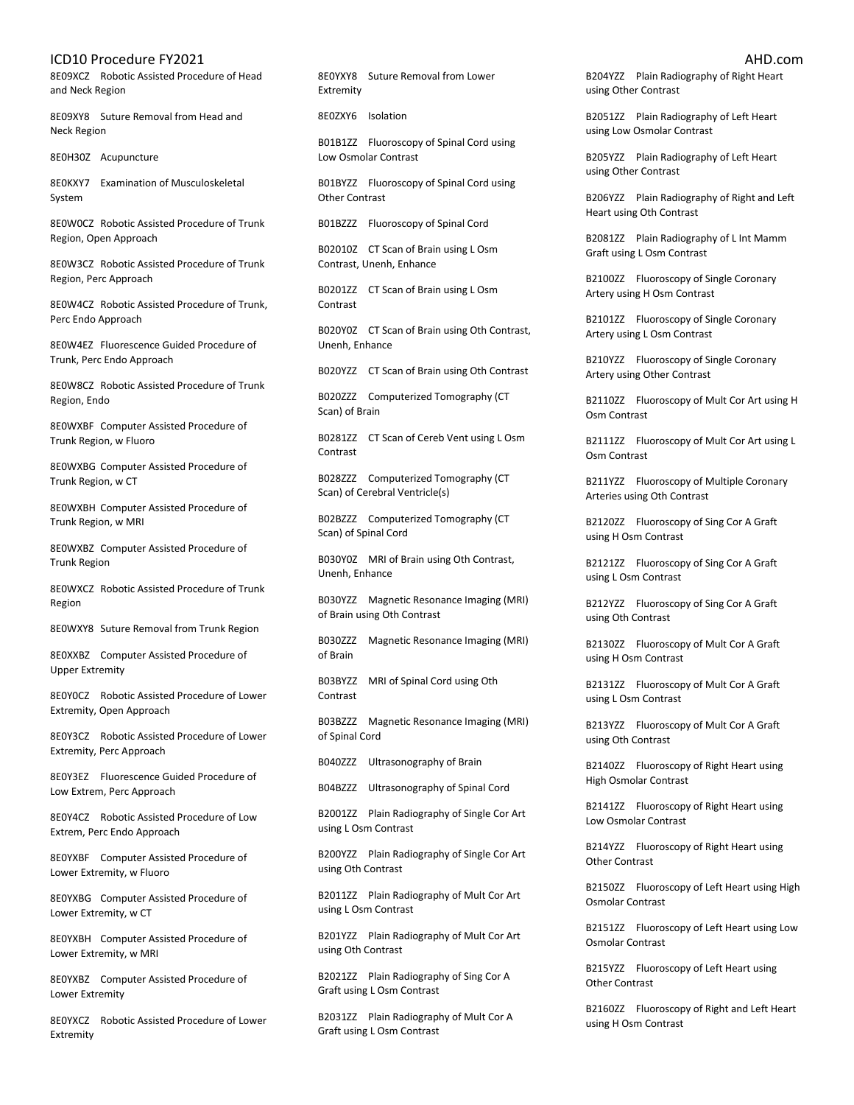8E09XCZ Robotic Assisted Procedure of Head and Neck Region

8E09XY8 Suture Removal from Head and Neck Region

8E0H30Z Acupuncture

8E0KXY7 Examination of Musculoskeletal System

8E0W0CZ Robotic Assisted Procedure of Trunk Region, Open Approach

8E0W3CZ Robotic Assisted Procedure of Trunk Region, Perc Approach

8E0W4CZ Robotic Assisted Procedure of Trunk, Perc Endo Approach

8E0W4EZ Fluorescence Guided Procedure of Trunk, Perc Endo Approach

8E0W8CZ Robotic Assisted Procedure of Trunk Region, Endo

8E0WXBF Computer Assisted Procedure of Trunk Region, w Fluoro

8E0WXBG Computer Assisted Procedure of Trunk Region, w CT

8E0WXBH Computer Assisted Procedure of Trunk Region, w MRI

8E0WXBZ Computer Assisted Procedure of Trunk Region

8E0WXCZ Robotic Assisted Procedure of Trunk Region

8E0WXY8 Suture Removal from Trunk Region

8E0XXBZ Computer Assisted Procedure of Upper Extremity

8E0Y0CZ Robotic Assisted Procedure of Lower Extremity, Open Approach

8E0Y3CZ Robotic Assisted Procedure of Lower Extremity, Perc Approach

8E0Y3EZ Fluorescence Guided Procedure of Low Extrem, Perc Approach

8E0Y4CZ Robotic Assisted Procedure of Low Extrem, Perc Endo Approach

8E0YXBF Computer Assisted Procedure of Lower Extremity, w Fluoro

8E0YXBG Computer Assisted Procedure of Lower Extremity, w CT

8E0YXBH Computer Assisted Procedure of Lower Extremity, w MRI

8E0YXBZ Computer Assisted Procedure of Lower Extremity

8E0YXCZ Robotic Assisted Procedure of Lower Extremity

8E0YXY8 Suture Removal from Lower Extremity

8E0ZXY6 Isolation

B01B1ZZ Fluoroscopy of Spinal Cord using Low Osmolar Contrast

B01BYZZ Fluoroscopy of Spinal Cord using Other Contrast

B01BZZZ Fluoroscopy of Spinal Cord

B02010Z CT Scan of Brain using L Osm Contrast, Unenh, Enhance

B0201ZZ CT Scan of Brain using L Osm Contrast

B020Y0Z CT Scan of Brain using Oth Contrast, Unenh, Enhance

B020YZZ CT Scan of Brain using Oth Contrast

B020ZZZ Computerized Tomography (CT Scan) of Brain

B0281ZZ CT Scan of Cereb Vent using L Osm Contrast

B028ZZZ Computerized Tomography (CT Scan) of Cerebral Ventricle(s)

B02BZZZ Computerized Tomography (CT Scan) of Spinal Cord

B030Y0Z MRI of Brain using Oth Contrast, Unenh, Enhance

B030YZZ Magnetic Resonance Imaging (MRI) of Brain using Oth Contrast

B030ZZZ Magnetic Resonance Imaging (MRI) of Brain

B03BYZZ MRI of Spinal Cord using Oth Contrast

B03BZZZ Magnetic Resonance Imaging (MRI) of Spinal Cord

B040ZZZ Ultrasonography of Brain

B04BZZZ Ultrasonography of Spinal Cord

B2001ZZ Plain Radiography of Single Cor Art using L Osm Contrast

B200YZZ Plain Radiography of Single Cor Art using Oth Contrast

B2011ZZ Plain Radiography of Mult Cor Art using L Osm Contrast

B201YZZ Plain Radiography of Mult Cor Art using Oth Contrast

B2021ZZ Plain Radiography of Sing Cor A Graft using L Osm Contrast

B2031ZZ Plain Radiography of Mult Cor A Graft using L Osm Contrast

B204YZZ Plain Radiography of Right Heart using Other Contrast

B2051ZZ Plain Radiography of Left Heart using Low Osmolar Contrast

B205YZZ Plain Radiography of Left Heart using Other Contrast

B206YZZ Plain Radiography of Right and Left Heart using Oth Contrast

B2081ZZ Plain Radiography of L Int Mamm Graft using L Osm Contrast

B2100ZZ Fluoroscopy of Single Coronary Artery using H Osm Contrast

B2101ZZ Fluoroscopy of Single Coronary Artery using L Osm Contrast

B210YZZ Fluoroscopy of Single Coronary Artery using Other Contrast

B2110ZZ Fluoroscopy of Mult Cor Art using H Osm Contrast

B2111ZZ Fluoroscopy of Mult Cor Art using L Osm Contrast

B211YZZ Fluoroscopy of Multiple Coronary Arteries using Oth Contrast

B2120ZZ Fluoroscopy of Sing Cor A Graft using H Osm Contrast

B2121ZZ Fluoroscopy of Sing Cor A Graft using L Osm Contrast

B212YZZ Fluoroscopy of Sing Cor A Graft using Oth Contrast

B2130ZZ Fluoroscopy of Mult Cor A Graft using H Osm Contrast

B2131ZZ Fluoroscopy of Mult Cor A Graft using L Osm Contrast

B213YZZ Fluoroscopy of Mult Cor A Graft using Oth Contrast

B2140ZZ Fluoroscopy of Right Heart using High Osmolar Contrast

B2141ZZ Fluoroscopy of Right Heart using Low Osmolar Contrast

B214YZZ Fluoroscopy of Right Heart using Other Contrast

B2150ZZ Fluoroscopy of Left Heart using High Osmolar Contrast

B2151ZZ Fluoroscopy of Left Heart using Low Osmolar Contrast

B215YZZ Fluoroscopy of Left Heart using Other Contrast

B2160ZZ Fluoroscopy of Right and Left Heart using H Osm Contrast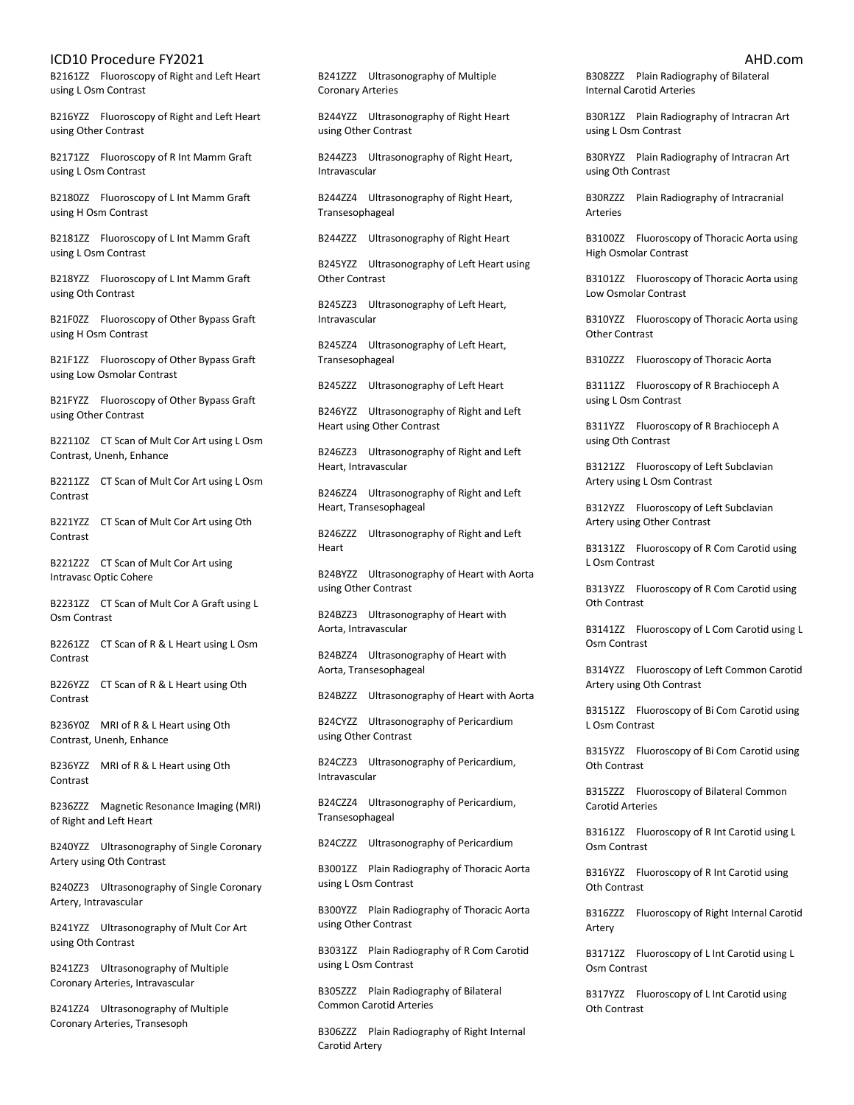B2161ZZ Fluoroscopy of Right and Left Heart using L Osm Contrast

B216YZZ Fluoroscopy of Right and Left Heart using Other Contrast

B2171ZZ Fluoroscopy of R Int Mamm Graft using L Osm Contrast

B2180ZZ Fluoroscopy of L Int Mamm Graft using H Osm Contrast

B2181ZZ Fluoroscopy of L Int Mamm Graft using L Osm Contrast

B218YZZ Fluoroscopy of L Int Mamm Graft using Oth Contrast

B21F0ZZ Fluoroscopy of Other Bypass Graft using H Osm Contrast

B21F1ZZ Fluoroscopy of Other Bypass Graft using Low Osmolar Contrast

B21FYZZ Fluoroscopy of Other Bypass Graft using Other Contrast

B22110Z CT Scan of Mult Cor Art using L Osm Contrast, Unenh, Enhance

B2211ZZ CT Scan of Mult Cor Art using L Osm Contrast

B221YZZ CT Scan of Mult Cor Art using Oth Contrast

B221Z2Z CT Scan of Mult Cor Art using Intravasc Optic Cohere

B2231ZZ CT Scan of Mult Cor A Graft using L Osm Contrast

B2261ZZ CT Scan of R & L Heart using L Osm Contrast

B226YZZ CT Scan of R & L Heart using Oth Contrast

B236Y0Z MRI of R & L Heart using Oth Contrast, Unenh, Enhance

B236YZZ MRI of R & L Heart using Oth Contrast

B236ZZZ Magnetic Resonance Imaging (MRI) of Right and Left Heart

B240YZZ Ultrasonography of Single Coronary Artery using Oth Contrast

B240ZZ3 Ultrasonography of Single Coronary Artery, Intravascular

B241YZZ Ultrasonography of Mult Cor Art using Oth Contrast

B241ZZ3 Ultrasonography of Multiple Coronary Arteries, Intravascular

B241ZZ4 Ultrasonography of Multiple Coronary Arteries, Transesoph

B241ZZZ Ultrasonography of Multiple Coronary Arteries

B244YZZ Ultrasonography of Right Heart using Other Contrast

B244ZZ3 Ultrasonography of Right Heart, Intravascular

B244ZZ4 Ultrasonography of Right Heart, Transesophageal

B244ZZZ Ultrasonography of Right Heart

B245YZZ Ultrasonography of Left Heart using Other Contrast

B245ZZ3 Ultrasonography of Left Heart, Intravascular

B245ZZ4 Ultrasonography of Left Heart, Transesophageal

B245ZZZ Ultrasonography of Left Heart

B246YZZ Ultrasonography of Right and Left Heart using Other Contrast

B246ZZ3 Ultrasonography of Right and Left Heart, Intravascular

B246ZZ4 Ultrasonography of Right and Left Heart, Transesophageal

B246ZZZ Ultrasonography of Right and Left Heart

B24BYZZ Ultrasonography of Heart with Aorta using Other Contrast

B24BZZ3 Ultrasonography of Heart with Aorta, Intravascular

B24BZZ4 Ultrasonography of Heart with Aorta, Transesophageal

B24BZZZ Ultrasonography of Heart with Aorta

B24CYZZ Ultrasonography of Pericardium using Other Contrast

B24CZZ3 Ultrasonography of Pericardium, Intravascular

B24CZZ4 Ultrasonography of Pericardium, Transesophageal

B24CZZZ Ultrasonography of Pericardium

B3001ZZ Plain Radiography of Thoracic Aorta using L Osm Contrast

B300YZZ Plain Radiography of Thoracic Aorta using Other Contrast

B3031ZZ Plain Radiography of R Com Carotid using L Osm Contrast

B305ZZZ Plain Radiography of Bilateral Common Carotid Arteries

B306ZZZ Plain Radiography of Right Internal Carotid Artery

B308ZZZ Plain Radiography of Bilateral Internal Carotid Arteries

B30R1ZZ Plain Radiography of Intracran Art using L Osm Contrast

B30RYZZ Plain Radiography of Intracran Art using Oth Contrast

B30RZZZ Plain Radiography of Intracranial **Arteries** 

B3100ZZ Fluoroscopy of Thoracic Aorta using High Osmolar Contrast

B3101ZZ Fluoroscopy of Thoracic Aorta using Low Osmolar Contrast

B310YZZ Fluoroscopy of Thoracic Aorta using Other Contrast

B310ZZZ Fluoroscopy of Thoracic Aorta

B3111ZZ Fluoroscopy of R Brachioceph A using L Osm Contrast

B311YZZ Fluoroscopy of R Brachioceph A using Oth Contrast

B3121ZZ Fluoroscopy of Left Subclavian Artery using L Osm Contrast

B312YZZ Fluoroscopy of Left Subclavian Artery using Other Contrast

B3131ZZ Fluoroscopy of R Com Carotid using L Osm Contrast

B313YZZ Fluoroscopy of R Com Carotid using Oth Contrast

B3141ZZ Fluoroscopy of L Com Carotid using L Osm Contrast

B314YZZ Fluoroscopy of Left Common Carotid Artery using Oth Contrast

B3151ZZ Fluoroscopy of Bi Com Carotid using L Osm Contrast

B315YZZ Fluoroscopy of Bi Com Carotid using Oth Contrast

B315ZZZ Fluoroscopy of Bilateral Common Carotid Arteries

B3161ZZ Fluoroscopy of R Int Carotid using L Osm Contrast

B316YZZ Fluoroscopy of R Int Carotid using Oth Contrast

B316ZZZ Fluoroscopy of Right Internal Carotid Artery

B3171ZZ Fluoroscopy of L Int Carotid using L Osm Contrast

B317YZZ Fluoroscopy of L Int Carotid using Oth Contrast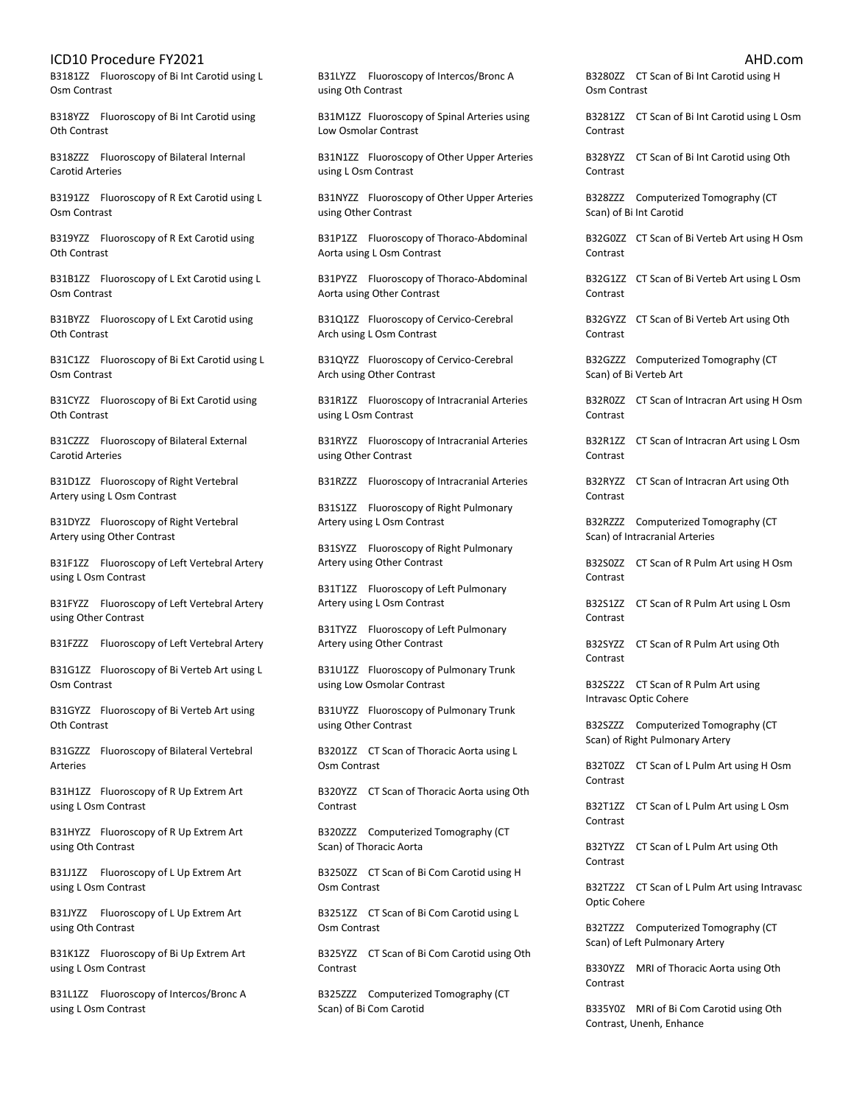B3181ZZ Fluoroscopy of Bi Int Carotid using L Osm Contrast

B318YZZ Fluoroscopy of Bi Int Carotid using Oth Contrast

B318ZZZ Fluoroscopy of Bilateral Internal Carotid Arteries

B3191ZZ Fluoroscopy of R Ext Carotid using L Osm Contrast

B319YZZ Fluoroscopy of R Ext Carotid using Oth Contrast

B31B1ZZ Fluoroscopy of L Ext Carotid using L Osm Contrast

B31BYZZ Fluoroscopy of L Ext Carotid using Oth Contrast

B31C1ZZ Fluoroscopy of Bi Ext Carotid using L Osm Contrast

B31CYZZ Fluoroscopy of Bi Ext Carotid using Oth Contrast

B31CZZZ Fluoroscopy of Bilateral External Carotid Arteries

B31D1ZZ Fluoroscopy of Right Vertebral Artery using L Osm Contrast

B31DYZZ Fluoroscopy of Right Vertebral Artery using Other Contrast

B31F1ZZ Fluoroscopy of Left Vertebral Artery using L Osm Contrast

B31FYZZ Fluoroscopy of Left Vertebral Artery using Other Contrast

B31FZZZ Fluoroscopy of Left Vertebral Artery

B31G1ZZ Fluoroscopy of Bi Verteb Art using L Osm Contrast

B31GYZZ Fluoroscopy of Bi Verteb Art using Oth Contrast

B31GZZZ Fluoroscopy of Bilateral Vertebral Arteries

B31H1ZZ Fluoroscopy of R Up Extrem Art using L Osm Contrast

B31HYZZ Fluoroscopy of R Up Extrem Art using Oth Contrast

B31J1ZZ Fluoroscopy of L Up Extrem Art using L Osm Contrast

B31JYZZ Fluoroscopy of L Up Extrem Art using Oth Contrast

B31K1ZZ Fluoroscopy of Bi Up Extrem Art using L Osm Contrast

B31L1ZZ Fluoroscopy of Intercos/Bronc A using L Osm Contrast

B31LYZZ Fluoroscopy of Intercos/Bronc A using Oth Contrast

B31M1ZZ Fluoroscopy of Spinal Arteries using Low Osmolar Contrast

B31N1ZZ Fluoroscopy of Other Upper Arteries using L Osm Contrast

B31NYZZ Fluoroscopy of Other Upper Arteries using Other Contrast

B31P1ZZ Fluoroscopy of Thoraco-Abdominal Aorta using L Osm Contrast

B31PYZZ Fluoroscopy of Thoraco-Abdominal Aorta using Other Contrast

B31Q1ZZ Fluoroscopy of Cervico-Cerebral Arch using L Osm Contrast

B31QYZZ Fluoroscopy of Cervico-Cerebral Arch using Other Contrast

B31R1ZZ Fluoroscopy of Intracranial Arteries using L Osm Contrast

B31RYZZ Fluoroscopy of Intracranial Arteries using Other Contrast

B31RZZZ Fluoroscopy of Intracranial Arteries

B31S1ZZ Fluoroscopy of Right Pulmonary Artery using L Osm Contrast

B31SYZZ Fluoroscopy of Right Pulmonary Artery using Other Contrast

B31T1ZZ Fluoroscopy of Left Pulmonary Artery using L Osm Contrast

B31TYZZ Fluoroscopy of Left Pulmonary Artery using Other Contrast

B31U1ZZ Fluoroscopy of Pulmonary Trunk using Low Osmolar Contrast

B31UYZZ Fluoroscopy of Pulmonary Trunk using Other Contrast

B3201ZZ CT Scan of Thoracic Aorta using L Osm Contrast

B320YZZ CT Scan of Thoracic Aorta using Oth Contrast

B320ZZZ Computerized Tomography (CT Scan) of Thoracic Aorta

B3250ZZ CT Scan of Bi Com Carotid using H Osm Contrast

B3251ZZ CT Scan of Bi Com Carotid using L Osm Contrast

B325YZZ CT Scan of Bi Com Carotid using Oth Contrast

B325ZZZ Computerized Tomography (CT Scan) of Bi Com Carotid

B3280ZZ CT Scan of Bi Int Carotid using H Osm Contrast

B3281ZZ CT Scan of Bi Int Carotid using L Osm Contrast

B328YZZ CT Scan of Bi Int Carotid using Oth Contrast

B328ZZZ Computerized Tomography (CT Scan) of Bi Int Carotid

B32G0ZZ CT Scan of Bi Verteb Art using H Osm Contrast

B32G1ZZ CT Scan of Bi Verteb Art using L Osm Contrast

B32GYZZ CT Scan of Bi Verteb Art using Oth Contrast

B32GZZZ Computerized Tomography (CT Scan) of Bi Verteb Art

B32R0ZZ CT Scan of Intracran Art using H Osm Contrast

B32R1ZZ CT Scan of Intracran Art using L Osm Contrast

B32RYZZ CT Scan of Intracran Art using Oth Contrast

B32RZZZ Computerized Tomography (CT Scan) of Intracranial Arteries

B32S0ZZ CT Scan of R Pulm Art using H Osm Contrast

B32S1ZZ CT Scan of R Pulm Art using L Osm Contrast

B32SYZZ CT Scan of R Pulm Art using Oth Contrast

B32SZ2Z CT Scan of R Pulm Art using Intravasc Optic Cohere

B32SZZZ Computerized Tomography (CT Scan) of Right Pulmonary Artery

B32T0ZZ CT Scan of L Pulm Art using H Osm Contrast

B32T1ZZ CT Scan of L Pulm Art using L Osm Contrast

B32TYZZ CT Scan of L Pulm Art using Oth Contrast

B32TZ2Z CT Scan of L Pulm Art using Intravasc Optic Cohere

B32TZZZ Computerized Tomography (CT Scan) of Left Pulmonary Artery

B330YZZ MRI of Thoracic Aorta using Oth Contrast

B335Y0Z MRI of Bi Com Carotid using Oth Contrast, Unenh, Enhance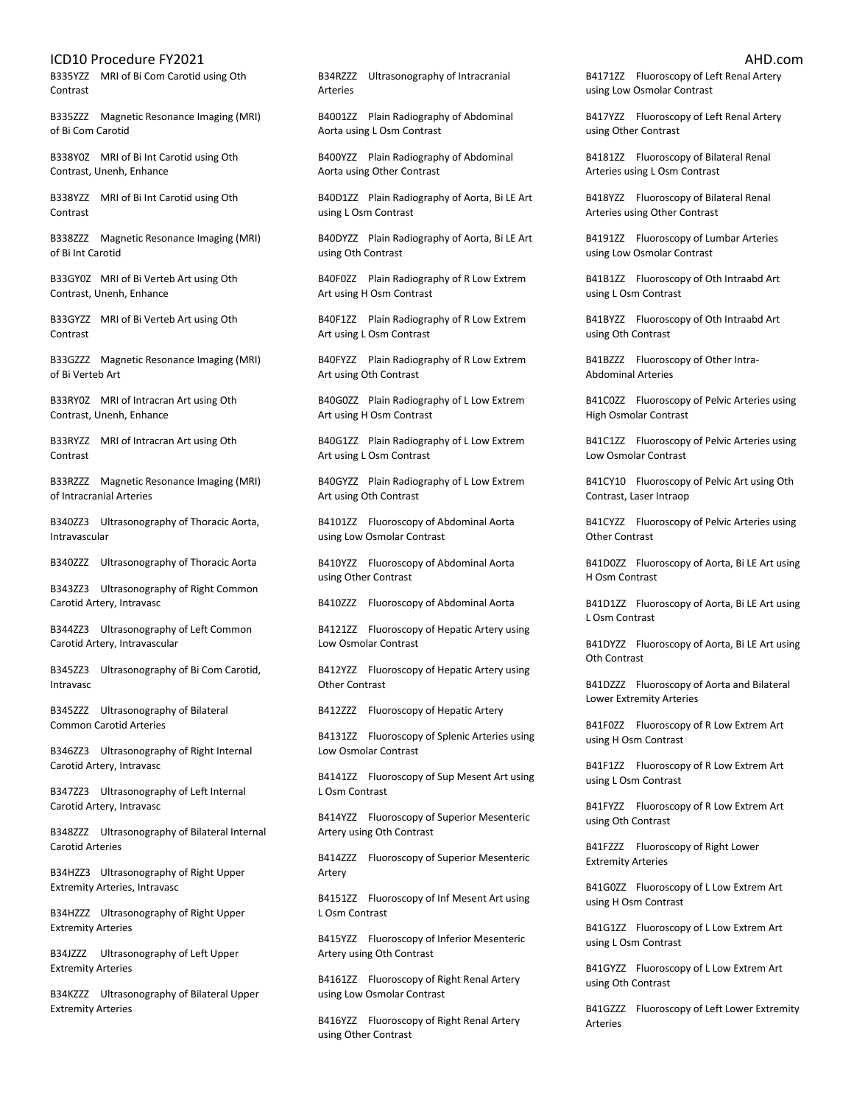B335YZZ MRI of Bi Com Carotid using Oth **Contrast** 

B335ZZZ Magnetic Resonance Imaging (MRI) of Bi Com Carotid

B338Y0Z MRI of Bi Int Carotid using Oth Contrast, Unenh, Enhance

B338YZZ MRI of Bi Int Carotid using Oth **Contrast** 

B338ZZZ Magnetic Resonance Imaging (MRI) of Bi Int Carotid

B33GY0Z MRI of Bi Verteb Art using Oth Contrast, Unenh, Enhance

B33GYZZ MRI of Bi Verteb Art using Oth Contrast

B33GZZZ Magnetic Resonance Imaging (MRI) of Bi Verteb Art

B33RY0Z MRI of Intracran Art using Oth Contrast, Unenh, Enhance

B33RYZZ MRI of Intracran Art using Oth Contrast

B33RZZZ Magnetic Resonance Imaging (MRI) of Intracranial Arteries

B340ZZ3 Ultrasonography of Thoracic Aorta, Intravascular

B340ZZZ Ultrasonography of Thoracic Aorta

B343ZZ3 Ultrasonography of Right Common Carotid Artery, Intravasc

B344ZZ3 Ultrasonography of Left Common Carotid Artery, Intravascular

B345ZZ3 Ultrasonography of Bi Com Carotid, Intravasc

B345ZZZ Ultrasonography of Bilateral Common Carotid Arteries

B346ZZ3 Ultrasonography of Right Internal Carotid Artery, Intravasc

B347ZZ3 Ultrasonography of Left Internal Carotid Artery, Intravasc

B348ZZZ Ultrasonography of Bilateral Internal Carotid Arteries

B34HZZ3 Ultrasonography of Right Upper Extremity Arteries, Intravasc

B34HZZZ Ultrasonography of Right Upper Extremity Arteries

B34JZZZ Ultrasonography of Left Upper Extremity Arteries

B34KZZZ Ultrasonography of Bilateral Upper Extremity Arteries

B34RZZZ Ultrasonography of Intracranial Arteries

B4001ZZ Plain Radiography of Abdominal Aorta using L Osm Contrast

B400YZZ Plain Radiography of Abdominal Aorta using Other Contrast

B40D1ZZ Plain Radiography of Aorta, Bi LE Art using L Osm Contrast

B40DYZZ Plain Radiography of Aorta, Bi LE Art using Oth Contrast

B40F0ZZ Plain Radiography of R Low Extrem Art using H Osm Contrast

B40F1ZZ Plain Radiography of R Low Extrem Art using L Osm Contrast

B40FYZZ Plain Radiography of R Low Extrem Art using Oth Contrast

B40G0ZZ Plain Radiography of L Low Extrem Art using H Osm Contrast

B40G1ZZ Plain Radiography of L Low Extrem Art using L Osm Contrast

B40GYZZ Plain Radiography of L Low Extrem Art using Oth Contrast

B4101ZZ Fluoroscopy of Abdominal Aorta using Low Osmolar Contrast

B410YZZ Fluoroscopy of Abdominal Aorta using Other Contrast

B410ZZZ Fluoroscopy of Abdominal Aorta

B4121ZZ Fluoroscopy of Hepatic Artery using Low Osmolar Contrast

B412YZZ Fluoroscopy of Hepatic Artery using Other Contrast

B412ZZZ Fluoroscopy of Hepatic Artery

B4131ZZ Fluoroscopy of Splenic Arteries using Low Osmolar Contrast

B4141ZZ Fluoroscopy of Sup Mesent Art using L Osm Contrast

B414YZZ Fluoroscopy of Superior Mesenteric Artery using Oth Contrast

B414ZZZ Fluoroscopy of Superior Mesenteric Artery

B4151ZZ Fluoroscopy of Inf Mesent Art using L Osm Contrast

B415YZZ Fluoroscopy of Inferior Mesenteric Artery using Oth Contrast

B4161ZZ Fluoroscopy of Right Renal Artery using Low Osmolar Contrast

B416YZZ Fluoroscopy of Right Renal Artery using Other Contrast

B4171ZZ Fluoroscopy of Left Renal Artery using Low Osmolar Contrast

B417YZZ Fluoroscopy of Left Renal Artery using Other Contrast

B4181ZZ Fluoroscopy of Bilateral Renal Arteries using L Osm Contrast

B418YZZ Fluoroscopy of Bilateral Renal Arteries using Other Contrast

B4191ZZ Fluoroscopy of Lumbar Arteries using Low Osmolar Contrast

B41B1ZZ Fluoroscopy of Oth Intraabd Art using L Osm Contrast

B41BYZZ Fluoroscopy of Oth Intraabd Art using Oth Contrast

B41BZZZ Fluoroscopy of Other Intra-Abdominal Arteries

B41C0ZZ Fluoroscopy of Pelvic Arteries using High Osmolar Contrast

B41C1ZZ Fluoroscopy of Pelvic Arteries using Low Osmolar Contrast

B41CY10 Fluoroscopy of Pelvic Art using Oth Contrast, Laser Intraop

B41CYZZ Fluoroscopy of Pelvic Arteries using Other Contrast

B41D0ZZ Fluoroscopy of Aorta, Bi LE Art using H Osm Contrast

B41D1ZZ Fluoroscopy of Aorta, Bi LE Art using L Osm Contrast

B41DYZZ Fluoroscopy of Aorta, Bi LE Art using Oth Contrast

B41DZZZ Fluoroscopy of Aorta and Bilateral Lower Extremity Arteries

B41F0ZZ Fluoroscopy of R Low Extrem Art using H Osm Contrast

B41F1ZZ Fluoroscopy of R Low Extrem Art using L Osm Contrast

B41FYZZ Fluoroscopy of R Low Extrem Art using Oth Contrast

B41FZZZ Fluoroscopy of Right Lower Extremity Arteries

B41G0ZZ Fluoroscopy of L Low Extrem Art using H Osm Contrast

B41G1ZZ Fluoroscopy of L Low Extrem Art using L Osm Contrast

B41GYZZ Fluoroscopy of L Low Extrem Art using Oth Contrast

B41GZZZ Fluoroscopy of Left Lower Extremity Arteries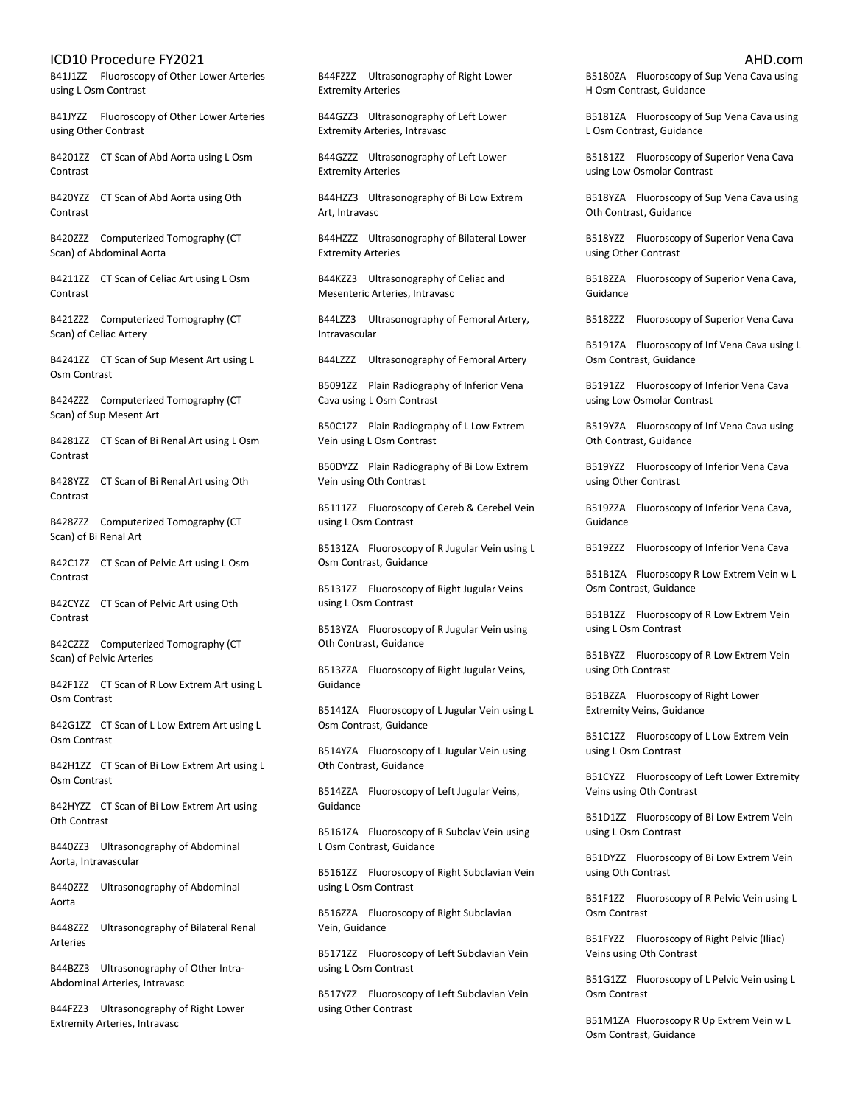B41J1ZZ Fluoroscopy of Other Lower Arteries using L Osm Contrast

B41JYZZ Fluoroscopy of Other Lower Arteries using Other Contrast

B4201ZZ CT Scan of Abd Aorta using L Osm Contrast

B420YZZ CT Scan of Abd Aorta using Oth **Contrast** 

B420ZZZ Computerized Tomography (CT Scan) of Abdominal Aorta

B4211ZZ CT Scan of Celiac Art using L Osm Contrast

B421ZZZ Computerized Tomography (CT Scan) of Celiac Artery

B4241ZZ CT Scan of Sup Mesent Art using L Osm Contrast

B424ZZZ Computerized Tomography (CT Scan) of Sup Mesent Art

B4281ZZ CT Scan of Bi Renal Art using L Osm Contrast

B428YZZ CT Scan of Bi Renal Art using Oth Contrast

B428ZZZ Computerized Tomography (CT Scan) of Bi Renal Art

B42C1ZZ CT Scan of Pelvic Art using L Osm Contrast

B42CYZZ CT Scan of Pelvic Art using Oth Contrast

B42CZZZ Computerized Tomography (CT Scan) of Pelvic Arteries

B42F1ZZ CT Scan of R Low Extrem Art using L Osm Contrast

B42G1ZZ CT Scan of L Low Extrem Art using L Osm Contrast

B42H1ZZ CT Scan of Bi Low Extrem Art using L Osm Contrast

B42HYZZ CT Scan of Bi Low Extrem Art using Oth Contrast

B440ZZ3 Ultrasonography of Abdominal Aorta, Intravascular

B440ZZZ Ultrasonography of Abdominal Aorta

B448ZZZ Ultrasonography of Bilateral Renal Arteries

B44BZZ3 Ultrasonography of Other Intra-Abdominal Arteries, Intravasc

B44FZZ3 Ultrasonography of Right Lower Extremity Arteries, Intravasc

B44FZZZ Ultrasonography of Right Lower Extremity Arteries

B44GZZ3 Ultrasonography of Left Lower Extremity Arteries, Intravasc

B44GZZZ Ultrasonography of Left Lower Extremity Arteries

B44HZZ3 Ultrasonography of Bi Low Extrem Art, Intravasc

B44HZZZ Ultrasonography of Bilateral Lower Extremity Arteries

B44KZZ3 Ultrasonography of Celiac and Mesenteric Arteries, Intravasc

B44LZZ3 Ultrasonography of Femoral Artery, Intravascular

B44LZZZ Ultrasonography of Femoral Artery

B5091ZZ Plain Radiography of Inferior Vena Cava using L Osm Contrast

B50C1ZZ Plain Radiography of L Low Extrem Vein using L Osm Contrast

B50DYZZ Plain Radiography of Bi Low Extrem Vein using Oth Contrast

B5111ZZ Fluoroscopy of Cereb & Cerebel Vein using L Osm Contrast

B5131ZA Fluoroscopy of R Jugular Vein using L Osm Contrast, Guidance

B5131ZZ Fluoroscopy of Right Jugular Veins using L Osm Contrast

B513YZA Fluoroscopy of R Jugular Vein using Oth Contrast, Guidance

B513ZZA Fluoroscopy of Right Jugular Veins, Guidance

B5141ZA Fluoroscopy of L Jugular Vein using L Osm Contrast, Guidance

B514YZA Fluoroscopy of L Jugular Vein using Oth Contrast, Guidance

B514ZZA Fluoroscopy of Left Jugular Veins, Guidance

B5161ZA Fluoroscopy of R Subclav Vein using L Osm Contrast, Guidance

B5161ZZ Fluoroscopy of Right Subclavian Vein using L Osm Contrast

B516ZZA Fluoroscopy of Right Subclavian Vein, Guidance

B5171ZZ Fluoroscopy of Left Subclavian Vein using L Osm Contrast

B517YZZ Fluoroscopy of Left Subclavian Vein using Other Contrast

B5180ZA Fluoroscopy of Sup Vena Cava using H Osm Contrast, Guidance

B5181ZA Fluoroscopy of Sup Vena Cava using L Osm Contrast, Guidance

B5181ZZ Fluoroscopy of Superior Vena Cava using Low Osmolar Contrast

B518YZA Fluoroscopy of Sup Vena Cava using Oth Contrast, Guidance

B518YZZ Fluoroscopy of Superior Vena Cava using Other Contrast

B518ZZA Fluoroscopy of Superior Vena Cava, Guidance

B518ZZZ Fluoroscopy of Superior Vena Cava

B5191ZA Fluoroscopy of Inf Vena Cava using L Osm Contrast, Guidance

B5191ZZ Fluoroscopy of Inferior Vena Cava using Low Osmolar Contrast

B519YZA Fluoroscopy of Inf Vena Cava using Oth Contrast, Guidance

B519YZZ Fluoroscopy of Inferior Vena Cava using Other Contrast

B519ZZA Fluoroscopy of Inferior Vena Cava, Guidance

B519ZZZ Fluoroscopy of Inferior Vena Cava

B51B1ZA Fluoroscopy R Low Extrem Vein w L Osm Contrast, Guidance

B51B1ZZ Fluoroscopy of R Low Extrem Vein using L Osm Contrast

B51BYZZ Fluoroscopy of R Low Extrem Vein using Oth Contrast

B51BZZA Fluoroscopy of Right Lower Extremity Veins, Guidance

B51C1ZZ Fluoroscopy of L Low Extrem Vein using L Osm Contrast

B51CYZZ Fluoroscopy of Left Lower Extremity Veins using Oth Contrast

B51D1ZZ Fluoroscopy of Bi Low Extrem Vein using L Osm Contrast

B51DYZZ Fluoroscopy of Bi Low Extrem Vein using Oth Contrast

B51F1ZZ Fluoroscopy of R Pelvic Vein using L Osm Contrast

B51FYZZ Fluoroscopy of Right Pelvic (Iliac) Veins using Oth Contrast

B51G1ZZ Fluoroscopy of L Pelvic Vein using L Osm Contrast

B51M1ZA Fluoroscopy R Up Extrem Vein w L Osm Contrast, Guidance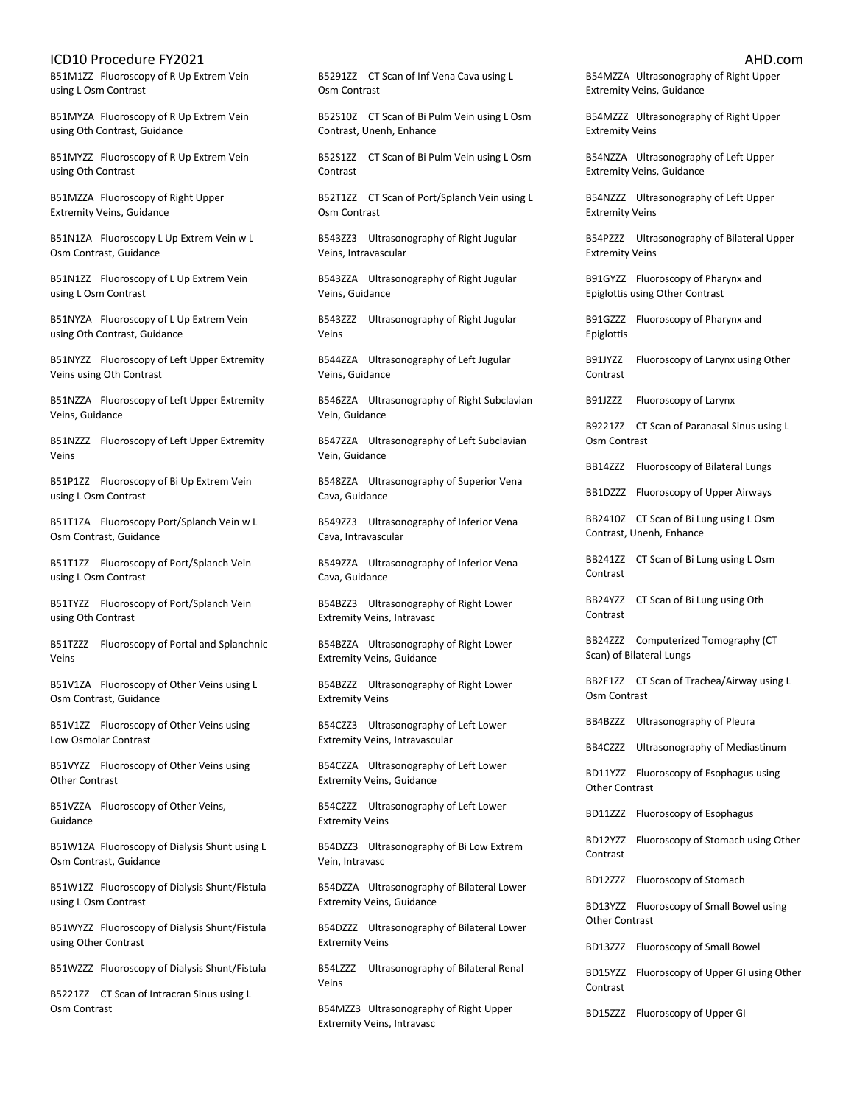B51M1ZZ Fluoroscopy of R Up Extrem Vein using L Osm Contrast

B51MYZA Fluoroscopy of R Up Extrem Vein using Oth Contrast, Guidance

B51MYZZ Fluoroscopy of R Up Extrem Vein using Oth Contrast

B51MZZA Fluoroscopy of Right Upper Extremity Veins, Guidance

B51N1ZA Fluoroscopy L Up Extrem Vein w L Osm Contrast, Guidance

B51N1ZZ Fluoroscopy of L Up Extrem Vein using L Osm Contrast

B51NYZA Fluoroscopy of L Up Extrem Vein using Oth Contrast, Guidance

B51NYZZ Fluoroscopy of Left Upper Extremity Veins using Oth Contrast

B51NZZA Fluoroscopy of Left Upper Extremity Veins, Guidance

B51NZZZ Fluoroscopy of Left Upper Extremity Veins

B51P1ZZ Fluoroscopy of Bi Up Extrem Vein using L Osm Contrast

B51T1ZA Fluoroscopy Port/Splanch Vein w L Osm Contrast, Guidance

B51T1ZZ Fluoroscopy of Port/Splanch Vein using L Osm Contrast

B51TYZZ Fluoroscopy of Port/Splanch Vein using Oth Contrast

B51TZZZ Fluoroscopy of Portal and Splanchnic Veins

B51V1ZA Fluoroscopy of Other Veins using L Osm Contrast, Guidance

B51V1ZZ Fluoroscopy of Other Veins using Low Osmolar Contrast

B51VYZZ Fluoroscopy of Other Veins using Other Contrast

B51VZZA Fluoroscopy of Other Veins, Guidance

B51W1ZA Fluoroscopy of Dialysis Shunt using L Osm Contrast, Guidance

B51W1ZZ Fluoroscopy of Dialysis Shunt/Fistula using L Osm Contrast

B51WYZZ Fluoroscopy of Dialysis Shunt/Fistula using Other Contrast

B51WZZZ Fluoroscopy of Dialysis Shunt/Fistula

B5221ZZ CT Scan of Intracran Sinus using L Osm Contrast

B5291ZZ CT Scan of Inf Vena Cava using L Osm Contrast

B52S10Z CT Scan of Bi Pulm Vein using L Osm Contrast, Unenh, Enhance

B52S1ZZ CT Scan of Bi Pulm Vein using L Osm Contrast

B52T1ZZ CT Scan of Port/Splanch Vein using L Osm Contrast

B543ZZ3 Ultrasonography of Right Jugular Veins, Intravascular

B543ZZA Ultrasonography of Right Jugular Veins, Guidance

B543ZZZ Ultrasonography of Right Jugular Veins

B544ZZA Ultrasonography of Left Jugular Veins, Guidance

B546ZZA Ultrasonography of Right Subclavian Vein, Guidance

B547ZZA Ultrasonography of Left Subclavian Vein, Guidance

B548ZZA Ultrasonography of Superior Vena Cava, Guidance

B549ZZ3 Ultrasonography of Inferior Vena Cava, Intravascular

B549ZZA Ultrasonography of Inferior Vena Cava, Guidance

B54BZZ3 Ultrasonography of Right Lower Extremity Veins, Intravasc

B54BZZA Ultrasonography of Right Lower Extremity Veins, Guidance

B54BZZZ Ultrasonography of Right Lower Extremity Veins

B54CZZ3 Ultrasonography of Left Lower Extremity Veins, Intravascular

B54CZZA Ultrasonography of Left Lower Extremity Veins, Guidance

B54CZZZ Ultrasonography of Left Lower Extremity Veins

B54DZZ3 Ultrasonography of Bi Low Extrem Vein, Intravasc

B54DZZA Ultrasonography of Bilateral Lower Extremity Veins, Guidance

B54DZZZ Ultrasonography of Bilateral Lower Extremity Veins

B54LZZZ Ultrasonography of Bilateral Renal Veins

B54MZZ3 Ultrasonography of Right Upper Extremity Veins, Intravasc

B54MZZA Ultrasonography of Right Upper Extremity Veins, Guidance

B54MZZZ Ultrasonography of Right Upper Extremity Veins

B54NZZA Ultrasonography of Left Upper Extremity Veins, Guidance

B54NZZZ Ultrasonography of Left Upper Extremity Veins

B54PZZZ Ultrasonography of Bilateral Upper Extremity Veins

B91GYZZ Fluoroscopy of Pharynx and Epiglottis using Other Contrast

B91GZZZ Fluoroscopy of Pharynx and Epiglottis

B91JYZZ Fluoroscopy of Larynx using Other Contrast

B91JZZZ Fluoroscopy of Larynx

B9221ZZ CT Scan of Paranasal Sinus using L Osm Contrast

BB14ZZZ Fluoroscopy of Bilateral Lungs

BB1DZZZ Fluoroscopy of Upper Airways

BB2410Z CT Scan of Bi Lung using L Osm Contrast, Unenh, Enhance

BB241ZZ CT Scan of Bi Lung using L Osm Contrast

BB24YZZ CT Scan of Bi Lung using Oth Contrast

BB24ZZZ Computerized Tomography (CT Scan) of Bilateral Lungs

BB2F1ZZ CT Scan of Trachea/Airway using L Osm Contrast

BB4BZZZ Ultrasonography of Pleura

BB4CZZZ Ultrasonography of Mediastinum

BD11YZZ Fluoroscopy of Esophagus using Other Contrast

BD11ZZZ Fluoroscopy of Esophagus

BD12YZZ Fluoroscopy of Stomach using Other Contrast

BD12ZZZ Fluoroscopy of Stomach

BD13YZZ Fluoroscopy of Small Bowel using Other Contrast

BD13ZZZ Fluoroscopy of Small Bowel

BD15YZZ Fluoroscopy of Upper GI using Other Contrast

BD15ZZZ Fluoroscopy of Upper GI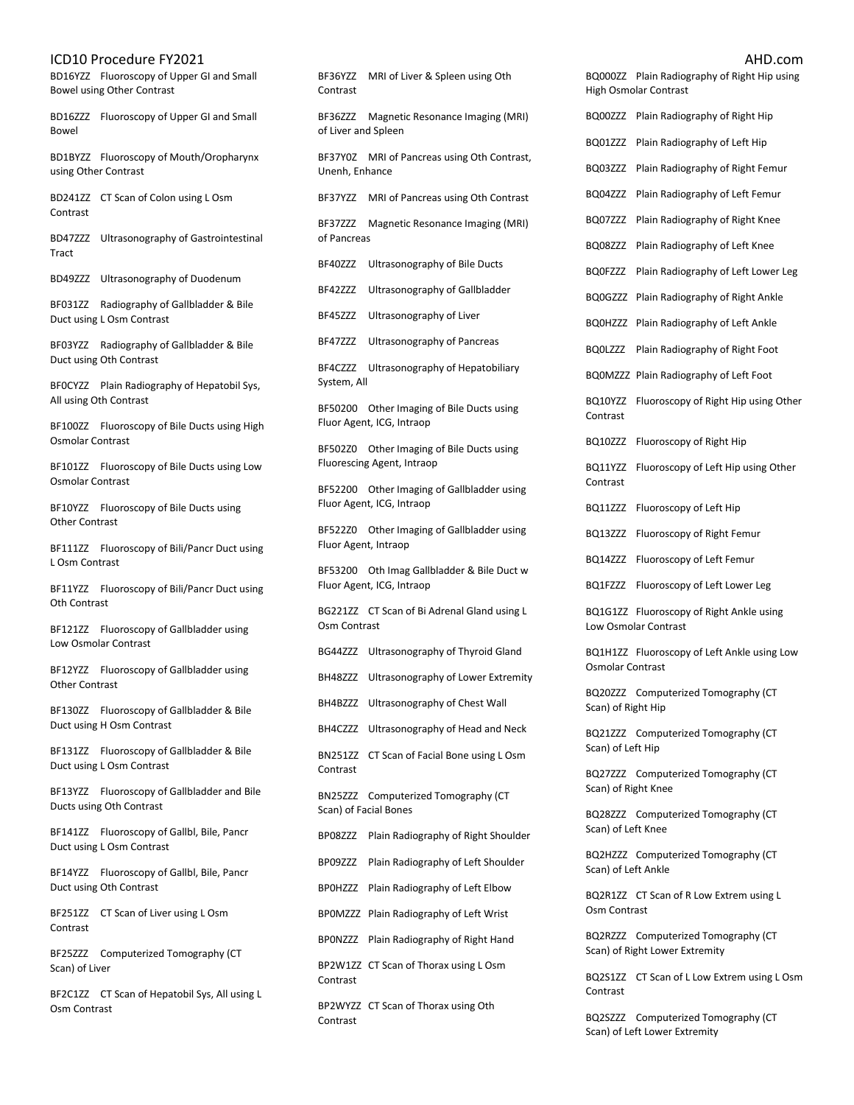# ICD10 Procedure FY2021

BD16YZZ Fluoroscopy of Upper GI and Small Bowel using Other Contrast

BD16ZZZ Fluoroscopy of Upper GI and Small Bowel

BD1BYZZ Fluoroscopy of Mouth/Oropharynx using Other Contrast

BD241ZZ CT Scan of Colon using L Osm Contrast

BD47ZZZ Ultrasonography of Gastrointestinal Tract

BD49ZZZ Ultrasonography of Duodenum

BF031ZZ Radiography of Gallbladder & Bile Duct using L Osm Contrast

BF03YZZ Radiography of Gallbladder & Bile Duct using Oth Contrast

BF0CYZZ Plain Radiography of Hepatobil Sys, All using Oth Contrast

BF100ZZ Fluoroscopy of Bile Ducts using High Osmolar Contrast

BF101ZZ Fluoroscopy of Bile Ducts using Low Osmolar Contrast

BF10YZZ Fluoroscopy of Bile Ducts using Other Contrast

BF111ZZ Fluoroscopy of Bili/Pancr Duct using L Osm Contrast

BF11YZZ Fluoroscopy of Bili/Pancr Duct using Oth Contrast

BF121ZZ Fluoroscopy of Gallbladder using Low Osmolar Contrast

BF12YZZ Fluoroscopy of Gallbladder using Other Contrast

BF130ZZ Fluoroscopy of Gallbladder & Bile Duct using H Osm Contrast

BF131ZZ Fluoroscopy of Gallbladder & Bile Duct using L Osm Contrast

BF13YZZ Fluoroscopy of Gallbladder and Bile Ducts using Oth Contrast

BF141ZZ Fluoroscopy of Gallbl, Bile, Pancr Duct using L Osm Contrast

BF14YZZ Fluoroscopy of Gallbl, Bile, Pancr Duct using Oth Contrast

BF251ZZ CT Scan of Liver using L Osm Contrast

BF25ZZZ Computerized Tomography (CT Scan) of Liver

BF2C1ZZ CT Scan of Hepatobil Sys, All using L Osm Contrast

| Contrast                                                | BF36YZZ MRI of Liver & Spleen using Oth     |  |
|---------------------------------------------------------|---------------------------------------------|--|
| of Liver and Spleen                                     | BF36ZZZ Magnetic Resonance Imaging (MRI)    |  |
| Unenh, Enhance                                          | BF37Y0Z MRI of Pancreas using Oth Contrast, |  |
|                                                         | BF37YZZ MRI of Pancreas using Oth Contrast  |  |
| BF37ZZZ Magnetic Resonance Imaging (MRI)<br>of Pancreas |                                             |  |
| BF40ZZZ                                                 | Ultrasonography of Bile Ducts               |  |
| BF42ZZZ                                                 | Ultrasonography of Gallbladder              |  |
| BF45ZZZ                                                 | Ultrasonography of Liver                    |  |
| BF47ZZZ                                                 | Ultrasonography of Pancreas                 |  |
| System, All                                             | BF4CZZZ Ultrasonography of Hepatobiliary    |  |
| BF50200                                                 | Other Imaging of Bile Ducts using           |  |

Fluor Agent, ICG, Intraop BF502Z0 Other Imaging of Bile Ducts using

Fluorescing Agent, Intraop

BF52200 Other Imaging of Gallbladder using Fluor Agent, ICG, Intraop

BF522Z0 Other Imaging of Gallbladder using Fluor Agent, Intraop

BF53200 Oth Imag Gallbladder & Bile Duct w Fluor Agent, ICG, Intraop

BG221ZZ CT Scan of Bi Adrenal Gland using L Osm Contrast

BG44ZZZ Ultrasonography of Thyroid Gland

BH48ZZZ Ultrasonography of Lower Extremity

BH4BZZZ Ultrasonography of Chest Wall

BH4CZZZ Ultrasonography of Head and Neck

BN251ZZ CT Scan of Facial Bone using L Osm Contrast

BN25ZZZ Computerized Tomography (CT Scan) of Facial Bones

BP08ZZZ Plain Radiography of Right Shoulder

BP09ZZZ Plain Radiography of Left Shoulder

BP0HZZZ Plain Radiography of Left Elbow

BP0MZZZ Plain Radiography of Left Wrist

BP0NZZZ Plain Radiography of Right Hand

BP2W1ZZ CT Scan of Thorax using L Osm Contrast

BP2WYZZ CT Scan of Thorax using Oth Contrast

|                     |                                                                       | AHD.com |
|---------------------|-----------------------------------------------------------------------|---------|
|                     | BQ000ZZ Plain Radiography of Right Hip using<br>High Osmolar Contrast |         |
| BQ00ZZZ             | Plain Radiography of Right Hip                                        |         |
| BQ01ZZZ             | Plain Radiography of Left Hip                                         |         |
| BQ03ZZZ             | Plain Radiography of Right Femur                                      |         |
| BQ04ZZZ             | Plain Radiography of Left Femur                                       |         |
| BQ07ZZZ             | Plain Radiography of Right Knee                                       |         |
| BQ08ZZZ             | Plain Radiography of Left Knee                                        |         |
| BQ0FZZZ             | Plain Radiography of Left Lower Leg                                   |         |
| BQ0GZZZ             | Plain Radiography of Right Ankle                                      |         |
| BQ0HZZZ             | Plain Radiography of Left Ankle                                       |         |
| BQ0LZZZ             | Plain Radiography of Right Foot                                       |         |
|                     | BQ0MZZZ Plain Radiography of Left Foot                                |         |
| BQ10YZZ<br>Contrast | Fluoroscopy of Right Hip using Other                                  |         |
| BQ10ZZZ             | Fluoroscopy of Right Hip                                              |         |
| BQ11YZZ<br>Contrast | Fluoroscopy of Left Hip using Other                                   |         |
| BQ11ZZZ             | Fluoroscopy of Left Hip                                               |         |
| BQ13ZZZ             | Fluoroscopy of Right Femur                                            |         |
| BQ14ZZZ             | Fluoroscopy of Left Femur                                             |         |
| BQ1FZZZ             | Fluoroscopy of Left Lower Leg                                         |         |
| BQ1G1ZZ             | Fluoroscopy of Right Ankle using<br>Low Osmolar Contrast              |         |
| Osmolar Contrast    | BQ1H1ZZ Fluoroscopy of Left Ankle using Low                           |         |
| Scan) of Right Hip  | BQ20ZZZ Computerized Tomography (CT                                   |         |
| Scan) of Left Hip   | BQ21ZZZ Computerized Tomography (CT                                   |         |
| Scan) of Right Knee | BQ27ZZZ Computerized Tomography (CT                                   |         |
| Scan) of Left Knee  | BQ28ZZZ Computerized Tomography (CT                                   |         |
| Scan) of Left Ankle | BQ2HZZZ Computerized Tomography (CT                                   |         |
| Osm Contrast        | BQ2R1ZZ CT Scan of R Low Extrem using L                               |         |
|                     | BQ2RZZZ Computerized Tomography (CT<br>Scan) of Right Lower Extremity |         |
| Contrast            | BQ2S1ZZ CT Scan of L Low Extrem using L Osm                           |         |

BQ2SZZZ Computerized Tomography (CT Scan) of Left Lower Extremity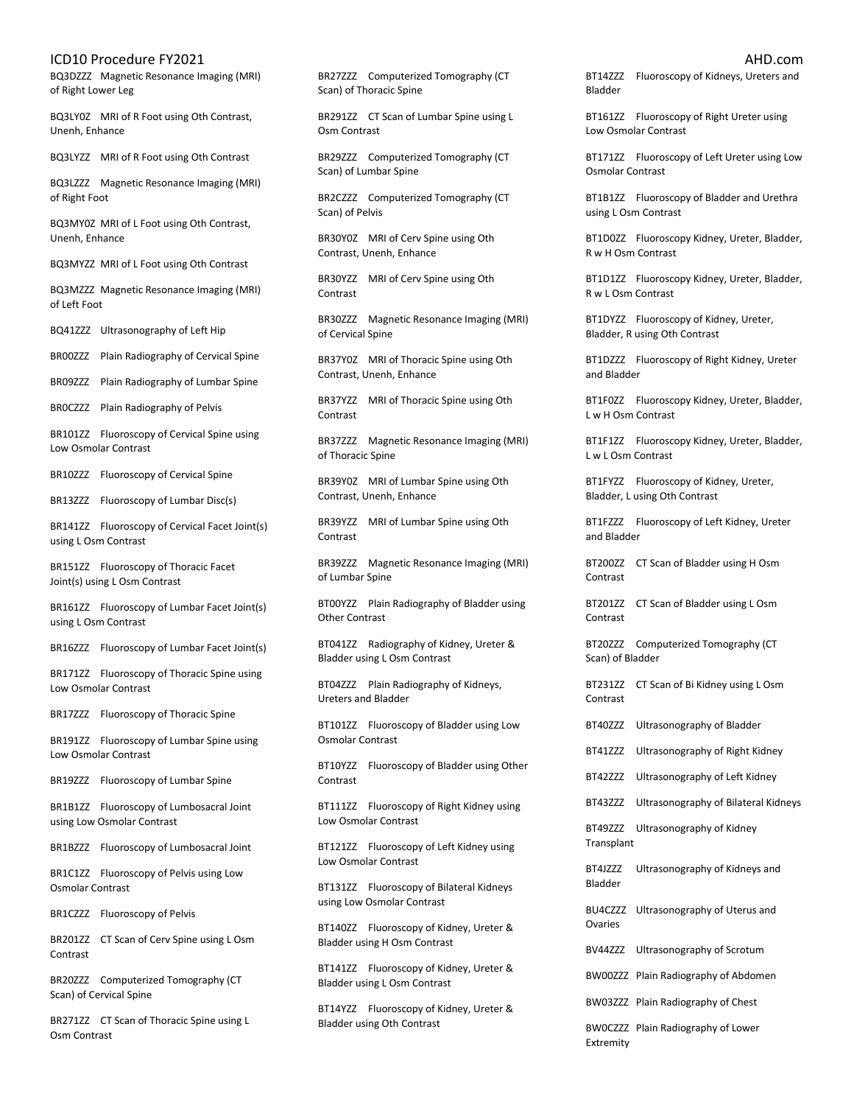BQ3DZZZ Magnetic Resonance Imaging (MRI) of Right Lower Leg

BQ3LY0Z MRI of R Foot using Oth Contrast, Unenh, Enhance

BQ3LYZZ MRI of R Foot using Oth Contrast

BQ3LZZZ Magnetic Resonance Imaging (MRI) of Right Foot

BQ3MY0Z MRI of L Foot using Oth Contrast, Unenh, Enhance

BQ3MYZZ MRI of L Foot using Oth Contrast

BQ3MZZZ Magnetic Resonance Imaging (MRI) of Left Foot

BQ41ZZZ Ultrasonography of Left Hip

BR00ZZZ Plain Radiography of Cervical Spine

BR09ZZZ Plain Radiography of Lumbar Spine

BR0CZZZ Plain Radiography of Pelvis

BR101ZZ Fluoroscopy of Cervical Spine using Low Osmolar Contrast

BR10ZZZ Fluoroscopy of Cervical Spine

BR13ZZZ Fluoroscopy of Lumbar Disc(s)

BR141ZZ Fluoroscopy of Cervical Facet Joint(s) using L Osm Contrast

BR151ZZ Fluoroscopy of Thoracic Facet Joint(s) using L Osm Contrast

BR161ZZ Fluoroscopy of Lumbar Facet Joint(s) using L Osm Contrast

BR16ZZZ Fluoroscopy of Lumbar Facet Joint(s)

BR171ZZ Fluoroscopy of Thoracic Spine using Low Osmolar Contrast

BR17ZZZ Fluoroscopy of Thoracic Spine

BR191ZZ Fluoroscopy of Lumbar Spine using Low Osmolar Contrast

BR19ZZZ Fluoroscopy of Lumbar Spine

BR1B1ZZ Fluoroscopy of Lumbosacral Joint using Low Osmolar Contrast

BR1BZZZ Fluoroscopy of Lumbosacral Joint

BR1C1ZZ Fluoroscopy of Pelvis using Low Osmolar Contrast

BR1CZZZ Fluoroscopy of Pelvis

BR201ZZ CT Scan of Cerv Spine using L Osm Contrast

BR20ZZZ Computerized Tomography (CT Scan) of Cervical Spine

BR271ZZ CT Scan of Thoracic Spine using L Osm Contrast

BR27ZZZ Computerized Tomography (CT Scan) of Thoracic Spine

BR291ZZ CT Scan of Lumbar Spine using L Osm Contrast

BR29ZZZ Computerized Tomography (CT Scan) of Lumbar Spine

BR2CZZZ Computerized Tomography (CT Scan) of Pelvis

BR30Y0Z MRI of Cerv Spine using Oth Contrast, Unenh, Enhance

BR30YZZ MRI of Cerv Spine using Oth Contrast

BR30ZZZ Magnetic Resonance Imaging (MRI) of Cervical Spine

BR37Y0Z MRI of Thoracic Spine using Oth Contrast, Unenh, Enhance

BR37YZZ MRI of Thoracic Spine using Oth Contrast

BR37ZZZ Magnetic Resonance Imaging (MRI) of Thoracic Spine

BR39Y0Z MRI of Lumbar Spine using Oth Contrast, Unenh, Enhance

BR39YZZ MRI of Lumbar Spine using Oth Contrast

BR39ZZZ Magnetic Resonance Imaging (MRI) of Lumbar Spine

BT00YZZ Plain Radiography of Bladder using Other Contrast

BT041ZZ Radiography of Kidney, Ureter & Bladder using L Osm Contrast

BT04ZZZ Plain Radiography of Kidneys, Ureters and Bladder

BT101ZZ Fluoroscopy of Bladder using Low Osmolar Contrast

BT10YZZ Fluoroscopy of Bladder using Other Contrast

BT111ZZ Fluoroscopy of Right Kidney using Low Osmolar Contrast

BT121ZZ Fluoroscopy of Left Kidney using Low Osmolar Contrast

BT131ZZ Fluoroscopy of Bilateral Kidneys using Low Osmolar Contrast

BT140ZZ Fluoroscopy of Kidney, Ureter & Bladder using H Osm Contrast

BT141ZZ Fluoroscopy of Kidney, Ureter & Bladder using L Osm Contrast

BT14YZZ Fluoroscopy of Kidney, Ureter & Bladder using Oth Contrast

BT14ZZZ Fluoroscopy of Kidneys, Ureters and Bladder

BT161ZZ Fluoroscopy of Right Ureter using Low Osmolar Contrast

BT171ZZ Fluoroscopy of Left Ureter using Low Osmolar Contrast

BT1B1ZZ Fluoroscopy of Bladder and Urethra using L Osm Contrast

BT1D0ZZ Fluoroscopy Kidney, Ureter, Bladder, R w H Osm Contrast

BT1D1ZZ Fluoroscopy Kidney, Ureter, Bladder, R w L Osm Contrast

BT1DYZZ Fluoroscopy of Kidney, Ureter, Bladder, R using Oth Contrast

BT1DZZZ Fluoroscopy of Right Kidney, Ureter and Bladder

BT1F0ZZ Fluoroscopy Kidney, Ureter, Bladder, L w H Osm Contrast

BT1F1ZZ Fluoroscopy Kidney, Ureter, Bladder, L w L Osm Contrast

BT1FYZZ Fluoroscopy of Kidney, Ureter, Bladder, L using Oth Contrast

BT1FZZZ Fluoroscopy of Left Kidney, Ureter and Bladder

BT200ZZ CT Scan of Bladder using H Osm Contrast

BT201ZZ CT Scan of Bladder using L Osm Contrast

BT20ZZZ Computerized Tomography (CT Scan) of Bladder

BT231ZZ CT Scan of Bi Kidney using L Osm Contrast

BT40ZZZ Ultrasonography of Bladder

BT41ZZZ Ultrasonography of Right Kidney

BT42ZZZ Ultrasonography of Left Kidney

BT43ZZZ Ultrasonography of Bilateral Kidneys

BT49ZZZ Ultrasonography of Kidney **Transplant** 

BT4JZZZ Ultrasonography of Kidneys and Bladder

BU4CZZZ Ultrasonography of Uterus and Ovaries

BV44ZZZ Ultrasonography of Scrotum

BW00ZZZ Plain Radiography of Abdomen

BW03ZZZ Plain Radiography of Chest

BW0CZZZ Plain Radiography of Lower Extremity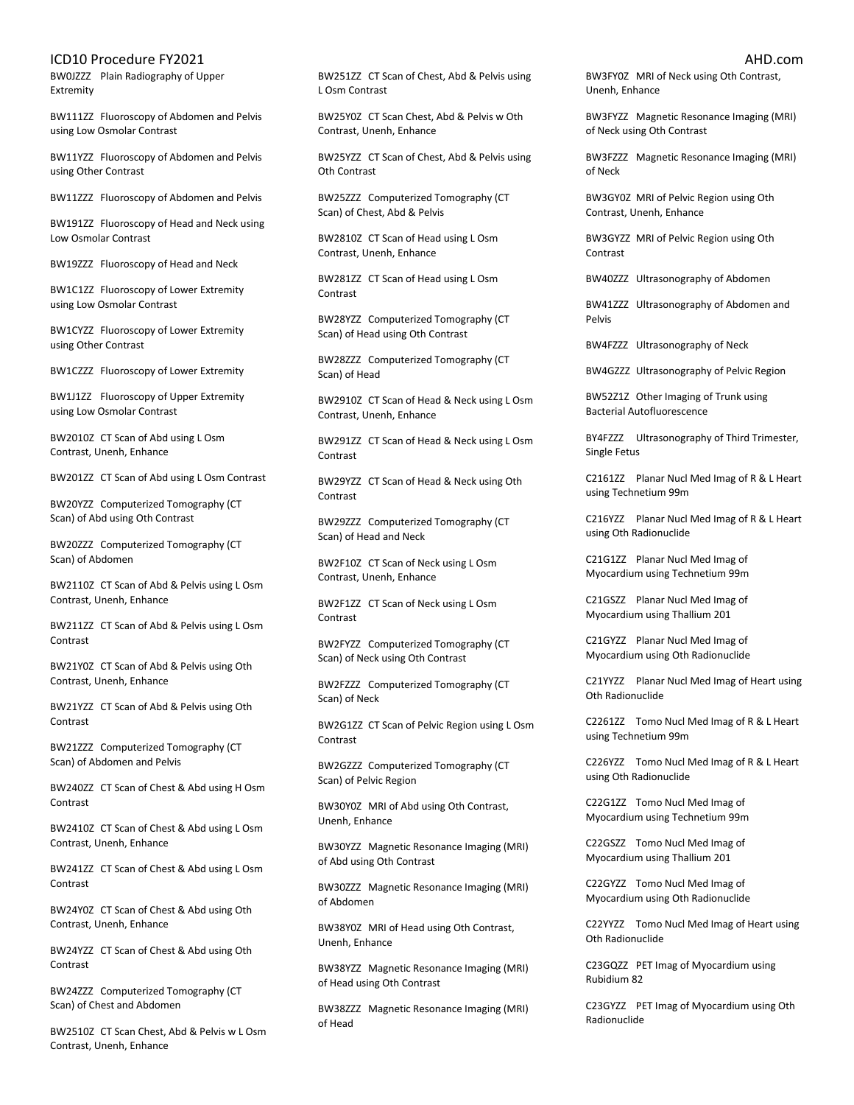BW0JZZZ Plain Radiography of Upper Extremity

BW111ZZ Fluoroscopy of Abdomen and Pelvis using Low Osmolar Contrast

BW11YZZ Fluoroscopy of Abdomen and Pelvis using Other Contrast

BW11ZZZ Fluoroscopy of Abdomen and Pelvis

BW191ZZ Fluoroscopy of Head and Neck using Low Osmolar Contrast

BW19ZZZ Fluoroscopy of Head and Neck

BW1C1ZZ Fluoroscopy of Lower Extremity using Low Osmolar Contrast

BW1CYZZ Fluoroscopy of Lower Extremity using Other Contrast

BW1CZZZ Fluoroscopy of Lower Extremity

BW1J1ZZ Fluoroscopy of Upper Extremity using Low Osmolar Contrast

BW2010Z CT Scan of Abd using L Osm Contrast, Unenh, Enhance

BW201ZZ CT Scan of Abd using L Osm Contrast

BW20YZZ Computerized Tomography (CT Scan) of Abd using Oth Contrast

BW20ZZZ Computerized Tomography (CT Scan) of Abdomen

BW2110Z CT Scan of Abd & Pelvis using L Osm Contrast, Unenh, Enhance

BW211ZZ CT Scan of Abd & Pelvis using L Osm Contrast

BW21Y0Z CT Scan of Abd & Pelvis using Oth Contrast, Unenh, Enhance

BW21YZZ CT Scan of Abd & Pelvis using Oth Contrast

BW21ZZZ Computerized Tomography (CT Scan) of Abdomen and Pelvis

BW240ZZ CT Scan of Chest & Abd using H Osm Contrast

BW2410Z CT Scan of Chest & Abd using L Osm Contrast, Unenh, Enhance

BW241ZZ CT Scan of Chest & Abd using L Osm Contrast

BW24Y0Z CT Scan of Chest & Abd using Oth Contrast, Unenh, Enhance

BW24YZZ CT Scan of Chest & Abd using Oth Contrast

BW24ZZZ Computerized Tomography (CT Scan) of Chest and Abdomen

BW2510Z CT Scan Chest, Abd & Pelvis w L Osm Contrast, Unenh, Enhance

BW251ZZ CT Scan of Chest, Abd & Pelvis using L Osm Contrast

BW25Y0Z CT Scan Chest, Abd & Pelvis w Oth Contrast, Unenh, Enhance

BW25YZZ CT Scan of Chest, Abd & Pelvis using Oth Contrast

BW25ZZZ Computerized Tomography (CT Scan) of Chest, Abd & Pelvis

BW2810Z CT Scan of Head using L Osm Contrast, Unenh, Enhance

BW281ZZ CT Scan of Head using L Osm Contrast

BW28YZZ Computerized Tomography (CT Scan) of Head using Oth Contrast

BW28ZZZ Computerized Tomography (CT Scan) of Head

BW2910Z CT Scan of Head & Neck using L Osm Contrast, Unenh, Enhance

BW291ZZ CT Scan of Head & Neck using L Osm Contrast

BW29YZZ CT Scan of Head & Neck using Oth Contrast

BW29ZZZ Computerized Tomography (CT Scan) of Head and Neck

BW2F10Z CT Scan of Neck using L Osm Contrast, Unenh, Enhance

BW2F1ZZ CT Scan of Neck using L Osm Contrast

BW2FYZZ Computerized Tomography (CT Scan) of Neck using Oth Contrast

BW2FZZZ Computerized Tomography (CT Scan) of Neck

BW2G1ZZ CT Scan of Pelvic Region using L Osm Contrast

BW2GZZZ Computerized Tomography (CT Scan) of Pelvic Region

BW30Y0Z MRI of Abd using Oth Contrast, Unenh, Enhance

BW30YZZ Magnetic Resonance Imaging (MRI) of Abd using Oth Contrast

BW30ZZZ Magnetic Resonance Imaging (MRI) of Abdomen

BW38Y0Z MRI of Head using Oth Contrast, Unenh, Enhance

BW38YZZ Magnetic Resonance Imaging (MRI) of Head using Oth Contrast

BW38ZZZ Magnetic Resonance Imaging (MRI) of Head

BW3FY0Z MRI of Neck using Oth Contrast, Unenh, Enhance

BW3FYZZ Magnetic Resonance Imaging (MRI) of Neck using Oth Contrast

BW3FZZZ Magnetic Resonance Imaging (MRI) of Neck

BW3GY0Z MRI of Pelvic Region using Oth Contrast, Unenh, Enhance

BW3GYZZ MRI of Pelvic Region using Oth Contrast

BW40ZZZ Ultrasonography of Abdomen

BW41ZZZ Ultrasonography of Abdomen and Pelvis

BW4FZZZ Ultrasonography of Neck

BW4GZZZ Ultrasonography of Pelvic Region

BW52Z1Z Other Imaging of Trunk using Bacterial Autofluorescence

BY4FZZZ Ultrasonography of Third Trimester, Single Fetus

C2161ZZ Planar Nucl Med Imag of R & L Heart using Technetium 99m

C216YZZ Planar Nucl Med Imag of R & L Heart using Oth Radionuclide

C21G1ZZ Planar Nucl Med Imag of Myocardium using Technetium 99m

C21GSZZ Planar Nucl Med Imag of Myocardium using Thallium 201

C21GYZZ Planar Nucl Med Imag of Myocardium using Oth Radionuclide

C21YYZZ Planar Nucl Med Imag of Heart using Oth Radionuclide

C2261ZZ Tomo Nucl Med Imag of R & L Heart using Technetium 99m

C226YZZ Tomo Nucl Med Imag of R & L Heart using Oth Radionuclide

C22G1ZZ Tomo Nucl Med Imag of Myocardium using Technetium 99m

C22GSZZ Tomo Nucl Med Imag of Myocardium using Thallium 201

C22GYZZ Tomo Nucl Med Imag of Myocardium using Oth Radionuclide

C22YYZZ Tomo Nucl Med Imag of Heart using Oth Radionuclide

C23GQZZ PET Imag of Myocardium using Rubidium 82

C23GYZZ PET Imag of Myocardium using Oth Radionuclide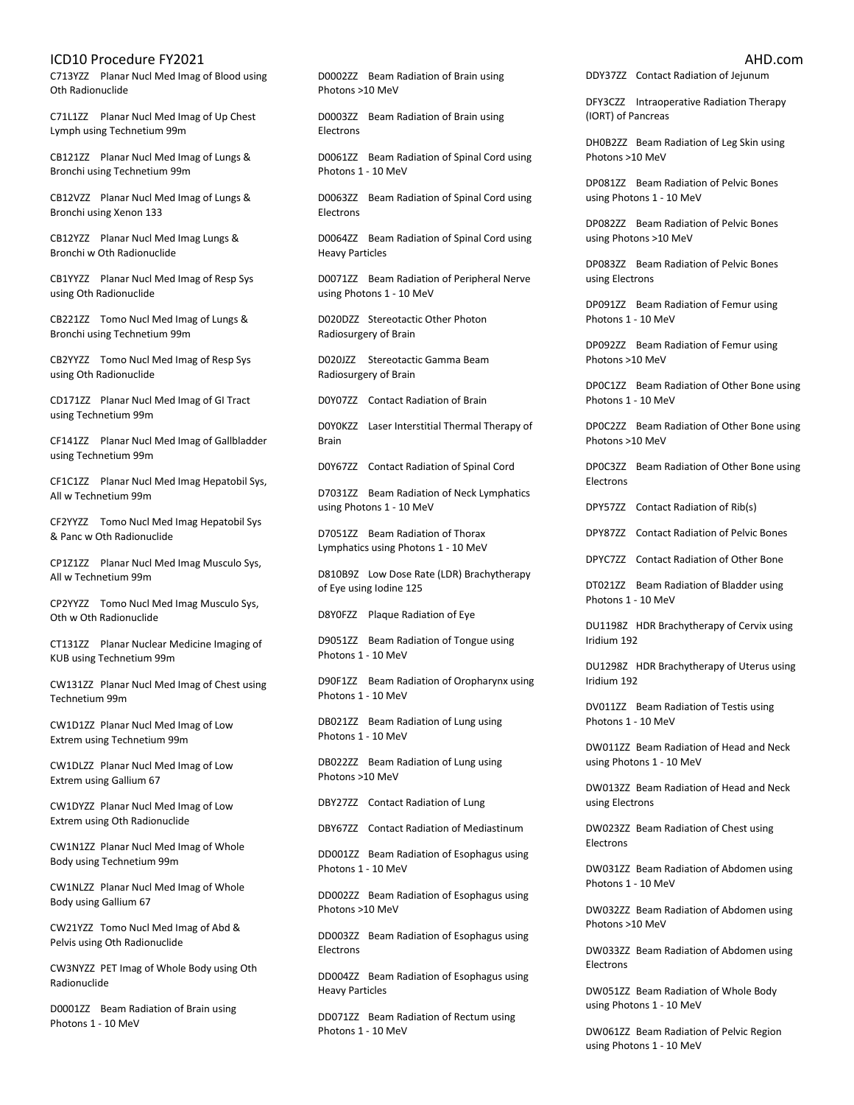C713YZZ Planar Nucl Med Imag of Blood using Oth Radionuclide

C71L1ZZ Planar Nucl Med Imag of Up Chest Lymph using Technetium 99m

CB121ZZ Planar Nucl Med Imag of Lungs & Bronchi using Technetium 99m

CB12VZZ Planar Nucl Med Imag of Lungs & Bronchi using Xenon 133

CB12YZZ Planar Nucl Med Imag Lungs & Bronchi w Oth Radionuclide

CB1YYZZ Planar Nucl Med Imag of Resp Sys using Oth Radionuclide

CB221ZZ Tomo Nucl Med Imag of Lungs & Bronchi using Technetium 99m

CB2YYZZ Tomo Nucl Med Imag of Resp Sys using Oth Radionuclide

CD171ZZ Planar Nucl Med Imag of GI Tract using Technetium 99m

CF141ZZ Planar Nucl Med Imag of Gallbladder using Technetium 99m

CF1C1ZZ Planar Nucl Med Imag Hepatobil Sys, All w Technetium 99m

CF2YYZZ Tomo Nucl Med Imag Hepatobil Sys & Panc w Oth Radionuclide

CP1Z1ZZ Planar Nucl Med Imag Musculo Sys, All w Technetium 99m

CP2YYZZ Tomo Nucl Med Imag Musculo Sys, Oth w Oth Radionuclide

CT131ZZ Planar Nuclear Medicine Imaging of KUB using Technetium 99m

CW131ZZ Planar Nucl Med Imag of Chest using Technetium 99m

CW1D1ZZ Planar Nucl Med Imag of Low Extrem using Technetium 99m

CW1DLZZ Planar Nucl Med Imag of Low Extrem using Gallium 67

CW1DYZZ Planar Nucl Med Imag of Low Extrem using Oth Radionuclide

CW1N1ZZ Planar Nucl Med Imag of Whole Body using Technetium 99m

CW1NLZZ Planar Nucl Med Imag of Whole Body using Gallium 67

CW21YZZ Tomo Nucl Med Imag of Abd & Pelvis using Oth Radionuclide

CW3NYZZ PET Imag of Whole Body using Oth Radionuclide

D0001ZZ Beam Radiation of Brain using Photons 1 - 10 MeV

D0002ZZ Beam Radiation of Brain using Photons >10 MeV

D0003ZZ Beam Radiation of Brain using Electrons

D0061ZZ Beam Radiation of Spinal Cord using Photons 1 - 10 MeV

D0063ZZ Beam Radiation of Spinal Cord using Electrons

D0064ZZ Beam Radiation of Spinal Cord using Heavy Particles

D0071ZZ Beam Radiation of Peripheral Nerve using Photons 1 - 10 MeV

D020DZZ Stereotactic Other Photon Radiosurgery of Brain

D020JZZ Stereotactic Gamma Beam Radiosurgery of Brain

D0Y07ZZ Contact Radiation of Brain

D0Y0KZZ Laser Interstitial Thermal Therapy of Brain

D0Y67ZZ Contact Radiation of Spinal Cord

D7031ZZ Beam Radiation of Neck Lymphatics using Photons 1 - 10 MeV

D7051ZZ Beam Radiation of Thorax Lymphatics using Photons 1 - 10 MeV

D810B9Z Low Dose Rate (LDR) Brachytherapy of Eye using Iodine 125

D8Y0FZZ Plaque Radiation of Eye

D9051ZZ Beam Radiation of Tongue using Photons 1 - 10 MeV

D90F1ZZ Beam Radiation of Oropharynx using Photons 1 - 10 MeV

DB021ZZ Beam Radiation of Lung using Photons 1 - 10 MeV

DB022ZZ Beam Radiation of Lung using Photons >10 MeV

DBY27ZZ Contact Radiation of Lung

DBY67ZZ Contact Radiation of Mediastinum

DD001ZZ Beam Radiation of Esophagus using Photons 1 - 10 MeV

DD002ZZ Beam Radiation of Esophagus using Photons >10 MeV

DD003ZZ Beam Radiation of Esophagus using Electrons

DD004ZZ Beam Radiation of Esophagus using Heavy Particles

DD071ZZ Beam Radiation of Rectum using Photons 1 - 10 MeV

DDY37ZZ Contact Radiation of Jejunum

DFY3CZZ Intraoperative Radiation Therapy (IORT) of Pancreas

DH0B2ZZ Beam Radiation of Leg Skin using Photons >10 MeV

DP081ZZ Beam Radiation of Pelvic Bones using Photons 1 - 10 MeV

DP082ZZ Beam Radiation of Pelvic Bones using Photons >10 MeV

DP083ZZ Beam Radiation of Pelvic Bones using Electrons

DP091ZZ Beam Radiation of Femur using Photons 1 - 10 MeV

DP092ZZ Beam Radiation of Femur using Photons >10 MeV

DP0C1ZZ Beam Radiation of Other Bone using Photons 1 - 10 MeV

DP0C2ZZ Beam Radiation of Other Bone using Photons >10 MeV

DP0C3ZZ Beam Radiation of Other Bone using Electrons

DPY57ZZ Contact Radiation of Rib(s)

DPY87ZZ Contact Radiation of Pelvic Bones

DPYC7ZZ Contact Radiation of Other Bone

DT021ZZ Beam Radiation of Bladder using Photons 1 - 10 MeV

DU1198Z HDR Brachytherapy of Cervix using Iridium 192

DU1298Z HDR Brachytherapy of Uterus using Iridium 192

DV011ZZ Beam Radiation of Testis using Photons 1 - 10 MeV

DW011ZZ Beam Radiation of Head and Neck using Photons 1 - 10 MeV

DW013ZZ Beam Radiation of Head and Neck using Electrons

DW023ZZ Beam Radiation of Chest using Electrons

DW031ZZ Beam Radiation of Abdomen using Photons 1 - 10 MeV

DW032ZZ Beam Radiation of Abdomen using Photons >10 MeV

DW033ZZ Beam Radiation of Abdomen using Electrons

DW051ZZ Beam Radiation of Whole Body using Photons 1 - 10 MeV

DW061ZZ Beam Radiation of Pelvic Region using Photons 1 - 10 MeV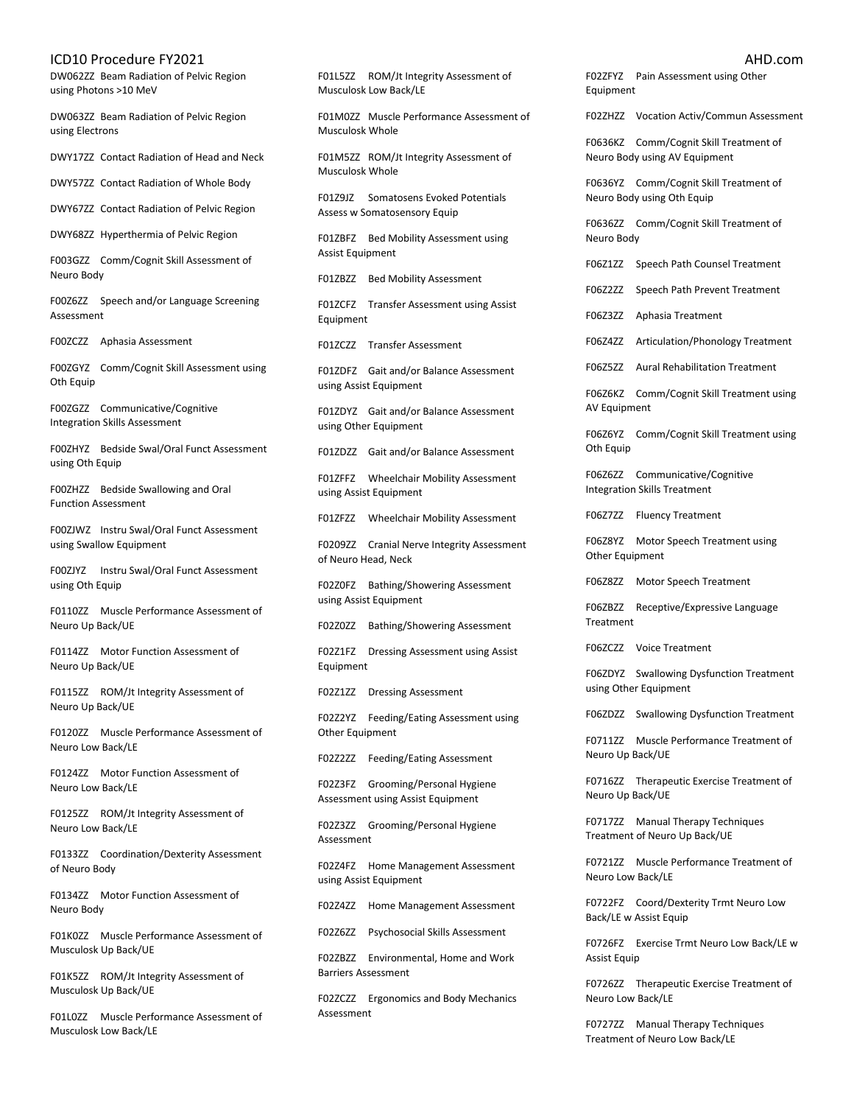DW062ZZ Beam Radiation of Pelvic Region using Photons >10 MeV

DW063ZZ Beam Radiation of Pelvic Region using Electrons

DWY17ZZ Contact Radiation of Head and Neck

DWY57ZZ Contact Radiation of Whole Body

DWY67ZZ Contact Radiation of Pelvic Region

DWY68ZZ Hyperthermia of Pelvic Region

F003GZZ Comm/Cognit Skill Assessment of Neuro Body

F00Z6ZZ Speech and/or Language Screening Assessment

F00ZCZZ Aphasia Assessment

F00ZGYZ Comm/Cognit Skill Assessment using Oth Equip

F00ZGZZ Communicative/Cognitive Integration Skills Assessment

F00ZHYZ Bedside Swal/Oral Funct Assessment using Oth Equip

F00ZHZZ Bedside Swallowing and Oral Function Assessment

F00ZJWZ Instru Swal/Oral Funct Assessment using Swallow Equipment

F00ZJYZ Instru Swal/Oral Funct Assessment using Oth Equip

F0110ZZ Muscle Performance Assessment of Neuro Up Back/UE

F0114ZZ Motor Function Assessment of Neuro Up Back/UE

F0115ZZ ROM/Jt Integrity Assessment of Neuro Up Back/UE

F0120ZZ Muscle Performance Assessment of Neuro Low Back/LE

F0124ZZ Motor Function Assessment of Neuro Low Back/LE

F0125ZZ ROM/Jt Integrity Assessment of Neuro Low Back/LE

F0133ZZ Coordination/Dexterity Assessment of Neuro Body

F0134ZZ Motor Function Assessment of Neuro Body

F01K0ZZ Muscle Performance Assessment of Musculosk Up Back/UE

F01K5ZZ ROM/Jt Integrity Assessment of Musculosk Up Back/UE

F01L0ZZ Muscle Performance Assessment of Musculosk Low Back/LE

F01L5ZZ ROM/Jt Integrity Assessment of Musculosk Low Back/LE

F01M0ZZ Muscle Performance Assessment of Musculosk Whole

F01M5ZZ ROM/Jt Integrity Assessment of Musculosk Whole

F01Z9JZ Somatosens Evoked Potentials Assess w Somatosensory Equip

F01ZBFZ Bed Mobility Assessment using Assist Equipment

F01ZBZZ Bed Mobility Assessment

F01ZCFZ Transfer Assessment using Assist Equipment

F01ZCZZ Transfer Assessment

F01ZDFZ Gait and/or Balance Assessment using Assist Equipment

F01ZDYZ Gait and/or Balance Assessment using Other Equipment

F01ZDZZ Gait and/or Balance Assessment

F01ZFFZ Wheelchair Mobility Assessment using Assist Equipment

F01ZFZZ Wheelchair Mobility Assessment

F0209ZZ Cranial Nerve Integrity Assessment of Neuro Head, Neck

F02Z0FZ Bathing/Showering Assessment using Assist Equipment

F02Z0ZZ Bathing/Showering Assessment

F02Z1FZ Dressing Assessment using Assist Equipment

F02Z1ZZ Dressing Assessment

F02Z2YZ Feeding/Eating Assessment using Other Equipment

F02Z2ZZ Feeding/Eating Assessment

F02Z3FZ Grooming/Personal Hygiene Assessment using Assist Equipment

F02Z3ZZ Grooming/Personal Hygiene Assessment

F02Z4FZ Home Management Assessment using Assist Equipment

F02Z4ZZ Home Management Assessment

F02Z6ZZ Psychosocial Skills Assessment

F02ZBZZ Environmental, Home and Work Barriers Assessment

F02ZCZZ Ergonomics and Body Mechanics Assessment

F02ZFYZ Pain Assessment using Other Equipment F02ZHZZ Vocation Activ/Commun Assessment

F0636KZ Comm/Cognit Skill Treatment of Neuro Body using AV Equipment

F0636YZ Comm/Cognit Skill Treatment of Neuro Body using Oth Equip

F0636ZZ Comm/Cognit Skill Treatment of Neuro Body

F06Z1ZZ Speech Path Counsel Treatment

F06Z2ZZ Speech Path Prevent Treatment

F06Z3ZZ Aphasia Treatment

F06Z4ZZ Articulation/Phonology Treatment

F06Z5ZZ Aural Rehabilitation Treatment

F06Z6KZ Comm/Cognit Skill Treatment using AV Equipment

F06Z6YZ Comm/Cognit Skill Treatment using Oth Equip

F06Z6ZZ Communicative/Cognitive Integration Skills Treatment

F06Z7ZZ Fluency Treatment

F06Z8YZ Motor Speech Treatment using Other Equipment

F06Z8ZZ Motor Speech Treatment

F06ZBZZ Receptive/Expressive Language Treatment

F06ZCZZ Voice Treatment

F06ZDYZ Swallowing Dysfunction Treatment using Other Equipment

F06ZDZZ Swallowing Dysfunction Treatment

F0711ZZ Muscle Performance Treatment of Neuro Up Back/UE

F0716ZZ Therapeutic Exercise Treatment of Neuro Up Back/UE

F0717ZZ Manual Therapy Techniques Treatment of Neuro Up Back/UE

F0721ZZ Muscle Performance Treatment of Neuro Low Back/LE

F0722FZ Coord/Dexterity Trmt Neuro Low Back/LE w Assist Equip

F0726FZ Exercise Trmt Neuro Low Back/LE w Assist Equip

F0726ZZ Therapeutic Exercise Treatment of Neuro Low Back/LE

F0727ZZ Manual Therapy Techniques Treatment of Neuro Low Back/LE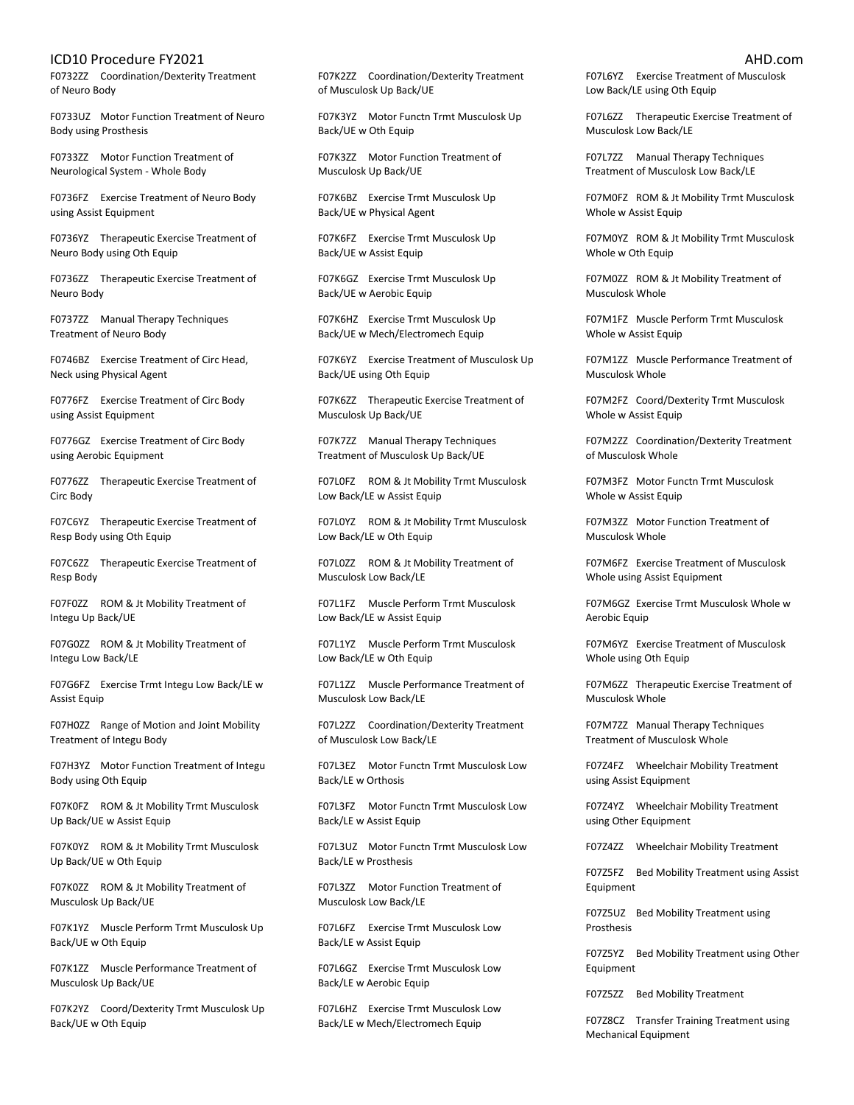F0732ZZ Coordination/Dexterity Treatment of Neuro Body

F0733UZ Motor Function Treatment of Neuro Body using Prosthesis

F0733ZZ Motor Function Treatment of Neurological System - Whole Body

F0736FZ Exercise Treatment of Neuro Body using Assist Equipment

F0736YZ Therapeutic Exercise Treatment of Neuro Body using Oth Equip

F0736ZZ Therapeutic Exercise Treatment of Neuro Body

F0737ZZ Manual Therapy Techniques Treatment of Neuro Body

F0746BZ Exercise Treatment of Circ Head, Neck using Physical Agent

F0776FZ Exercise Treatment of Circ Body using Assist Equipment

F0776GZ Exercise Treatment of Circ Body using Aerobic Equipment

F0776ZZ Therapeutic Exercise Treatment of Circ Body

F07C6YZ Therapeutic Exercise Treatment of Resp Body using Oth Equip

F07C6ZZ Therapeutic Exercise Treatment of Resp Body

F07F0ZZ ROM & Jt Mobility Treatment of Integu Up Back/UE

F07G0ZZ ROM & Jt Mobility Treatment of Integu Low Back/LE

F07G6FZ Exercise Trmt Integu Low Back/LE w Assist Equip

F07H0ZZ Range of Motion and Joint Mobility Treatment of Integu Body

F07H3YZ Motor Function Treatment of Integu Body using Oth Equip

F07K0FZ ROM & Jt Mobility Trmt Musculosk Up Back/UE w Assist Equip

F07K0YZ ROM & Jt Mobility Trmt Musculosk Up Back/UE w Oth Equip

F07K0ZZ ROM & Jt Mobility Treatment of Musculosk Up Back/UE

F07K1YZ Muscle Perform Trmt Musculosk Up Back/UE w Oth Equip

F07K1ZZ Muscle Performance Treatment of Musculosk Up Back/UE

F07K2YZ Coord/Dexterity Trmt Musculosk Up Back/UE w Oth Equip

F07K2ZZ Coordination/Dexterity Treatment of Musculosk Up Back/UE

F07K3YZ Motor Functn Trmt Musculosk Up Back/UE w Oth Equip

F07K3ZZ Motor Function Treatment of Musculosk Up Back/UE

F07K6BZ Exercise Trmt Musculosk Up Back/UE w Physical Agent

F07K6FZ Exercise Trmt Musculosk Up Back/UE w Assist Equip

F07K6GZ Exercise Trmt Musculosk Up Back/UE w Aerobic Equip

F07K6HZ Exercise Trmt Musculosk Up Back/UE w Mech/Electromech Equip

F07K6YZ Exercise Treatment of Musculosk Up Back/UE using Oth Equip

F07K6ZZ Therapeutic Exercise Treatment of Musculosk Up Back/UE

F07K7ZZ Manual Therapy Techniques Treatment of Musculosk Up Back/UE

F07L0FZ ROM & Jt Mobility Trmt Musculosk Low Back/LE w Assist Equip

F07L0YZ ROM & Jt Mobility Trmt Musculosk Low Back/LE w Oth Equip

F07L0ZZ ROM & Jt Mobility Treatment of Musculosk Low Back/LE

F07L1FZ Muscle Perform Trmt Musculosk Low Back/LE w Assist Equip

F07L1YZ Muscle Perform Trmt Musculosk Low Back/LE w Oth Equip

F07L1ZZ Muscle Performance Treatment of Musculosk Low Back/LE

F07L2ZZ Coordination/Dexterity Treatment of Musculosk Low Back/LE

F07L3EZ Motor Functn Trmt Musculosk Low Back/LE w Orthosis

F07L3FZ Motor Functn Trmt Musculosk Low Back/LE w Assist Equip

F07L3UZ Motor Functn Trmt Musculosk Low Back/LE w Prosthesis

F07L3ZZ Motor Function Treatment of Musculosk Low Back/LE

F07L6FZ Exercise Trmt Musculosk Low Back/LE w Assist Equip

F07L6GZ Exercise Trmt Musculosk Low Back/LE w Aerobic Equip

F07L6HZ Exercise Trmt Musculosk Low Back/LE w Mech/Electromech Equip

F07L6YZ Exercise Treatment of Musculosk Low Back/LE using Oth Equip

F07L6ZZ Therapeutic Exercise Treatment of Musculosk Low Back/LE

F07L7ZZ Manual Therapy Techniques Treatment of Musculosk Low Back/LE

F07M0FZ ROM & Jt Mobility Trmt Musculosk Whole w Assist Equip

F07M0YZ ROM & Jt Mobility Trmt Musculosk Whole w Oth Equip

F07M0ZZ ROM & Jt Mobility Treatment of Musculosk Whole

F07M1FZ Muscle Perform Trmt Musculosk Whole w Assist Equip

F07M1ZZ Muscle Performance Treatment of Musculosk Whole

F07M2FZ Coord/Dexterity Trmt Musculosk Whole w Assist Equip

F07M2ZZ Coordination/Dexterity Treatment of Musculosk Whole

F07M3FZ Motor Functn Trmt Musculosk Whole w Assist Equip

F07M3ZZ Motor Function Treatment of Musculosk Whole

F07M6FZ Exercise Treatment of Musculosk Whole using Assist Equipment

F07M6GZ Exercise Trmt Musculosk Whole w Aerobic Equip

F07M6YZ Exercise Treatment of Musculosk Whole using Oth Equip

F07M6ZZ Therapeutic Exercise Treatment of Musculosk Whole

F07M7ZZ Manual Therapy Techniques Treatment of Musculosk Whole

F07Z4FZ Wheelchair Mobility Treatment using Assist Equipment

F07Z4YZ Wheelchair Mobility Treatment using Other Equipment

F07Z4ZZ Wheelchair Mobility Treatment

F07Z5FZ Bed Mobility Treatment using Assist Equipment

F07Z5UZ Bed Mobility Treatment using Prosthesis

F07Z5YZ Bed Mobility Treatment using Other Equipment

F07Z5ZZ Bed Mobility Treatment

F07Z8CZ Transfer Training Treatment using Mechanical Equipment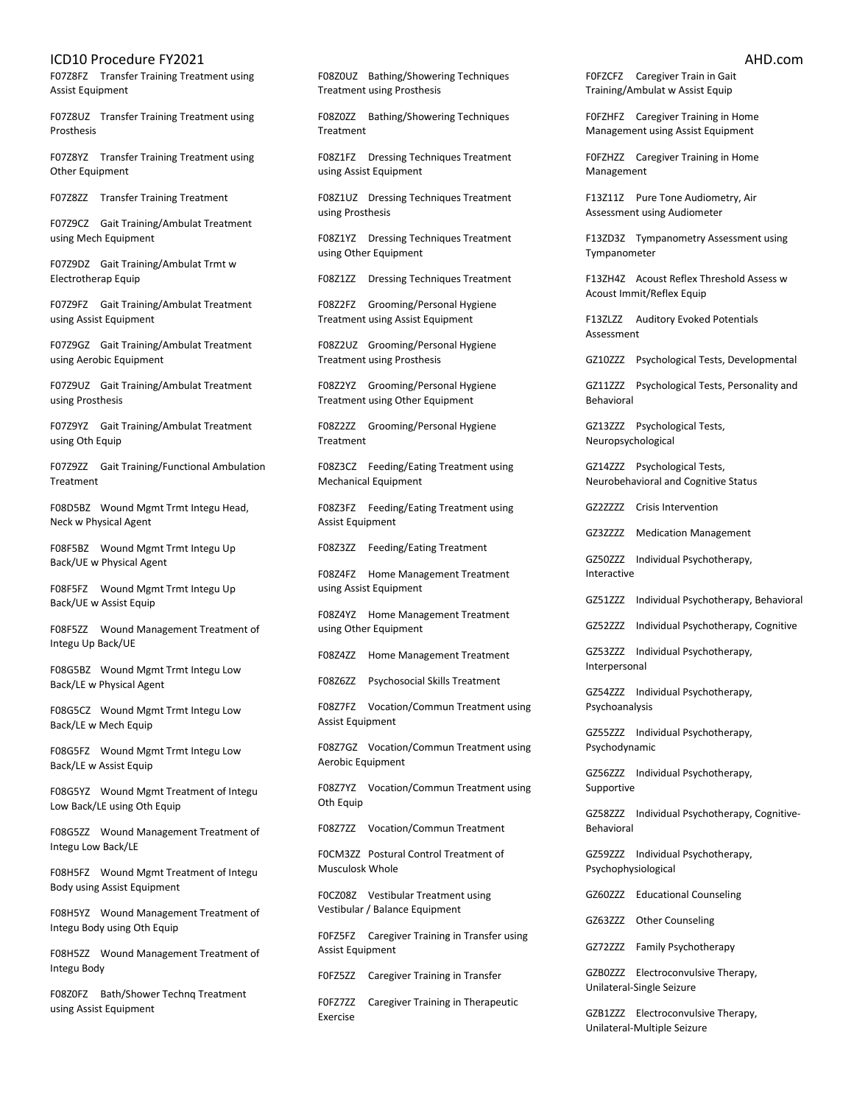F07Z8FZ Transfer Training Treatment using Assist Equipment

F07Z8UZ Transfer Training Treatment using Prosthesis

F07Z8YZ Transfer Training Treatment using Other Equipment

F07Z8ZZ Transfer Training Treatment

F07Z9CZ Gait Training/Ambulat Treatment using Mech Equipment

F07Z9DZ Gait Training/Ambulat Trmt w Electrotherap Equip

F07Z9FZ Gait Training/Ambulat Treatment using Assist Equipment

F07Z9GZ Gait Training/Ambulat Treatment using Aerobic Equipment

F07Z9UZ Gait Training/Ambulat Treatment using Prosthesis

F07Z9YZ Gait Training/Ambulat Treatment using Oth Equip

F07Z9ZZ Gait Training/Functional Ambulation Treatment

F08D5BZ Wound Mgmt Trmt Integu Head, Neck w Physical Agent

F08F5BZ Wound Mgmt Trmt Integu Up Back/UE w Physical Agent

F08F5FZ Wound Mgmt Trmt Integu Up Back/UE w Assist Equip

F08F5ZZ Wound Management Treatment of Integu Up Back/UE

F08G5BZ Wound Mgmt Trmt Integu Low Back/LE w Physical Agent

F08G5CZ Wound Mgmt Trmt Integu Low Back/LE w Mech Equip

F08G5FZ Wound Mgmt Trmt Integu Low Back/LE w Assist Equip

F08G5YZ Wound Mgmt Treatment of Integu Low Back/LE using Oth Equip

F08G5ZZ Wound Management Treatment of Integu Low Back/LE

F08H5FZ Wound Mgmt Treatment of Integu Body using Assist Equipment

F08H5YZ Wound Management Treatment of Integu Body using Oth Equip

F08H5ZZ Wound Management Treatment of Integu Body

F08Z0FZ Bath/Shower Technq Treatment using Assist Equipment

F08Z0UZ Bathing/Showering Techniques Treatment using Prosthesis

F08Z0ZZ Bathing/Showering Techniques Treatment

F08Z1FZ Dressing Techniques Treatment using Assist Equipment

F08Z1UZ Dressing Techniques Treatment using Prosthesis

F08Z1YZ Dressing Techniques Treatment using Other Equipment

F08Z1ZZ Dressing Techniques Treatment

F08Z2FZ Grooming/Personal Hygiene Treatment using Assist Equipment

F08Z2UZ Grooming/Personal Hygiene Treatment using Prosthesis

F08Z2YZ Grooming/Personal Hygiene Treatment using Other Equipment

F08Z2ZZ Grooming/Personal Hygiene Treatment

F08Z3CZ Feeding/Eating Treatment using Mechanical Equipment

F08Z3FZ Feeding/Eating Treatment using Assist Equipment

F08Z3ZZ Feeding/Eating Treatment

F08Z4FZ Home Management Treatment using Assist Equipment

F08Z4YZ Home Management Treatment using Other Equipment

F08Z4ZZ Home Management Treatment

F08Z6ZZ Psychosocial Skills Treatment

F08Z7FZ Vocation/Commun Treatment using Assist Equipment

F08Z7GZ Vocation/Commun Treatment using Aerobic Equipment

F08Z7YZ Vocation/Commun Treatment using Oth Equip

F08Z7ZZ Vocation/Commun Treatment

F0CM3ZZ Postural Control Treatment of Musculosk Whole

F0CZ08Z Vestibular Treatment using Vestibular / Balance Equipment

F0FZ5FZ Caregiver Training in Transfer using Assist Equipment

F0FZ5ZZ Caregiver Training in Transfer

F0FZ7ZZ Caregiver Training in Therapeutic Exercise

F0FZCFZ Caregiver Train in Gait Training/Ambulat w Assist Equip

F0FZHFZ Caregiver Training in Home Management using Assist Equipment

F0FZHZZ Caregiver Training in Home Management

F13Z11Z Pure Tone Audiometry, Air Assessment using Audiometer

F13ZD3Z Tympanometry Assessment using Tympanometer

F13ZH4Z Acoust Reflex Threshold Assess w Acoust Immit/Reflex Equip

F13ZLZZ Auditory Evoked Potentials Assessment

GZ10ZZZ Psychological Tests, Developmental

GZ11ZZZ Psychological Tests, Personality and Behavioral

GZ13ZZZ Psychological Tests, Neuropsychological

GZ14ZZZ Psychological Tests, Neurobehavioral and Cognitive Status

GZ2ZZZZ Crisis Intervention

GZ3ZZZZ Medication Management

GZ50ZZZ Individual Psychotherapy, Interactive

GZ51ZZZ Individual Psychotherapy, Behavioral

GZ52ZZZ Individual Psychotherapy, Cognitive

GZ53ZZZ Individual Psychotherapy, Interpersonal

GZ54ZZZ Individual Psychotherapy, Psychoanalysis

GZ55ZZZ Individual Psychotherapy, Psychodynamic

GZ56ZZZ Individual Psychotherapy, Supportive

GZ58ZZZ Individual Psychotherapy, Cognitive-Behavioral

GZ59ZZZ Individual Psychotherapy, Psychophysiological

GZ60ZZZ Educational Counseling

GZ63ZZZ Other Counseling

GZ72ZZZ Family Psychotherapy

GZB0ZZZ Electroconvulsive Therapy, Unilateral-Single Seizure

GZB1ZZZ Electroconvulsive Therapy, Unilateral-Multiple Seizure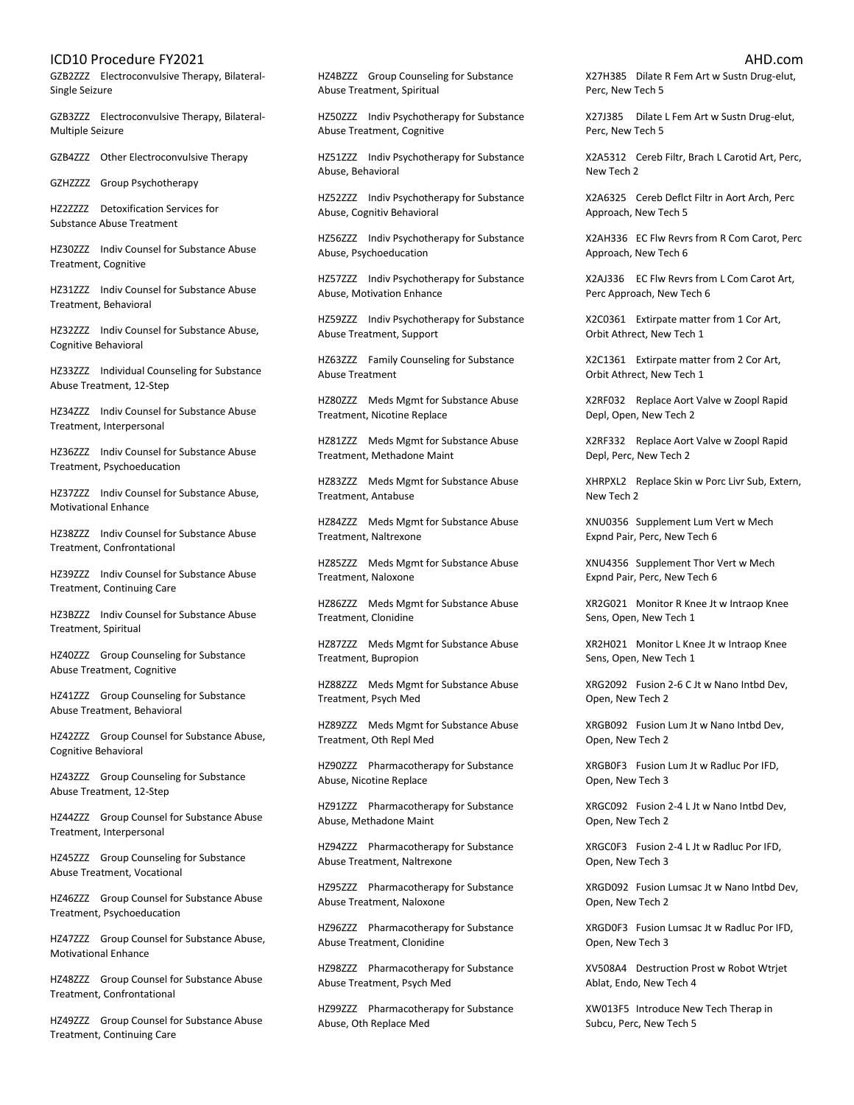GZB2ZZZ Electroconvulsive Therapy, Bilateral-Single Seizure

GZB3ZZZ Electroconvulsive Therapy, Bilateral-Multiple Seizure

GZB4ZZZ Other Electroconvulsive Therapy

GZHZZZZ Group Psychotherapy

HZ2ZZZZ Detoxification Services for Substance Abuse Treatment

HZ30ZZZ Indiv Counsel for Substance Abuse Treatment, Cognitive

HZ31ZZZ Indiv Counsel for Substance Abuse Treatment, Behavioral

HZ32ZZZ Indiv Counsel for Substance Abuse, Cognitive Behavioral

HZ33ZZZ Individual Counseling for Substance Abuse Treatment, 12-Step

HZ34ZZZ Indiv Counsel for Substance Abuse Treatment, Interpersonal

HZ36ZZZ Indiv Counsel for Substance Abuse Treatment, Psychoeducation

HZ37ZZZ Indiv Counsel for Substance Abuse, Motivational Enhance

HZ38ZZZ Indiv Counsel for Substance Abuse Treatment, Confrontational

HZ39ZZZ Indiv Counsel for Substance Abuse Treatment, Continuing Care

HZ3BZZZ Indiv Counsel for Substance Abuse Treatment, Spiritual

HZ40ZZZ Group Counseling for Substance Abuse Treatment, Cognitive

HZ41ZZZ Group Counseling for Substance Abuse Treatment, Behavioral

HZ42ZZZ Group Counsel for Substance Abuse, Cognitive Behavioral

HZ43ZZZ Group Counseling for Substance Abuse Treatment, 12-Step

HZ44ZZZ Group Counsel for Substance Abuse Treatment, Interpersonal

HZ45ZZZ Group Counseling for Substance Abuse Treatment, Vocational

HZ46ZZZ Group Counsel for Substance Abuse Treatment, Psychoeducation

HZ47ZZZ Group Counsel for Substance Abuse, Motivational Enhance

HZ48ZZZ Group Counsel for Substance Abuse Treatment, Confrontational

HZ49ZZZ Group Counsel for Substance Abuse Treatment, Continuing Care

HZ4BZZZ Group Counseling for Substance Abuse Treatment, Spiritual

HZ50ZZZ Indiv Psychotherapy for Substance Abuse Treatment, Cognitive

HZ51ZZZ Indiv Psychotherapy for Substance Abuse, Behavioral

HZ52ZZZ Indiv Psychotherapy for Substance Abuse, Cognitiv Behavioral

HZ56ZZZ Indiv Psychotherapy for Substance Abuse, Psychoeducation

HZ57ZZZ Indiv Psychotherapy for Substance Abuse, Motivation Enhance

HZ59ZZZ Indiv Psychotherapy for Substance Abuse Treatment, Support

HZ63ZZZ Family Counseling for Substance Abuse Treatment

HZ80ZZZ Meds Mgmt for Substance Abuse Treatment, Nicotine Replace

HZ81ZZZ Meds Mgmt for Substance Abuse Treatment, Methadone Maint

HZ83ZZZ Meds Mgmt for Substance Abuse Treatment, Antabuse

HZ84ZZZ Meds Mgmt for Substance Abuse Treatment, Naltrexone

HZ85ZZZ Meds Mgmt for Substance Abuse Treatment, Naloxone

HZ86ZZZ Meds Mgmt for Substance Abuse Treatment, Clonidine

HZ87ZZZ Meds Mgmt for Substance Abuse Treatment, Bupropion

HZ88ZZZ Meds Mgmt for Substance Abuse Treatment, Psych Med

HZ89ZZZ Meds Mgmt for Substance Abuse Treatment, Oth Repl Med

HZ90ZZZ Pharmacotherapy for Substance Abuse, Nicotine Replace

HZ91ZZZ Pharmacotherapy for Substance Abuse, Methadone Maint

HZ94ZZZ Pharmacotherapy for Substance Abuse Treatment, Naltrexone

HZ95ZZZ Pharmacotherapy for Substance Abuse Treatment, Naloxone

HZ96ZZZ Pharmacotherapy for Substance Abuse Treatment, Clonidine

HZ98ZZZ Pharmacotherapy for Substance Abuse Treatment, Psych Med

HZ99ZZZ Pharmacotherapy for Substance Abuse, Oth Replace Med

X27H385 Dilate R Fem Art w Sustn Drug-elut, Perc, New Tech 5

X27J385 Dilate L Fem Art w Sustn Drug-elut, Perc, New Tech 5

X2A5312 Cereb Filtr, Brach L Carotid Art, Perc, New Tech 2

X2A6325 Cereb Deflct Filtr in Aort Arch, Perc Approach, New Tech 5

X2AH336 EC Flw Revrs from R Com Carot, Perc Approach, New Tech 6

X2AJ336 EC Flw Revrs from L Com Carot Art, Perc Approach, New Tech 6

X2C0361 Extirpate matter from 1 Cor Art, Orbit Athrect, New Tech 1

X2C1361 Extirpate matter from 2 Cor Art, Orbit Athrect, New Tech 1

X2RF032 Replace Aort Valve w Zoopl Rapid Depl, Open, New Tech 2

X2RF332 Replace Aort Valve w Zoopl Rapid Depl, Perc, New Tech 2

XHRPXL2 Replace Skin w Porc Livr Sub, Extern, New Tech 2

XNU0356 Supplement Lum Vert w Mech Expnd Pair, Perc, New Tech 6

XNU4356 Supplement Thor Vert w Mech Expnd Pair, Perc, New Tech 6

XR2G021 Monitor R Knee Jt w Intraop Knee Sens, Open, New Tech 1

XR2H021 Monitor L Knee Jt w Intraop Knee Sens, Open, New Tech 1

XRG2092 Fusion 2-6 C Jt w Nano Intbd Dev, Open, New Tech 2

XRGB092 Fusion Lum Jt w Nano Intbd Dev, Open, New Tech 2

XRGB0F3 Fusion Lum Jt w Radluc Por IFD, Open, New Tech 3

XRGC092 Fusion 2-4 L Jt w Nano Intbd Dev, Open, New Tech 2

XRGC0F3 Fusion 2-4 L Jt w Radluc Por IFD, Open, New Tech 3

XRGD092 Fusion Lumsac Jt w Nano Intbd Dev, Open, New Tech 2

XRGD0F3 Fusion Lumsac Jt w Radluc Por IFD, Open, New Tech 3

XV508A4 Destruction Prost w Robot Wtrjet Ablat, Endo, New Tech 4

XW013F5 Introduce New Tech Therap in Subcu, Perc, New Tech 5